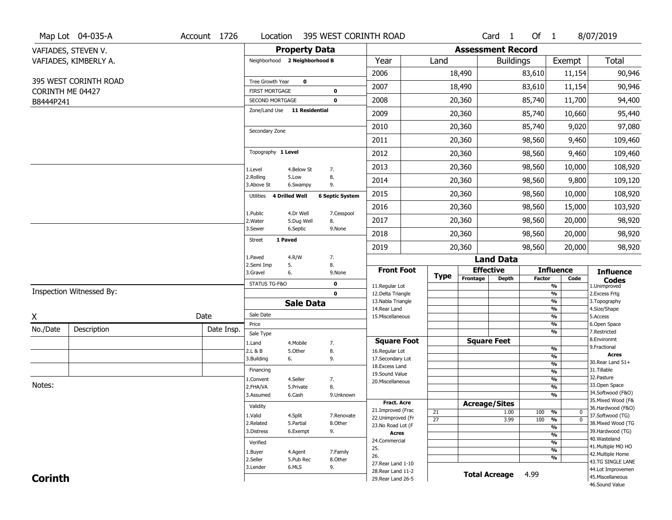|                               | Map Lot 04-035-A         | Account 1726 | Location                                 |                      | 395 WEST CORINTH ROAD    |                                          |                       |                          | Card <sub>1</sub> | Of 1          |                                               | 8/07/2019                               |
|-------------------------------|--------------------------|--------------|------------------------------------------|----------------------|--------------------------|------------------------------------------|-----------------------|--------------------------|-------------------|---------------|-----------------------------------------------|-----------------------------------------|
|                               | VAFIADES, STEVEN V.      |              |                                          | <b>Property Data</b> |                          |                                          |                       | <b>Assessment Record</b> |                   |               |                                               |                                         |
|                               | VAFIADES, KIMBERLY A.    |              | Neighborhood 2 Neighborhood B            |                      |                          | Year                                     | Land                  |                          | <b>Buildings</b>  |               | Exempt                                        | <b>Total</b>                            |
|                               |                          |              |                                          |                      |                          | 2006                                     |                       | 18,490                   |                   | 83,610        | 11,154                                        | 90,946                                  |
|                               | 395 WEST CORINTH ROAD    |              | Tree Growth Year                         | $\mathbf 0$          |                          | 2007                                     |                       | 18,490                   |                   | 83,610        | 11,154                                        | 90,946                                  |
| CORINTH ME 04427<br>B8444P241 |                          |              | <b>FIRST MORTGAGE</b><br>SECOND MORTGAGE |                      | $\pmb{0}$<br>$\mathbf 0$ | 2008                                     |                       | 20,360                   |                   | 85,740        | 11,700                                        | 94,400                                  |
|                               |                          |              | Zone/Land Use 11 Residential             |                      |                          | 2009                                     |                       | 20,360                   |                   | 85,740        | 10,660                                        | 95,440                                  |
|                               |                          |              |                                          |                      |                          | 2010                                     |                       | 20,360                   |                   | 85,740        | 9,020                                         | 97,080                                  |
|                               |                          |              | Secondary Zone                           |                      |                          | 2011                                     |                       | 20,360                   |                   | 98,560        | 9,460                                         | 109,460                                 |
|                               |                          |              | Topography 1 Level                       |                      |                          |                                          |                       |                          |                   |               |                                               |                                         |
|                               |                          |              |                                          |                      |                          | 2012                                     |                       | 20,360                   |                   | 98,560        | 9,460                                         | 109,460                                 |
|                               |                          |              | 1.Level<br>2.Rolling                     | 4.Below St<br>5.Low  | 7.<br>8.                 | 2013                                     |                       | 20,360                   |                   | 98,560        | 10,000                                        | 108,920                                 |
|                               |                          |              | 3.Above St                               | 6.Swampy             | 9.                       | 2014                                     |                       | 20,360                   |                   | 98,560        | 9,800                                         | 109,120                                 |
|                               |                          |              | Utilities 4 Drilled Well                 |                      | <b>6 Septic System</b>   | 2015                                     |                       | 20,360                   |                   | 98,560        | 10,000                                        | 108,920                                 |
|                               |                          |              | 1.Public                                 | 4.Dr Well            | 7.Cesspool               | 2016                                     |                       | 20,360                   |                   | 98,560        | 15,000                                        | 103,920                                 |
|                               |                          |              | 2. Water                                 | 5.Dug Well           | 8.                       | 2017                                     |                       | 20,360                   |                   | 98,560        | 20,000                                        | 98,920                                  |
|                               |                          |              | 3.Sewer<br>1 Paved<br><b>Street</b>      | 6.Septic             | 9.None                   | 2018                                     |                       | 20,360                   |                   | 98,560        | 20,000                                        | 98,920                                  |
|                               |                          |              |                                          |                      |                          | 2019                                     |                       | 20,360                   |                   | 98,560        | 20,000                                        | 98,920                                  |
|                               |                          |              | 1.Paved<br>2.Semi Imp                    | 4.R/W<br>5.          | 7.<br>8.                 |                                          |                       |                          | <b>Land Data</b>  |               |                                               |                                         |
|                               |                          |              | 3.Gravel                                 | 6.                   | 9.None                   | <b>Front Foot</b>                        | <b>Type</b>           | <b>Effective</b>         |                   |               | <b>Influence</b>                              | <b>Influence</b>                        |
|                               |                          |              | STATUS TG-F&O                            |                      | $\mathbf 0$              | 11.Regular Lot                           |                       | Frontage                 | <b>Depth</b>      | <b>Factor</b> | Code<br>%                                     | <b>Codes</b><br>1.Unimproved            |
|                               | Inspection Witnessed By: |              |                                          |                      | $\mathbf 0$              | 12.Delta Triangle                        |                       |                          |                   |               | %                                             | 2. Excess Frtg                          |
|                               |                          |              |                                          | <b>Sale Data</b>     |                          | 13. Nabla Triangle<br>14. Rear Land      |                       |                          |                   |               | %<br>%                                        | 3. Topography<br>4.Size/Shape           |
| χ                             |                          | Date         | Sale Date                                |                      |                          | 15. Miscellaneous                        |                       |                          |                   |               | %                                             | 5.Access                                |
| No./Date                      | Description              | Date Insp.   | Price                                    |                      |                          |                                          |                       |                          |                   |               | %<br>%                                        | 6.Open Space<br>7.Restricted            |
|                               |                          |              | Sale Type<br>1.Land                      | 4. Mobile            | 7.                       | <b>Square Foot</b>                       |                       | <b>Square Feet</b>       |                   |               |                                               | 8.Environmt                             |
|                               |                          |              | 2.L & B                                  | 5.Other              | 8.                       | 16.Regular Lot                           |                       |                          |                   |               | %                                             | 9. Fractional                           |
|                               |                          |              | 3.Building                               | 6.                   | 9.                       | 17.Secondary Lot                         |                       |                          |                   |               | %<br>$\frac{9}{6}$                            | <b>Acres</b><br>30. Rear Land 51+       |
|                               |                          |              | Financing                                |                      |                          | 18.Excess Land<br>19.Sound Value         |                       |                          |                   |               | $\frac{9}{6}$                                 | 31.Tillable                             |
|                               |                          |              | 1.Convent                                | 4.Seller             | 7.                       | 20.Miscellaneous                         |                       |                          |                   |               | $\frac{9}{6}$                                 | 32.Pasture                              |
| Notes:                        |                          |              | 2.FHA/VA                                 | 5.Private            | 8.                       |                                          |                       |                          |                   |               | $\frac{9}{6}$                                 | 33.Open Space<br>34.Softwood (F&O)      |
|                               |                          |              | 3.Assumed                                | 6.Cash               | 9.Unknown                |                                          |                       |                          |                   |               | $\overline{\frac{9}{6}}$                      | 35. Mixed Wood (F&                      |
|                               |                          |              | Validity                                 |                      |                          | Fract. Acre<br>21.Improved (Frac         |                       | <b>Acreage/Sites</b>     |                   |               |                                               | 36.Hardwood (F&O)                       |
|                               |                          |              | 1.Valid                                  | 4.Split              | 7.Renovate               | 22.Unimproved (Fr                        | 21<br>$\overline{27}$ |                          | 1.00<br>3.99      | 100<br>100    | %<br>$\bf{0}$<br>$\frac{9}{6}$<br>$\mathbf 0$ | 37.Softwood (TG)                        |
|                               |                          |              | 2.Related                                | 5.Partial            | 8.Other                  | 23.No Road Lot (F                        |                       |                          |                   |               | $\frac{9}{6}$                                 | 38. Mixed Wood (TG                      |
|                               |                          |              | 3.Distress                               | 6.Exempt             | 9.                       | Acres                                    |                       |                          |                   |               | $\frac{9}{6}$                                 | 39.Hardwood (TG)<br>40. Wasteland       |
|                               |                          |              |                                          |                      |                          |                                          |                       |                          |                   |               |                                               |                                         |
|                               |                          |              | Verified                                 |                      |                          | 24.Commercial                            |                       |                          |                   |               | %                                             |                                         |
|                               |                          |              | 1.Buyer                                  | 4.Agent              | 7.Family                 | 25.                                      |                       |                          |                   |               | $\frac{9}{6}$                                 | 41. Multiple MO HO<br>42. Multiple Home |
|                               |                          |              | 2.Seller                                 | 5.Pub Rec            | 8.Other                  | 26.                                      |                       |                          |                   |               | %                                             | 43.TG SINGLE LANE                       |
| <b>Corinth</b>                |                          |              | 3.Lender                                 | 6.MLS                | 9.                       | 27. Rear Land 1-10<br>28. Rear Land 11-2 |                       | <b>Total Acreage</b>     |                   | 4.99          |                                               | 44.Lot Improvemen<br>45. Miscellaneous  |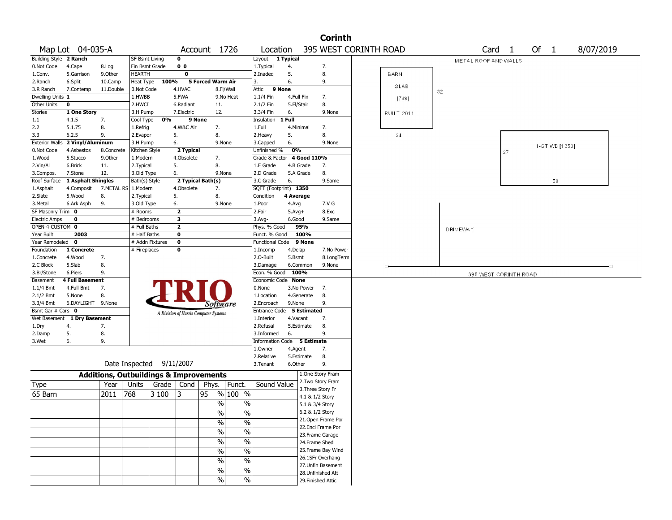|                             |                        |                                                                                                                                                                                                                                                                                                                                                                                                                  | <b>Corinth</b><br>395 WEST CORINTH ROAD<br>Of 1<br>8/07/2019<br>Account 1726<br>Card <sub>1</sub><br>Location<br>$\mathbf 0$<br>Layout 1 Typical<br>SF Bsmt Living<br>METAL ROOF AND WALLS<br>0 <sub>0</sub><br>Fin Bsmt Grade<br>1. Typical<br>4.<br>7.<br>$\mathbf 0$<br>5.<br>8.<br><b>BARN</b><br>HEARTH<br>2.Inadeq<br>100%<br>Heat Type<br>5 Forced Warm Air<br>3.<br>6.<br>9.<br>SLAB<br>4.HVAC<br>8.Fl/Wall<br>9 None<br>0.Not Code<br>Attic<br>32<br>5.FWA<br>1.HWBB<br>9.No Heat<br>1.1/4 Fin<br>4.Full Fin<br>7.<br>[768]<br>2.HWCI<br>2.1/2 Fin<br>8.<br>6.Radiant<br>5.Fl/Stair<br>11.<br>3.H Pump<br>7.Electric<br>12.<br>3.3/4 Fin<br>6.<br>9.None<br><b>BUILT 2011</b><br>0%<br>9 None<br>1 Full<br>Cool Type<br>Insulation<br>4.W&C Air<br>1.Refrig<br>7.<br>1.Full<br>4.Minimal<br>7.<br>8.<br>5.<br>8.<br>24<br>2.Evapor<br>5.<br>2. Heavy<br>3.H Pump<br>6.<br>9.None<br>3.Capped<br>6.<br>9.None<br>1-ST WB [1350]<br>2 Typical<br>Unfinished %<br>0%<br>Kitchen Style<br>27<br>4 Good 110%<br>1.Modern<br>4.Obsolete<br>7.<br>Grade & Factor<br>5.<br>8.<br>7.<br>2. Typical<br>1.E Grade<br>4.B Grade<br>8.<br>3.Old Type<br>6.<br>9.None<br>2.D Grade<br>5.A Grade<br>2 Typical Bath(s)<br>3.C Grade<br>6.<br>9.Same<br>50<br>Bath(s) Style<br>SQFT (Footprint) 1350<br>1.Modern<br>4.Obsolete<br>7.<br>5.<br>8.<br>2.Typical<br>Condition<br>4 Average<br>7.V G<br>3.Old Type<br>6.<br>9.None<br>1.Poor<br>4.Avg<br># Rooms<br>$\overline{\mathbf{z}}$<br>8.Exc<br>2.Fair<br>$5.$ Avg $+$<br>3<br># Bedrooms<br>3.Avg-<br>6.Good<br>9.Same<br># Full Baths<br>$\overline{\mathbf{2}}$<br>Phys. % Good<br>95%<br>DRIVEWAY<br># Half Baths<br>$\mathbf 0$<br>100%<br>Funct. % Good<br># Addn Fixtures<br>$\mathbf 0$<br><b>Functional Code</b><br>9 None<br># Fireplaces<br>0<br>4.Delap<br>7.No Power<br>1.Incomp<br>2.0-Built<br>8.LongTerm<br>5.Bsmt<br>3.Damage<br>6.Common<br>9.None<br>Ð<br>Econ. % Good 100%<br>395 WEST CORINTH ROAD<br>Economic Code None<br>3.No Power<br>7.<br>0.None<br>8.<br>1.Location<br>4.Generate<br>9.None<br>9.<br>2.Encroach<br>Software<br>Entrance Code 5 Estimated<br>A Division of Harris Computer Systems<br>7.<br>1.Interior<br>4.Vacant<br>8.<br>2.Refusal<br>5.Estimate<br>6.<br>9.<br>3.Informed<br>Information Code 5 Estimate<br>1.Owner<br>4.Agent<br>7.<br>8.<br>2.Relative<br>5.Estimate<br>6.Other<br>9.<br>3. Tenant<br>1.One Story Fram<br>2. Two Story Fram<br>Sound Value<br>Units<br>Grade   Cond<br>Phys.<br>Funct.<br>3. Three Story Fr<br>% 100 %<br>768<br>3 100<br>13<br>95<br>4.1 & 1/2 Story<br>$\frac{0}{0}$<br>%<br>5.1 & 3/4 Story<br>$\frac{1}{2}$<br>$\%$<br>6.2 & 1/2 Story<br>21.Open Frame Por<br>$\frac{1}{2}$<br>$\%$<br>22.Encl Frame Por<br>$\frac{0}{6}$<br>$\overline{\frac{0}{6}}$<br>23. Frame Garage<br>$\frac{1}{2}$<br>$\%$<br>24.Frame Shed<br>$\overline{\frac{0}{6}}$<br>25. Frame Bay Wind<br>$\frac{1}{2}$<br>26.1SFr Overhang |  |  |  |  |  |  |  |  |  |  |  |  |
|-----------------------------|------------------------|------------------------------------------------------------------------------------------------------------------------------------------------------------------------------------------------------------------------------------------------------------------------------------------------------------------------------------------------------------------------------------------------------------------|----------------------------------------------------------------------------------------------------------------------------------------------------------------------------------------------------------------------------------------------------------------------------------------------------------------------------------------------------------------------------------------------------------------------------------------------------------------------------------------------------------------------------------------------------------------------------------------------------------------------------------------------------------------------------------------------------------------------------------------------------------------------------------------------------------------------------------------------------------------------------------------------------------------------------------------------------------------------------------------------------------------------------------------------------------------------------------------------------------------------------------------------------------------------------------------------------------------------------------------------------------------------------------------------------------------------------------------------------------------------------------------------------------------------------------------------------------------------------------------------------------------------------------------------------------------------------------------------------------------------------------------------------------------------------------------------------------------------------------------------------------------------------------------------------------------------------------------------------------------------------------------------------------------------------------------------------------------------------------------------------------------------------------------------------------------------------------------------------------------------------------------------------------------------------------------------------------------------------------------------------------------------------------------------------------------------------------------------------------------------------------------------------------------------------------------------------------------------------------------------------------------------------------------------------------------------------------------------------------------------------------------------------------------------------------------------------------------------------------------------------------------------------------------------------------------------------------------------------------------------------------------------------------------------------------------------|--|--|--|--|--|--|--|--|--|--|--|--|
| <b>Building Style</b>       | 2 Ranch                |                                                                                                                                                                                                                                                                                                                                                                                                                  |                                                                                                                                                                                                                                                                                                                                                                                                                                                                                                                                                                                                                                                                                                                                                                                                                                                                                                                                                                                                                                                                                                                                                                                                                                                                                                                                                                                                                                                                                                                                                                                                                                                                                                                                                                                                                                                                                                                                                                                                                                                                                                                                                                                                                                                                                                                                                                                                                                                                                                                                                                                                                                                                                                                                                                                                                                                                                                                                              |  |  |  |  |  |  |  |  |  |  |  |  |
| 0.Not Code                  | 4.Cape                 | 8.Log                                                                                                                                                                                                                                                                                                                                                                                                            |                                                                                                                                                                                                                                                                                                                                                                                                                                                                                                                                                                                                                                                                                                                                                                                                                                                                                                                                                                                                                                                                                                                                                                                                                                                                                                                                                                                                                                                                                                                                                                                                                                                                                                                                                                                                                                                                                                                                                                                                                                                                                                                                                                                                                                                                                                                                                                                                                                                                                                                                                                                                                                                                                                                                                                                                                                                                                                                                              |  |  |  |  |  |  |  |  |  |  |  |  |
| 1.Conv.                     | 5.Garrison             | 9.0ther                                                                                                                                                                                                                                                                                                                                                                                                          |                                                                                                                                                                                                                                                                                                                                                                                                                                                                                                                                                                                                                                                                                                                                                                                                                                                                                                                                                                                                                                                                                                                                                                                                                                                                                                                                                                                                                                                                                                                                                                                                                                                                                                                                                                                                                                                                                                                                                                                                                                                                                                                                                                                                                                                                                                                                                                                                                                                                                                                                                                                                                                                                                                                                                                                                                                                                                                                                              |  |  |  |  |  |  |  |  |  |  |  |  |
| 2.Ranch                     | 6.Split                | 10.Camp                                                                                                                                                                                                                                                                                                                                                                                                          |                                                                                                                                                                                                                                                                                                                                                                                                                                                                                                                                                                                                                                                                                                                                                                                                                                                                                                                                                                                                                                                                                                                                                                                                                                                                                                                                                                                                                                                                                                                                                                                                                                                                                                                                                                                                                                                                                                                                                                                                                                                                                                                                                                                                                                                                                                                                                                                                                                                                                                                                                                                                                                                                                                                                                                                                                                                                                                                                              |  |  |  |  |  |  |  |  |  |  |  |  |
| 3.R Ranch                   | 7.Contemp              | 11.Double                                                                                                                                                                                                                                                                                                                                                                                                        |                                                                                                                                                                                                                                                                                                                                                                                                                                                                                                                                                                                                                                                                                                                                                                                                                                                                                                                                                                                                                                                                                                                                                                                                                                                                                                                                                                                                                                                                                                                                                                                                                                                                                                                                                                                                                                                                                                                                                                                                                                                                                                                                                                                                                                                                                                                                                                                                                                                                                                                                                                                                                                                                                                                                                                                                                                                                                                                                              |  |  |  |  |  |  |  |  |  |  |  |  |
| Dwelling Units 1            |                        |                                                                                                                                                                                                                                                                                                                                                                                                                  |                                                                                                                                                                                                                                                                                                                                                                                                                                                                                                                                                                                                                                                                                                                                                                                                                                                                                                                                                                                                                                                                                                                                                                                                                                                                                                                                                                                                                                                                                                                                                                                                                                                                                                                                                                                                                                                                                                                                                                                                                                                                                                                                                                                                                                                                                                                                                                                                                                                                                                                                                                                                                                                                                                                                                                                                                                                                                                                                              |  |  |  |  |  |  |  |  |  |  |  |  |
| Other Units                 | 0                      |                                                                                                                                                                                                                                                                                                                                                                                                                  |                                                                                                                                                                                                                                                                                                                                                                                                                                                                                                                                                                                                                                                                                                                                                                                                                                                                                                                                                                                                                                                                                                                                                                                                                                                                                                                                                                                                                                                                                                                                                                                                                                                                                                                                                                                                                                                                                                                                                                                                                                                                                                                                                                                                                                                                                                                                                                                                                                                                                                                                                                                                                                                                                                                                                                                                                                                                                                                                              |  |  |  |  |  |  |  |  |  |  |  |  |
| Stories                     | 1 One Story            | Map Lot 04-035-A<br>7.<br>8.<br>9.<br>2 Vinyl/Aluminum<br>8.Concrete<br>9.Other<br>11.<br>12.<br>1 Asphalt Shingles<br>7.METAL RS<br>8.<br>9.<br>7.<br>8.<br>9.<br>7.<br>8.<br>6.DAYLIGHT 9.None<br>Wet Basement 1 Dry Basement<br>7.<br>8.<br>9.<br>Date Inspected 9/11/2007<br><b>Additions, Outbuildings &amp; Improvements</b><br>Year<br>2011<br>$\frac{1}{2}$<br>$\%$<br>27.Unfin Basement<br>$\%$<br>$\%$ |                                                                                                                                                                                                                                                                                                                                                                                                                                                                                                                                                                                                                                                                                                                                                                                                                                                                                                                                                                                                                                                                                                                                                                                                                                                                                                                                                                                                                                                                                                                                                                                                                                                                                                                                                                                                                                                                                                                                                                                                                                                                                                                                                                                                                                                                                                                                                                                                                                                                                                                                                                                                                                                                                                                                                                                                                                                                                                                                              |  |  |  |  |  |  |  |  |  |  |  |  |
| 1.1                         | 4.1.5                  |                                                                                                                                                                                                                                                                                                                                                                                                                  |                                                                                                                                                                                                                                                                                                                                                                                                                                                                                                                                                                                                                                                                                                                                                                                                                                                                                                                                                                                                                                                                                                                                                                                                                                                                                                                                                                                                                                                                                                                                                                                                                                                                                                                                                                                                                                                                                                                                                                                                                                                                                                                                                                                                                                                                                                                                                                                                                                                                                                                                                                                                                                                                                                                                                                                                                                                                                                                                              |  |  |  |  |  |  |  |  |  |  |  |  |
| 2.2                         | 5.1.75                 |                                                                                                                                                                                                                                                                                                                                                                                                                  |                                                                                                                                                                                                                                                                                                                                                                                                                                                                                                                                                                                                                                                                                                                                                                                                                                                                                                                                                                                                                                                                                                                                                                                                                                                                                                                                                                                                                                                                                                                                                                                                                                                                                                                                                                                                                                                                                                                                                                                                                                                                                                                                                                                                                                                                                                                                                                                                                                                                                                                                                                                                                                                                                                                                                                                                                                                                                                                                              |  |  |  |  |  |  |  |  |  |  |  |  |
| 3.3                         | 6.2.5                  |                                                                                                                                                                                                                                                                                                                                                                                                                  |                                                                                                                                                                                                                                                                                                                                                                                                                                                                                                                                                                                                                                                                                                                                                                                                                                                                                                                                                                                                                                                                                                                                                                                                                                                                                                                                                                                                                                                                                                                                                                                                                                                                                                                                                                                                                                                                                                                                                                                                                                                                                                                                                                                                                                                                                                                                                                                                                                                                                                                                                                                                                                                                                                                                                                                                                                                                                                                                              |  |  |  |  |  |  |  |  |  |  |  |  |
| <b>Exterior Walls</b>       |                        |                                                                                                                                                                                                                                                                                                                                                                                                                  |                                                                                                                                                                                                                                                                                                                                                                                                                                                                                                                                                                                                                                                                                                                                                                                                                                                                                                                                                                                                                                                                                                                                                                                                                                                                                                                                                                                                                                                                                                                                                                                                                                                                                                                                                                                                                                                                                                                                                                                                                                                                                                                                                                                                                                                                                                                                                                                                                                                                                                                                                                                                                                                                                                                                                                                                                                                                                                                                              |  |  |  |  |  |  |  |  |  |  |  |  |
| 0.Not Code                  | 4.Asbestos             |                                                                                                                                                                                                                                                                                                                                                                                                                  |                                                                                                                                                                                                                                                                                                                                                                                                                                                                                                                                                                                                                                                                                                                                                                                                                                                                                                                                                                                                                                                                                                                                                                                                                                                                                                                                                                                                                                                                                                                                                                                                                                                                                                                                                                                                                                                                                                                                                                                                                                                                                                                                                                                                                                                                                                                                                                                                                                                                                                                                                                                                                                                                                                                                                                                                                                                                                                                                              |  |  |  |  |  |  |  |  |  |  |  |  |
| 1.Wood                      | 5.Stucco               |                                                                                                                                                                                                                                                                                                                                                                                                                  |                                                                                                                                                                                                                                                                                                                                                                                                                                                                                                                                                                                                                                                                                                                                                                                                                                                                                                                                                                                                                                                                                                                                                                                                                                                                                                                                                                                                                                                                                                                                                                                                                                                                                                                                                                                                                                                                                                                                                                                                                                                                                                                                                                                                                                                                                                                                                                                                                                                                                                                                                                                                                                                                                                                                                                                                                                                                                                                                              |  |  |  |  |  |  |  |  |  |  |  |  |
| 2.Vin/Al                    | 6.Brick                |                                                                                                                                                                                                                                                                                                                                                                                                                  | 28. Unfinished Att                                                                                                                                                                                                                                                                                                                                                                                                                                                                                                                                                                                                                                                                                                                                                                                                                                                                                                                                                                                                                                                                                                                                                                                                                                                                                                                                                                                                                                                                                                                                                                                                                                                                                                                                                                                                                                                                                                                                                                                                                                                                                                                                                                                                                                                                                                                                                                                                                                                                                                                                                                                                                                                                                                                                                                                                                                                                                                                           |  |  |  |  |  |  |  |  |  |  |  |  |
| 3.Compos.                   | 7.Stone                |                                                                                                                                                                                                                                                                                                                                                                                                                  |                                                                                                                                                                                                                                                                                                                                                                                                                                                                                                                                                                                                                                                                                                                                                                                                                                                                                                                                                                                                                                                                                                                                                                                                                                                                                                                                                                                                                                                                                                                                                                                                                                                                                                                                                                                                                                                                                                                                                                                                                                                                                                                                                                                                                                                                                                                                                                                                                                                                                                                                                                                                                                                                                                                                                                                                                                                                                                                                              |  |  |  |  |  |  |  |  |  |  |  |  |
| Roof Surface                |                        |                                                                                                                                                                                                                                                                                                                                                                                                                  |                                                                                                                                                                                                                                                                                                                                                                                                                                                                                                                                                                                                                                                                                                                                                                                                                                                                                                                                                                                                                                                                                                                                                                                                                                                                                                                                                                                                                                                                                                                                                                                                                                                                                                                                                                                                                                                                                                                                                                                                                                                                                                                                                                                                                                                                                                                                                                                                                                                                                                                                                                                                                                                                                                                                                                                                                                                                                                                                              |  |  |  |  |  |  |  |  |  |  |  |  |
| 1.Asphalt                   | 4.Composit             |                                                                                                                                                                                                                                                                                                                                                                                                                  |                                                                                                                                                                                                                                                                                                                                                                                                                                                                                                                                                                                                                                                                                                                                                                                                                                                                                                                                                                                                                                                                                                                                                                                                                                                                                                                                                                                                                                                                                                                                                                                                                                                                                                                                                                                                                                                                                                                                                                                                                                                                                                                                                                                                                                                                                                                                                                                                                                                                                                                                                                                                                                                                                                                                                                                                                                                                                                                                              |  |  |  |  |  |  |  |  |  |  |  |  |
| 2.Slate                     | 5.Wood                 |                                                                                                                                                                                                                                                                                                                                                                                                                  |                                                                                                                                                                                                                                                                                                                                                                                                                                                                                                                                                                                                                                                                                                                                                                                                                                                                                                                                                                                                                                                                                                                                                                                                                                                                                                                                                                                                                                                                                                                                                                                                                                                                                                                                                                                                                                                                                                                                                                                                                                                                                                                                                                                                                                                                                                                                                                                                                                                                                                                                                                                                                                                                                                                                                                                                                                                                                                                                              |  |  |  |  |  |  |  |  |  |  |  |  |
| 3.Metal                     | 6.Ark Asph             |                                                                                                                                                                                                                                                                                                                                                                                                                  |                                                                                                                                                                                                                                                                                                                                                                                                                                                                                                                                                                                                                                                                                                                                                                                                                                                                                                                                                                                                                                                                                                                                                                                                                                                                                                                                                                                                                                                                                                                                                                                                                                                                                                                                                                                                                                                                                                                                                                                                                                                                                                                                                                                                                                                                                                                                                                                                                                                                                                                                                                                                                                                                                                                                                                                                                                                                                                                                              |  |  |  |  |  |  |  |  |  |  |  |  |
| SF Masonry Trim 0           |                        |                                                                                                                                                                                                                                                                                                                                                                                                                  |                                                                                                                                                                                                                                                                                                                                                                                                                                                                                                                                                                                                                                                                                                                                                                                                                                                                                                                                                                                                                                                                                                                                                                                                                                                                                                                                                                                                                                                                                                                                                                                                                                                                                                                                                                                                                                                                                                                                                                                                                                                                                                                                                                                                                                                                                                                                                                                                                                                                                                                                                                                                                                                                                                                                                                                                                                                                                                                                              |  |  |  |  |  |  |  |  |  |  |  |  |
| <b>Electric Amps</b>        | 0                      |                                                                                                                                                                                                                                                                                                                                                                                                                  |                                                                                                                                                                                                                                                                                                                                                                                                                                                                                                                                                                                                                                                                                                                                                                                                                                                                                                                                                                                                                                                                                                                                                                                                                                                                                                                                                                                                                                                                                                                                                                                                                                                                                                                                                                                                                                                                                                                                                                                                                                                                                                                                                                                                                                                                                                                                                                                                                                                                                                                                                                                                                                                                                                                                                                                                                                                                                                                                              |  |  |  |  |  |  |  |  |  |  |  |  |
| OPEN-4-CUSTOM 0             |                        |                                                                                                                                                                                                                                                                                                                                                                                                                  |                                                                                                                                                                                                                                                                                                                                                                                                                                                                                                                                                                                                                                                                                                                                                                                                                                                                                                                                                                                                                                                                                                                                                                                                                                                                                                                                                                                                                                                                                                                                                                                                                                                                                                                                                                                                                                                                                                                                                                                                                                                                                                                                                                                                                                                                                                                                                                                                                                                                                                                                                                                                                                                                                                                                                                                                                                                                                                                                              |  |  |  |  |  |  |  |  |  |  |  |  |
| Year Built                  | 2003                   |                                                                                                                                                                                                                                                                                                                                                                                                                  |                                                                                                                                                                                                                                                                                                                                                                                                                                                                                                                                                                                                                                                                                                                                                                                                                                                                                                                                                                                                                                                                                                                                                                                                                                                                                                                                                                                                                                                                                                                                                                                                                                                                                                                                                                                                                                                                                                                                                                                                                                                                                                                                                                                                                                                                                                                                                                                                                                                                                                                                                                                                                                                                                                                                                                                                                                                                                                                                              |  |  |  |  |  |  |  |  |  |  |  |  |
| Year Remodeled              | 0                      |                                                                                                                                                                                                                                                                                                                                                                                                                  |                                                                                                                                                                                                                                                                                                                                                                                                                                                                                                                                                                                                                                                                                                                                                                                                                                                                                                                                                                                                                                                                                                                                                                                                                                                                                                                                                                                                                                                                                                                                                                                                                                                                                                                                                                                                                                                                                                                                                                                                                                                                                                                                                                                                                                                                                                                                                                                                                                                                                                                                                                                                                                                                                                                                                                                                                                                                                                                                              |  |  |  |  |  |  |  |  |  |  |  |  |
| Foundation                  | 1 Concrete             |                                                                                                                                                                                                                                                                                                                                                                                                                  |                                                                                                                                                                                                                                                                                                                                                                                                                                                                                                                                                                                                                                                                                                                                                                                                                                                                                                                                                                                                                                                                                                                                                                                                                                                                                                                                                                                                                                                                                                                                                                                                                                                                                                                                                                                                                                                                                                                                                                                                                                                                                                                                                                                                                                                                                                                                                                                                                                                                                                                                                                                                                                                                                                                                                                                                                                                                                                                                              |  |  |  |  |  |  |  |  |  |  |  |  |
| 1.Concrete                  | 4.Wood                 |                                                                                                                                                                                                                                                                                                                                                                                                                  |                                                                                                                                                                                                                                                                                                                                                                                                                                                                                                                                                                                                                                                                                                                                                                                                                                                                                                                                                                                                                                                                                                                                                                                                                                                                                                                                                                                                                                                                                                                                                                                                                                                                                                                                                                                                                                                                                                                                                                                                                                                                                                                                                                                                                                                                                                                                                                                                                                                                                                                                                                                                                                                                                                                                                                                                                                                                                                                                              |  |  |  |  |  |  |  |  |  |  |  |  |
| 2.C Block                   | 5.Slab                 |                                                                                                                                                                                                                                                                                                                                                                                                                  |                                                                                                                                                                                                                                                                                                                                                                                                                                                                                                                                                                                                                                                                                                                                                                                                                                                                                                                                                                                                                                                                                                                                                                                                                                                                                                                                                                                                                                                                                                                                                                                                                                                                                                                                                                                                                                                                                                                                                                                                                                                                                                                                                                                                                                                                                                                                                                                                                                                                                                                                                                                                                                                                                                                                                                                                                                                                                                                                              |  |  |  |  |  |  |  |  |  |  |  |  |
| 3.Br/Stone                  | 6.Piers                |                                                                                                                                                                                                                                                                                                                                                                                                                  |                                                                                                                                                                                                                                                                                                                                                                                                                                                                                                                                                                                                                                                                                                                                                                                                                                                                                                                                                                                                                                                                                                                                                                                                                                                                                                                                                                                                                                                                                                                                                                                                                                                                                                                                                                                                                                                                                                                                                                                                                                                                                                                                                                                                                                                                                                                                                                                                                                                                                                                                                                                                                                                                                                                                                                                                                                                                                                                                              |  |  |  |  |  |  |  |  |  |  |  |  |
| Basement                    | <b>4 Full Basement</b> |                                                                                                                                                                                                                                                                                                                                                                                                                  |                                                                                                                                                                                                                                                                                                                                                                                                                                                                                                                                                                                                                                                                                                                                                                                                                                                                                                                                                                                                                                                                                                                                                                                                                                                                                                                                                                                                                                                                                                                                                                                                                                                                                                                                                                                                                                                                                                                                                                                                                                                                                                                                                                                                                                                                                                                                                                                                                                                                                                                                                                                                                                                                                                                                                                                                                                                                                                                                              |  |  |  |  |  |  |  |  |  |  |  |  |
| $1.1/4$ Bmt                 | 4.Full Bmt             |                                                                                                                                                                                                                                                                                                                                                                                                                  |                                                                                                                                                                                                                                                                                                                                                                                                                                                                                                                                                                                                                                                                                                                                                                                                                                                                                                                                                                                                                                                                                                                                                                                                                                                                                                                                                                                                                                                                                                                                                                                                                                                                                                                                                                                                                                                                                                                                                                                                                                                                                                                                                                                                                                                                                                                                                                                                                                                                                                                                                                                                                                                                                                                                                                                                                                                                                                                                              |  |  |  |  |  |  |  |  |  |  |  |  |
| 2.1/2 Bmt                   | 5.None                 |                                                                                                                                                                                                                                                                                                                                                                                                                  |                                                                                                                                                                                                                                                                                                                                                                                                                                                                                                                                                                                                                                                                                                                                                                                                                                                                                                                                                                                                                                                                                                                                                                                                                                                                                                                                                                                                                                                                                                                                                                                                                                                                                                                                                                                                                                                                                                                                                                                                                                                                                                                                                                                                                                                                                                                                                                                                                                                                                                                                                                                                                                                                                                                                                                                                                                                                                                                                              |  |  |  |  |  |  |  |  |  |  |  |  |
| 3.3/4 Bmt                   |                        |                                                                                                                                                                                                                                                                                                                                                                                                                  |                                                                                                                                                                                                                                                                                                                                                                                                                                                                                                                                                                                                                                                                                                                                                                                                                                                                                                                                                                                                                                                                                                                                                                                                                                                                                                                                                                                                                                                                                                                                                                                                                                                                                                                                                                                                                                                                                                                                                                                                                                                                                                                                                                                                                                                                                                                                                                                                                                                                                                                                                                                                                                                                                                                                                                                                                                                                                                                                              |  |  |  |  |  |  |  |  |  |  |  |  |
| Bsmt Gar $#$ Cars $\bullet$ |                        |                                                                                                                                                                                                                                                                                                                                                                                                                  |                                                                                                                                                                                                                                                                                                                                                                                                                                                                                                                                                                                                                                                                                                                                                                                                                                                                                                                                                                                                                                                                                                                                                                                                                                                                                                                                                                                                                                                                                                                                                                                                                                                                                                                                                                                                                                                                                                                                                                                                                                                                                                                                                                                                                                                                                                                                                                                                                                                                                                                                                                                                                                                                                                                                                                                                                                                                                                                                              |  |  |  |  |  |  |  |  |  |  |  |  |
|                             |                        |                                                                                                                                                                                                                                                                                                                                                                                                                  |                                                                                                                                                                                                                                                                                                                                                                                                                                                                                                                                                                                                                                                                                                                                                                                                                                                                                                                                                                                                                                                                                                                                                                                                                                                                                                                                                                                                                                                                                                                                                                                                                                                                                                                                                                                                                                                                                                                                                                                                                                                                                                                                                                                                                                                                                                                                                                                                                                                                                                                                                                                                                                                                                                                                                                                                                                                                                                                                              |  |  |  |  |  |  |  |  |  |  |  |  |
| 1.Dry                       | 4.                     |                                                                                                                                                                                                                                                                                                                                                                                                                  |                                                                                                                                                                                                                                                                                                                                                                                                                                                                                                                                                                                                                                                                                                                                                                                                                                                                                                                                                                                                                                                                                                                                                                                                                                                                                                                                                                                                                                                                                                                                                                                                                                                                                                                                                                                                                                                                                                                                                                                                                                                                                                                                                                                                                                                                                                                                                                                                                                                                                                                                                                                                                                                                                                                                                                                                                                                                                                                                              |  |  |  |  |  |  |  |  |  |  |  |  |
| 2.Damp                      | 5.                     |                                                                                                                                                                                                                                                                                                                                                                                                                  |                                                                                                                                                                                                                                                                                                                                                                                                                                                                                                                                                                                                                                                                                                                                                                                                                                                                                                                                                                                                                                                                                                                                                                                                                                                                                                                                                                                                                                                                                                                                                                                                                                                                                                                                                                                                                                                                                                                                                                                                                                                                                                                                                                                                                                                                                                                                                                                                                                                                                                                                                                                                                                                                                                                                                                                                                                                                                                                                              |  |  |  |  |  |  |  |  |  |  |  |  |
| 3.Wet                       | 6.                     |                                                                                                                                                                                                                                                                                                                                                                                                                  |                                                                                                                                                                                                                                                                                                                                                                                                                                                                                                                                                                                                                                                                                                                                                                                                                                                                                                                                                                                                                                                                                                                                                                                                                                                                                                                                                                                                                                                                                                                                                                                                                                                                                                                                                                                                                                                                                                                                                                                                                                                                                                                                                                                                                                                                                                                                                                                                                                                                                                                                                                                                                                                                                                                                                                                                                                                                                                                                              |  |  |  |  |  |  |  |  |  |  |  |  |
|                             |                        |                                                                                                                                                                                                                                                                                                                                                                                                                  |                                                                                                                                                                                                                                                                                                                                                                                                                                                                                                                                                                                                                                                                                                                                                                                                                                                                                                                                                                                                                                                                                                                                                                                                                                                                                                                                                                                                                                                                                                                                                                                                                                                                                                                                                                                                                                                                                                                                                                                                                                                                                                                                                                                                                                                                                                                                                                                                                                                                                                                                                                                                                                                                                                                                                                                                                                                                                                                                              |  |  |  |  |  |  |  |  |  |  |  |  |
|                             |                        |                                                                                                                                                                                                                                                                                                                                                                                                                  |                                                                                                                                                                                                                                                                                                                                                                                                                                                                                                                                                                                                                                                                                                                                                                                                                                                                                                                                                                                                                                                                                                                                                                                                                                                                                                                                                                                                                                                                                                                                                                                                                                                                                                                                                                                                                                                                                                                                                                                                                                                                                                                                                                                                                                                                                                                                                                                                                                                                                                                                                                                                                                                                                                                                                                                                                                                                                                                                              |  |  |  |  |  |  |  |  |  |  |  |  |
|                             |                        |                                                                                                                                                                                                                                                                                                                                                                                                                  |                                                                                                                                                                                                                                                                                                                                                                                                                                                                                                                                                                                                                                                                                                                                                                                                                                                                                                                                                                                                                                                                                                                                                                                                                                                                                                                                                                                                                                                                                                                                                                                                                                                                                                                                                                                                                                                                                                                                                                                                                                                                                                                                                                                                                                                                                                                                                                                                                                                                                                                                                                                                                                                                                                                                                                                                                                                                                                                                              |  |  |  |  |  |  |  |  |  |  |  |  |
|                             |                        |                                                                                                                                                                                                                                                                                                                                                                                                                  |                                                                                                                                                                                                                                                                                                                                                                                                                                                                                                                                                                                                                                                                                                                                                                                                                                                                                                                                                                                                                                                                                                                                                                                                                                                                                                                                                                                                                                                                                                                                                                                                                                                                                                                                                                                                                                                                                                                                                                                                                                                                                                                                                                                                                                                                                                                                                                                                                                                                                                                                                                                                                                                                                                                                                                                                                                                                                                                                              |  |  |  |  |  |  |  |  |  |  |  |  |
| Type                        |                        |                                                                                                                                                                                                                                                                                                                                                                                                                  |                                                                                                                                                                                                                                                                                                                                                                                                                                                                                                                                                                                                                                                                                                                                                                                                                                                                                                                                                                                                                                                                                                                                                                                                                                                                                                                                                                                                                                                                                                                                                                                                                                                                                                                                                                                                                                                                                                                                                                                                                                                                                                                                                                                                                                                                                                                                                                                                                                                                                                                                                                                                                                                                                                                                                                                                                                                                                                                                              |  |  |  |  |  |  |  |  |  |  |  |  |
| 65 Barn                     |                        |                                                                                                                                                                                                                                                                                                                                                                                                                  |                                                                                                                                                                                                                                                                                                                                                                                                                                                                                                                                                                                                                                                                                                                                                                                                                                                                                                                                                                                                                                                                                                                                                                                                                                                                                                                                                                                                                                                                                                                                                                                                                                                                                                                                                                                                                                                                                                                                                                                                                                                                                                                                                                                                                                                                                                                                                                                                                                                                                                                                                                                                                                                                                                                                                                                                                                                                                                                                              |  |  |  |  |  |  |  |  |  |  |  |  |
|                             |                        |                                                                                                                                                                                                                                                                                                                                                                                                                  |                                                                                                                                                                                                                                                                                                                                                                                                                                                                                                                                                                                                                                                                                                                                                                                                                                                                                                                                                                                                                                                                                                                                                                                                                                                                                                                                                                                                                                                                                                                                                                                                                                                                                                                                                                                                                                                                                                                                                                                                                                                                                                                                                                                                                                                                                                                                                                                                                                                                                                                                                                                                                                                                                                                                                                                                                                                                                                                                              |  |  |  |  |  |  |  |  |  |  |  |  |
|                             |                        |                                                                                                                                                                                                                                                                                                                                                                                                                  |                                                                                                                                                                                                                                                                                                                                                                                                                                                                                                                                                                                                                                                                                                                                                                                                                                                                                                                                                                                                                                                                                                                                                                                                                                                                                                                                                                                                                                                                                                                                                                                                                                                                                                                                                                                                                                                                                                                                                                                                                                                                                                                                                                                                                                                                                                                                                                                                                                                                                                                                                                                                                                                                                                                                                                                                                                                                                                                                              |  |  |  |  |  |  |  |  |  |  |  |  |
|                             |                        |                                                                                                                                                                                                                                                                                                                                                                                                                  |                                                                                                                                                                                                                                                                                                                                                                                                                                                                                                                                                                                                                                                                                                                                                                                                                                                                                                                                                                                                                                                                                                                                                                                                                                                                                                                                                                                                                                                                                                                                                                                                                                                                                                                                                                                                                                                                                                                                                                                                                                                                                                                                                                                                                                                                                                                                                                                                                                                                                                                                                                                                                                                                                                                                                                                                                                                                                                                                              |  |  |  |  |  |  |  |  |  |  |  |  |
|                             |                        |                                                                                                                                                                                                                                                                                                                                                                                                                  |                                                                                                                                                                                                                                                                                                                                                                                                                                                                                                                                                                                                                                                                                                                                                                                                                                                                                                                                                                                                                                                                                                                                                                                                                                                                                                                                                                                                                                                                                                                                                                                                                                                                                                                                                                                                                                                                                                                                                                                                                                                                                                                                                                                                                                                                                                                                                                                                                                                                                                                                                                                                                                                                                                                                                                                                                                                                                                                                              |  |  |  |  |  |  |  |  |  |  |  |  |
|                             |                        |                                                                                                                                                                                                                                                                                                                                                                                                                  |                                                                                                                                                                                                                                                                                                                                                                                                                                                                                                                                                                                                                                                                                                                                                                                                                                                                                                                                                                                                                                                                                                                                                                                                                                                                                                                                                                                                                                                                                                                                                                                                                                                                                                                                                                                                                                                                                                                                                                                                                                                                                                                                                                                                                                                                                                                                                                                                                                                                                                                                                                                                                                                                                                                                                                                                                                                                                                                                              |  |  |  |  |  |  |  |  |  |  |  |  |
|                             |                        |                                                                                                                                                                                                                                                                                                                                                                                                                  |                                                                                                                                                                                                                                                                                                                                                                                                                                                                                                                                                                                                                                                                                                                                                                                                                                                                                                                                                                                                                                                                                                                                                                                                                                                                                                                                                                                                                                                                                                                                                                                                                                                                                                                                                                                                                                                                                                                                                                                                                                                                                                                                                                                                                                                                                                                                                                                                                                                                                                                                                                                                                                                                                                                                                                                                                                                                                                                                              |  |  |  |  |  |  |  |  |  |  |  |  |
|                             |                        |                                                                                                                                                                                                                                                                                                                                                                                                                  |                                                                                                                                                                                                                                                                                                                                                                                                                                                                                                                                                                                                                                                                                                                                                                                                                                                                                                                                                                                                                                                                                                                                                                                                                                                                                                                                                                                                                                                                                                                                                                                                                                                                                                                                                                                                                                                                                                                                                                                                                                                                                                                                                                                                                                                                                                                                                                                                                                                                                                                                                                                                                                                                                                                                                                                                                                                                                                                                              |  |  |  |  |  |  |  |  |  |  |  |  |
|                             |                        | $\frac{0}{0}$<br>$\%$<br>29. Finished Attic                                                                                                                                                                                                                                                                                                                                                                      |                                                                                                                                                                                                                                                                                                                                                                                                                                                                                                                                                                                                                                                                                                                                                                                                                                                                                                                                                                                                                                                                                                                                                                                                                                                                                                                                                                                                                                                                                                                                                                                                                                                                                                                                                                                                                                                                                                                                                                                                                                                                                                                                                                                                                                                                                                                                                                                                                                                                                                                                                                                                                                                                                                                                                                                                                                                                                                                                              |  |  |  |  |  |  |  |  |  |  |  |  |
|                             |                        |                                                                                                                                                                                                                                                                                                                                                                                                                  |                                                                                                                                                                                                                                                                                                                                                                                                                                                                                                                                                                                                                                                                                                                                                                                                                                                                                                                                                                                                                                                                                                                                                                                                                                                                                                                                                                                                                                                                                                                                                                                                                                                                                                                                                                                                                                                                                                                                                                                                                                                                                                                                                                                                                                                                                                                                                                                                                                                                                                                                                                                                                                                                                                                                                                                                                                                                                                                                              |  |  |  |  |  |  |  |  |  |  |  |  |
|                             |                        |                                                                                                                                                                                                                                                                                                                                                                                                                  |                                                                                                                                                                                                                                                                                                                                                                                                                                                                                                                                                                                                                                                                                                                                                                                                                                                                                                                                                                                                                                                                                                                                                                                                                                                                                                                                                                                                                                                                                                                                                                                                                                                                                                                                                                                                                                                                                                                                                                                                                                                                                                                                                                                                                                                                                                                                                                                                                                                                                                                                                                                                                                                                                                                                                                                                                                                                                                                                              |  |  |  |  |  |  |  |  |  |  |  |  |
|                             |                        |                                                                                                                                                                                                                                                                                                                                                                                                                  |                                                                                                                                                                                                                                                                                                                                                                                                                                                                                                                                                                                                                                                                                                                                                                                                                                                                                                                                                                                                                                                                                                                                                                                                                                                                                                                                                                                                                                                                                                                                                                                                                                                                                                                                                                                                                                                                                                                                                                                                                                                                                                                                                                                                                                                                                                                                                                                                                                                                                                                                                                                                                                                                                                                                                                                                                                                                                                                                              |  |  |  |  |  |  |  |  |  |  |  |  |
|                             |                        |                                                                                                                                                                                                                                                                                                                                                                                                                  |                                                                                                                                                                                                                                                                                                                                                                                                                                                                                                                                                                                                                                                                                                                                                                                                                                                                                                                                                                                                                                                                                                                                                                                                                                                                                                                                                                                                                                                                                                                                                                                                                                                                                                                                                                                                                                                                                                                                                                                                                                                                                                                                                                                                                                                                                                                                                                                                                                                                                                                                                                                                                                                                                                                                                                                                                                                                                                                                              |  |  |  |  |  |  |  |  |  |  |  |  |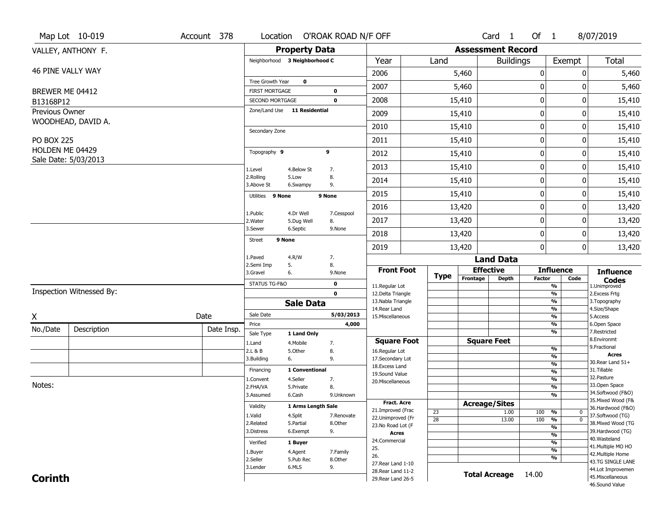|                   | Map Lot 10-019           | Account 378 | Location                                        |                         | O'ROAK ROAD N/F OFF |                                          |             |                              | Card <sub>1</sub>    | Of $1$        |                                 | 8/07/2019                              |
|-------------------|--------------------------|-------------|-------------------------------------------------|-------------------------|---------------------|------------------------------------------|-------------|------------------------------|----------------------|---------------|---------------------------------|----------------------------------------|
|                   | VALLEY, ANTHONY F.       |             |                                                 | <b>Property Data</b>    |                     |                                          |             | <b>Assessment Record</b>     |                      |               |                                 |                                        |
|                   |                          |             | Neighborhood 3 Neighborhood C                   |                         |                     | Year                                     | Land        |                              | <b>Buildings</b>     |               | Exempt                          | <b>Total</b>                           |
|                   | 46 PINE VALLY WAY        |             |                                                 |                         |                     | 2006                                     |             | 5,460                        |                      | 0             | 0                               | 5,460                                  |
|                   |                          |             | Tree Growth Year                                | $\mathbf 0$             |                     | 2007                                     |             | 5,460                        |                      | $\bf{0}$      | 0                               | 5,460                                  |
| BREWER ME 04412   |                          |             | <b>FIRST MORTGAGE</b>                           |                         | $\mathbf 0$         |                                          |             |                              |                      |               |                                 |                                        |
| B13168P12         |                          |             | SECOND MORTGAGE<br>Zone/Land Use 11 Residential |                         | $\mathbf 0$         | 2008                                     |             | 15,410                       |                      | $\pmb{0}$     | 0                               | 15,410                                 |
| Previous Owner    |                          |             |                                                 |                         |                     | 2009                                     |             | 15,410                       |                      | 0             | 0                               | 15,410                                 |
|                   | WOODHEAD, DAVID A.       |             | Secondary Zone                                  |                         |                     | 2010                                     |             | 15,410                       |                      | $\mathbf 0$   | 0                               | 15,410                                 |
| <b>PO BOX 225</b> |                          |             |                                                 |                         |                     | 2011                                     |             | 15,410                       |                      | $\pmb{0}$     | 0                               | 15,410                                 |
| HOLDEN ME 04429   |                          |             | Topography 9                                    |                         | 9                   | 2012                                     |             | 15,410                       |                      | $\mathbf 0$   | 0                               | 15,410                                 |
|                   | Sale Date: 5/03/2013     |             |                                                 |                         |                     |                                          |             |                              |                      | 0             |                                 |                                        |
|                   |                          |             | 1.Level<br>2.Rolling                            | 4.Below St<br>5.Low     | 7.<br>8.            | 2013                                     |             | 15,410                       |                      |               | 0                               | 15,410                                 |
|                   |                          |             | 3.Above St                                      | 6.Swampy                | 9.                  | 2014                                     |             | 15,410                       |                      | 0             | 0                               | 15,410                                 |
|                   |                          |             | Utilities 9 None                                |                         | 9 None              | 2015                                     |             | 15,410                       |                      | $\pmb{0}$     | 0                               | 15,410                                 |
|                   |                          |             |                                                 |                         |                     | 2016                                     |             | 13,420                       |                      | $\pmb{0}$     | 0                               | 13,420                                 |
|                   |                          |             | 1.Public<br>2. Water                            | 4.Dr Well<br>5.Dug Well | 7.Cesspool<br>8.    | 2017                                     |             | 13,420                       |                      | $\mathbf 0$   | 0                               | 13,420                                 |
|                   |                          |             | 3.Sewer                                         | 6.Septic                | 9.None              | 2018                                     |             |                              |                      | $\mathbf 0$   | 0                               | 13,420                                 |
|                   |                          |             | 9 None<br><b>Street</b>                         |                         |                     |                                          |             | 13,420                       |                      |               |                                 |                                        |
|                   |                          |             |                                                 |                         |                     | 2019                                     |             | 13,420                       |                      | 0             | 0                               | 13,420                                 |
|                   |                          |             | 1.Paved<br>2.Semi Imp                           | 4.R/W<br>5.             | 7.<br>8.            |                                          |             |                              | <b>Land Data</b>     |               |                                 |                                        |
|                   |                          |             | 3.Gravel                                        | 6.                      | 9.None              | <b>Front Foot</b>                        | <b>Type</b> | <b>Effective</b><br>Frontage | <b>Depth</b>         | <b>Factor</b> | <b>Influence</b><br>Code        | <b>Influence</b>                       |
|                   |                          |             | STATUS TG-F&O                                   |                         | $\mathbf 0$         | 11.Regular Lot                           |             |                              |                      |               | %                               | <b>Codes</b><br>1.Unimproved           |
|                   | Inspection Witnessed By: |             |                                                 |                         | $\mathbf 0$         | 12.Delta Triangle<br>13. Nabla Triangle  |             |                              |                      |               | $\frac{9}{6}$<br>%              | 2. Excess Frtg                         |
|                   |                          |             |                                                 | <b>Sale Data</b>        |                     | 14. Rear Land                            |             |                              |                      |               | %                               | 3. Topography<br>4.Size/Shape          |
| X                 |                          | Date        | Sale Date                                       |                         | 5/03/2013           | 15. Miscellaneous                        |             |                              |                      |               | %                               | 5.Access                               |
| No./Date          | Description              | Date Insp.  | Price<br>Sale Type                              | 1 Land Only             | 4,000               |                                          |             |                              |                      |               | %<br>%                          | 6.Open Space<br>7.Restricted           |
|                   |                          |             | 1.Land                                          | 4. Mobile               | 7.                  | <b>Square Foot</b>                       |             |                              | <b>Square Feet</b>   |               |                                 | 8.Environmt                            |
|                   |                          |             | 2.L & B                                         | 5.Other                 | 8.                  | 16.Regular Lot                           |             |                              |                      |               | $\frac{9}{6}$                   | 9. Fractional<br><b>Acres</b>          |
|                   |                          |             | 3.Building                                      | 6.                      | 9.                  | 17.Secondary Lot<br>18. Excess Land      |             |                              |                      |               | $\frac{9}{6}$<br>$\frac{9}{6}$  | 30. Rear Land 51+                      |
|                   |                          |             | Financing                                       | 1 Conventional          |                     | 19.Sound Value                           |             |                              |                      |               | $\frac{9}{6}$                   | 31.Tillable                            |
| Notes:            |                          |             | 1.Convent                                       | 4.Seller                | 7.<br>8.            | 20.Miscellaneous                         |             |                              |                      |               | $\frac{9}{6}$<br>$\frac{9}{6}$  | 32.Pasture<br>33.Open Space            |
|                   |                          |             | 2.FHA/VA<br>3.Assumed                           | 5.Private<br>6.Cash     | 9.Unknown           |                                          |             |                              |                      |               | $\frac{9}{6}$                   | 34.Softwood (F&O)                      |
|                   |                          |             | Validity                                        | 1 Arms Length Sale      |                     | <b>Fract. Acre</b>                       |             | <b>Acreage/Sites</b>         |                      |               |                                 | 35. Mixed Wood (F&                     |
|                   |                          |             | 1.Valid                                         | 4.Split                 | 7.Renovate          | 21.Improved (Frac                        | 23          |                              | 1.00                 | 100           | %<br>0                          | 36.Hardwood (F&O)<br>37.Softwood (TG)  |
|                   |                          |             | 2.Related                                       | 5.Partial               | 8.Other             | 22.Unimproved (Fr<br>23. No Road Lot (F  | 28          |                              | 13.00                | 100           | $\overline{0}$<br>$\frac{9}{6}$ | 38. Mixed Wood (TG                     |
|                   |                          |             | 3.Distress                                      | 6.Exempt                | 9.                  | <b>Acres</b>                             |             |                              |                      |               | $\frac{9}{6}$<br>$\frac{9}{6}$  | 39.Hardwood (TG)                       |
|                   |                          |             | Verified                                        | 1 Buyer                 |                     | 24.Commercial                            |             |                              |                      |               | $\frac{9}{6}$                   | 40. Wasteland                          |
|                   |                          |             | 1.Buyer                                         | 4.Agent                 | 7.Family            | 25.                                      |             |                              |                      |               | $\frac{9}{6}$                   | 41. Multiple MO HO                     |
|                   |                          |             | 2.Seller                                        | 5.Pub Rec               | 8.0ther             | 26.                                      |             |                              |                      |               | %                               | 42. Multiple Home<br>43.TG SINGLE LANE |
|                   |                          |             | 3.Lender                                        | 6.MLS                   | 9.                  | 27. Rear Land 1-10                       |             |                              |                      |               |                                 | 44.Lot Improvemen                      |
| <b>Corinth</b>    |                          |             |                                                 |                         |                     | 28. Rear Land 11-2<br>29. Rear Land 26-5 |             |                              | <b>Total Acreage</b> | 14.00         |                                 | 45. Miscellaneous                      |
|                   |                          |             |                                                 |                         |                     |                                          |             |                              |                      |               |                                 | 46.Sound Value                         |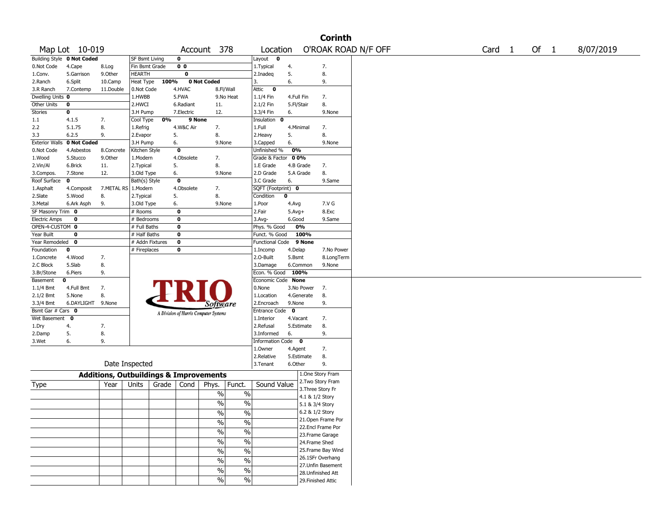|                       |                            |                                                   |                 |           |                |                                       |                          |                        |             |                 | <b>Corinth</b>     |                     |        |        |           |
|-----------------------|----------------------------|---------------------------------------------------|-----------------|-----------|----------------|---------------------------------------|--------------------------|------------------------|-------------|-----------------|--------------------|---------------------|--------|--------|-----------|
|                       | Map Lot 10-019             |                                                   |                 |           |                | Account 378                           |                          | Location               |             |                 |                    | O'ROAK ROAD N/F OFF | Card 1 | Of $1$ | 8/07/2019 |
|                       | Building Style 0 Not Coded |                                                   | SF Bsmt Living  |           | 0              |                                       |                          | Layout 0               |             |                 |                    |                     |        |        |           |
| 0.Not Code            | 4.Cape                     | 8.Log                                             | Fin Bsmt Grade  |           | 0 <sub>0</sub> |                                       |                          | 1. Typical             | 4.          |                 | 7.                 |                     |        |        |           |
| 1.Conv.               | 5.Garrison                 | 9.Other                                           | HEARTH          |           | 0              |                                       |                          | 2.Inadeg               | 5.          |                 | 8.                 |                     |        |        |           |
| 2.Ranch               | 6.Split                    | 10.Camp                                           | Heat Type       | 100%      |                | <b>0 Not Coded</b>                    |                          | 3.                     | 6.          |                 | 9.                 |                     |        |        |           |
| 3.R Ranch             | 7.Contemp                  | 11.Double                                         | 0.Not Code      |           | 4.HVAC         | 8.Fl/Wall                             |                          | $\bullet$<br>Attic     |             |                 |                    |                     |        |        |           |
| Dwelling Units 0      |                            |                                                   | 1.HWBB          |           | 5.FWA          |                                       | 9.No Heat                | 1.1/4 Fin              | 4.Full Fin  |                 | 7.                 |                     |        |        |           |
| Other Units           | 0                          |                                                   | 2.HWCI          |           | 6.Radiant      | 11.                                   |                          | 2.1/2 Fin              | 5.Fl/Stair  |                 | 8.                 |                     |        |        |           |
| Stories               | 0                          |                                                   | 3.H Pump        |           | 7.Electric     | 12.                                   |                          | 3.3/4 Fin              | 6.          |                 | 9.None             |                     |        |        |           |
| 1.1                   | 4.1.5                      | 7.                                                | Cool Type       | 0%        | 9 None         |                                       |                          | Insulation 0           |             |                 |                    |                     |        |        |           |
| 2.2                   | 5.1.75                     | 8.                                                | 1.Refrig        |           | 4.W&C Air      | 7.                                    |                          | 1.Full                 | 4.Minimal   |                 | 7.                 |                     |        |        |           |
| 3.3                   | 6.2.5                      | 9.                                                | 2.Evapor        | 5.        |                | 8.                                    |                          | 2.Heavy                | 5.          |                 | 8.                 |                     |        |        |           |
| <b>Exterior Walls</b> | 0 Not Coded                |                                                   | 3.H Pump        | 6.        |                | 9.None                                |                          | 3.Capped               | 6.          |                 | 9.None             |                     |        |        |           |
| 0.Not Code            | 4.Asbestos                 | 8.Concrete                                        | Kitchen Style   |           | $\bf o$        |                                       |                          | Unfinished %           | 0%          |                 |                    |                     |        |        |           |
| 1.Wood                | 5.Stucco                   | 9.0ther                                           | 1.Modern        |           | 4.Obsolete     | 7.                                    |                          | Grade & Factor         | 00%         |                 |                    |                     |        |        |           |
| 2.Vin/Al              | 6.Brick                    | 11.                                               | 2. Typical      | 5.        |                | 8.                                    |                          | 1.E Grade              |             | 4.B Grade       | 7.                 |                     |        |        |           |
| 3.Compos.             | 7.Stone                    | 12.                                               | 3.Old Type      | 6.        |                | 9.None                                |                          | 2.D Grade              |             | 5.A Grade       | 8.                 |                     |        |        |           |
| Roof Surface          | $\mathbf 0$                |                                                   | Bath(s) Style   |           | 0              |                                       |                          | 3.C Grade              | 6.          |                 | 9.Same             |                     |        |        |           |
| 1.Asphalt             | 4.Composit                 | 7.METAL RS                                        | 1.Modern        |           | 4.Obsolete     | 7.                                    |                          | SQFT (Footprint) 0     |             |                 |                    |                     |        |        |           |
| 2.Slate               | 5.Wood                     | 8.                                                | 2. Typical      | 5.        |                | 8.                                    |                          | Condition              | $\mathbf 0$ |                 |                    |                     |        |        |           |
| 3.Metal               | 6.Ark Asph                 | 9.                                                | 3.Old Type      | 6.        |                | 9.None                                |                          | 1.Poor                 | 4.Avg       |                 | 7.V G              |                     |        |        |           |
| SF Masonry Trim 0     |                            |                                                   | # Rooms         |           | 0              |                                       |                          | 2.Fair                 | $5.Avg+$    |                 | 8.Exc              |                     |        |        |           |
| <b>Electric Amps</b>  | 0                          |                                                   | # Bedrooms      |           | 0              |                                       |                          | 3.Avg-                 | 6.Good      |                 | 9.Same             |                     |        |        |           |
| OPEN-4-CUSTOM 0       |                            |                                                   | # Full Baths    |           | 0              |                                       |                          | Phys. % Good           |             | 0%              |                    |                     |        |        |           |
| Year Built            | 0                          |                                                   | # Half Baths    |           | 0              |                                       |                          | Funct. % Good          |             | 100%            |                    |                     |        |        |           |
| Year Remodeled 0      |                            |                                                   | # Addn Fixtures |           | 0              |                                       |                          | <b>Functional Code</b> |             | 9 None          |                    |                     |        |        |           |
| Foundation            | 0                          |                                                   | # Fireplaces    |           | 0              |                                       |                          | 1.Incomp               | 4.Delap     |                 | 7.No Power         |                     |        |        |           |
| 1.Concrete            | 4.Wood                     | 7.                                                |                 |           |                |                                       |                          | 2.O-Built              | 5.Bsmt      |                 | 8.LongTerm         |                     |        |        |           |
| 2.C Block             | 5.Slab                     | 8.                                                |                 |           |                |                                       |                          | 3.Damage               |             | 6.Common        | 9.None             |                     |        |        |           |
| 3.Br/Stone            | 6.Piers                    | 9.                                                |                 |           |                |                                       |                          | Econ. % Good 100%      |             |                 |                    |                     |        |        |           |
| Basement              | 0                          |                                                   |                 |           |                |                                       |                          | Economic Code None     |             |                 |                    |                     |        |        |           |
| $1.1/4$ Bmt           | 4.Full Bmt                 | 7.                                                |                 |           |                |                                       |                          | 0.None                 |             | 3.No Power      | 7.                 |                     |        |        |           |
| $2.1/2$ Bmt           | 5.None                     | 8.                                                |                 |           |                |                                       |                          | 1.Location             |             | 4.Generate      | 8.                 |                     |        |        |           |
| 3.3/4 Bmt             | 6.DAYLIGHT 9.None          |                                                   |                 |           |                | Software                              |                          | 2.Encroach             | 9.None      |                 | 9.                 |                     |        |        |           |
| Bsmt Gar # Cars 0     |                            |                                                   |                 |           |                | A Division of Harris Computer Systems |                          | Entrance Code 0        |             |                 |                    |                     |        |        |           |
| Wet Basement 0        |                            |                                                   |                 |           |                |                                       |                          | 1.Interior             | 4.Vacant    |                 | 7.                 |                     |        |        |           |
| 1.Dry                 | 4.                         | 7.                                                |                 |           |                |                                       |                          | 2.Refusal              |             | 5.Estimate      | 8.                 |                     |        |        |           |
| 2.Damp                | 5.                         | 8.                                                |                 |           |                |                                       |                          | 3.Informed             | 6.          |                 | 9.                 |                     |        |        |           |
| 3.Wet                 | 6.                         | 9.                                                |                 |           |                |                                       |                          | Information Code 0     |             |                 |                    |                     |        |        |           |
|                       |                            |                                                   |                 |           |                |                                       |                          | 1.0wner                | 4.Agent     |                 | 7.                 |                     |        |        |           |
|                       |                            |                                                   |                 |           |                |                                       |                          | 2.Relative             |             | 5.Estimate      | 8.                 |                     |        |        |           |
|                       |                            |                                                   | Date Inspected  |           |                |                                       |                          | 3.Tenant               | 6.Other     |                 | 9.                 |                     |        |        |           |
|                       |                            | <b>Additions, Outbuildings &amp; Improvements</b> |                 |           |                |                                       |                          |                        |             |                 | 1.One Story Fram   |                     |        |        |           |
| Type                  |                            | Year                                              | Units           | Grade $ $ | Cond           | Phys.                                 | Funct.                   | Sound Value            |             |                 | 2. Two Story Fram  |                     |        |        |           |
|                       |                            |                                                   |                 |           |                | $\%$                                  | $\%$                     |                        |             |                 | 3. Three Story Fr  |                     |        |        |           |
|                       |                            |                                                   |                 |           |                |                                       |                          |                        |             | 4.1 & 1/2 Story |                    |                     |        |        |           |
|                       |                            |                                                   |                 |           |                | $\%$                                  | $\%$                     |                        |             | 5.1 & 3/4 Story |                    |                     |        |        |           |
|                       |                            |                                                   |                 |           |                | $\%$                                  | $\%$                     |                        |             | 6.2 & 1/2 Story |                    |                     |        |        |           |
|                       |                            |                                                   |                 |           |                | $\%$                                  | $\frac{0}{0}$            |                        |             |                 | 21. Open Frame Por |                     |        |        |           |
|                       |                            |                                                   |                 |           |                | $\frac{9}{6}$                         | $\%$                     |                        |             |                 | 22.Encl Frame Por  |                     |        |        |           |
|                       |                            |                                                   |                 |           |                |                                       |                          |                        |             |                 | 23. Frame Garage   |                     |        |        |           |
|                       |                            |                                                   |                 |           |                | $\frac{9}{6}$                         | $\overline{\frac{0}{0}}$ |                        |             | 24.Frame Shed   |                    |                     |        |        |           |
|                       |                            |                                                   |                 |           |                | $\sqrt{20}$                           | $\overline{\frac{0}{0}}$ |                        |             |                 | 25. Frame Bay Wind |                     |        |        |           |
|                       |                            |                                                   |                 |           |                | $\frac{9}{6}$                         | $\overline{\frac{0}{0}}$ |                        |             |                 | 26.1SFr Overhang   |                     |        |        |           |
|                       |                            |                                                   |                 |           |                | $\sqrt{20}$                           | $\%$                     |                        |             |                 | 27.Unfin Basement  |                     |        |        |           |
|                       |                            |                                                   |                 |           |                |                                       |                          |                        |             |                 | 28. Unfinished Att |                     |        |        |           |
|                       |                            |                                                   |                 |           |                | $\sqrt{96}$                           | $\%$                     |                        |             |                 | 29. Finished Attic |                     |        |        |           |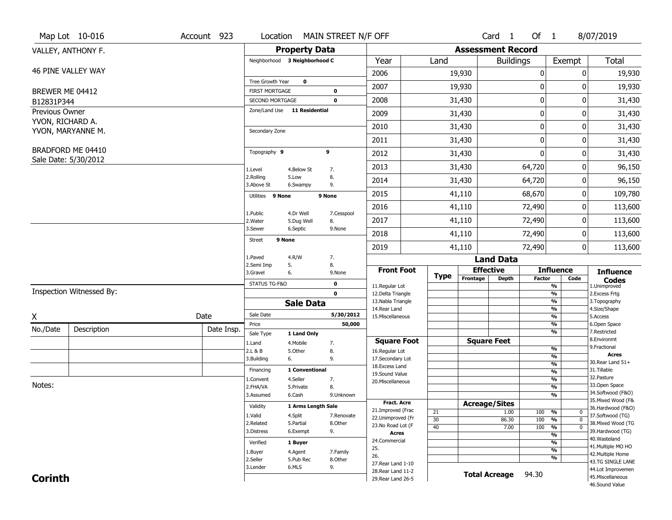|                                    | Map Lot 10-016           | Account 923 | Location                                        |                      | MAIN STREET N/F OFF        |                                          |             |        |                      | Card <sub>1</sub>        | Of $1$        |                                | 8/07/2019                               |
|------------------------------------|--------------------------|-------------|-------------------------------------------------|----------------------|----------------------------|------------------------------------------|-------------|--------|----------------------|--------------------------|---------------|--------------------------------|-----------------------------------------|
|                                    | VALLEY, ANTHONY F.       |             |                                                 | <b>Property Data</b> |                            |                                          |             |        |                      | <b>Assessment Record</b> |               |                                |                                         |
|                                    |                          |             | Neighborhood 3 Neighborhood C                   |                      |                            | Year                                     | Land        |        |                      | <b>Buildings</b>         |               | Exempt                         | <b>Total</b>                            |
|                                    | 46 PINE VALLEY WAY       |             |                                                 |                      |                            | 2006                                     |             | 19,930 |                      |                          | 0             | 0                              | 19,930                                  |
|                                    |                          |             | Tree Growth Year                                | $\mathbf 0$          |                            | 2007                                     |             | 19,930 |                      |                          | 0             | 0                              | 19,930                                  |
| BREWER ME 04412                    |                          |             | <b>FIRST MORTGAGE</b>                           |                      | $\mathbf 0$                |                                          |             |        |                      |                          | 0             | 0                              |                                         |
| B12831P344                         |                          |             | SECOND MORTGAGE<br>Zone/Land Use 11 Residential |                      | $\mathbf 0$                | 2008                                     |             | 31,430 |                      |                          |               |                                | 31,430                                  |
| Previous Owner<br>YVON, RICHARD A. |                          |             |                                                 |                      |                            | 2009                                     |             | 31,430 |                      |                          | 0             | $\Omega$                       | 31,430                                  |
|                                    | YVON, MARYANNE M.        |             | Secondary Zone                                  |                      |                            | 2010                                     |             | 31,430 |                      |                          | 0             | 0                              | 31,430                                  |
|                                    |                          |             |                                                 |                      |                            | 2011                                     |             | 31,430 |                      |                          | 0             | 0                              | 31,430                                  |
|                                    | BRADFORD ME 04410        |             | Topography 9                                    |                      | 9                          | 2012                                     |             | 31,430 |                      |                          | $\mathbf{0}$  | 0                              | 31,430                                  |
|                                    | Sale Date: 5/30/2012     |             |                                                 |                      |                            | 2013                                     |             | 31,430 |                      |                          | 64,720        | 0                              | 96,150                                  |
|                                    |                          |             | 1.Level<br>2.Rolling                            | 4.Below St<br>5.Low  | 7.<br>8.                   | 2014                                     |             | 31,430 |                      |                          | 64,720        | 0                              | 96,150                                  |
|                                    |                          |             | 3.Above St                                      | 6.Swampy             | 9.                         |                                          |             |        |                      |                          |               |                                |                                         |
|                                    |                          |             | Utilities 9 None                                |                      | 9 None                     | 2015                                     |             | 41,110 |                      |                          | 68,670        | 0                              | 109,780                                 |
|                                    |                          |             | 1.Public                                        | 4.Dr Well            | 7.Cesspool                 | 2016                                     |             | 41,110 |                      |                          | 72,490        | 0                              | 113,600                                 |
|                                    |                          |             | 2. Water                                        | 5.Dug Well           | 8.                         | 2017                                     |             | 41,110 |                      |                          | 72,490        | 0                              | 113,600                                 |
|                                    |                          |             | 3.Sewer                                         | 6.Septic             | 9.None                     | 2018                                     |             | 41,110 |                      |                          | 72,490        | 0                              | 113,600                                 |
|                                    |                          |             | 9 None<br><b>Street</b>                         |                      |                            | 2019                                     |             | 41,110 |                      |                          | 72,490        | 0                              | 113,600                                 |
|                                    |                          |             | 1.Paved                                         | 4.R/W                | 7.                         |                                          |             |        |                      | <b>Land Data</b>         |               |                                |                                         |
|                                    |                          |             | 2.Semi Imp<br>5.                                |                      | 8.                         | <b>Front Foot</b>                        |             |        | <b>Effective</b>     |                          |               | <b>Influence</b>               |                                         |
|                                    |                          |             | 3.Gravel<br>6.                                  |                      | 9.None                     |                                          | <b>Type</b> |        | Frontage             | <b>Depth</b>             | <b>Factor</b> | Code                           | <b>Influence</b><br><b>Codes</b>        |
|                                    | Inspection Witnessed By: |             | STATUS TG-F&O                                   |                      | $\mathbf 0$<br>$\mathbf 0$ | 11.Regular Lot<br>12.Delta Triangle      |             |        |                      |                          |               | %<br>$\frac{9}{6}$             | 1.Unimproved<br>2. Excess Frtg          |
|                                    |                          |             |                                                 | <b>Sale Data</b>     |                            | 13. Nabla Triangle                       |             |        |                      |                          |               | %                              | 3. Topography                           |
| X                                  |                          | Date        | Sale Date                                       |                      | 5/30/2012                  | 14. Rear Land<br>15. Miscellaneous       |             |        |                      |                          |               | %<br>$\frac{9}{6}$             | 4.Size/Shape<br>5.Access                |
|                                    |                          |             | Price                                           |                      | 50,000                     |                                          |             |        |                      |                          |               | %                              | 6.Open Space                            |
| No./Date                           | Description              | Date Insp.  | Sale Type                                       | 1 Land Only          |                            |                                          |             |        |                      |                          |               | %                              | 7.Restricted<br>8.Environmt             |
|                                    |                          |             | 1.Land                                          | 4. Mobile            | 7.                         | <b>Square Foot</b>                       |             |        | <b>Square Feet</b>   |                          |               | $\frac{9}{6}$                  | 9. Fractional                           |
|                                    |                          |             | 2.L & B<br>3.Building                           | 5.Other<br>6.        | 8.<br>9.                   | 16.Regular Lot<br>17.Secondary Lot       |             |        |                      |                          |               | $\frac{9}{6}$                  | <b>Acres</b>                            |
|                                    |                          |             | Financing                                       | 1 Conventional       |                            | 18. Excess Land                          |             |        |                      |                          |               | $\frac{9}{6}$<br>$\frac{9}{6}$ | 30. Rear Land 51+<br>31.Tillable        |
|                                    |                          |             | 1.Convent                                       | 4.Seller             | 7.                         | 19.Sound Value<br>20.Miscellaneous       |             |        |                      |                          |               | $\frac{9}{6}$                  | 32.Pasture                              |
| Notes:                             |                          |             | 2.FHA/VA                                        | 5.Private            | 8.                         |                                          |             |        |                      |                          |               | $\frac{9}{6}$                  | 33.Open Space                           |
|                                    |                          |             | 3.Assumed                                       | 6.Cash               | 9.Unknown                  |                                          |             |        |                      |                          |               | $\frac{9}{6}$                  | 34.Softwood (F&O)<br>35. Mixed Wood (F& |
|                                    |                          |             | Validity                                        | 1 Arms Length Sale   |                            | <b>Fract. Acre</b><br>21.Improved (Frac  |             |        | <b>Acreage/Sites</b> |                          |               |                                | 36.Hardwood (F&O)                       |
|                                    |                          |             | 1.Valid                                         | 4.Split              | 7.Renovate                 | 22.Unimproved (Fr                        | 21<br>30    |        |                      | 1.00<br>86.30            | 100<br>100    | %<br>0<br>$\overline{0}$<br>%  | 37.Softwood (TG)                        |
|                                    |                          |             | 2.Related                                       | 5.Partial            | 8.Other                    | 23. No Road Lot (F                       | 40          |        |                      | 7.00                     | 100           | $\frac{9}{6}$<br>$\mathbf 0$   | 38. Mixed Wood (TG                      |
|                                    |                          |             | 3.Distress                                      | 6.Exempt             | 9.                         | <b>Acres</b>                             |             |        |                      |                          |               | $\frac{9}{6}$                  | 39.Hardwood (TG)                        |
|                                    |                          |             | Verified                                        | 1 Buyer              |                            | 24.Commercial                            |             |        |                      |                          |               | $\frac{9}{6}$                  | 40. Wasteland<br>41. Multiple MO HO     |
|                                    |                          |             | 1.Buyer                                         | 4.Agent              | 7.Family                   | 25.<br>26.                               |             |        |                      |                          |               | $\frac{9}{6}$                  | 42. Multiple Home                       |
|                                    |                          |             | 2.Seller                                        | 5.Pub Rec            | 8.0ther                    |                                          |             |        |                      |                          |               | $\frac{9}{6}$                  | 43.TG SINGLE LANE                       |
|                                    |                          |             |                                                 |                      |                            |                                          |             |        |                      |                          |               |                                |                                         |
| <b>Corinth</b>                     |                          |             | 3.Lender                                        | 6.MLS                | 9.                         | 27. Rear Land 1-10<br>28. Rear Land 11-2 |             |        | <b>Total Acreage</b> |                          | 94.30         |                                | 44.Lot Improvemen<br>45. Miscellaneous  |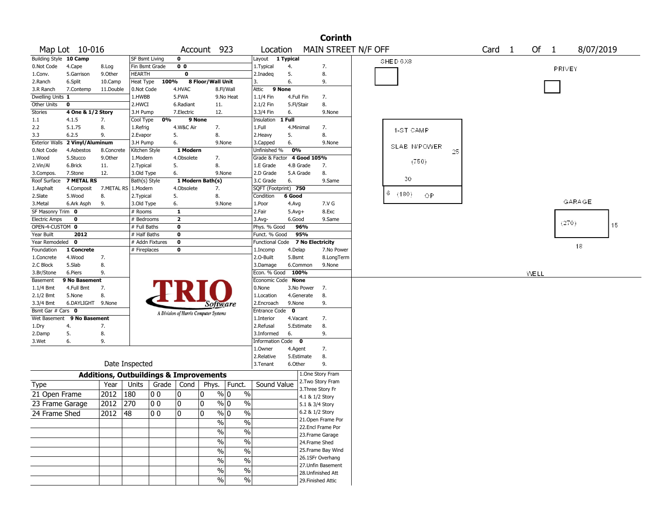|                             |                   |                                                   |                 |       |                                       |                   |                          |                      |              | <b>Corinth</b>      |  |                  |    |                   |      |                |           |    |  |
|-----------------------------|-------------------|---------------------------------------------------|-----------------|-------|---------------------------------------|-------------------|--------------------------|----------------------|--------------|---------------------|--|------------------|----|-------------------|------|----------------|-----------|----|--|
|                             | Map Lot 10-016    |                                                   |                 |       |                                       | Account 923       |                          | Location             |              | MAIN STREET N/F OFF |  |                  |    | Card <sub>1</sub> | Of   | $\overline{1}$ | 8/07/2019 |    |  |
| Building Style 10 Camp      |                   |                                                   | SF Bsmt Living  |       | 0                                     |                   |                          | Layout 1 Typical     |              |                     |  | SHED 6X8         |    |                   |      |                |           |    |  |
| 0.Not Code                  | 4.Cape            | 8.Log                                             | Fin Bsmt Grade  |       | 0 <sub>0</sub>                        |                   |                          | 1. Typical           | 4.           | 7.                  |  |                  |    |                   |      |                | PRIVEY    |    |  |
| 1.Conv.                     | 5.Garrison        | 9.0ther                                           | <b>HEARTH</b>   |       | $\overline{\mathbf{0}}$               |                   |                          | 2.Inadeq             | 5.           | 8.                  |  |                  |    |                   |      |                |           |    |  |
| 2.Ranch                     | 6.Split           | 10.Camp                                           | Heat Type       | 100%  |                                       | 8 Floor/Wall Unit |                          | 3.                   | 6.           | 9.                  |  |                  |    |                   |      |                |           |    |  |
| 3.R Ranch                   | 7.Contemp         | 11.Double                                         | 0.Not Code      |       | 4.HVAC                                |                   | 8.Fl/Wall                | Attic                | 9 None       |                     |  |                  |    |                   |      |                |           |    |  |
| Dwelling Units 1            |                   |                                                   | 1.HWBB          |       | 5.FWA                                 |                   | 9.No Heat                | 1.1/4 Fin            | 4.Full Fin   | 7.                  |  |                  |    |                   |      |                |           |    |  |
| Other Units                 | $\mathbf 0$       |                                                   | 2.HWCI          |       | 6.Radiant                             | 11.               |                          | 2.1/2 Fin            | 5.Fl/Stair   | 8.                  |  |                  |    |                   |      |                |           |    |  |
| Stories                     | 4 One & 1/2 Story |                                                   | 3.H Pump        |       | 7.Electric                            | 12.               |                          | 3.3/4 Fin            | 6.           | 9.None              |  |                  |    |                   |      |                |           |    |  |
| 1.1                         | 4.1.5             | 7.                                                | Cool Type       | 0%    | 9 None                                |                   |                          | Insulation           | 1 Full       |                     |  |                  |    |                   |      |                |           |    |  |
| 2.2                         | 5.1.75            | 8.                                                | 1.Refrig        |       | 4.W&C Air                             | 7.                |                          | 1.Full               | 4.Minimal    | 7.                  |  | 1-ST CAMP        |    |                   |      |                |           |    |  |
| 3.3                         | 6.2.5             | 9.                                                | 2.Evapor        |       | 5.                                    | 8.                |                          | 2.Heavy              | 5.           | 8.                  |  |                  |    |                   |      |                |           |    |  |
| <b>Exterior Walls</b>       | 2 Vinyl/Aluminum  |                                                   | 3.H Pump        |       | 6.                                    |                   | 9.None                   | 3.Capped             | 6.           | 9.None              |  | SLAB N/POWER     |    |                   |      |                |           |    |  |
| 0.Not Code                  | 4.Asbestos        | 8.Concrete                                        | Kitchen Style   |       | 1 Modern                              |                   |                          | Unfinished %         | 0%           |                     |  |                  | 25 |                   |      |                |           |    |  |
| 1.Wood                      | 5.Stucco          | 9.0ther                                           | 1.Modern        |       | 4.Obsolete                            | 7.                |                          | Grade & Factor       |              | 4 Good 105%         |  | (750)            |    |                   |      |                |           |    |  |
| 2.Vin/Al                    | 6.Brick           | 11.                                               | 2. Typical      |       | 5.                                    | 8.                |                          | 1.E Grade            | 4.B Grade    | 7.                  |  |                  |    |                   |      |                |           |    |  |
| 3.Compos.                   | 7.Stone           | 12.                                               | 3.Old Type      |       | 6.                                    |                   | 9.None                   | 2.D Grade            | 5.A Grade    | 8.                  |  |                  |    |                   |      |                |           |    |  |
| Roof Surface                | <b>7 METAL RS</b> |                                                   | Bath(s) Style   |       |                                       | 1 Modern Bath(s)  |                          | 3.C Grade            | 6.           | 9.Same              |  | 30               |    |                   |      |                |           |    |  |
| 1.Asphalt                   | 4.Composit        | 7.METAL RS                                        | 1.Modern        |       | 4.Obsolete                            | 7.                |                          | SQFT (Footprint) 750 |              |                     |  |                  |    |                   |      |                |           |    |  |
| 2.Slate                     | 5.Wood            | 8.                                                | 2. Typical      |       | 5.                                    | 8.                |                          | Condition            | 6 Good       |                     |  | 6<br>(180)<br>ФP |    |                   |      |                |           |    |  |
| 3.Metal                     | 6.Ark Asph        | 9.                                                | 3.Old Type      |       | 6.                                    |                   | 9.None                   | 1.Poor               | 4.Avg        | 7.V G               |  |                  |    |                   |      |                | GARAGE    |    |  |
| SF Masonry Trim 0           |                   |                                                   | # Rooms         |       | $\mathbf{1}$                          |                   |                          | 2.Fair               | $5.$ Avg $+$ | 8.Exc               |  |                  |    |                   |      |                |           |    |  |
| <b>Electric Amps</b>        | 0                 |                                                   | # Bedrooms      |       | $\overline{2}$                        |                   |                          | 3.Avg-               | 6.Good       | 9.Same              |  |                  |    |                   |      |                |           |    |  |
| OPEN-4-CUSTOM 0             |                   |                                                   | # Full Baths    |       | $\bf{0}$                              |                   |                          | Phys. % Good         |              | 96%                 |  |                  |    |                   |      |                | (270)     | 15 |  |
| Year Built                  | 2012              |                                                   | # Half Baths    |       | $\bf{0}$                              |                   |                          | Funct. % Good        |              | 95%                 |  |                  |    |                   |      |                |           |    |  |
| Year Remodeled              | $\mathbf 0$       |                                                   | # Addn Fixtures |       | $\bf{0}$                              |                   |                          | Functional Code      |              | 7 No Electricity    |  |                  |    |                   |      |                | 18        |    |  |
| Foundation                  | 1 Concrete        |                                                   | # Fireplaces    |       | 0                                     |                   |                          | 1.Incomp             | 4.Delap      | 7.No Power          |  |                  |    |                   |      |                |           |    |  |
| 1.Concrete                  | 4.Wood            | 7.                                                |                 |       |                                       |                   |                          | 2.O-Built            | 5.Bsmt       | 8.LongTerm          |  |                  |    |                   |      |                |           |    |  |
| 2.C Block                   | 5.Slab            | 8.                                                |                 |       |                                       |                   |                          | 3.Damage             |              | 6.Common<br>9.None  |  |                  |    |                   |      |                |           |    |  |
| 3.Br/Stone                  | 6.Piers           | 9.                                                |                 |       |                                       |                   |                          | Econ. % Good         | 100%         |                     |  |                  |    |                   | WELL |                |           |    |  |
| Basement                    | 9 No Basement     |                                                   |                 |       |                                       |                   |                          | Economic Code None   |              |                     |  |                  |    |                   |      |                |           |    |  |
| $1.1/4$ Bmt                 | 4.Full Bmt        | 7.                                                |                 |       |                                       |                   |                          | 0.None               |              | 3.No Power<br>7.    |  |                  |    |                   |      |                |           |    |  |
| 2.1/2 Bmt                   | 5.None            | 8.                                                |                 |       |                                       |                   |                          | 1.Location           |              | 8.<br>4.Generate    |  |                  |    |                   |      |                |           |    |  |
| 3.3/4 Bmt                   | 6.DAYLIGHT 9.None |                                                   |                 |       |                                       | Software          |                          | 2.Encroach           | 9.None       | 9.                  |  |                  |    |                   |      |                |           |    |  |
| Bsmt Gar $#$ Cars $\bullet$ |                   |                                                   |                 |       | A Division of Harris Computer Systems |                   |                          | Entrance Code        | $\mathbf 0$  |                     |  |                  |    |                   |      |                |           |    |  |
| Wet Basement                | 9 No Basement     |                                                   |                 |       |                                       |                   |                          | 1.Interior           | 4.Vacant     | 7.                  |  |                  |    |                   |      |                |           |    |  |
| 1.Dry                       | 4.                | 7.                                                |                 |       |                                       |                   |                          | 2.Refusal            |              | 8.<br>5.Estimate    |  |                  |    |                   |      |                |           |    |  |
| 2.Damp                      | 5.                | 8.                                                |                 |       |                                       |                   |                          | 3.Informed           | 6.           | 9.                  |  |                  |    |                   |      |                |           |    |  |
| 3.Wet                       | 6.                | 9.                                                |                 |       |                                       |                   |                          | Information Code 0   |              |                     |  |                  |    |                   |      |                |           |    |  |
|                             |                   |                                                   |                 |       |                                       |                   |                          | 1.0wner              | 4.Agent      | 7.                  |  |                  |    |                   |      |                |           |    |  |
|                             |                   |                                                   |                 |       |                                       |                   |                          | 2.Relative           |              | 8.<br>5.Estimate    |  |                  |    |                   |      |                |           |    |  |
|                             |                   |                                                   | Date Inspected  |       |                                       |                   |                          | 3.Tenant             | 6.Other      | 9.                  |  |                  |    |                   |      |                |           |    |  |
|                             |                   | <b>Additions, Outbuildings &amp; Improvements</b> |                 |       |                                       |                   |                          |                      |              | 1.One Story Fram    |  |                  |    |                   |      |                |           |    |  |
| <b>Type</b>                 |                   | Year                                              | Units           | Grade | Cond                                  | Phys.             | Funct.                   | Sound Value          |              | 2. Two Story Fram   |  |                  |    |                   |      |                |           |    |  |
| 21 Open Frame               |                   | 2012                                              | 180             | O O   | 10                                    | 0                 | % 0<br>$\%$              |                      |              | 3. Three Story Fr   |  |                  |    |                   |      |                |           |    |  |
|                             |                   |                                                   |                 |       |                                       |                   |                          |                      |              | 4.1 & 1/2 Story     |  |                  |    |                   |      |                |           |    |  |
| 23 Frame Garage             |                   | 2012                                              | 270             | 00    | 0                                     | 0                 | $\%$<br>% 0              |                      |              | 5.1 & 3/4 Story     |  |                  |    |                   |      |                |           |    |  |
| 24 Frame Shed               |                   | 2012                                              | 48              | 00    | ١o                                    | 0                 | $\frac{9}{0}$<br>$\%$    |                      |              | 6.2 & 1/2 Story     |  |                  |    |                   |      |                |           |    |  |
|                             |                   |                                                   |                 |       |                                       | $\sqrt{20}$       | $\%$                     |                      |              | 21. Open Frame Por  |  |                  |    |                   |      |                |           |    |  |
|                             |                   |                                                   |                 |       |                                       | $\sqrt{20}$       | $\overline{\frac{0}{6}}$ |                      |              | 22.Encl Frame Por   |  |                  |    |                   |      |                |           |    |  |
|                             |                   |                                                   |                 |       |                                       |                   |                          |                      |              | 23. Frame Garage    |  |                  |    |                   |      |                |           |    |  |
|                             |                   |                                                   |                 |       |                                       | $\sqrt{6}$        | $\%$                     |                      |              | 24.Frame Shed       |  |                  |    |                   |      |                |           |    |  |
|                             |                   |                                                   |                 |       |                                       | $\sqrt{6}$        | $\overline{\frac{0}{6}}$ |                      |              | 25. Frame Bay Wind  |  |                  |    |                   |      |                |           |    |  |
|                             |                   |                                                   |                 |       |                                       | $\%$              | $\%$                     |                      |              | 26.1SFr Overhang    |  |                  |    |                   |      |                |           |    |  |
|                             |                   |                                                   |                 |       |                                       |                   |                          |                      |              | 27.Unfin Basement   |  |                  |    |                   |      |                |           |    |  |
|                             |                   |                                                   |                 |       |                                       | %                 | $\%$                     |                      |              | 28. Unfinished Att  |  |                  |    |                   |      |                |           |    |  |
|                             |                   |                                                   |                 |       |                                       | $\%$              | $\sqrt{6}$               |                      |              | 29. Finished Attic  |  |                  |    |                   |      |                |           |    |  |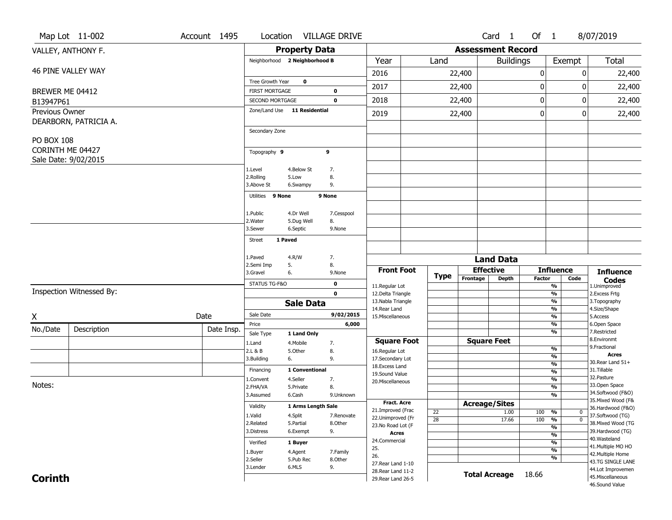|                   | Map Lot 11-002                           | Account 1495 | Location VILLAGE DRIVE        |                      |                       |                                                                |                 |                          | Card 1                           | Of 1                                      |                          | 8/07/2019                              |
|-------------------|------------------------------------------|--------------|-------------------------------|----------------------|-----------------------|----------------------------------------------------------------|-----------------|--------------------------|----------------------------------|-------------------------------------------|--------------------------|----------------------------------------|
|                   | VALLEY, ANTHONY F.                       |              |                               | <b>Property Data</b> |                       |                                                                |                 | <b>Assessment Record</b> |                                  |                                           |                          |                                        |
|                   |                                          |              | Neighborhood 2 Neighborhood B |                      |                       | Year                                                           | Land            |                          | <b>Buildings</b>                 |                                           | Exempt                   | <b>Total</b>                           |
|                   | <b>46 PINE VALLEY WAY</b>                |              |                               |                      |                       | 2016                                                           |                 | 22,400                   |                                  | 0                                         | 0                        | 22,400                                 |
|                   |                                          |              | Tree Growth Year              | $\bf o$              |                       | 2017                                                           |                 | 22,400                   |                                  | 0                                         | 0                        | 22,400                                 |
| BREWER ME 04412   |                                          |              | <b>FIRST MORTGAGE</b>         |                      | 0                     |                                                                |                 |                          |                                  |                                           |                          |                                        |
| B13947P61         |                                          |              | <b>SECOND MORTGAGE</b>        |                      | $\mathbf 0$           | 2018                                                           |                 | 22,400                   |                                  | $\bf{0}$                                  | 0                        | 22,400                                 |
| Previous Owner    | DEARBORN, PATRICIA A.                    |              | Zone/Land Use 11 Residential  |                      |                       | 2019                                                           |                 | 22,400                   |                                  | 0                                         | 0                        | 22,400                                 |
|                   |                                          |              | Secondary Zone                |                      |                       |                                                                |                 |                          |                                  |                                           |                          |                                        |
| <b>PO BOX 108</b> |                                          |              |                               |                      |                       |                                                                |                 |                          |                                  |                                           |                          |                                        |
|                   | CORINTH ME 04427<br>Sale Date: 9/02/2015 |              | Topography 9                  |                      | 9                     |                                                                |                 |                          |                                  |                                           |                          |                                        |
|                   |                                          |              | 1.Level                       | 4.Below St           | 7.                    |                                                                |                 |                          |                                  |                                           |                          |                                        |
|                   |                                          |              | 2.Rolling                     | 5.Low                | 8.                    |                                                                |                 |                          |                                  |                                           |                          |                                        |
|                   |                                          |              | 3.Above St                    | 6.Swampy             | 9.                    |                                                                |                 |                          |                                  |                                           |                          |                                        |
|                   |                                          |              | Utilities 9 None              |                      | 9 None                |                                                                |                 |                          |                                  |                                           |                          |                                        |
|                   |                                          |              | 1.Public                      | 4.Dr Well            | 7.Cesspool            |                                                                |                 |                          |                                  |                                           |                          |                                        |
|                   |                                          |              | 2.Water                       | 5.Dug Well           | 8.                    |                                                                |                 |                          |                                  |                                           |                          |                                        |
|                   |                                          |              | 3.Sewer                       | 6.Septic             | 9.None                |                                                                |                 |                          |                                  |                                           |                          |                                        |
|                   |                                          |              | 1 Paved<br><b>Street</b>      |                      |                       |                                                                |                 |                          |                                  |                                           |                          |                                        |
|                   |                                          |              | 1.Paved                       | 4.R/W                | 7.                    |                                                                |                 |                          |                                  |                                           |                          |                                        |
|                   |                                          |              | 2.Semi Imp<br>5.              |                      | 8.                    |                                                                |                 |                          | <b>Land Data</b>                 |                                           |                          |                                        |
|                   |                                          |              | 3.Gravel<br>6.                |                      | 9.None                | <b>Front Foot</b>                                              | <b>Type</b>     | Frontage                 | <b>Effective</b><br><b>Depth</b> | <b>Factor</b>                             | <b>Influence</b><br>Code | <b>Influence</b><br><b>Codes</b>       |
|                   | Inspection Witnessed By:                 |              | STATUS TG-F&O                 |                      | 0                     | 11.Regular Lot                                                 |                 |                          |                                  | $\frac{9}{6}$                             |                          | 1.Unimproved                           |
|                   |                                          |              |                               |                      | $\mathbf 0$           | 12.Delta Triangle<br>13. Nabla Triangle                        |                 |                          |                                  |                                           | $\frac{9}{6}$<br>%       | 2. Excess Frtg<br>3. Topography        |
|                   |                                          |              |                               | <b>Sale Data</b>     |                       |                                                                |                 |                          |                                  | $\frac{9}{6}$                             |                          | 4.Size/Shape                           |
| X                 |                                          |              |                               |                      |                       | 14. Rear Land                                                  |                 |                          |                                  |                                           |                          |                                        |
| No./Date          |                                          | Date         | Sale Date                     |                      | 9/02/2015             | 15. Miscellaneous                                              |                 |                          |                                  |                                           | %                        | 5.Access                               |
|                   | Description                              | Date Insp.   | Price                         |                      | 6,000                 |                                                                |                 |                          |                                  | %<br>%                                    |                          | 6.Open Space<br>7.Restricted           |
|                   |                                          |              | Sale Type                     | 1 Land Only          |                       | <b>Square Foot</b>                                             |                 |                          | <b>Square Feet</b>               |                                           |                          | 8.Environmt                            |
|                   |                                          |              | 1.Land<br>2.L & B             | 4. Mobile<br>5.Other | 7.<br>8.              | 16.Regular Lot                                                 |                 |                          |                                  | %                                         |                          | 9. Fractional                          |
|                   |                                          |              | 3.Building<br>6.              |                      | 9.                    | 17.Secondary Lot                                               |                 |                          |                                  |                                           | %                        | <b>Acres</b><br>30. Rear Land 51+      |
|                   |                                          |              | Financing                     | 1 Conventional       |                       | 18.Excess Land<br>19.Sound Value                               |                 |                          |                                  | $\frac{9}{6}$<br>$\frac{9}{6}$            |                          | 31.Tillable                            |
|                   |                                          |              | L.Convent                     | 4.Seller             | 7.                    | 20.Miscellaneous                                               |                 |                          |                                  | $\frac{9}{6}$                             |                          | 32. Pasture                            |
| Notes:            |                                          |              | 2.FHA/VA                      | 5.Private            | 8.                    |                                                                |                 |                          |                                  | $\frac{9}{6}$                             |                          | 33.Open Space<br>34.Softwood (F&O)     |
|                   |                                          |              | 3.Assumed                     | 6.Cash               | 9.Unknown             | Fract. Acre                                                    |                 |                          |                                  |                                           | $\frac{9}{6}$            | 35. Mixed Wood (F&                     |
|                   |                                          |              | Validity                      | 1 Arms Length Sale   |                       | 21.Improved (Frac                                              | 22              | <b>Acreage/Sites</b>     | 1.00                             | 100<br>%                                  | 0                        | 36.Hardwood (F&O)                      |
|                   |                                          |              | 1.Valid<br>2.Related          | 4.Split<br>5.Partial | 7.Renovate<br>8.Other | 22.Unimproved (Fr                                              | $\overline{28}$ |                          | 17.66                            | 100<br>$\frac{9}{6}$                      | $\overline{0}$           | 37.Softwood (TG)                       |
|                   |                                          |              | 3.Distress                    | 6.Exempt             | 9.                    | 23.No Road Lot (F<br><b>Acres</b>                              |                 |                          |                                  |                                           | $\frac{9}{6}$            | 38. Mixed Wood (TG<br>39.Hardwood (TG) |
|                   |                                          |              | Verified                      | 1 Buyer              |                       | 24.Commercial                                                  |                 |                          |                                  | $\overline{\frac{9}{6}}$<br>$\frac{9}{6}$ |                          | 40. Wasteland                          |
|                   |                                          |              | 1.Buyer                       | 4.Agent              | 7.Family              | 25.                                                            |                 |                          |                                  | $\overline{\frac{9}{6}}$                  |                          | 41. Multiple MO HO                     |
|                   |                                          |              | 2.Seller                      | 5.Pub Rec            | 8.Other               | 26.                                                            |                 |                          |                                  | $\frac{9}{6}$                             |                          | 42. Multiple Home<br>43.TG SINGLE LANE |
| <b>Corinth</b>    |                                          |              | 3.Lender                      | 6.MLS                | 9.                    | 27. Rear Land 1-10<br>28. Rear Land 11-2<br>29. Rear Land 26-5 |                 |                          | <b>Total Acreage</b>             | 18.66                                     |                          | 44.Lot Improvemen<br>45. Miscellaneous |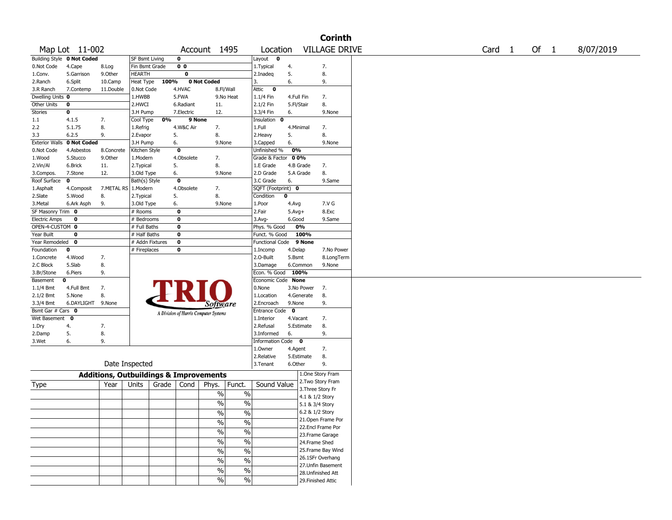|                       |                            |            |                       |                                       |                                                   |                        |            | <b>Corinth</b>       |        |        |           |
|-----------------------|----------------------------|------------|-----------------------|---------------------------------------|---------------------------------------------------|------------------------|------------|----------------------|--------|--------|-----------|
|                       | Map Lot 11-002             |            |                       |                                       | Account 1495                                      | Location               |            | <b>VILLAGE DRIVE</b> | Card 1 | Of $1$ | 8/07/2019 |
|                       | Building Style 0 Not Coded |            | <b>SF Bsmt Living</b> | 0                                     |                                                   | Layout 0               |            |                      |        |        |           |
| 0.Not Code            | 4.Cape                     | 8.Log      | Fin Bsmt Grade        | 0 <sub>0</sub>                        |                                                   | 1.Typical              | 4.         | 7.                   |        |        |           |
| 1.Conv.               | 5.Garrison                 | 9.0ther    | <b>HEARTH</b>         | 0                                     |                                                   | 2.Inadeq               | 5.         | 8.                   |        |        |           |
| 2.Ranch               | 6.Split                    | 10.Camp    | Heat Type             | 100%                                  | 0 Not Coded                                       | 3.                     | 6.         | 9.                   |        |        |           |
| 3.R Ranch             | 7.Contemp                  | 11.Double  | 0.Not Code            | 4.HVAC                                | 8.Fl/Wall                                         | Attic 0                |            |                      |        |        |           |
| Dwelling Units 0      |                            |            | 1.HWBB                | 5.FWA                                 | 9.No Heat                                         | $1.1/4$ Fin            | 4.Full Fin | 7.                   |        |        |           |
| Other Units           | 0                          |            | 2.HWCI                | 6.Radiant                             | 11.                                               | 2.1/2 Fin              | 5.Fl/Stair | 8.                   |        |        |           |
| Stories               | 0                          |            | 3.H Pump              | 7.Electric                            | 12.                                               | 3.3/4 Fin              | 6.         | 9.None               |        |        |           |
| 1.1                   | 4.1.5                      | 7.         | Cool Type             | 0%                                    | 9 None                                            | Insulation 0           |            |                      |        |        |           |
| 2.2                   | 5.1.75                     | 8.         | 1.Refrig              | 4.W&C Air                             | 7.                                                | 1.Full                 | 4.Minimal  | 7.                   |        |        |           |
| 3.3                   | 6.2.5                      | 9.         | 2.Evapor              | 5.                                    | 8.                                                | 2.Heavy                | 5.         | 8.                   |        |        |           |
| <b>Exterior Walls</b> | 0 Not Coded                |            | 3.H Pump              | 6.                                    | 9.None                                            | 3.Capped               | 6.         | 9.None               |        |        |           |
| 0.Not Code            | 4.Asbestos                 | 8.Concrete | Kitchen Style         | 0                                     |                                                   | Unfinished %           | 0%         |                      |        |        |           |
| 1.Wood                | 5.Stucco                   | 9.0ther    | 1.Modern              | 4.Obsolete                            | 7.                                                | Grade & Factor 00%     |            |                      |        |        |           |
| 2.Vin/Al              | 6.Brick                    | 11.        | 2. Typical            | 5.                                    | 8.                                                | 1.E Grade              | 4.B Grade  | 7.                   |        |        |           |
| 3.Compos.             | 7.Stone                    | 12.        | 3.Old Type            | 6.                                    | 9.None                                            | 2.D Grade              | 5.A Grade  | 8.                   |        |        |           |
| Roof Surface          | 0                          |            | Bath(s) Style         | 0                                     |                                                   | 3.C Grade              | 6.         | 9.Same               |        |        |           |
| 1.Asphalt             | 4.Composit                 | 7.METAL RS | 1.Modern              | 4.Obsolete                            | 7.                                                | SQFT (Footprint) 0     |            |                      |        |        |           |
| 2.Slate               | 5.Wood                     | 8.         | 2.Typical             | 5.                                    | 8.                                                | Condition              | 0          |                      |        |        |           |
| 3.Metal               | 6.Ark Asph                 | 9.         | 3.Old Type            | 6.                                    | 9.None                                            | 1.Poor                 | 4.Avg      | 7.V G                |        |        |           |
| SF Masonry Trim 0     |                            |            | # Rooms               | 0                                     |                                                   | 2.Fair                 | $5.Avg+$   | 8.Exc                |        |        |           |
| <b>Electric Amps</b>  | 0                          |            | # Bedrooms            | 0                                     |                                                   | 3.Avg-                 | 6.Good     | 9.Same               |        |        |           |
| OPEN-4-CUSTOM 0       |                            |            | # Full Baths          | 0                                     |                                                   | Phys. % Good           | 0%         |                      |        |        |           |
| Year Built            | 0                          |            | # Half Baths          | 0                                     |                                                   | Funct. % Good          | 100%       |                      |        |        |           |
| Year Remodeled 0      |                            |            | # Addn Fixtures       | 0                                     |                                                   | Functional Code 9 None |            |                      |        |        |           |
| Foundation            | 0                          |            | # Fireplaces          | 0                                     |                                                   | 1.Incomp               | 4.Delap    | 7.No Power           |        |        |           |
| 1.Concrete            | 4.Wood                     | 7.         |                       |                                       |                                                   | 2.0-Built              | 5.Bsmt     | 8.LongTerm           |        |        |           |
| 2.C Block             | 5.Slab                     | 8.         |                       |                                       |                                                   | 3.Damage               | 6.Common   | 9.None               |        |        |           |
| 3.Br/Stone            | 6.Piers                    | 9.         |                       |                                       |                                                   | Econ. % Good 100%      |            |                      |        |        |           |
| Basement              | 0                          |            |                       |                                       |                                                   | Economic Code None     |            |                      |        |        |           |
| 1.1/4 Bmt             | 4.Full Bmt                 | 7.         |                       |                                       |                                                   | 0.None                 | 3.No Power | 7.                   |        |        |           |
| $2.1/2$ Bmt           | 5.None                     | 8.         |                       |                                       |                                                   | 1.Location             | 4.Generate | 8.                   |        |        |           |
| 3.3/4 Bmt             | 6.DAYLIGHT 9.None          |            |                       |                                       | <i>Software</i>                                   | 2.Encroach             | 9.None     | 9.                   |        |        |           |
| Bsmt Gar # Cars 0     |                            |            |                       | A Division of Harris Computer Systems |                                                   | Entrance Code 0        |            |                      |        |        |           |
| Wet Basement 0        |                            |            |                       |                                       |                                                   | 1.Interior             | 4.Vacant   | 7.                   |        |        |           |
| 1.Dry                 | 4.                         | 7.         |                       |                                       |                                                   | 2.Refusal              | 5.Estimate | 8.                   |        |        |           |
| 2.Damp                | 5.                         | 8.         |                       |                                       |                                                   | 3.Informed             | 6.         | 9.                   |        |        |           |
| 3.Wet                 | 6.                         | 9.         |                       |                                       |                                                   | Information Code 0     |            |                      |        |        |           |
|                       |                            |            |                       |                                       |                                                   | 1.Owner                | 4.Agent    | 7.                   |        |        |           |
|                       |                            |            |                       |                                       |                                                   | 2.Relative             | 5.Estimate | 8.                   |        |        |           |
|                       |                            |            | Date Inspected        |                                       |                                                   | 3.Tenant               | 6.Other    | 9.                   |        |        |           |
|                       |                            |            |                       |                                       |                                                   |                        |            | 1.One Story Fram     |        |        |           |
|                       |                            |            |                       |                                       | <b>Additions, Outbuildings &amp; Improvements</b> |                        |            | 2. Two Story Fram    |        |        |           |
| Type                  |                            | Year       | Units                 | Grade  <br>Cond                       | Phys.<br>Funct.                                   | Sound Value            |            | 3. Three Story Fr    |        |        |           |
|                       |                            |            |                       |                                       | $\%$                                              | %                      |            | 4.1 & 1/2 Story      |        |        |           |
|                       |                            |            |                       |                                       | $\%$                                              | $\frac{0}{0}$          |            | 5.1 & 3/4 Story      |        |        |           |
|                       |                            |            |                       |                                       | $\%$                                              | $\sqrt{6}$             |            | 6.2 & 1/2 Story      |        |        |           |
|                       |                            |            |                       |                                       |                                                   |                        |            | 21.Open Frame Por    |        |        |           |
|                       |                            |            |                       |                                       | %<br>$\frac{9}{6}$                                |                        |            | 22.Encl Frame Por    |        |        |           |
|                       |                            |            |                       |                                       | $\%$<br>$\sqrt{6}$                                |                        |            | 23. Frame Garage     |        |        |           |
|                       |                            |            |                       |                                       | $\frac{1}{2}$<br>$\sqrt{6}$                       |                        |            | 24.Frame Shed        |        |        |           |
|                       |                            |            |                       |                                       |                                                   |                        |            | 25. Frame Bay Wind   |        |        |           |
|                       |                            |            |                       |                                       | $\%$                                              | $\sqrt{6}$             |            |                      |        |        |           |
|                       |                            |            |                       |                                       | $\sqrt{20}$<br>$\frac{0}{6}$                      |                        |            | 26.1SFr Overhang     |        |        |           |
|                       |                            |            |                       |                                       | $\%$                                              | $\sqrt{20}$            |            | 27.Unfin Basement    |        |        |           |
|                       |                            |            |                       |                                       | $\sqrt{20}$                                       |                        |            | 28. Unfinished Att   |        |        |           |
|                       |                            |            |                       |                                       | $\sqrt{6}$                                        |                        |            | 29. Finished Attic   |        |        |           |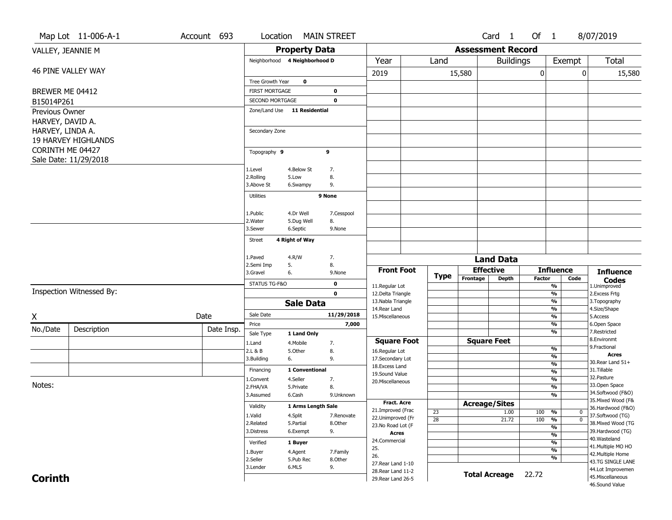|                   | Map Lot 11-006-A-1         | Account 693 | Location                      |                      | <b>MAIN STREET</b>    |                                          |                 |                          | Card <sub>1</sub>    | Of 1          |                                                                | 8/07/2019                              |
|-------------------|----------------------------|-------------|-------------------------------|----------------------|-----------------------|------------------------------------------|-----------------|--------------------------|----------------------|---------------|----------------------------------------------------------------|----------------------------------------|
| VALLEY, JEANNIE M |                            |             |                               | <b>Property Data</b> |                       |                                          |                 | <b>Assessment Record</b> |                      |               |                                                                |                                        |
|                   |                            |             | Neighborhood 4 Neighborhood D |                      |                       | Year                                     | Land            |                          | <b>Buildings</b>     |               | Exempt                                                         | Total                                  |
|                   | 46 PINE VALLEY WAY         |             |                               |                      |                       | 2019                                     |                 | 15,580                   |                      | 0             |                                                                | 0<br>15,580                            |
|                   |                            |             | Tree Growth Year              | $\mathbf 0$          |                       |                                          |                 |                          |                      |               |                                                                |                                        |
| BREWER ME 04412   |                            |             | <b>FIRST MORTGAGE</b>         |                      | 0                     |                                          |                 |                          |                      |               |                                                                |                                        |
| B15014P261        |                            |             | SECOND MORTGAGE               |                      | $\mathbf 0$           |                                          |                 |                          |                      |               |                                                                |                                        |
| Previous Owner    |                            |             | Zone/Land Use 11 Residential  |                      |                       |                                          |                 |                          |                      |               |                                                                |                                        |
| HARVEY, DAVID A.  |                            |             |                               |                      |                       |                                          |                 |                          |                      |               |                                                                |                                        |
| HARVEY, LINDA A.  |                            |             | Secondary Zone                |                      |                       |                                          |                 |                          |                      |               |                                                                |                                        |
|                   | <b>19 HARVEY HIGHLANDS</b> |             |                               |                      |                       |                                          |                 |                          |                      |               |                                                                |                                        |
| CORINTH ME 04427  |                            |             | Topography 9                  |                      | 9                     |                                          |                 |                          |                      |               |                                                                |                                        |
|                   | Sale Date: 11/29/2018      |             |                               |                      |                       |                                          |                 |                          |                      |               |                                                                |                                        |
|                   |                            |             | 1.Level                       | 4.Below St           | 7.                    |                                          |                 |                          |                      |               |                                                                |                                        |
|                   |                            |             | 2.Rolling<br>3.Above St       | 5.Low<br>6.Swampy    | 8.<br>9.              |                                          |                 |                          |                      |               |                                                                |                                        |
|                   |                            |             |                               |                      |                       |                                          |                 |                          |                      |               |                                                                |                                        |
|                   |                            |             | Utilities                     |                      | 9 None                |                                          |                 |                          |                      |               |                                                                |                                        |
|                   |                            |             | 1.Public                      | 4.Dr Well            | 7.Cesspool            |                                          |                 |                          |                      |               |                                                                |                                        |
|                   |                            |             | 2. Water                      | 5.Dug Well           | 8.                    |                                          |                 |                          |                      |               |                                                                |                                        |
|                   |                            |             | 3.Sewer                       | 6.Septic             | 9.None                |                                          |                 |                          |                      |               |                                                                |                                        |
|                   |                            |             | Street                        | 4 Right of Way       |                       |                                          |                 |                          |                      |               |                                                                |                                        |
|                   |                            |             |                               |                      |                       |                                          |                 |                          |                      |               |                                                                |                                        |
|                   |                            |             | 1.Paved<br>2.Semi Imp         | 4.R/W<br>5.          | 7.<br>8.              |                                          |                 |                          | <b>Land Data</b>     |               |                                                                |                                        |
|                   |                            |             | 3.Gravel                      | 6.                   | 9.None                | <b>Front Foot</b>                        |                 |                          | <b>Effective</b>     |               | <b>Influence</b>                                               | <b>Influence</b>                       |
|                   |                            |             | STATUS TG-F&O                 |                      | $\mathbf 0$           | 11.Regular Lot                           | Type            | Frontage                 | <b>Depth</b>         | <b>Factor</b> | Code<br>$\frac{9}{6}$                                          | <b>Codes</b><br>1.Unimproved           |
|                   | Inspection Witnessed By:   |             |                               |                      | $\mathbf 0$           | 12.Delta Triangle                        |                 |                          |                      |               | $\frac{9}{6}$                                                  | 2.Excess Frtg                          |
|                   |                            |             |                               | <b>Sale Data</b>     |                       | 13. Nabla Triangle                       |                 |                          |                      |               | $\frac{9}{6}$                                                  | 3. Topography                          |
|                   |                            | Date        | Sale Date                     |                      | 11/29/2018            | 14. Rear Land<br>15. Miscellaneous       |                 |                          |                      |               | $\frac{9}{6}$<br>$\frac{9}{6}$                                 | 4.Size/Shape<br>5.Access               |
| X                 |                            |             | Price                         |                      | 7,000                 |                                          |                 |                          |                      |               | %                                                              | 6.Open Space                           |
| No./Date          | Description                | Date Insp.  | Sale Type                     | 1 Land Only          |                       |                                          |                 |                          |                      |               | $\overline{\frac{9}{6}}$                                       | 7.Restricted                           |
|                   |                            |             | 1.Land                        | 4. Mobile            | 7.                    | <b>Square Foot</b>                       |                 |                          | <b>Square Feet</b>   |               |                                                                | 8.Environmt                            |
|                   |                            |             | 2.L & B                       | 5.Other              | 8.                    | 16.Regular Lot                           |                 |                          |                      |               | $\frac{9}{6}$<br>%                                             | 9. Fractional<br>Acres                 |
|                   |                            |             | 3.Building                    | 6.                   | 9.                    | 17.Secondary Lot<br>18. Excess Land      |                 |                          |                      |               | $\frac{9}{6}$                                                  | 30. Rear Land 51+                      |
|                   |                            |             | Financing                     | 1 Conventional       |                       | 19.Sound Value                           |                 |                          |                      |               | $\frac{9}{6}$                                                  | 31.Tillable                            |
| Notes:            |                            |             | 1.Convent                     | 4.Seller             | 7.                    | 20. Miscellaneous                        |                 |                          |                      |               | $\frac{9}{6}$                                                  | 32. Pasture<br>33.Open Space           |
|                   |                            |             | 2.FHA/VA<br>3.Assumed         | 5.Private<br>6.Cash  | 8.<br>9.Unknown       |                                          |                 |                          |                      |               | %<br>%                                                         | 34.Softwood (F&O)                      |
|                   |                            |             |                               |                      |                       | Fract. Acre                              |                 |                          | <b>Acreage/Sites</b> |               |                                                                | 35. Mixed Wood (F&                     |
|                   |                            |             | Validity                      | 1 Arms Length Sale   |                       | 21.Improved (Frac                        | $\overline{23}$ |                          | 1.00                 | 100           | $\overline{\phantom{0}}\phantom{0}\frac{\overline{0}}{2}$<br>0 | 36.Hardwood (F&O)                      |
|                   |                            |             | 1.Valid<br>2.Related          | 4.Split<br>5.Partial | 7.Renovate<br>8.Other | 22.Unimproved (Fr                        | $\overline{28}$ |                          | 21.72                | 100           | $\frac{1}{\sqrt{6}}$<br>$\overline{0}$                         | 37.Softwood (TG)<br>38. Mixed Wood (TG |
|                   |                            |             | 3.Distress                    | 6.Exempt             | 9.                    | 23.No Road Lot (F<br><b>Acres</b>        |                 |                          |                      |               | $\frac{9}{6}$                                                  | 39.Hardwood (TG)                       |
|                   |                            |             | Verified                      | 1 Buyer              |                       | 24.Commercial                            |                 |                          |                      |               | $\frac{9}{6}$<br>$\frac{9}{6}$                                 | 40. Wasteland                          |
|                   |                            |             | 1.Buyer                       | 4.Agent              | 7.Family              | 25.                                      |                 |                          |                      |               | $\frac{9}{6}$                                                  | 41. Multiple MO HO                     |
|                   |                            |             | 2.Seller                      | 5.Pub Rec            | 8.Other               | 26.                                      |                 |                          |                      |               | $\frac{9}{6}$                                                  | 42. Multiple Home<br>43.TG SINGLE LANE |
|                   |                            |             | 3.Lender                      | 6.MLS                | 9.                    | 27. Rear Land 1-10<br>28. Rear Land 11-2 |                 |                          |                      |               |                                                                | 44.Lot Improvemen                      |
|                   |                            |             |                               |                      |                       |                                          |                 |                          |                      |               |                                                                |                                        |
| <b>Corinth</b>    |                            |             |                               |                      |                       | 29. Rear Land 26-5                       |                 | <b>Total Acreage</b>     |                      | 22.72         |                                                                | 45. Miscellaneous<br>46.Sound Value    |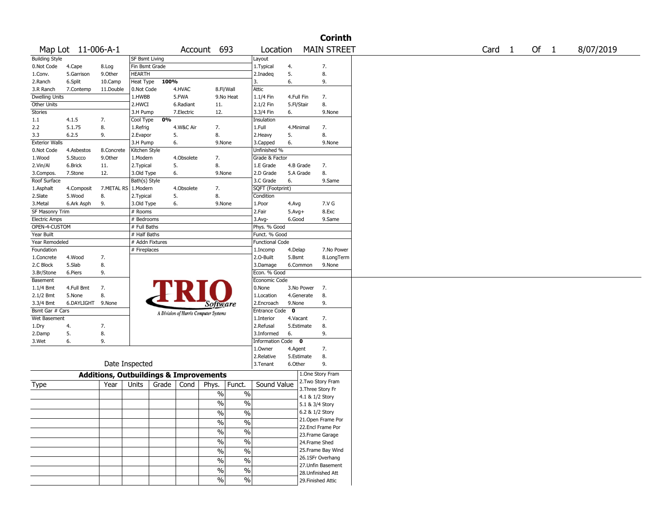|                       |                    |                                                   |                 |       |            |                                       |               |                        |              |            | <b>Corinth</b>     |                   |      |           |
|-----------------------|--------------------|---------------------------------------------------|-----------------|-------|------------|---------------------------------------|---------------|------------------------|--------------|------------|--------------------|-------------------|------|-----------|
|                       | Map Lot 11-006-A-1 |                                                   |                 |       |            | Account 693                           |               | Location               |              |            | <b>MAIN STREET</b> | Card <sub>1</sub> | Of 1 | 8/07/2019 |
| <b>Building Style</b> |                    |                                                   | SF Bsmt Living  |       |            |                                       |               | Layout                 |              |            |                    |                   |      |           |
| 0.Not Code            | 4.Cape             | 8.Log                                             | Fin Bsmt Grade  |       |            |                                       |               | 1. Typical             | 4.           |            | 7.                 |                   |      |           |
| 1.Conv.               | 5.Garrison         | 9.0ther                                           | HEARTH          |       |            |                                       |               | 2.Inadeg               | 5.           |            | 8.                 |                   |      |           |
| 2.Ranch               | 6.Split            | 10.Camp                                           | Heat Type       | 100%  |            |                                       |               | 3.                     | 6.           |            | 9.                 |                   |      |           |
| 3.R Ranch             | 7.Contemp          | 11.Double                                         | 0.Not Code      |       | 4.HVAC     | 8.Fl/Wall                             |               | Attic                  |              |            |                    |                   |      |           |
| <b>Dwelling Units</b> |                    |                                                   | 1.HWBB          |       | 5.FWA      |                                       | 9.No Heat     | 1.1/4 Fin              | 4.Full Fin   |            | 7.                 |                   |      |           |
| Other Units           |                    |                                                   | 2.HWCI          |       | 6.Radiant  | 11.                                   |               | 2.1/2 Fin              | 5.Fl/Stair   |            | 8.                 |                   |      |           |
| <b>Stories</b>        |                    |                                                   | 3.H Pump        |       | 7.Electric | 12.                                   |               | 3.3/4 Fin              | 6.           |            | 9.None             |                   |      |           |
| 1.1                   | 4.1.5              | 7.                                                | Cool Type       | 0%    |            |                                       |               | Insulation             |              |            |                    |                   |      |           |
| 2.2                   | 5.1.75             | 8.                                                | 1.Refrig        |       | 4.W&C Air  | 7.                                    |               | 1.Full                 | 4.Minimal    |            | 7.                 |                   |      |           |
| 3.3                   | 6.2.5              | 9.                                                | 2.Evapor        |       | 5.         | 8.                                    |               | 2. Heavy               | 5.           |            | 8.                 |                   |      |           |
| <b>Exterior Walls</b> |                    |                                                   | 3.H Pump        | 6.    |            | 9.None                                |               | 3.Capped               | 6.           |            | 9.None             |                   |      |           |
| 0.Not Code            | 4.Asbestos         | 8.Concrete                                        | Kitchen Style   |       |            |                                       |               | Unfinished %           |              |            |                    |                   |      |           |
| 1.Wood                | 5.Stucco           | 9.Other                                           | 1.Modern        |       | 4.Obsolete | 7.                                    |               | Grade & Factor         |              |            |                    |                   |      |           |
| 2.Vin/Al              | 6.Brick            | 11.                                               | 2. Typical      | 5.    |            | 8.                                    |               | 1.E Grade              | 4.B Grade    |            | 7.                 |                   |      |           |
| 3.Compos.             | 7.Stone            | 12.                                               | 3.Old Type      | 6.    |            | 9.None                                |               | 2.D Grade              | 5.A Grade    |            | 8.                 |                   |      |           |
| Roof Surface          |                    |                                                   | Bath(s) Style   |       |            |                                       |               | 3.C Grade              | 6.           |            | 9.Same             |                   |      |           |
| 1.Asphalt             | 4.Composit         | 7.METAL RS                                        | 1.Modern        |       | 4.Obsolete | 7.                                    |               | SQFT (Footprint)       |              |            |                    |                   |      |           |
| 2.Slate               | 5.Wood             | 8.                                                | 2. Typical      | 5.    |            | 8.                                    |               | Condition              |              |            |                    |                   |      |           |
| 3.Metal               | 6.Ark Asph         | 9.                                                | 3.Old Type      | 6.    |            | 9.None                                |               | 1.Poor                 | 4.Avg        |            | 7.V G              |                   |      |           |
| SF Masonry Trim       |                    |                                                   | # Rooms         |       |            |                                       |               | 2.Fair                 | $5.$ Avg $+$ |            | 8.Exc              |                   |      |           |
| <b>Electric Amps</b>  |                    |                                                   | # Bedrooms      |       |            |                                       |               | $3.$ Avg-              | 6.Good       |            | 9.Same             |                   |      |           |
| OPEN-4-CUSTOM         |                    |                                                   | # Full Baths    |       |            |                                       |               | Phys. % Good           |              |            |                    |                   |      |           |
| Year Built            |                    |                                                   | # Half Baths    |       |            |                                       |               | Funct. % Good          |              |            |                    |                   |      |           |
| Year Remodeled        |                    |                                                   | # Addn Fixtures |       |            |                                       |               | <b>Functional Code</b> |              |            |                    |                   |      |           |
| Foundation            |                    |                                                   | # Fireplaces    |       |            |                                       |               | 1.Incomp               | 4.Delap      |            | 7.No Power         |                   |      |           |
| 1.Concrete            | 4.Wood             | 7.                                                |                 |       |            |                                       |               | 2.O-Built              | 5.Bsmt       |            | 8.LongTerm         |                   |      |           |
| 2.C Block             | 5.Slab             | 8.                                                |                 |       |            |                                       |               | 3.Damage               | 6.Common     |            | 9.None             |                   |      |           |
| 3.Br/Stone            | 6.Piers            | 9.                                                |                 |       |            |                                       |               | Econ. % Good           |              |            |                    |                   |      |           |
| Basement              |                    |                                                   |                 |       |            |                                       |               | Economic Code          |              |            |                    |                   |      |           |
| 1.1/4 Bmt             | 4.Full Bmt         | 7.                                                |                 |       |            |                                       |               | 0.None                 |              | 3.No Power | 7.                 |                   |      |           |
| $2.1/2$ Bmt           | 5.None             | 8.                                                |                 |       |            |                                       |               | 1.Location             | 4.Generate   |            | 8.                 |                   |      |           |
| 3.3/4 Bmt             | 6.DAYLIGHT 9.None  |                                                   |                 |       |            | <i>Software</i>                       |               | 2.Encroach             | 9.None       |            | 9.                 |                   |      |           |
| Bsmt Gar # Cars       |                    |                                                   |                 |       |            | A Division of Harris Computer Systems |               | Entrance Code 0        |              |            |                    |                   |      |           |
| Wet Basement          |                    |                                                   |                 |       |            |                                       |               | 1.Interior             | 4.Vacant     |            | 7.                 |                   |      |           |
| 1.Dry                 | 4.                 | 7.                                                |                 |       |            |                                       |               | 2.Refusal              | 5.Estimate   |            | 8.                 |                   |      |           |
| 2.Damp                | 5.                 | 8.                                                |                 |       |            |                                       |               | 3.Informed             | 6.           |            | 9.                 |                   |      |           |
| 3.Wet                 | 6.                 | 9.                                                |                 |       |            |                                       |               | Information Code 0     |              |            |                    |                   |      |           |
|                       |                    |                                                   |                 |       |            |                                       |               | 1.Owner                | 4.Agent      |            | 7.                 |                   |      |           |
|                       |                    |                                                   |                 |       |            |                                       |               | 2.Relative             | 5.Estimate   |            | 8.                 |                   |      |           |
|                       |                    | Date Inspected                                    |                 |       |            |                                       |               | 3.Tenant               | 6.Other      |            | 9.                 |                   |      |           |
|                       |                    | <b>Additions, Outbuildings &amp; Improvements</b> |                 |       |            |                                       |               |                        |              |            | 1.One Story Fram   |                   |      |           |
| Type                  |                    | Year                                              | Units           | Grade | Cond       | Phys.                                 | Funct.        | Sound Value            |              |            | 2.Two Story Fram   |                   |      |           |
|                       |                    |                                                   |                 |       |            |                                       |               |                        |              |            | 3. Three Story Fr  |                   |      |           |
|                       |                    |                                                   |                 |       |            | $\%$                                  | $\%$          |                        |              |            | 4.1 & 1/2 Story    |                   |      |           |
|                       |                    |                                                   |                 |       |            | $\frac{0}{0}$                         | $\%$          |                        |              |            | 5.1 & 3/4 Story    |                   |      |           |
|                       |                    |                                                   |                 |       |            | $\frac{1}{2}$                         | $\frac{0}{6}$ |                        |              |            | 6.2 & 1/2 Story    |                   |      |           |
|                       |                    |                                                   |                 |       |            | $\frac{1}{2}$                         | $\frac{0}{6}$ |                        |              |            | 21.Open Frame Por  |                   |      |           |
|                       |                    |                                                   |                 |       |            |                                       |               |                        |              |            | 22.Encl Frame Por  |                   |      |           |
|                       |                    |                                                   |                 |       |            | $\frac{0}{6}$                         | $\frac{0}{6}$ |                        |              |            | 23. Frame Garage   |                   |      |           |
|                       |                    |                                                   |                 |       |            | $\frac{1}{2}$                         | $\frac{0}{6}$ |                        |              |            | 24.Frame Shed      |                   |      |           |
|                       |                    |                                                   |                 |       |            | $\frac{0}{0}$                         | $\frac{0}{6}$ |                        |              |            | 25. Frame Bay Wind |                   |      |           |
|                       |                    |                                                   |                 |       |            | $\%$                                  | $\frac{1}{2}$ |                        |              |            | 26.1SFr Overhang   |                   |      |           |
|                       |                    |                                                   |                 |       |            |                                       |               |                        |              |            | 27.Unfin Basement  |                   |      |           |
|                       |                    |                                                   |                 |       |            | $\frac{0}{6}$                         | $\frac{0}{6}$ |                        |              |            | 28. Unfinished Att |                   |      |           |
|                       |                    |                                                   |                 |       |            | $\frac{9}{6}$                         | $\frac{0}{6}$ |                        |              |            | 29. Finished Attic |                   |      |           |
|                       |                    |                                                   |                 |       |            |                                       |               |                        |              |            |                    |                   |      |           |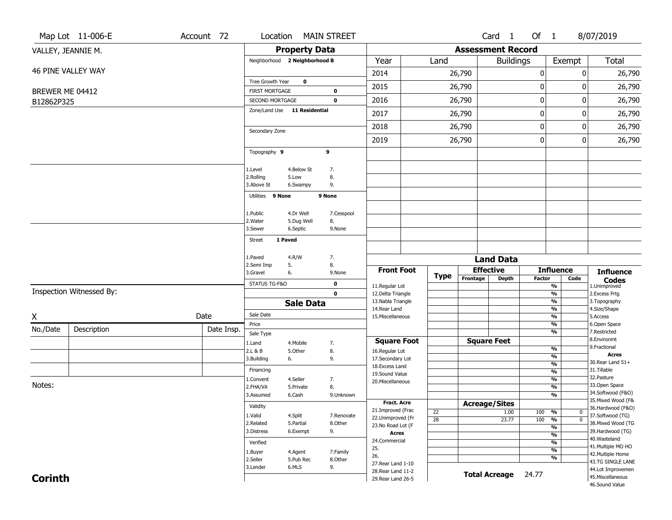|                 | Map Lot 11-006-E         | Account 72 | Location                      |                         | <b>MAIN STREET</b> |                                        |             |                          | Card <sub>1</sub>    | Of $1$           |                                | 8/07/2019                                       |
|-----------------|--------------------------|------------|-------------------------------|-------------------------|--------------------|----------------------------------------|-------------|--------------------------|----------------------|------------------|--------------------------------|-------------------------------------------------|
|                 | VALLEY, JEANNIE M.       |            |                               | <b>Property Data</b>    |                    |                                        |             | <b>Assessment Record</b> |                      |                  |                                |                                                 |
|                 |                          |            | Neighborhood 2 Neighborhood B |                         |                    | Year                                   | Land        |                          | <b>Buildings</b>     |                  | Exempt                         | <b>Total</b>                                    |
|                 | 46 PINE VALLEY WAY       |            |                               |                         |                    | 2014                                   |             | 26,790                   |                      | $\pmb{0}$        |                                | 26,790<br>0                                     |
|                 |                          |            | Tree Growth Year              | $\mathbf 0$             |                    | 2015                                   |             | 26,790                   |                      | $\boldsymbol{0}$ |                                | 26,790<br>0                                     |
| BREWER ME 04412 |                          |            | <b>FIRST MORTGAGE</b>         |                         | $\mathbf 0$        |                                        |             |                          |                      |                  |                                |                                                 |
| B12862P325      |                          |            | SECOND MORTGAGE               |                         | $\mathbf 0$        | 2016                                   |             | 26,790                   |                      | $\pmb{0}$        |                                | 0<br>26,790                                     |
|                 |                          |            | Zone/Land Use 11 Residential  |                         |                    | 2017                                   |             | 26,790                   |                      | $\boldsymbol{0}$ |                                | 26,790<br>0                                     |
|                 |                          |            |                               |                         |                    | 2018                                   |             | 26,790                   |                      | $\boldsymbol{0}$ |                                | 26,790<br>0                                     |
|                 |                          |            | Secondary Zone                |                         |                    | 2019                                   |             | 26,790                   |                      | $\boldsymbol{0}$ |                                | 0<br>26,790                                     |
|                 |                          |            | Topography 9                  |                         | 9                  |                                        |             |                          |                      |                  |                                |                                                 |
|                 |                          |            |                               |                         |                    |                                        |             |                          |                      |                  |                                |                                                 |
|                 |                          |            | 1.Level<br>2.Rolling          | 4.Below St<br>5.Low     | 7.<br>8.           |                                        |             |                          |                      |                  |                                |                                                 |
|                 |                          |            | 3.Above St                    | 6.Swampy                | 9.                 |                                        |             |                          |                      |                  |                                |                                                 |
|                 |                          |            | Utilities 9 None              |                         | 9 None             |                                        |             |                          |                      |                  |                                |                                                 |
|                 |                          |            |                               |                         |                    |                                        |             |                          |                      |                  |                                |                                                 |
|                 |                          |            | 1.Public<br>2. Water          | 4.Dr Well<br>5.Dug Well | 7.Cesspool<br>8.   |                                        |             |                          |                      |                  |                                |                                                 |
|                 |                          |            | 3.Sewer                       | 6.Septic                | 9.None             |                                        |             |                          |                      |                  |                                |                                                 |
|                 |                          |            | <b>Street</b>                 | 1 Paved                 |                    |                                        |             |                          |                      |                  |                                |                                                 |
|                 |                          |            |                               |                         |                    |                                        |             |                          |                      |                  |                                |                                                 |
|                 |                          |            | 1.Paved<br>2.Semi Imp         | 4.R/W<br>5.             | 7.<br>8.           |                                        |             |                          | <b>Land Data</b>     |                  |                                |                                                 |
|                 |                          |            | 3.Gravel                      | 6.                      | 9.None             | <b>Front Foot</b>                      | <b>Type</b> |                          | <b>Effective</b>     |                  | <b>Influence</b>               | <b>Influence</b>                                |
|                 |                          |            | STATUS TG-F&O                 |                         | $\mathbf 0$        | 11.Regular Lot                         |             | Frontage                 | <b>Depth</b>         | <b>Factor</b>    | Code<br>%                      | <b>Codes</b><br>1.Unimproved                    |
|                 | Inspection Witnessed By: |            |                               |                         | $\mathbf 0$        | 12.Delta Triangle                      |             |                          |                      |                  | $\frac{9}{6}$                  | 2.Excess Frtg                                   |
|                 |                          |            |                               | <b>Sale Data</b>        |                    | 13. Nabla Triangle<br>14. Rear Land    |             |                          |                      |                  | %<br>%                         | 3.Topography<br>4.Size/Shape                    |
| Χ               |                          | Date       | Sale Date                     |                         |                    | 15. Miscellaneous                      |             |                          |                      |                  | %                              | 5.Access                                        |
| No./Date        | Description              | Date Insp. | Price                         |                         |                    |                                        |             |                          |                      |                  | %                              | 6.Open Space                                    |
|                 |                          |            | Sale Type                     |                         |                    | <b>Square Foot</b>                     |             |                          | <b>Square Feet</b>   |                  | %                              | 7.Restricted<br>8.Environmt                     |
|                 |                          |            | 1.Land<br>2.L & B             | 4. Mobile<br>5.Other    | 7.<br>8.           | 16.Regular Lot                         |             |                          |                      |                  | $\frac{9}{6}$                  | 9. Fractional                                   |
|                 |                          |            | 3.Building                    | 6.                      | 9.                 | 17.Secondary Lot                       |             |                          |                      |                  | %                              | <b>Acres</b>                                    |
|                 |                          |            | Financing                     |                         |                    | 18.Excess Land                         |             |                          |                      |                  | $\frac{9}{6}$                  | 30. Rear Land 51+<br>31.Tillable                |
|                 |                          |            | 1.Convent                     | 4.Seller                | 7.                 | 19.Sound Value                         |             |                          |                      |                  | $\frac{9}{6}$<br>$\frac{9}{6}$ | 32. Pasture                                     |
| Notes:          |                          |            | 2.FHA/VA                      | 5.Private               | 8.                 | 20.Miscellaneous                       |             |                          |                      |                  | $\overline{\frac{9}{6}}$       | 33.Open Space                                   |
|                 |                          |            | 3.Assumed                     | 6.Cash                  | 9.Unknown          |                                        |             |                          |                      |                  | $\frac{9}{6}$                  | 34.Softwood (F&O)                               |
|                 |                          |            | Validity                      |                         |                    | <b>Fract. Acre</b>                     |             |                          | <b>Acreage/Sites</b> |                  |                                | 35. Mixed Wood (F&<br>36.Hardwood (F&O)         |
|                 |                          |            | 1.Valid                       | 4.Split                 | 7.Renovate         | 21.Improved (Frac<br>22.Unimproved (Fr | 22          |                          | 1.00                 | 100              | %                              | $\bf{0}$<br>37.Softwood (TG)                    |
|                 |                          |            | 2.Related                     | 5.Partial               | 8.Other            | 23. No Road Lot (F                     | 28          |                          | 23.77                | 100              | %<br>$\frac{9}{6}$             | $\overline{\mathfrak{o}}$<br>38. Mixed Wood (TG |
|                 |                          |            | 3.Distress                    | 6.Exempt                | 9.                 | <b>Acres</b>                           |             |                          |                      |                  | $\frac{9}{6}$                  | 39.Hardwood (TG)                                |
|                 |                          |            | Verified                      |                         |                    | 24.Commercial                          |             |                          |                      |                  | $\frac{9}{6}$                  | 40. Wasteland                                   |
|                 |                          |            | 1.Buyer                       | 4.Agent                 | 7.Family           | 25.                                    |             |                          |                      |                  | $\frac{9}{6}$                  | 41. Multiple MO HO<br>42. Multiple Home         |
|                 |                          |            | 2.Seller                      | 5.Pub Rec               | 8.Other            | 26.<br>27. Rear Land 1-10              |             |                          |                      |                  | %                              | 43.TG SINGLE LANE                               |
|                 |                          |            | 3.Lender                      | 6.MLS                   | 9.                 | 28. Rear Land 11-2                     |             |                          |                      |                  |                                | 44.Lot Improvemen                               |
| <b>Corinth</b>  |                          |            |                               |                         |                    | 29. Rear Land 26-5                     |             |                          | <b>Total Acreage</b> | 24.77            |                                | 45. Miscellaneous                               |
|                 |                          |            |                               |                         |                    |                                        |             |                          |                      |                  |                                | 46.Sound Value                                  |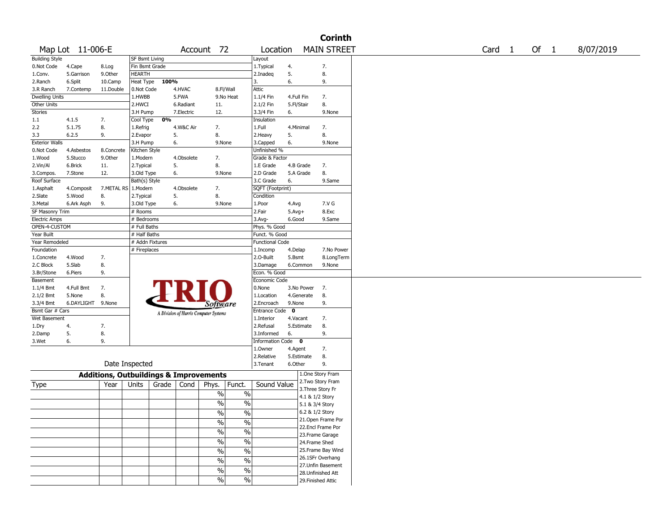|                                       |                      |                                                   |                             |       |            |                                       |                          |                           |                 |                 | <b>Corinth</b>     |                   |      |           |
|---------------------------------------|----------------------|---------------------------------------------------|-----------------------------|-------|------------|---------------------------------------|--------------------------|---------------------------|-----------------|-----------------|--------------------|-------------------|------|-----------|
|                                       | Map Lot 11-006-E     |                                                   |                             |       |            | Account 72                            |                          | Location                  |                 |                 | <b>MAIN STREET</b> | Card <sub>1</sub> | Of 1 | 8/07/2019 |
| <b>Building Style</b>                 |                      |                                                   | <b>SF Bsmt Living</b>       |       |            |                                       |                          | Layout                    |                 |                 |                    |                   |      |           |
| 0.Not Code                            | 4.Cape               | 8.Log                                             | Fin Bsmt Grade              |       |            |                                       |                          | 1.Typical                 | 4.              |                 | 7.                 |                   |      |           |
| 1.Conv.                               | 5.Garrison           | 9.0ther                                           | <b>HEARTH</b>               |       |            |                                       |                          | 2.Inadeq                  | 5.              |                 | 8.                 |                   |      |           |
| 2.Ranch                               | 6.Split              | 10.Camp                                           | Heat Type                   | 100%  |            |                                       |                          | 3.                        | 6.              |                 | 9.                 |                   |      |           |
| 3.R Ranch                             | 7.Contemp            | 11.Double                                         | 0.Not Code                  |       | 4.HVAC     | 8.Fl/Wall                             |                          | Attic                     |                 |                 |                    |                   |      |           |
| Dwelling Units                        |                      |                                                   | 1.HWBB                      |       | 5.FWA      |                                       | 9.No Heat                | 1.1/4 Fin                 | 4.Full Fin      |                 | 7.                 |                   |      |           |
| Other Units                           |                      |                                                   | 2.HWCI                      |       | 6.Radiant  | 11.                                   |                          | 2.1/2 Fin                 | 5.Fl/Stair      |                 | 8.                 |                   |      |           |
| Stories                               |                      |                                                   | 3.H Pump                    |       | 7.Electric | 12.                                   |                          | 3.3/4 Fin                 | 6.              |                 | 9.None             |                   |      |           |
| 1.1                                   | 4.1.5                | 7.                                                | Cool Type                   | 0%    |            |                                       |                          | Insulation                |                 |                 |                    |                   |      |           |
| 2.2                                   | 5.1.75               | 8.                                                | 1.Refrig                    |       | 4.W&C Air  | 7.                                    |                          | 1.Full                    | 4.Minimal       |                 | 7.                 |                   |      |           |
| 3.3                                   | 6.2.5                | 9.                                                | 2.Evapor                    |       | 5.         | 8.                                    |                          | 2. Heavy                  | 5.              |                 | 8.                 |                   |      |           |
| <b>Exterior Walls</b>                 |                      |                                                   | 3.H Pump                    |       | 6.         | 9.None                                |                          | 3.Capped                  | 6.              |                 | 9.None             |                   |      |           |
| 0.Not Code                            | 4.Asbestos           | 8.Concrete                                        | Kitchen Style               |       |            |                                       |                          | Unfinished %              |                 |                 |                    |                   |      |           |
| 1.Wood                                | 5.Stucco             | 9.0ther                                           | 1.Modern                    |       | 4.Obsolete | 7.<br>8.                              |                          | Grade & Factor            |                 |                 |                    |                   |      |           |
| 2.Vin/Al                              | 6.Brick              | 11.                                               | 2.Typical                   |       | 5.         |                                       |                          | 1.E Grade                 | 4.B Grade       |                 | 7.                 |                   |      |           |
| 3.Compos.<br>Roof Surface             | 7.Stone              | 12.                                               | 3.Old Type<br>Bath(s) Style |       | 6.         | 9.None                                |                          | 2.D Grade<br>3.C Grade    | 5.A Grade<br>6. |                 | 8.<br>9.Same       |                   |      |           |
|                                       |                      |                                                   |                             |       |            | 7.                                    |                          |                           |                 |                 |                    |                   |      |           |
| 1.Asphalt                             | 4.Composit<br>5.Wood | 7.METAL RS   1.Modern<br>8.                       |                             |       | 4.Obsolete | 8.                                    |                          | SQFT (Footprint)          |                 |                 |                    |                   |      |           |
| 2.Slate                               |                      | 9.                                                | 2.Typical                   |       | 5.         |                                       |                          | Condition                 |                 |                 | 7.V G              |                   |      |           |
| 3.Metal                               | 6.Ark Asph           |                                                   | 3.Old Type                  |       | 6.         | 9.None                                |                          | 1.Poor                    | 4.Avg           |                 |                    |                   |      |           |
| SF Masonry Trim                       |                      |                                                   | # Rooms                     |       |            |                                       |                          | 2.Fair                    | $5.$ Avg $+$    |                 | 8.Exc              |                   |      |           |
| <b>Electric Amps</b><br>OPEN-4-CUSTOM |                      |                                                   | # Bedrooms<br># Full Baths  |       |            |                                       |                          | $3.$ Avg-<br>Phys. % Good | 6.Good          |                 | 9.Same             |                   |      |           |
| Year Built                            |                      |                                                   | # Half Baths                |       |            |                                       |                          | Funct. % Good             |                 |                 |                    |                   |      |           |
| Year Remodeled                        |                      |                                                   | # Addn Fixtures             |       |            |                                       |                          | <b>Functional Code</b>    |                 |                 |                    |                   |      |           |
| Foundation                            |                      |                                                   | # Fireplaces                |       |            |                                       |                          | 1.Incomp                  | 4.Delap         |                 | 7.No Power         |                   |      |           |
| 1.Concrete                            | 4.Wood               | 7.                                                |                             |       |            |                                       |                          | 2.0-Built                 | 5.Bsmt          |                 | 8.LongTerm         |                   |      |           |
| 2.C Block                             | 5.Slab               | 8.                                                |                             |       |            |                                       |                          | 3.Damage                  | 6.Common        |                 | 9.None             |                   |      |           |
| 3.Br/Stone                            | 6.Piers              | 9.                                                |                             |       |            |                                       |                          | Econ. % Good              |                 |                 |                    |                   |      |           |
| Basement                              |                      |                                                   |                             |       |            |                                       |                          | Economic Code             |                 |                 |                    |                   |      |           |
| $1.1/4$ Bmt                           | 4.Full Bmt           | 7.                                                |                             |       |            |                                       |                          | 0.None                    | 3.No Power      |                 | 7.                 |                   |      |           |
| 2.1/2 Bmt                             | 5.None               | 8.                                                |                             |       |            |                                       |                          | 1.Location                | 4.Generate      |                 | 8.                 |                   |      |           |
| 3.3/4 Bmt                             | 6.DAYLIGHT 9.None    |                                                   |                             |       |            |                                       |                          | 2.Encroach                | 9.None          |                 | 9.                 |                   |      |           |
| Bsmt Gar # Cars                       |                      |                                                   |                             |       |            | <i>Software</i>                       |                          | Entrance Code             | $\mathbf 0$     |                 |                    |                   |      |           |
| Wet Basement                          |                      |                                                   |                             |       |            | A Division of Harris Computer Systems |                          | 1.Interior                | 4.Vacant        |                 | 7.                 |                   |      |           |
| 1.Dry                                 | 4.                   | 7.                                                |                             |       |            |                                       |                          | 2.Refusal                 | 5.Estimate      |                 | 8.                 |                   |      |           |
| 2.Damp                                | 5.                   | 8.                                                |                             |       |            |                                       |                          | 3.Informed                | 6.              |                 | 9.                 |                   |      |           |
| 3.Wet                                 | 6.                   | 9.                                                |                             |       |            |                                       |                          | Information Code 0        |                 |                 |                    |                   |      |           |
|                                       |                      |                                                   |                             |       |            |                                       |                          | 1.Owner                   | 4.Agent         |                 | 7.                 |                   |      |           |
|                                       |                      |                                                   |                             |       |            |                                       |                          | 2.Relative                | 5.Estimate      |                 | 8.                 |                   |      |           |
|                                       |                      | Date Inspected                                    |                             |       |            |                                       |                          | 3.Tenant                  | 6.Other         |                 | 9.                 |                   |      |           |
|                                       |                      |                                                   |                             |       |            |                                       |                          |                           |                 |                 |                    |                   |      |           |
|                                       |                      | <b>Additions, Outbuildings &amp; Improvements</b> |                             |       |            |                                       |                          |                           |                 |                 | 1.One Story Fram   |                   |      |           |
| Type                                  |                      | Year                                              | Units                       | Grade | Cond       | Phys.                                 | Funct.                   | Sound Value               |                 |                 | 2. Two Story Fram  |                   |      |           |
|                                       |                      |                                                   |                             |       |            | $\%$                                  | $\%$                     |                           |                 |                 | 3. Three Story Fr  |                   |      |           |
|                                       |                      |                                                   |                             |       |            |                                       |                          |                           |                 | 4.1 & 1/2 Story |                    |                   |      |           |
|                                       |                      |                                                   |                             |       |            | $\frac{0}{0}$                         | $\%$                     |                           |                 | 5.1 & 3/4 Story |                    |                   |      |           |
|                                       |                      |                                                   |                             |       |            | $\frac{0}{6}$                         | $\frac{0}{6}$            |                           |                 | 6.2 & 1/2 Story |                    |                   |      |           |
|                                       |                      |                                                   |                             |       |            | $\sqrt{6}$                            | $\overline{\frac{0}{0}}$ |                           |                 |                 | 21. Open Frame Por |                   |      |           |
|                                       |                      |                                                   |                             |       |            | $\frac{0}{6}$                         | $\overline{\frac{0}{0}}$ |                           |                 |                 | 22.Encl Frame Por  |                   |      |           |
|                                       |                      |                                                   |                             |       |            |                                       |                          |                           |                 |                 | 23.Frame Garage    |                   |      |           |
|                                       |                      |                                                   |                             |       |            | $\sqrt{6}$                            | $\overline{\frac{0}{0}}$ |                           |                 | 24.Frame Shed   |                    |                   |      |           |
|                                       |                      |                                                   |                             |       |            | $\sqrt{6}$                            | $\overline{\frac{0}{0}}$ |                           |                 |                 | 25.Frame Bay Wind  |                   |      |           |
|                                       |                      |                                                   |                             |       |            | $\%$                                  | $\%$                     |                           |                 |                 | 26.1SFr Overhang   |                   |      |           |
|                                       |                      |                                                   |                             |       |            | $\frac{0}{6}$                         | $\overline{\frac{0}{6}}$ |                           |                 |                 | 27.Unfin Basement  |                   |      |           |
|                                       |                      |                                                   |                             |       |            |                                       |                          |                           |                 |                 | 28. Unfinished Att |                   |      |           |
|                                       |                      |                                                   |                             |       |            | $\sqrt{6}$                            | $\frac{0}{6}$            |                           |                 |                 | 29. Finished Attic |                   |      |           |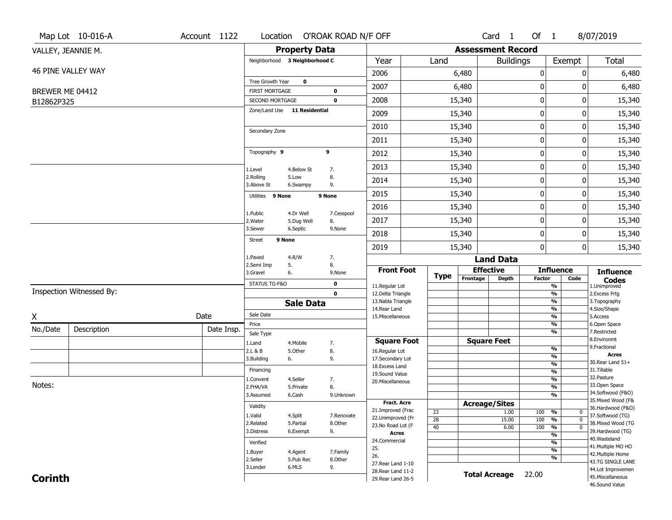|                               | Map Lot 10-016-A         | Account 1122 |                                          |                         | Location O'ROAK ROAD N/F OFF |                                          |                       |                          | Card <sub>1</sub>    | Of $1$           |                                                                   | 8/07/2019                               |
|-------------------------------|--------------------------|--------------|------------------------------------------|-------------------------|------------------------------|------------------------------------------|-----------------------|--------------------------|----------------------|------------------|-------------------------------------------------------------------|-----------------------------------------|
|                               | VALLEY, JEANNIE M.       |              |                                          | <b>Property Data</b>    |                              |                                          |                       | <b>Assessment Record</b> |                      |                  |                                                                   |                                         |
|                               |                          |              | Neighborhood 3 Neighborhood C            |                         |                              | Year                                     | Land                  |                          | <b>Buildings</b>     |                  | Exempt                                                            | Total                                   |
|                               | 46 PINE VALLEY WAY       |              |                                          |                         |                              | 2006                                     |                       | 6,480                    |                      | $\boldsymbol{0}$ | 0                                                                 | 6,480                                   |
|                               |                          |              | Tree Growth Year                         | 0                       |                              | 2007                                     |                       | 6,480                    |                      | 0                | 0                                                                 | 6,480                                   |
| BREWER ME 04412<br>B12862P325 |                          |              | <b>FIRST MORTGAGE</b><br>SECOND MORTGAGE |                         | 0<br>$\mathbf 0$             | 2008                                     |                       | 15,340                   |                      | $\pmb{0}$        | 0                                                                 | 15,340                                  |
|                               |                          |              | Zone/Land Use 11 Residential             |                         |                              | 2009                                     |                       | 15,340                   |                      | 0                | 0                                                                 | 15,340                                  |
|                               |                          |              |                                          |                         |                              | 2010                                     |                       | 15,340                   |                      | $\mathbf 0$      | 0                                                                 |                                         |
|                               |                          |              | Secondary Zone                           |                         |                              |                                          |                       |                          |                      |                  |                                                                   | 15,340                                  |
|                               |                          |              |                                          |                         |                              | 2011                                     |                       | 15,340                   |                      | $\boldsymbol{0}$ | 0                                                                 | 15,340                                  |
|                               |                          |              | Topography 9                             |                         | 9                            | 2012                                     |                       | 15,340                   |                      | $\boldsymbol{0}$ | 0                                                                 | 15,340                                  |
|                               |                          |              | 1.Level                                  | 4.Below St              | 7.                           | 2013                                     |                       | 15,340                   |                      | $\boldsymbol{0}$ | 0                                                                 | 15,340                                  |
|                               |                          |              | 2.Rolling<br>3.Above St                  | 5.Low<br>6.Swampy       | 8.<br>9.                     | 2014                                     |                       | 15,340                   |                      | $\mathbf 0$      | 0                                                                 | 15,340                                  |
|                               |                          |              | Utilities 9 None                         |                         | 9 None                       | 2015                                     |                       | 15,340                   |                      | $\boldsymbol{0}$ | 0                                                                 | 15,340                                  |
|                               |                          |              |                                          |                         |                              | 2016                                     |                       | 15,340                   |                      | $\boldsymbol{0}$ | 0                                                                 | 15,340                                  |
|                               |                          |              | 1.Public<br>2.Water                      | 4.Dr Well<br>5.Dug Well | 7.Cesspool<br>8.             | 2017                                     |                       | 15,340                   |                      | 0                | 0                                                                 | 15,340                                  |
|                               |                          |              | 3.Sewer                                  | 6.Septic                | 9.None                       | 2018                                     |                       | 15,340                   |                      | $\mathbf 0$      | 0                                                                 | 15,340                                  |
|                               |                          |              | 9 None<br><b>Street</b>                  |                         |                              | 2019                                     |                       | 15,340                   |                      | $\mathbf 0$      | 0                                                                 | 15,340                                  |
|                               |                          |              | 1.Paved                                  | 4.R/W                   | 7.                           |                                          |                       |                          | <b>Land Data</b>     |                  |                                                                   |                                         |
|                               |                          |              | 2.Semi Imp<br>3.Gravel                   | 5.<br>6.                | 8.<br>9.None                 | <b>Front Foot</b>                        |                       | <b>Effective</b>         |                      |                  | <b>Influence</b>                                                  | <b>Influence</b>                        |
|                               |                          |              | STATUS TG-F&O                            |                         | $\mathbf 0$                  | 11.Regular Lot                           | <b>Type</b>           | Frontage                 | Depth                | Factor           | Code<br>$\overline{\frac{9}{6}}$                                  | <b>Codes</b><br>1.Unimproved            |
|                               | Inspection Witnessed By: |              |                                          |                         | $\mathbf 0$                  | 12.Delta Triangle                        |                       |                          |                      |                  | $\overline{\frac{9}{6}}$                                          | 2. Excess Frtg                          |
|                               |                          |              |                                          | <b>Sale Data</b>        |                              | 13. Nabla Triangle<br>14. Rear Land      |                       |                          |                      |                  | $\overline{\frac{9}{6}}$<br>$\frac{9}{6}$                         | 3. Topography<br>4.Size/Shape           |
| X                             |                          | Date         | Sale Date                                |                         |                              | 15. Miscellaneous                        |                       |                          |                      |                  | $\overline{\frac{9}{6}}$                                          | 5.Access                                |
| No./Date                      | Description              | Date Insp.   | Price                                    |                         |                              |                                          |                       |                          |                      |                  | %<br>%                                                            | 6.Open Space<br>7.Restricted            |
|                               |                          |              | Sale Type<br>1.Land                      | 4. Mobile               | 7.                           | <b>Square Foot</b>                       |                       |                          | <b>Square Feet</b>   |                  |                                                                   | 8.Environmt                             |
|                               |                          |              | 2.L & B                                  | 5.Other                 | 8.                           | 16.Regular Lot                           |                       |                          |                      |                  | %                                                                 | 9. Fractional                           |
|                               |                          |              | 3.Building                               | 6.                      | 9.                           | 17.Secondary Lot                         |                       |                          |                      |                  | %<br>$\frac{9}{6}$                                                | <b>Acres</b><br>30. Rear Land 51+       |
|                               |                          |              | Financing                                |                         |                              | 18.Excess Land<br>19.Sound Value         |                       |                          |                      |                  | $\frac{9}{6}$                                                     | 31.Tillable                             |
|                               |                          |              | 1.Convent                                | 4.Seller                | 7.                           | 20.Miscellaneous                         |                       |                          |                      |                  | %                                                                 | 32. Pasture                             |
| Notes:                        |                          |              | 2.FHA/VA                                 | 5.Private               | 8.                           |                                          |                       |                          |                      |                  | %                                                                 | 33.Open Space                           |
|                               |                          |              | 3.Assumed                                | 6.Cash                  | 9.Unknown                    |                                          |                       |                          |                      |                  | %                                                                 | 34.Softwood (F&O)<br>35. Mixed Wood (F& |
|                               |                          |              | Validity                                 |                         |                              | <b>Fract. Acre</b>                       |                       | <b>Acreage/Sites</b>     |                      |                  |                                                                   | 36.Hardwood (F&O)                       |
|                               |                          |              | 1.Valid                                  | 4.Split                 | 7.Renovate                   | 21.Improved (Frac<br>22.Unimproved (Fr   | 23                    |                          | 1.00                 | 100              | %<br>0                                                            | 37.Softwood (TG)                        |
|                               |                          |              | 2.Related                                | 5.Partial               | 8.Other                      | 23.No Road Lot (F                        | $\overline{28}$<br>40 |                          | 15.00<br>6.00        | 100<br>100       | $\overline{\mathfrak{o}}$<br>%<br>$\frac{9}{6}$<br>$\overline{0}$ | 38. Mixed Wood (TG                      |
|                               |                          |              | 3.Distress                               | 6.Exempt                | 9.                           | <b>Acres</b>                             |                       |                          |                      |                  | $\overline{\frac{9}{6}}$                                          | 39.Hardwood (TG)                        |
|                               |                          |              | Verified                                 |                         |                              | 24.Commercial                            |                       |                          |                      |                  | $\overline{\frac{9}{6}}$                                          | 40. Wasteland                           |
|                               |                          |              | 1.Buyer                                  | 4.Agent                 | 7.Family                     | 25.                                      |                       |                          |                      |                  | $\overline{\frac{9}{6}}$                                          | 41. Multiple MO HO                      |
|                               |                          |              | 2.Seller                                 | 5.Pub Rec               | 8.Other                      | 26.                                      |                       |                          |                      |                  | %                                                                 | 42. Multiple Home<br>43.TG SINGLE LANE  |
|                               |                          |              | 3.Lender                                 | 6.MLS                   | 9.                           | 27. Rear Land 1-10<br>28. Rear Land 11-2 |                       |                          |                      |                  |                                                                   | 44.Lot Improvemen                       |
| <b>Corinth</b>                |                          |              |                                          |                         |                              | 29. Rear Land 26-5                       |                       |                          | <b>Total Acreage</b> | 22.00            |                                                                   | 45. Miscellaneous                       |
|                               |                          |              |                                          |                         |                              |                                          |                       |                          |                      |                  |                                                                   | 46.Sound Value                          |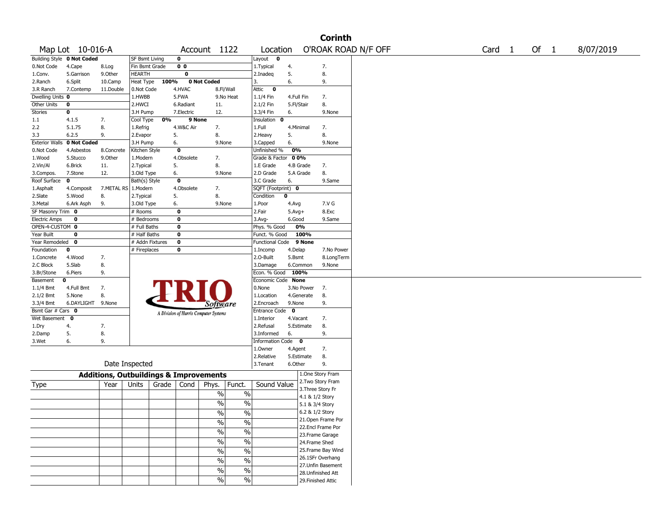|                                   |                            |                                                   |                 |       |                         |                                       |                          |                       |             |                 | <b>Corinth</b>     |                     |                   |      |           |
|-----------------------------------|----------------------------|---------------------------------------------------|-----------------|-------|-------------------------|---------------------------------------|--------------------------|-----------------------|-------------|-----------------|--------------------|---------------------|-------------------|------|-----------|
|                                   | Map Lot 10-016-A           |                                                   |                 |       |                         | Account 1122                          |                          | Location              |             |                 |                    | O'ROAK ROAD N/F OFF | Card <sub>1</sub> | Of 1 | 8/07/2019 |
|                                   | Building Style 0 Not Coded |                                                   | SF Bsmt Living  |       | 0                       |                                       |                          | Layout<br>0           |             |                 |                    |                     |                   |      |           |
| 0.Not Code                        | 4.Cape                     | 8.Log                                             | Fin Bsmt Grade  |       | 0 <sub>0</sub>          |                                       |                          | 1. Typical            | 4.          |                 | 7.                 |                     |                   |      |           |
| 1.Conv.                           | 5.Garrison                 | 9.Other                                           | <b>HEARTH</b>   |       | $\overline{\mathbf{0}}$ |                                       |                          | 2.Inadeq              | 5.          |                 | 8.                 |                     |                   |      |           |
| 2.Ranch                           | 6.Split                    | 10.Camp                                           | Heat Type       | 100%  |                         | 0 Not Coded                           |                          | 3.                    | 6.          |                 | 9.                 |                     |                   |      |           |
| 3.R Ranch                         | 7.Contemp                  | 11.Double                                         | 0.Not Code      |       | 4.HVAC                  | 8.Fl/Wall                             |                          | Attic<br>$\mathbf{o}$ |             |                 |                    |                     |                   |      |           |
| Dwelling Units 0                  |                            |                                                   | 1.HWBB          |       | 5.FWA                   |                                       | 9.No Heat                | $1.1/4$ Fin           | 4.Full Fin  |                 | 7.                 |                     |                   |      |           |
| Other Units                       | 0                          |                                                   | 2.HWCI          |       | 6.Radiant               | 11.                                   |                          | 2.1/2 Fin             | 5.Fl/Stair  |                 | 8.                 |                     |                   |      |           |
| Stories                           | 0                          |                                                   | 3.H Pump        |       | 7.Electric              | 12.                                   |                          | 3.3/4 Fin             | 6.          |                 | 9.None             |                     |                   |      |           |
| 1.1                               | 4.1.5                      | 7.                                                | Cool Type       | 0%    | 9 None                  |                                       |                          | Insulation<br>0       |             |                 |                    |                     |                   |      |           |
| 2.2                               | 5.1.75                     | 8.                                                | 1.Refrig        |       | 4.W&C Air               | 7.                                    |                          | 1.Full                | 4.Minimal   |                 | 7.                 |                     |                   |      |           |
| 3.3                               | 6.2.5                      | 9.                                                | 2.Evapor        | 5.    |                         | 8.                                    |                          | 2.Heavy               | 5.          |                 | 8.                 |                     |                   |      |           |
| <b>Exterior Walls</b>             | 0 Not Coded                |                                                   | 3.H Pump        | 6.    |                         | 9.None                                |                          | 3.Capped              | 6.          |                 | 9.None             |                     |                   |      |           |
| 0.Not Code                        | 4.Asbestos                 | 8.Concrete                                        | Kitchen Style   |       | $\mathbf 0$             |                                       |                          | Unfinished %          | 0%          |                 |                    |                     |                   |      |           |
| 1.Wood                            | 5.Stucco                   | 9.0ther                                           | 1.Modern        |       | 4.Obsolete              | 7.                                    |                          | Grade & Factor        | 00%         |                 |                    |                     |                   |      |           |
| 2.Vin/Al                          | 6.Brick                    | 11.                                               | 2. Typical      | 5.    |                         | 8.                                    |                          | 1.E Grade             | 4.B Grade   |                 | 7.                 |                     |                   |      |           |
| 3.Compos.                         | 7.Stone                    | 12.                                               | 3.Old Type      | 6.    |                         | 9.None                                |                          | 2.D Grade             |             | 5.A Grade       | 8.                 |                     |                   |      |           |
| Roof Surface                      | $\mathbf 0$                |                                                   | Bath(s) Style   |       | $\mathbf 0$             |                                       |                          | 3.C Grade             | 6.          |                 | 9.Same             |                     |                   |      |           |
| 1.Asphalt                         | 4.Composit                 | 7.METAL RS                                        | 1.Modern        |       | 4.Obsolete              | 7.                                    |                          | SQFT (Footprint) 0    |             |                 |                    |                     |                   |      |           |
| 2.Slate                           | 5.Wood                     | 8.                                                | 2. Typical      | 5.    |                         | 8.                                    |                          | Condition             | $\mathbf 0$ |                 |                    |                     |                   |      |           |
| 3.Metal                           | 6.Ark Asph                 | 9.                                                | 3.Old Type      | 6.    |                         | 9.None                                |                          | 1.Poor                | 4.Avg       |                 | 7.V G              |                     |                   |      |           |
| SF Masonry Trim 0                 |                            |                                                   | # Rooms         |       | $\bf o$                 |                                       |                          | 2.Fair                | $5.Avg+$    |                 | 8.Exc              |                     |                   |      |           |
| <b>Electric Amps</b>              | 0                          |                                                   | # Bedrooms      |       | $\pmb{0}$               |                                       |                          | 3.Avg-                | 6.Good      |                 | 9.Same             |                     |                   |      |           |
| OPEN-4-CUSTOM 0                   |                            |                                                   | # Full Baths    |       | $\bf o$                 |                                       |                          | Phys. % Good          |             | 0%              |                    |                     |                   |      |           |
| Year Built                        | 0                          |                                                   | # Half Baths    |       | $\pmb{0}$               |                                       |                          | Funct. % Good         |             | 100%            |                    |                     |                   |      |           |
| Year Remodeled                    | 0                          |                                                   | # Addn Fixtures |       | $\pmb{0}$               |                                       |                          | Functional Code       |             | 9 None          |                    |                     |                   |      |           |
| Foundation                        | 0                          |                                                   | # Fireplaces    |       | $\pmb{0}$               |                                       |                          | 1.Incomp              | 4.Delap     |                 | 7.No Power         |                     |                   |      |           |
| 1.Concrete                        | 4.Wood                     | 7.                                                |                 |       |                         |                                       |                          | 2.0-Built             | 5.Bsmt      |                 | 8.LongTerm         |                     |                   |      |           |
| 2.C Block                         | 5.Slab                     | 8.                                                |                 |       |                         |                                       |                          | 3.Damage              |             | 6.Common        | 9.None             |                     |                   |      |           |
| 3.Br/Stone                        | 6.Piers                    | 9.                                                |                 |       |                         |                                       |                          | Econ. % Good 100%     |             |                 |                    |                     |                   |      |           |
| Basement                          | 0                          |                                                   |                 |       |                         |                                       |                          | Economic Code None    |             |                 |                    |                     |                   |      |           |
| $1.1/4$ Bmt                       | 4.Full Bmt                 | 7.                                                |                 |       |                         |                                       |                          | 0.None                |             | 3.No Power      | 7.                 |                     |                   |      |           |
| 2.1/2 Bmt                         | 5.None                     | 8.                                                |                 |       |                         |                                       |                          | 1.Location            |             | 4.Generate      | 8.                 |                     |                   |      |           |
|                                   | 6.DAYLIGHT                 | 9.None                                            |                 |       |                         |                                       |                          |                       | 9.None      |                 | 9.                 |                     |                   |      |           |
| 3.3/4 Bmt                         |                            |                                                   |                 |       |                         | <i>Software</i>                       |                          | 2.Encroach            | $\mathbf 0$ |                 |                    |                     |                   |      |           |
| Bsmt Gar # Cars 0<br>Wet Basement | 0                          |                                                   |                 |       |                         | A Division of Harris Computer Systems |                          | <b>Entrance Code</b>  |             |                 |                    |                     |                   |      |           |
|                                   |                            |                                                   |                 |       |                         |                                       |                          | 1.Interior            | 4.Vacant    |                 | 7.                 |                     |                   |      |           |
| 1.Dry                             | 4.                         | 7.                                                |                 |       |                         |                                       |                          | 2.Refusal             |             | 5.Estimate      | 8.                 |                     |                   |      |           |
| 2.Damp                            | 5.                         | 8.                                                |                 |       |                         |                                       |                          | 3.Informed            | 6.          |                 | 9.                 |                     |                   |      |           |
| 3.Wet                             | 6.                         | 9.                                                |                 |       |                         |                                       |                          | Information Code 0    |             |                 |                    |                     |                   |      |           |
|                                   |                            |                                                   |                 |       |                         |                                       |                          | 1.Owner               | 4.Agent     |                 | 7.                 |                     |                   |      |           |
|                                   |                            |                                                   |                 |       |                         |                                       |                          | 2.Relative            |             | 5.Estimate      | 8.                 |                     |                   |      |           |
|                                   |                            |                                                   | Date Inspected  |       |                         |                                       |                          | 3. Tenant             | 6.Other     |                 | 9.                 |                     |                   |      |           |
|                                   |                            | <b>Additions, Outbuildings &amp; Improvements</b> |                 |       |                         |                                       |                          |                       |             |                 | 1.One Story Fram   |                     |                   |      |           |
| Type                              |                            | Year                                              | Units           | Grade | Cond                    | Phys.                                 | Funct.                   | Sound Value           |             |                 | 2. Two Story Fram  |                     |                   |      |           |
|                                   |                            |                                                   |                 |       |                         | $\%$                                  | $\%$                     |                       |             |                 | 3. Three Story Fr  |                     |                   |      |           |
|                                   |                            |                                                   |                 |       |                         |                                       |                          |                       |             | 4.1 & 1/2 Story |                    |                     |                   |      |           |
|                                   |                            |                                                   |                 |       |                         | $\%$                                  | $\%$                     |                       |             | 5.1 & 3/4 Story |                    |                     |                   |      |           |
|                                   |                            |                                                   |                 |       |                         | $\frac{0}{0}$                         | $\%$                     |                       |             | 6.2 & 1/2 Story |                    |                     |                   |      |           |
|                                   |                            |                                                   |                 |       |                         | $\sqrt{20}$                           | $\frac{0}{0}$            |                       |             |                 | 21. Open Frame Por |                     |                   |      |           |
|                                   |                            |                                                   |                 |       |                         | $\frac{0}{6}$                         | $\overline{\frac{0}{0}}$ |                       |             |                 | 22.Encl Frame Por  |                     |                   |      |           |
|                                   |                            |                                                   |                 |       |                         |                                       |                          |                       |             |                 | 23.Frame Garage    |                     |                   |      |           |
|                                   |                            |                                                   |                 |       |                         | $\frac{0}{6}$                         | $\overline{\frac{0}{0}}$ |                       |             | 24.Frame Shed   |                    |                     |                   |      |           |
|                                   |                            |                                                   |                 |       |                         | $\frac{0}{6}$                         | $\overline{\frac{0}{0}}$ |                       |             |                 | 25. Frame Bay Wind |                     |                   |      |           |
|                                   |                            |                                                   |                 |       |                         | $\sqrt{20}$                           | $\%$                     |                       |             |                 | 26.1SFr Overhang   |                     |                   |      |           |
|                                   |                            |                                                   |                 |       |                         |                                       |                          |                       |             |                 | 27. Unfin Basement |                     |                   |      |           |
|                                   |                            |                                                   |                 |       |                         | $\%$                                  | $\%$                     |                       |             |                 | 28. Unfinished Att |                     |                   |      |           |
|                                   |                            |                                                   |                 |       |                         | $\sqrt{6}$                            | $\%$                     |                       |             |                 | 29. Finished Attic |                     |                   |      |           |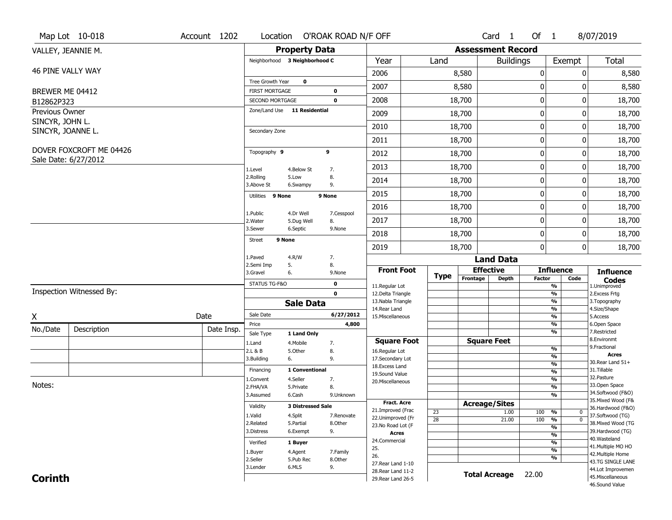|                               | Map Lot 10-018                                  | Account 1202 |                                          |                          | Location O'ROAK ROAD N/F OFF |                                     |                 |                          | Card 1               | Of 1          |                                | 8/07/2019                         |
|-------------------------------|-------------------------------------------------|--------------|------------------------------------------|--------------------------|------------------------------|-------------------------------------|-----------------|--------------------------|----------------------|---------------|--------------------------------|-----------------------------------|
|                               | VALLEY, JEANNIE M.                              |              |                                          | <b>Property Data</b>     |                              |                                     |                 | <b>Assessment Record</b> |                      |               |                                |                                   |
|                               |                                                 |              | Neighborhood 3 Neighborhood C            |                          |                              | Year                                | Land            |                          | <b>Buildings</b>     |               | Exempt                         | Total                             |
| 46 PINE VALLY WAY             |                                                 |              |                                          |                          |                              | 2006                                |                 | 8,580                    |                      | 0             | $\mathbf{0}$                   | 8,580                             |
|                               |                                                 |              | Tree Growth Year                         | $\mathbf 0$              |                              | 2007                                |                 | 8,580                    |                      | 0             | 0                              | 8,580                             |
| BREWER ME 04412<br>B12862P323 |                                                 |              | <b>FIRST MORTGAGE</b><br>SECOND MORTGAGE |                          | 0<br>$\mathbf 0$             | 2008                                |                 | 18,700                   |                      | $\pmb{0}$     | 0                              | 18,700                            |
| Previous Owner                |                                                 |              | Zone/Land Use 11 Residential             |                          |                              | 2009                                |                 | 18,700                   |                      | 0             | 0                              |                                   |
| SINCYR, JOHN L.               |                                                 |              |                                          |                          |                              |                                     |                 |                          |                      |               |                                | 18,700                            |
| SINCYR, JOANNE L.             |                                                 |              | Secondary Zone                           |                          |                              | 2010                                |                 | 18,700                   |                      | 0             | 0                              | 18,700                            |
|                               |                                                 |              |                                          |                          |                              | 2011                                |                 | 18,700                   |                      | $\pmb{0}$     | 0                              | 18,700                            |
|                               | DOVER FOXCROFT ME 04426<br>Sale Date: 6/27/2012 |              | Topography 9                             |                          | 9                            | 2012                                |                 | 18,700                   |                      | $\mathbf 0$   | 0                              | 18,700                            |
|                               |                                                 |              | 1.Level                                  | 4.Below St               | 7.                           | 2013                                |                 | 18,700                   |                      | $\pmb{0}$     | 0                              | 18,700                            |
|                               |                                                 |              | 2.Rolling<br>3.Above St                  | 5.Low<br>6.Swampy        | 8.<br>9.                     | 2014                                |                 | 18,700                   |                      | 0             | 0                              | 18,700                            |
|                               |                                                 |              | 9 None<br>Utilities                      |                          | 9 None                       | 2015                                |                 | 18,700                   |                      | $\bf{0}$      | 0                              | 18,700                            |
|                               |                                                 |              | 1.Public                                 | 4.Dr Well                | 7.Cesspool                   | 2016                                |                 | 18,700                   |                      | $\pmb{0}$     | 0                              | 18,700                            |
|                               |                                                 |              | 2. Water                                 | 5.Dug Well               | 8.                           | 2017                                |                 | 18,700                   |                      | $\bf{0}$      | 0                              | 18,700                            |
|                               |                                                 |              | 3.Sewer                                  | 6.Septic                 | 9.None                       | 2018                                |                 | 18,700                   |                      | $\bf{0}$      | 0                              | 18,700                            |
|                               |                                                 |              | 9 None<br><b>Street</b>                  |                          |                              | 2019                                |                 | 18,700                   |                      | 0             | 0                              | 18,700                            |
|                               |                                                 |              | 1.Paved                                  | 4.R/W                    | 7.                           |                                     |                 |                          | <b>Land Data</b>     |               |                                |                                   |
|                               |                                                 |              | 2.Semi Imp<br>3.Gravel                   | 5.<br>6.                 | 8.<br>9.None                 | <b>Front Foot</b>                   | <b>Type</b>     | <b>Effective</b>         |                      |               | <b>Influence</b>               | <b>Influence</b>                  |
|                               |                                                 |              | STATUS TG-F&O                            |                          | $\mathbf 0$                  | 11.Regular Lot                      |                 | Frontage                 | Depth                | <b>Factor</b> | Code<br>$\frac{9}{6}$          | <b>Codes</b><br>1.Unimproved      |
|                               | Inspection Witnessed By:                        |              |                                          |                          | $\mathbf{0}$                 | 12.Delta Triangle                   |                 |                          |                      |               | $\frac{9}{6}$                  | 2.Excess Frtg                     |
|                               |                                                 |              |                                          | <b>Sale Data</b>         |                              | 13. Nabla Triangle<br>14. Rear Land |                 |                          |                      |               | $\frac{9}{6}$<br>$\frac{9}{6}$ | 3. Topography<br>4.Size/Shape     |
| X                             |                                                 | Date         | Sale Date                                |                          | 6/27/2012                    | 15. Miscellaneous                   |                 |                          |                      |               | $\overline{\frac{9}{6}}$       | 5.Access                          |
| No./Date                      | Description                                     | Date Insp.   | Price<br>Sale Type                       | 1 Land Only              | 4,800                        |                                     |                 |                          |                      |               | %<br>$\frac{9}{6}$             | 6.Open Space<br>7.Restricted      |
|                               |                                                 |              | 1.Land                                   | 4. Mobile                | 7.                           | <b>Square Foot</b>                  |                 |                          | <b>Square Feet</b>   |               |                                | 8.Environmt                       |
|                               |                                                 |              | 2.L & B                                  | 5.Other                  | 8.                           | 16.Regular Lot                      |                 |                          |                      |               | %<br>%                         | 9. Fractional<br><b>Acres</b>     |
|                               |                                                 |              | 3.Building                               | 6.                       | 9.                           | 17.Secondary Lot<br>18.Excess Land  |                 |                          |                      |               | $\frac{9}{6}$                  | 30. Rear Land 51+                 |
|                               |                                                 |              | Financing                                | 1 Conventional           |                              | 19.Sound Value                      |                 |                          |                      |               | %                              | 31.Tillable                       |
| Notes:                        |                                                 |              | 1.Convent                                | 4.Seller                 | 7.                           | 20.Miscellaneous                    |                 |                          |                      |               | $\frac{9}{6}$                  | 32.Pasture<br>33.Open Space       |
|                               |                                                 |              | 2.FHA/VA                                 | 5.Private                | 8.                           |                                     |                 |                          |                      |               | $\frac{9}{6}$<br>$\frac{9}{6}$ | 34.Softwood (F&O)                 |
|                               |                                                 |              | 3.Assumed                                | 6.Cash                   | 9.Unknown                    | <b>Fract. Acre</b>                  |                 |                          |                      |               |                                | 35. Mixed Wood (F&                |
|                               |                                                 |              | Validity                                 | <b>3 Distressed Sale</b> |                              | 21.Improved (Frac                   | 23              | <b>Acreage/Sites</b>     | 1.00                 | 100           | %<br>0                         | 36.Hardwood (F&O)                 |
|                               |                                                 |              | 1.Valid                                  | 4.Split                  | 7.Renovate                   | 22.Unimproved (Fr                   | $\overline{28}$ |                          | 21.00                | 100           | $\overline{0}$<br>%            | 37.Softwood (TG)                  |
|                               |                                                 |              | 2.Related                                | 5.Partial                | 8.Other                      | 23.No Road Lot (F                   |                 |                          |                      |               | $\frac{9}{6}$                  | 38. Mixed Wood (TG                |
|                               |                                                 |              | 3.Distress                               | 6.Exempt                 | 9.                           | <b>Acres</b>                        |                 |                          |                      |               | $\frac{9}{6}$                  | 39.Hardwood (TG)<br>40. Wasteland |
|                               |                                                 |              | Verified                                 | 1 Buyer                  |                              | 24.Commercial                       |                 |                          |                      |               | $\frac{9}{6}$                  | 41. Multiple MO HO                |
|                               |                                                 |              | 1.Buyer                                  | 4.Agent                  | 7.Family                     | 25.<br>26.                          |                 |                          |                      |               | $\frac{9}{6}$                  | 42. Multiple Home                 |
|                               |                                                 |              | 2.Seller                                 | 5.Pub Rec                | 8.Other                      | 27. Rear Land 1-10                  |                 |                          |                      |               | $\frac{9}{6}$                  | 43.TG SINGLE LANE                 |
|                               |                                                 |              | 3.Lender                                 | 6.MLS                    | 9.                           | 28. Rear Land 11-2                  |                 |                          | <b>Total Acreage</b> | 22.00         |                                | 44.Lot Improvemen                 |
| <b>Corinth</b>                |                                                 |              |                                          |                          |                              | 29. Rear Land 26-5                  |                 |                          |                      |               |                                | 45. Miscellaneous                 |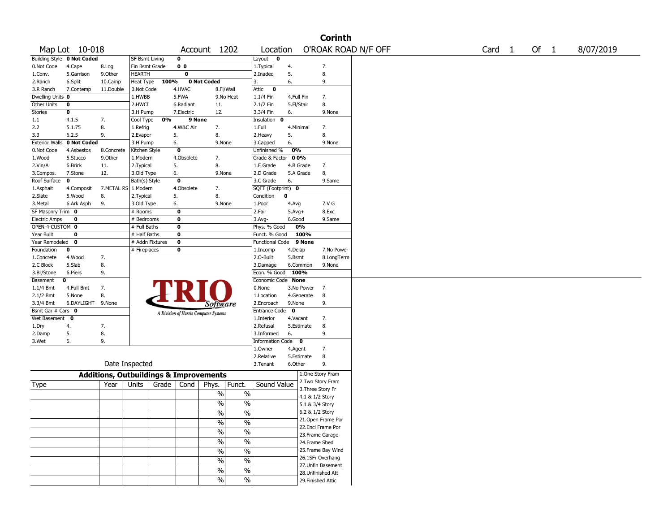|                      |                            |                                                   |                       |       |                         |                                       |                          |                    |              |            | <b>Corinth</b>                          |                     |                   |        |           |
|----------------------|----------------------------|---------------------------------------------------|-----------------------|-------|-------------------------|---------------------------------------|--------------------------|--------------------|--------------|------------|-----------------------------------------|---------------------|-------------------|--------|-----------|
|                      | Map Lot 10-018             |                                                   |                       |       |                         | Account 1202                          |                          | Location           |              |            |                                         | O'ROAK ROAD N/F OFF | Card <sub>1</sub> | Of $1$ | 8/07/2019 |
|                      | Building Style 0 Not Coded |                                                   | <b>SF Bsmt Living</b> |       | $\mathbf 0$             |                                       |                          | Layout 0           |              |            |                                         |                     |                   |        |           |
| 0.Not Code           | 4.Cape                     | 8.Log                                             | Fin Bsmt Grade        |       | 0 <sub>0</sub>          |                                       |                          | 1. Typical         | 4.           |            | 7.                                      |                     |                   |        |           |
| 1.Conv.              | 5.Garrison                 | 9.0ther                                           | <b>HEARTH</b>         |       | $\bf{0}$                |                                       |                          | 2.Inadeq           | 5.           |            | 8.                                      |                     |                   |        |           |
| 2.Ranch              | 6.Split                    | 10.Camp                                           | Heat Type             | 100%  |                         | 0 Not Coded                           |                          | 3.                 | 6.           |            | 9.                                      |                     |                   |        |           |
| 3.R Ranch            | 7.Contemp                  | 11.Double                                         | 0.Not Code            |       | 4.HVAC                  |                                       | 8.Fl/Wall                | Attic<br>$\bf{0}$  |              |            |                                         |                     |                   |        |           |
| Dwelling Units 0     |                            |                                                   | 1.HWBB                |       | 5.FWA                   |                                       | 9.No Heat                | 1.1/4 Fin          | 4.Full Fin   |            | 7.                                      |                     |                   |        |           |
| Other Units          | $\bf{0}$                   |                                                   | 2.HWCI                |       | 6.Radiant               | 11.                                   |                          | 2.1/2 Fin          | 5.Fl/Stair   |            | 8.                                      |                     |                   |        |           |
| Stories              | $\pmb{0}$                  |                                                   | 3.H Pump              |       | 7.Electric              | 12.                                   |                          | 3.3/4 Fin          | 6.           |            | 9.None                                  |                     |                   |        |           |
| 1.1                  | 4.1.5                      | 7.                                                | Cool Type             | 0%    | 9 None                  |                                       |                          | Insulation 0       |              |            |                                         |                     |                   |        |           |
| 2.2                  | 5.1.75                     | 8.                                                | 1.Refrig              |       | 4.W&C Air               | 7.                                    |                          | 1.Full             | 4.Minimal    |            | 7.                                      |                     |                   |        |           |
| 3.3                  | 6.2.5                      | 9.                                                | 2.Evapor              |       | 5.                      | 8.                                    |                          | 2.Heavy            | 5.           |            | 8.                                      |                     |                   |        |           |
|                      | Exterior Walls 0 Not Coded |                                                   | 3.H Pump              |       | 6.                      | 9.None                                |                          | 3.Capped           | 6.           |            | 9.None                                  |                     |                   |        |           |
| 0.Not Code           | 4.Asbestos                 | 8.Concrete                                        | Kitchen Style         |       | $\overline{\mathbf{0}}$ |                                       |                          | Unfinished %       | 0%           |            |                                         |                     |                   |        |           |
| 1.Wood               | 5.Stucco                   | 9.0ther                                           | 1.Modern              |       | 4.Obsolete              | 7.                                    |                          | Grade & Factor     | 0 0%         |            |                                         |                     |                   |        |           |
| 2.Vin/Al             | 6.Brick                    | 11.                                               | 2. Typical            |       | 5.                      | 8.                                    |                          | 1.E Grade          |              | 4.B Grade  | 7.                                      |                     |                   |        |           |
| 3.Compos.            | 7.Stone                    | 12.                                               | 3.Old Type            |       | 6.                      | 9.None                                |                          | 2.D Grade          | 5.A Grade    |            | 8.                                      |                     |                   |        |           |
| Roof Surface         | $\mathbf 0$                |                                                   | Bath(s) Style         |       | $\overline{\mathbf{0}}$ |                                       |                          | 3.C Grade          | 6.           |            | 9.Same                                  |                     |                   |        |           |
| 1.Asphalt            | 4.Composit                 | 7.METAL RS                                        | 1.Modern              |       | 4.Obsolete              | 7.                                    |                          | SQFT (Footprint) 0 |              |            |                                         |                     |                   |        |           |
| 2.Slate              | 5.Wood                     | 8.                                                | 2. Typical            |       | 5.                      | 8.                                    |                          | Condition          | $\mathbf 0$  |            |                                         |                     |                   |        |           |
| 3.Metal              | 6.Ark Asph                 | 9.                                                | 3.Old Type            |       | 6.                      | 9.None                                |                          | 1.Poor             | 4.Avg        |            | 7.V G                                   |                     |                   |        |           |
| SF Masonry Trim 0    |                            |                                                   | # Rooms               |       | $\mathbf 0$             |                                       |                          | 2.Fair             | $5.Avg+$     |            | 8.Exc                                   |                     |                   |        |           |
| <b>Electric Amps</b> | 0                          |                                                   | # Bedrooms            |       | $\bf{0}$                |                                       |                          | 3.Avg-             | 6.Good       |            | 9.Same                                  |                     |                   |        |           |
| OPEN-4-CUSTOM 0      |                            |                                                   | # Full Baths          |       | $\mathbf 0$             |                                       |                          | Phys. % Good       |              | 0%         |                                         |                     |                   |        |           |
| Year Built           | 0                          |                                                   | # Half Baths          |       | $\mathbf 0$             |                                       |                          | Funct. % Good      |              | 100%       |                                         |                     |                   |        |           |
| Year Remodeled       | 0                          |                                                   | # Addn Fixtures       |       | $\bf{0}$                |                                       |                          | Functional Code    |              | 9 None     |                                         |                     |                   |        |           |
| Foundation           | 0                          |                                                   | # Fireplaces          |       | 0                       |                                       |                          | 1.Incomp           | 4.Delap      |            | 7.No Power                              |                     |                   |        |           |
| 1.Concrete           | 4.Wood                     | 7.                                                |                       |       |                         |                                       |                          | 2.0-Built          | 5.Bsmt       |            | 8.LongTerm                              |                     |                   |        |           |
| 2.C Block            | 5.Slab                     | 8.                                                |                       |       |                         |                                       |                          | 3.Damage           |              | 6.Common   | 9.None                                  |                     |                   |        |           |
| 3.Br/Stone           | 6.Piers                    | 9.                                                |                       |       |                         |                                       |                          | Econ. % Good       | 100%         |            |                                         |                     |                   |        |           |
| Basement             | 0                          |                                                   |                       |       |                         |                                       |                          | Economic Code None |              |            |                                         |                     |                   |        |           |
| 1.1/4 Bmt            | 4.Full Bmt                 | 7.                                                |                       |       |                         |                                       |                          | 0.None             |              | 3.No Power | 7.                                      |                     |                   |        |           |
| 2.1/2 Bmt            | 5.None                     | 8.                                                |                       |       |                         |                                       |                          | 1.Location         |              | 4.Generate | 8.                                      |                     |                   |        |           |
| 3.3/4 Bmt            | 6.DAYLIGHT                 | 9.None                                            |                       |       |                         | Software                              |                          | 2.Encroach         | 9.None       |            | 9.                                      |                     |                   |        |           |
| Bsmt Gar # Cars 0    |                            |                                                   |                       |       |                         |                                       |                          | Entrance Code      | $\mathbf{o}$ |            |                                         |                     |                   |        |           |
| Wet Basement         | 0                          |                                                   |                       |       |                         | A Division of Harris Computer Systems |                          | 1.Interior         | 4.Vacant     |            | 7.                                      |                     |                   |        |           |
| 1.Dry                | 4.                         | 7.                                                |                       |       |                         |                                       |                          | 2.Refusal          |              | 5.Estimate | 8.                                      |                     |                   |        |           |
| 2.Damp               | 5.                         | 8.                                                |                       |       |                         |                                       |                          | 3.Informed         | 6.           |            | 9.                                      |                     |                   |        |           |
| 3.Wet                | 6.                         | 9.                                                |                       |       |                         |                                       |                          | Information Code 0 |              |            |                                         |                     |                   |        |           |
|                      |                            |                                                   |                       |       |                         |                                       |                          | 1.0wner            | 4.Agent      |            | 7.                                      |                     |                   |        |           |
|                      |                            |                                                   |                       |       |                         |                                       |                          | 2.Relative         |              | 5.Estimate | 8.                                      |                     |                   |        |           |
|                      |                            |                                                   | Date Inspected        |       |                         |                                       |                          | 3. Tenant          | 6.Other      |            | 9.                                      |                     |                   |        |           |
|                      |                            |                                                   |                       |       |                         |                                       |                          |                    |              |            | 1.One Story Fram                        |                     |                   |        |           |
|                      |                            | <b>Additions, Outbuildings &amp; Improvements</b> |                       |       |                         |                                       |                          |                    |              |            | 2. Two Story Fram                       |                     |                   |        |           |
| Type                 |                            | Year                                              | Units                 | Grade | Cond                    | Phys.                                 | Funct.                   | Sound Value        |              |            | 3. Three Story Fr                       |                     |                   |        |           |
|                      |                            |                                                   |                       |       |                         | %                                     | $\%$                     |                    |              |            | 4.1 & 1/2 Story                         |                     |                   |        |           |
|                      |                            |                                                   |                       |       |                         | %                                     | $\%$                     |                    |              |            | 5.1 & 3/4 Story                         |                     |                   |        |           |
|                      |                            |                                                   |                       |       |                         |                                       |                          |                    |              |            | 6.2 & 1/2 Story                         |                     |                   |        |           |
|                      |                            |                                                   |                       |       |                         | $\frac{0}{0}$                         | $\frac{0}{0}$            |                    |              |            | 21. Open Frame Por                      |                     |                   |        |           |
|                      |                            |                                                   |                       |       |                         | $\sqrt{6}$                            | $\%$                     |                    |              |            | 22.Encl Frame Por                       |                     |                   |        |           |
|                      |                            |                                                   |                       |       |                         | $\frac{9}{6}$                         | $\%$                     |                    |              |            | 23. Frame Garage                        |                     |                   |        |           |
|                      |                            |                                                   |                       |       |                         | $\sqrt{6}$                            | $\frac{0}{6}$            |                    |              |            |                                         |                     |                   |        |           |
|                      |                            |                                                   |                       |       |                         |                                       |                          |                    |              |            | 24.Frame Shed                           |                     |                   |        |           |
|                      |                            |                                                   |                       |       |                         | $\sqrt{6}$                            | $\overline{\frac{0}{6}}$ |                    |              |            | 25. Frame Bay Wind<br>26.1SFr Overhang  |                     |                   |        |           |
|                      |                            |                                                   |                       |       |                         | $\sqrt{6}$                            | $\%$                     |                    |              |            |                                         |                     |                   |        |           |
|                      |                            |                                                   |                       |       |                         | %                                     | $\overline{\frac{0}{0}}$ |                    |              |            | 27.Unfin Basement<br>28. Unfinished Att |                     |                   |        |           |
|                      |                            |                                                   |                       |       |                         | $\sqrt{6}$                            | $\sqrt{6}$               |                    |              |            |                                         |                     |                   |        |           |
|                      |                            |                                                   |                       |       |                         |                                       |                          |                    |              |            | 29. Finished Attic                      |                     |                   |        |           |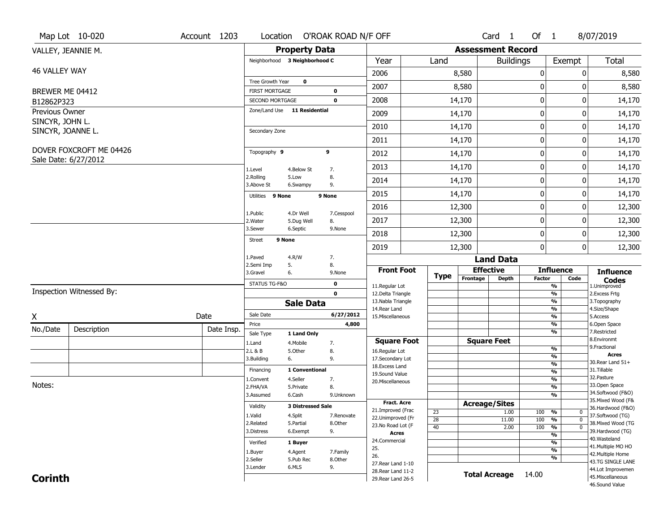|                              | Map Lot 10-020           | Account 1203 |                                          |                          | Location O'ROAK ROAD N/F OFF |                                          |                                    |                          | Card <sub>1</sub>    | Of $1$           |                                                        | 8/07/2019                               |
|------------------------------|--------------------------|--------------|------------------------------------------|--------------------------|------------------------------|------------------------------------------|------------------------------------|--------------------------|----------------------|------------------|--------------------------------------------------------|-----------------------------------------|
|                              | VALLEY, JEANNIE M.       |              |                                          | <b>Property Data</b>     |                              |                                          |                                    | <b>Assessment Record</b> |                      |                  |                                                        |                                         |
|                              |                          |              | Neighborhood 3 Neighborhood C            |                          |                              | Year                                     | Land                               |                          | <b>Buildings</b>     |                  | Exempt                                                 | Total                                   |
| 46 VALLEY WAY                |                          |              |                                          |                          |                              | 2006                                     |                                    | 8,580                    |                      | $\boldsymbol{0}$ | 0                                                      | 8,580                                   |
|                              |                          |              | Tree Growth Year                         | $\mathbf 0$              |                              | 2007                                     |                                    | 8,580                    |                      | 0                | 0                                                      | 8,580                                   |
| BREWER ME 04412              |                          |              | <b>FIRST MORTGAGE</b><br>SECOND MORTGAGE |                          | 0<br>0                       | 2008                                     |                                    | 14,170                   |                      | $\boldsymbol{0}$ | 0                                                      | 14,170                                  |
| B12862P323<br>Previous Owner |                          |              | Zone/Land Use 11 Residential             |                          |                              |                                          |                                    |                          |                      |                  |                                                        |                                         |
| SINCYR, JOHN L.              |                          |              |                                          |                          |                              | 2009                                     |                                    | 14,170                   |                      | $\mathbf 0$      | 0                                                      | 14,170                                  |
| SINCYR, JOANNE L.            |                          |              | Secondary Zone                           |                          |                              | 2010                                     |                                    | 14,170                   |                      | $\mathbf 0$      | 0                                                      | 14,170                                  |
|                              |                          |              |                                          |                          |                              | 2011                                     |                                    | 14,170                   |                      | $\mathbf 0$      | 0                                                      | 14,170                                  |
|                              | DOVER FOXCROFT ME 04426  |              | Topography 9                             |                          | 9                            | 2012                                     |                                    | 14,170                   |                      | $\boldsymbol{0}$ | 0                                                      | 14,170                                  |
|                              | Sale Date: 6/27/2012     |              | 1.Level                                  | 4.Below St               | 7.                           | 2013                                     |                                    | 14,170                   |                      | $\mathbf 0$      | 0                                                      | 14,170                                  |
|                              |                          |              | 2.Rolling<br>3.Above St                  | 5.Low<br>6.Swampy        | 8.<br>9.                     | 2014                                     |                                    | 14,170                   |                      | 0                | 0                                                      | 14,170                                  |
|                              |                          |              | Utilities 9 None                         |                          | 9 None                       | 2015                                     |                                    | 14,170                   |                      | $\mathbf 0$      | 0                                                      | 14,170                                  |
|                              |                          |              |                                          |                          |                              | 2016                                     |                                    | 12,300                   |                      | $\boldsymbol{0}$ | 0                                                      | 12,300                                  |
|                              |                          |              | 1.Public<br>2. Water                     | 4.Dr Well<br>5.Dug Well  | 7.Cesspool<br>8.             | 2017                                     |                                    | 12,300                   |                      | $\mathbf 0$      | 0                                                      | 12,300                                  |
|                              |                          |              | 3.Sewer                                  | 6.Septic                 | 9.None                       | 2018                                     |                                    | 12,300                   |                      | $\mathbf 0$      | 0                                                      | 12,300                                  |
|                              |                          |              | <b>Street</b>                            | 9 None                   |                              | 2019                                     |                                    | 12,300                   |                      | $\boldsymbol{0}$ | 0                                                      | 12,300                                  |
|                              |                          |              | 1.Paved                                  | 4.R/W                    | 7.                           |                                          |                                    |                          | <b>Land Data</b>     |                  |                                                        |                                         |
|                              |                          |              | 2.Semi Imp<br>3.Gravel                   | 5.<br>6.                 | 8.<br>9.None                 | <b>Front Foot</b>                        |                                    |                          | <b>Effective</b>     |                  | <b>Influence</b>                                       | <b>Influence</b>                        |
|                              |                          |              | STATUS TG-F&O                            |                          | 0                            |                                          | <b>Type</b>                        | Frontage                 | <b>Depth</b>         | <b>Factor</b>    | Code                                                   | <b>Codes</b>                            |
|                              | Inspection Witnessed By: |              |                                          |                          | $\mathbf 0$                  | 11.Regular Lot<br>12.Delta Triangle      |                                    |                          |                      |                  | $\overline{\frac{9}{6}}$<br>$\frac{9}{6}$              | 1.Unimproved<br>2.Excess Frtg           |
|                              |                          |              |                                          | <b>Sale Data</b>         |                              | 13. Nabla Triangle                       |                                    |                          |                      |                  | $\frac{9}{6}$                                          | 3. Topography                           |
| X                            |                          | Date         | Sale Date                                |                          | 6/27/2012                    | 14. Rear Land<br>15. Miscellaneous       |                                    |                          |                      |                  | $\frac{9}{6}$<br>$\frac{9}{6}$                         | 4.Size/Shape<br>5.Access                |
| No./Date                     | Description              | Date Insp.   | Price                                    |                          | 4,800                        |                                          |                                    |                          |                      |                  | $\frac{9}{6}$                                          | 6.Open Space                            |
|                              |                          |              | Sale Type                                | 1 Land Only              |                              | <b>Square Foot</b>                       |                                    |                          | <b>Square Feet</b>   |                  | $\overline{\frac{9}{6}}$                               | 7.Restricted<br>8.Environmt             |
|                              |                          |              | 1.Land<br>2.L & B                        | 4. Mobile<br>5.Other     | 7.<br>8.                     | 16.Regular Lot                           |                                    |                          |                      |                  | $\frac{9}{6}$                                          | 9. Fractional                           |
|                              |                          |              | 3.Building                               | 6.                       | 9.                           | 17.Secondary Lot                         |                                    |                          |                      |                  | %                                                      | <b>Acres</b><br>30. Rear Land 51+       |
|                              |                          |              | Financing                                | 1 Conventional           |                              | 18. Excess Land                          |                                    |                          |                      |                  | $\frac{9}{6}$<br>$\frac{9}{6}$                         | 31.Tillable                             |
|                              |                          |              | 1.Convent                                | 4.Seller                 | 7.                           | 19.Sound Value<br>20.Miscellaneous       |                                    |                          |                      |                  | $\frac{9}{6}$                                          | 32.Pasture                              |
| Notes:                       |                          |              | 2.FHA/VA                                 | 5.Private                | 8.                           |                                          |                                    |                          |                      |                  | $\frac{9}{6}$                                          | 33.Open Space                           |
|                              |                          |              | 3.Assumed                                | 6.Cash                   | 9.Unknown                    |                                          |                                    |                          |                      |                  | %                                                      | 34.Softwood (F&O)<br>35. Mixed Wood (F& |
|                              |                          |              | Validity                                 | <b>3 Distressed Sale</b> |                              | <b>Fract. Acre</b>                       |                                    |                          | <b>Acreage/Sites</b> |                  |                                                        | 36.Hardwood (F&O)                       |
|                              |                          |              | 1.Valid                                  | 4.Split                  | 7.Renovate                   | 21.Improved (Frac<br>22.Unimproved (Fr   | 23                                 |                          | 1.00                 | 100              | %<br>$\mathbf{0}$                                      | 37.Softwood (TG)                        |
|                              |                          |              | 2.Related                                | 5.Partial                | 8.Other                      | 23.No Road Lot (F                        | $\overline{28}$<br>$\overline{40}$ |                          | 11.00<br>2.00        | 100<br>100       | $\overline{0}$<br>%<br>$\frac{9}{6}$<br>$\overline{0}$ | 38. Mixed Wood (TG                      |
|                              |                          |              | 3.Distress                               | 6.Exempt                 | 9.                           | <b>Acres</b>                             |                                    |                          |                      |                  | $\overline{\frac{9}{6}}$                               | 39.Hardwood (TG)                        |
|                              |                          |              | Verified                                 | 1 Buyer                  |                              | 24.Commercial                            |                                    |                          |                      |                  | %                                                      | 40. Wasteland                           |
|                              |                          |              | 1.Buyer                                  | 4.Agent                  | 7.Family                     | 25.                                      |                                    |                          |                      |                  | $\overline{\frac{9}{6}}$                               | 41. Multiple MO HO                      |
|                              |                          |              | 2.Seller                                 | 5.Pub Rec                | 8.Other                      | 26.                                      |                                    |                          |                      |                  | %                                                      | 42. Multiple Home<br>43.TG SINGLE LANE  |
|                              |                          |              | 3.Lender                                 | 6.MLS                    | 9.                           | 27. Rear Land 1-10<br>28. Rear Land 11-2 |                                    |                          |                      |                  |                                                        | 44.Lot Improvemen                       |
| <b>Corinth</b>               |                          |              |                                          |                          |                              | 29. Rear Land 26-5                       |                                    |                          | <b>Total Acreage</b> | 14.00            |                                                        | 45. Miscellaneous                       |
|                              |                          |              |                                          |                          |                              |                                          |                                    |                          |                      |                  |                                                        | 46.Sound Value                          |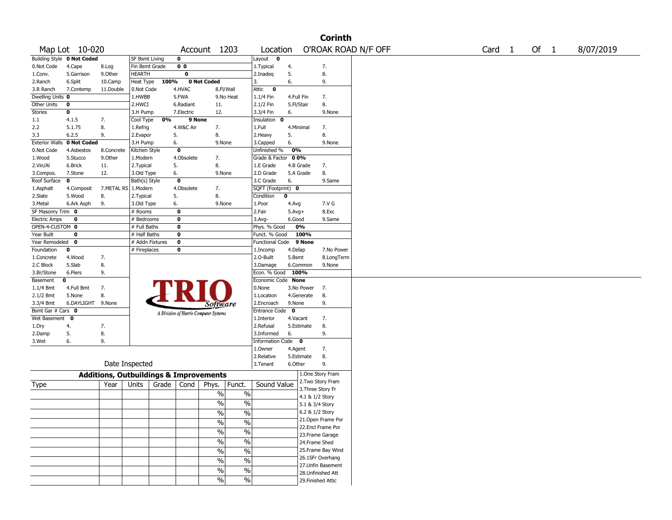|                       |                            |                                                   |                 |       |                |                                       |               |                           |            |            | <b>Corinth</b>     |                     |                   |      |           |
|-----------------------|----------------------------|---------------------------------------------------|-----------------|-------|----------------|---------------------------------------|---------------|---------------------------|------------|------------|--------------------|---------------------|-------------------|------|-----------|
|                       | Map Lot 10-020             |                                                   |                 |       |                | Account 1203                          |               | Location                  |            |            |                    | O'ROAK ROAD N/F OFF | Card <sub>1</sub> | Of 1 | 8/07/2019 |
|                       | Building Style 0 Not Coded |                                                   | SF Bsmt Living  |       | $\mathbf 0$    |                                       |               | Layout<br>$\mathbf{o}$    |            |            |                    |                     |                   |      |           |
| 0.Not Code            | 4.Cape                     | 8.Log                                             | Fin Bsmt Grade  |       | 0 <sub>0</sub> |                                       |               | 1. Typical                | 4.         |            | 7.                 |                     |                   |      |           |
| 1.Conv.               | 5.Garrison                 | 9.0ther                                           | HEARTH          |       | $\bf{0}$       |                                       |               | 2.Inadeg                  | 5.         |            | 8.                 |                     |                   |      |           |
| 2.Ranch               | 6.Split                    | 10.Camp                                           | Heat Type       | 100%  |                | 0 Not Coded                           |               | 3.                        | 6.         |            | 9.                 |                     |                   |      |           |
| 3.R Ranch             | 7.Contemp                  | 11.Double                                         | 0.Not Code      |       | 4.HVAC         |                                       | 8.Fl/Wall     | Attic<br>$\bf{0}$         |            |            |                    |                     |                   |      |           |
| Dwelling Units 0      |                            |                                                   | 1.HWBB          |       | 5.FWA          |                                       | 9.No Heat     | 1.1/4 Fin                 | 4.Full Fin |            | 7.                 |                     |                   |      |           |
| Other Units           | $\bf o$                    |                                                   | 2.HWCI          |       | 6.Radiant      | 11.                                   |               | 2.1/2 Fin                 | 5.Fl/Stair |            | 8.                 |                     |                   |      |           |
| Stories               | $\bf o$                    |                                                   | 3.H Pump        |       | 7.Electric     | 12.                                   |               | 3.3/4 Fin                 | 6.         |            | 9.None             |                     |                   |      |           |
| 1.1                   | 4.1.5                      | 7.                                                | Cool Type       | 0%    | 9 None         |                                       |               | Insulation<br>$\mathbf 0$ |            |            |                    |                     |                   |      |           |
| 2.2                   | 5.1.75                     | 8.                                                | 1.Refrig        |       | 4.W&C Air      | 7.                                    |               | 1.Full                    | 4.Minimal  |            | 7.                 |                     |                   |      |           |
| 3.3                   | 6.2.5                      | 9.                                                | 2.Evapor        | 5.    |                | 8.                                    |               | 2.Heavy                   | 5.         |            | 8.                 |                     |                   |      |           |
| <b>Exterior Walls</b> | 0 Not Coded                |                                                   | 3.H Pump        | 6.    |                | 9.None                                |               | 3.Capped                  | 6.         |            | 9.None             |                     |                   |      |           |
| 0.Not Code            | 4.Asbestos                 | 8.Concrete                                        | Kitchen Style   |       | $\mathbf 0$    |                                       |               | Unfinished %              | 0%         |            |                    |                     |                   |      |           |
| 1.Wood                | 5.Stucco                   | 9.0ther                                           | 1.Modern        |       | 4.Obsolete     | 7.                                    |               | Grade & Factor            | 0 0%       |            |                    |                     |                   |      |           |
| 2.Vin/Al              | 6.Brick                    | 11.                                               | 2.Typical       |       | 5.             | 8.                                    |               | 1.E Grade                 | 4.B Grade  |            | 7.                 |                     |                   |      |           |
| 3.Compos.             | 7.Stone                    | 12.                                               | 3.Old Type      |       | 6.             | 9.None                                |               | 2.D Grade                 | 5.A Grade  |            | 8.                 |                     |                   |      |           |
| Roof Surface          | 0                          |                                                   | Bath(s) Style   |       | $\mathbf 0$    |                                       |               | 3.C Grade                 | 6.         |            | 9.Same             |                     |                   |      |           |
| 1.Asphalt             | 4.Composit                 | 7.METAL RS                                        | 1.Modern        |       | 4.Obsolete     | 7.                                    |               | SQFT (Footprint) 0        |            |            |                    |                     |                   |      |           |
| 2.Slate               | 5.Wood                     | 8.                                                | 2. Typical      |       | 5.             | 8.                                    |               | Condition                 | 0          |            |                    |                     |                   |      |           |
| 3.Metal               | 6.Ark Asph                 | 9.                                                | 3.Old Type      |       | 6.             | 9.None                                |               | 1.Poor                    | 4.Avg      |            | 7.V G              |                     |                   |      |           |
| SF Masonry Trim 0     |                            |                                                   | # Rooms         |       | $\mathbf 0$    |                                       |               | 2.Fair                    | $5.Avg+$   |            | 8.Exc              |                     |                   |      |           |
| <b>Electric Amps</b>  | 0                          |                                                   | # Bedrooms      |       | $\mathbf 0$    |                                       |               | $3.$ Avg-                 | 6.Good     |            | 9.Same             |                     |                   |      |           |
| OPEN-4-CUSTOM 0       |                            |                                                   | # Full Baths    |       | $\mathbf 0$    |                                       |               | Phys. % Good              |            | 0%         |                    |                     |                   |      |           |
| Year Built            | 0                          |                                                   | # Half Baths    |       | $\mathbf 0$    |                                       |               | Funct. % Good             |            | 100%       |                    |                     |                   |      |           |
| Year Remodeled        | 0                          |                                                   | # Addn Fixtures |       | $\bf{0}$       |                                       |               | Functional Code           |            | 9 None     |                    |                     |                   |      |           |
| Foundation            | 0                          |                                                   | # Fireplaces    |       | $\mathbf 0$    |                                       |               | 1.Incomp                  | 4.Delap    |            | 7.No Power         |                     |                   |      |           |
| 1.Concrete            | 4.Wood                     | 7.                                                |                 |       |                |                                       |               | 2.0-Built                 | 5.Bsmt     |            | 8.LongTerm         |                     |                   |      |           |
| 2.C Block             | 5.Slab                     | 8.                                                |                 |       |                |                                       |               | 3.Damage                  | 6.Common   |            | 9.None             |                     |                   |      |           |
| 3.Br/Stone            | 6.Piers                    | 9.                                                |                 |       |                |                                       |               | Econ. % Good              | 100%       |            |                    |                     |                   |      |           |
| Basement              | 0                          |                                                   |                 |       |                |                                       |               | Economic Code None        |            |            |                    |                     |                   |      |           |
| $1.1/4$ Bmt           | 4.Full Bmt                 | 7.                                                |                 |       |                |                                       |               | 0.None                    |            | 3.No Power | 7.                 |                     |                   |      |           |
| 2.1/2 Bmt             | 5.None                     | 8.                                                |                 |       |                |                                       |               | 1.Location                |            | 4.Generate | 8.                 |                     |                   |      |           |
| 3.3/4 Bmt             | 6.DAYLIGHT                 | 9.None                                            |                 |       |                | Software                              |               | 2.Encroach                | 9.None     |            | 9.                 |                     |                   |      |           |
| Bsmt Gar # Cars 0     |                            |                                                   |                 |       |                |                                       |               | Entrance Code             | 0          |            |                    |                     |                   |      |           |
| Wet Basement          | 0                          |                                                   |                 |       |                | A Division of Harris Computer Systems |               | 1.Interior                | 4.Vacant   |            | 7.                 |                     |                   |      |           |
| 1.Dry                 | 4.                         | 7.                                                |                 |       |                |                                       |               | 2.Refusal                 |            | 5.Estimate | 8.                 |                     |                   |      |           |
| 2.Damp                | 5.                         | 8.                                                |                 |       |                |                                       |               | 3.Informed                | 6.         |            | 9.                 |                     |                   |      |           |
| 3.Wet                 | 6.                         | 9.                                                |                 |       |                |                                       |               | Information Code 0        |            |            |                    |                     |                   |      |           |
|                       |                            |                                                   |                 |       |                |                                       |               | 1.0wner                   | 4.Agent    |            | 7.                 |                     |                   |      |           |
|                       |                            |                                                   |                 |       |                |                                       |               | 2.Relative                | 5.Estimate |            | 8.                 |                     |                   |      |           |
|                       |                            |                                                   | Date Inspected  |       |                |                                       |               | 3.Tenant                  | 6.Other    |            | 9.                 |                     |                   |      |           |
|                       |                            | <b>Additions, Outbuildings &amp; Improvements</b> |                 |       |                |                                       |               |                           |            |            | 1.One Story Fram   |                     |                   |      |           |
|                       |                            | Year                                              | Units           | Grade | Cond           |                                       |               | Sound Value               |            |            | 2. Two Story Fram  |                     |                   |      |           |
| Type                  |                            |                                                   |                 |       |                | Phys.                                 | Funct.        |                           |            |            | 3. Three Story Fr  |                     |                   |      |           |
|                       |                            |                                                   |                 |       |                | $\%$                                  | $\%$          |                           |            |            | 4.1 & 1/2 Story    |                     |                   |      |           |
|                       |                            |                                                   |                 |       |                | $\%$                                  | $\%$          |                           |            |            | 5.1 & 3/4 Story    |                     |                   |      |           |
|                       |                            |                                                   |                 |       |                | $\sqrt{6}$                            | $\%$          |                           |            |            | 6.2 & 1/2 Story    |                     |                   |      |           |
|                       |                            |                                                   |                 |       |                | $\sqrt{6}$                            |               |                           |            |            | 21. Open Frame Por |                     |                   |      |           |
|                       |                            |                                                   |                 |       |                |                                       | $\%$          |                           |            |            | 22.Encl Frame Por  |                     |                   |      |           |
|                       |                            |                                                   |                 |       |                | $\frac{0}{6}$                         | $\frac{9}{6}$ |                           |            |            | 23. Frame Garage   |                     |                   |      |           |
|                       |                            |                                                   |                 |       |                | $\sqrt{6}$                            | $\%$          |                           |            |            | 24.Frame Shed      |                     |                   |      |           |
|                       |                            |                                                   |                 |       |                | $\sqrt{6}$                            | $\frac{9}{6}$ |                           |            |            | 25. Frame Bay Wind |                     |                   |      |           |
|                       |                            |                                                   |                 |       |                |                                       |               |                           |            |            | 26.1SFr Overhang   |                     |                   |      |           |
|                       |                            |                                                   |                 |       |                | $\sqrt{6}$                            | $\%$          |                           |            |            | 27.Unfin Basement  |                     |                   |      |           |
|                       |                            |                                                   |                 |       |                | $\%$                                  | $\%$          |                           |            |            | 28. Unfinished Att |                     |                   |      |           |
|                       |                            |                                                   |                 |       |                | $\frac{0}{0}$                         | $\sqrt{6}$    |                           |            |            | 29. Finished Attic |                     |                   |      |           |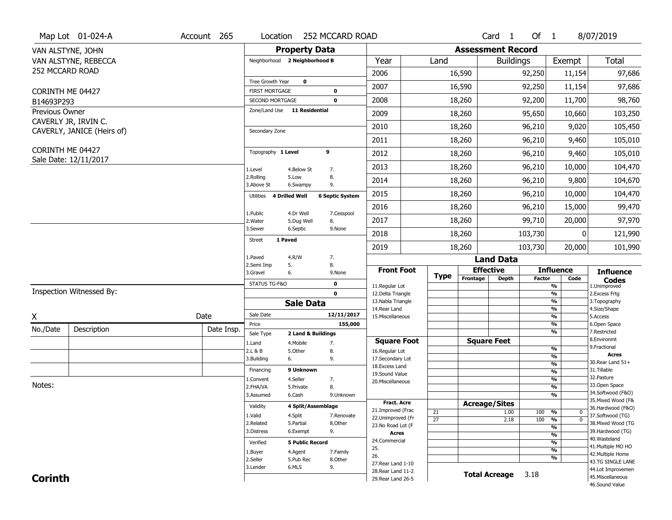|                  | Map Lot 01-024-A           | Account 265 | Location                                  |                        | 252 MCCARD ROAD        |                                          |                 |                              | Card <sub>1</sub>        | Of $1$        |                                                          | 8/07/2019                               |
|------------------|----------------------------|-------------|-------------------------------------------|------------------------|------------------------|------------------------------------------|-----------------|------------------------------|--------------------------|---------------|----------------------------------------------------------|-----------------------------------------|
|                  | VAN ALSTYNE, JOHN          |             |                                           | <b>Property Data</b>   |                        |                                          |                 |                              | <b>Assessment Record</b> |               |                                                          |                                         |
|                  | VAN ALSTYNE, REBECCA       |             | Neighborhood 2 Neighborhood B             |                        |                        | Year                                     | Land            |                              | <b>Buildings</b>         |               | Exempt                                                   | <b>Total</b>                            |
| 252 MCCARD ROAD  |                            |             |                                           |                        |                        | 2006                                     |                 | 16,590                       |                          | 92,250        | 11,154                                                   | 97,686                                  |
| CORINTH ME 04427 |                            |             | Tree Growth Year<br><b>FIRST MORTGAGE</b> | $\mathbf 0$            | $\bf{0}$               | 2007                                     |                 | 16,590                       |                          | 92,250        | 11,154                                                   | 97,686                                  |
| B14693P293       |                            |             | <b>SECOND MORTGAGE</b>                    |                        | $\mathbf 0$            | 2008                                     |                 | 18,260                       |                          | 92,200        | 11,700                                                   | 98,760                                  |
| Previous Owner   |                            |             | Zone/Land Use 11 Residential              |                        |                        | 2009                                     |                 | 18,260                       |                          | 95,650        | 10,660                                                   | 103,250                                 |
|                  | CAVERLY JR, IRVIN C.       |             |                                           |                        |                        | 2010                                     |                 | 18,260                       |                          | 96,210        | 9,020                                                    | 105,450                                 |
|                  | CAVERLY, JANICE (Heirs of) |             | Secondary Zone                            |                        |                        | 2011                                     |                 | 18,260                       |                          | 96,210        | 9,460                                                    | 105,010                                 |
| CORINTH ME 04427 |                            |             | Topography 1 Level                        |                        | 9                      | 2012                                     |                 | 18,260                       |                          | 96,210        | 9,460                                                    | 105,010                                 |
|                  | Sale Date: 12/11/2017      |             |                                           |                        |                        | 2013                                     |                 | 18,260                       |                          | 96,210        | 10,000                                                   | 104,470                                 |
|                  |                            |             | 1.Level<br>2.Rolling                      | 4.Below St<br>5.Low    | 7.<br>8.               | 2014                                     |                 | 18,260                       |                          | 96,210        | 9,800                                                    | 104,670                                 |
|                  |                            |             | 3.Above St                                | 6.Swampy               | 9.                     | 2015                                     |                 | 18,260                       |                          | 96,210        | 10,000                                                   | 104,470                                 |
|                  |                            |             | Utilities<br>4 Drilled Well               |                        | <b>6 Septic System</b> | 2016                                     |                 | 18,260                       |                          | 96,210        | 15,000                                                   | 99,470                                  |
|                  |                            |             | 1.Public<br>2.Water                       | 4.Dr Well              | 7.Cesspool             | 2017                                     |                 | 18,260                       |                          | 99,710        | 20,000                                                   | 97,970                                  |
|                  |                            |             | 3.Sewer                                   | 5.Dug Well<br>6.Septic | 8.<br>9.None           | 2018                                     |                 |                              |                          | 103,730       | 0                                                        |                                         |
|                  |                            |             | 1 Paved<br><b>Street</b>                  |                        |                        |                                          |                 | 18,260                       |                          |               |                                                          | 121,990                                 |
|                  |                            |             | 1.Paved                                   | 4.R/W                  | 7.                     | 2019                                     |                 | 18,260                       | <b>Land Data</b>         | 103,730       | 20,000                                                   | 101,990                                 |
|                  |                            |             | 2.Semi Imp<br>5.                          |                        | 8.                     |                                          |                 |                              |                          |               |                                                          |                                         |
|                  |                            |             | 3.Gravel<br>6.                            |                        | 9.None                 | <b>Front Foot</b>                        | <b>Type</b>     | <b>Effective</b><br>Frontage | <b>Depth</b>             | <b>Factor</b> | <b>Influence</b><br>Code                                 | <b>Influence</b><br><b>Codes</b>        |
|                  | Inspection Witnessed By:   |             | STATUS TG-F&O                             |                        | $\mathbf 0$            | 11.Regular Lot                           |                 |                              |                          |               | %                                                        | 1.Unimproved                            |
|                  |                            |             |                                           |                        | $\mathbf 0$            | 12.Delta Triangle<br>13. Nabla Triangle  |                 |                              |                          |               | %<br>%                                                   | 2. Excess Frtg<br>3. Topography         |
|                  |                            |             |                                           | <b>Sale Data</b>       |                        | 14. Rear Land                            |                 |                              |                          |               | %                                                        | 4.Size/Shape                            |
| X                |                            | Date        | Sale Date                                 |                        | 12/11/2017             | 15. Miscellaneous                        |                 |                              |                          |               | %                                                        | 5.Access                                |
| No./Date         | Description                | Date Insp.  | Price<br>Sale Type                        | 2 Land & Buildings     | 155,000                |                                          |                 |                              |                          |               | %<br>%                                                   | 6.Open Space<br>7.Restricted            |
|                  |                            |             | 1.Land                                    | 4. Mobile              | 7.                     | <b>Square Foot</b>                       |                 | <b>Square Feet</b>           |                          |               |                                                          | 8.Environmt                             |
|                  |                            |             | 2.L & B                                   | 5.Other                | 8.                     | 16.Regular Lot                           |                 |                              |                          |               | %                                                        | 9. Fractional<br><b>Acres</b>           |
|                  |                            |             | 3.Building<br>6.                          |                        | 9.                     | 17.Secondary Lot                         |                 |                              |                          |               | %<br>$\overline{\frac{9}{6}}$                            | 30. Rear Land 51+                       |
|                  |                            |             | Financing                                 | 9 Unknown              |                        | 18.Excess Land<br>19.Sound Value         |                 |                              |                          |               | $\overline{\frac{9}{6}}$                                 | 31.Tillable                             |
|                  |                            |             | 1.Convent                                 | 4.Seller               | 7.                     | 20.Miscellaneous                         |                 |                              |                          |               | $\overline{\frac{9}{6}}$                                 | 32.Pasture                              |
| Notes:           |                            |             | 2.FHA/VA                                  | 5.Private              | 8.                     |                                          |                 |                              |                          |               | $\overline{\frac{9}{6}}$                                 | 33.Open Space                           |
|                  |                            |             | 3.Assumed                                 | 6.Cash                 | 9.Unknown              |                                          |                 |                              |                          |               | $\overline{\frac{9}{6}}$                                 | 34.Softwood (F&O)<br>35. Mixed Wood (F& |
|                  |                            |             | Validity                                  | 4 Split/Assemblage     |                        | <b>Fract. Acre</b>                       |                 | <b>Acreage/Sites</b>         |                          |               |                                                          | 36.Hardwood (F&O)                       |
|                  |                            |             | 1.Valid                                   | 4.Split                | 7.Renovate             | 21.Improved (Frac<br>22.Unimproved (Fr   | 21              |                              | 1.00                     | 100           | %<br>0                                                   | 37.Softwood (TG)                        |
|                  |                            |             | 2.Related                                 | 5.Partial              | 8.Other                | 23.No Road Lot (F                        | $\overline{27}$ |                              | 2.18                     | 100           | $\frac{9}{6}$<br>$\mathbf 0$<br>$\overline{\frac{9}{6}}$ | 38. Mixed Wood (TG                      |
|                  |                            |             | 3.Distress                                | 6.Exempt               | 9.                     | Acres                                    |                 |                              |                          |               | $\overline{\frac{9}{6}}$                                 | 39.Hardwood (TG)                        |
|                  |                            |             | Verified                                  | <b>5 Public Record</b> |                        | 24.Commercial                            |                 |                              |                          |               | %                                                        | 40. Wasteland                           |
|                  |                            |             | 1.Buyer                                   | 4.Agent                | 7.Family               | 25.                                      |                 |                              |                          |               | $\overline{\frac{9}{6}}$                                 | 41. Multiple MO HO<br>42. Multiple Home |
|                  |                            |             | 2.Seller                                  | 5.Pub Rec              | 8.Other                | 26.                                      |                 |                              |                          |               | %                                                        | 43.TG SINGLE LANE                       |
|                  |                            |             | 3.Lender                                  | 6.MLS                  | 9.                     | 27. Rear Land 1-10<br>28. Rear Land 11-2 |                 |                              |                          |               |                                                          | 44.Lot Improvemen                       |
| <b>Corinth</b>   |                            |             |                                           |                        |                        | 29. Rear Land 26-5                       |                 | <b>Total Acreage</b>         |                          | 3.18          |                                                          | 45. Miscellaneous                       |
|                  |                            |             |                                           |                        |                        |                                          |                 |                              |                          |               |                                                          | 46.Sound Value                          |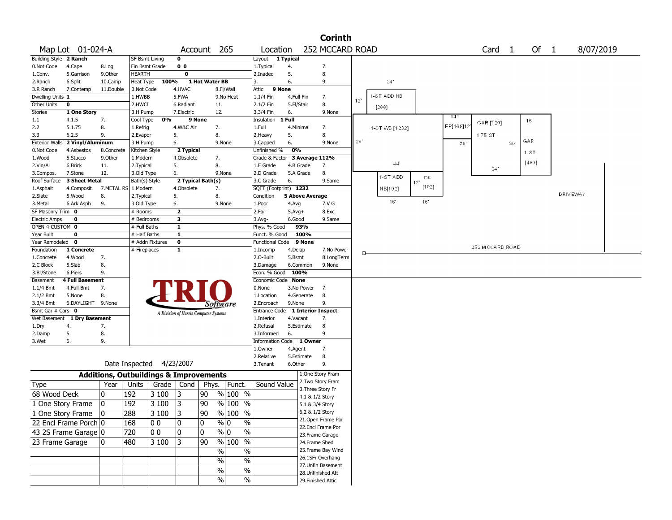|                          |                             |                                                   |                           |       |                         |                                       |                       |                                               |                        | <b>Corinth</b>                       |        |                |           |           |                   |    |          |      |                 |  |
|--------------------------|-----------------------------|---------------------------------------------------|---------------------------|-------|-------------------------|---------------------------------------|-----------------------|-----------------------------------------------|------------------------|--------------------------------------|--------|----------------|-----------|-----------|-------------------|----|----------|------|-----------------|--|
|                          | Map Lot 01-024-A            |                                                   |                           |       |                         | Account 265                           |                       | Location                                      |                        | 252 MCCARD ROAD                      |        |                |           |           | Card <sub>1</sub> |    |          | Of 1 | 8/07/2019       |  |
| Building Style 2 Ranch   |                             |                                                   | SF Bsmt Living            |       | $\mathbf 0$             |                                       |                       | Layout 1 Typical                              |                        |                                      |        |                |           |           |                   |    |          |      |                 |  |
| 0.Not Code               | 4.Cape                      | 8.Log                                             | Fin Bsmt Grade            |       | 0 <sub>0</sub>          |                                       |                       | 1. Typical                                    | 4.                     | 7.                                   |        |                |           |           |                   |    |          |      |                 |  |
| 1.Conv.                  | 5.Garrison                  | 9.0ther                                           | <b>HEARTH</b>             |       | 0                       |                                       |                       | 2.Inadeg                                      | 5.                     | 8.                                   |        |                |           |           |                   |    |          |      |                 |  |
| 2.Ranch                  | 6.Split                     | 10.Camp                                           | Heat Type                 | 100%  |                         | 1 Hot Water BB                        |                       | 3.                                            | 6.                     | 9.                                   |        | $24^{\circ}$   |           |           |                   |    |          |      |                 |  |
| 3.R Ranch                | 7.Contemp                   | 11.Double                                         | 0.Not Code                |       | 4.HVAC                  |                                       | 8.Fl/Wall             | Attic<br>9 None                               |                        |                                      |        |                |           |           |                   |    |          |      |                 |  |
| Dwelling Units 1         |                             |                                                   | 1.HWBB                    |       | 5.FWA                   |                                       | 9.No Heat             | $1.1/4$ Fin                                   | 4.Full Fin             | 7.                                   | 12"    | 1-ST ADD NB    |           |           |                   |    |          |      |                 |  |
| Other Units              | $\mathbf 0$                 |                                                   | 2.HWCI                    |       | 6.Radiant               | 11.                                   |                       | 2.1/2 Fin                                     | 5.Fl/Stair             | 8.                                   |        | [288]          |           |           |                   |    |          |      |                 |  |
| <b>Stories</b>           | 1 One Story                 |                                                   | 3.H Pump                  |       | 7.Electric              | 12.                                   |                       | 3.3/4 Fin                                     | 6.                     | 9.None                               |        |                |           | 14'       |                   |    |          |      |                 |  |
| 1.1                      | 4.1.5                       | 7.                                                | Cool Type                 | 0%    | 9 None                  |                                       |                       | Insulation                                    | 1 Full                 |                                      |        |                |           |           | GAR [720]         |    | 16       |      |                 |  |
| 2.2                      | 5.1.75                      | 8.                                                | 1.Refrig                  |       | 4.W&C Air               | 7.                                    |                       | 1.Full                                        | 4.Minimal              | 7.                                   |        | 1 ST WB [1232] |           | EP[168]12 |                   |    |          |      |                 |  |
| 3.3                      | 6.2.5                       | 9.                                                | 2.Evapor                  |       | 5.                      | 8.                                    |                       | 2.Heavy                                       | 5.                     | 8.                                   | $28\,$ |                |           |           | 1.75 ST           |    | GAR      |      |                 |  |
| <b>Exterior Walls</b>    | 2 Vinyl/Aluminum            |                                                   | 3.H Pump<br>Kitchen Style |       | 6.                      | 9.None                                |                       | 3.Capped                                      | 6.<br>0%               | 9.None                               |        |                |           | 30'       |                   | 30 |          |      |                 |  |
| 0.Not Code<br>1.Wood     | 4.Asbestos<br>5.Stucco      | 8.Concrete<br>9.0ther                             | 1.Modern                  |       | 2 Typical<br>4.Obsolete | 7.                                    |                       | Unfinished %<br>Grade & Factor 3 Average 112% |                        |                                      |        |                |           |           |                   |    | $1 - ST$ |      |                 |  |
| 2.Vin/Al                 | 6.Brick                     | 11.                                               | 2. Typical                |       | 5.                      | 8.                                    |                       | 1.E Grade                                     | 4.B Grade              | 7.                                   |        | 44'            |           |           |                   |    | [480]    |      |                 |  |
| 3.Compos.                | 7.Stone                     | 12.                                               | 3.Old Type                |       | 6.                      | 9.None                                |                       | 2.D Grade                                     | 5.A Grade              | 8.                                   |        |                |           |           | $24^{\circ}$      |    |          |      |                 |  |
| Roof Surface             | 3 Sheet Metal               |                                                   | Bath(s) Style             |       |                         | 2 Typical Bath(s)                     |                       | 3.C Grade                                     | 6.                     | 9.Same                               |        | 1-ST ADD       | DK<br>12' |           |                   |    |          |      |                 |  |
| 1.Asphalt                | 4.Composit                  | 7.METAL RS                                        | 1.Modern                  |       | 4.Obsolete              | 7.                                    |                       | SQFT (Footprint) 1232                         |                        |                                      |        | NB[192]        | [192]     |           |                   |    |          |      |                 |  |
| 2.Slate                  | 5.Wood                      | 8.                                                | 2. Typical                |       | 5.                      | 8.                                    |                       | Condition                                     | <b>5 Above Average</b> |                                      |        |                |           |           |                   |    |          |      | <b>DRIVEWAY</b> |  |
| 3.Metal                  | 6.Ark Asph                  | 9.                                                | 3.Old Type                |       | 6.                      | 9.None                                |                       | 1.Poor                                        | 4.Avg                  | 7.V G                                |        | 16             | 16        |           |                   |    |          |      |                 |  |
| SF Masonry Trim 0        |                             |                                                   | # Rooms                   |       | $\overline{2}$          |                                       |                       | 2.Fair                                        | $5.Avg+$               | 8.Exc                                |        |                |           |           |                   |    |          |      |                 |  |
| <b>Electric Amps</b>     | 0                           |                                                   | # Bedrooms                |       | 3                       |                                       |                       | $3.$ Avg-                                     | 6.Good                 | 9.Same                               |        |                |           |           |                   |    |          |      |                 |  |
| OPEN-4-CUSTOM 0          |                             |                                                   | # Full Baths              |       | 1                       |                                       |                       | Phys. % Good                                  | 93%                    |                                      |        |                |           |           |                   |    |          |      |                 |  |
| Year Built               | $\mathbf 0$                 |                                                   | # Half Baths              |       | $\mathbf{1}$            |                                       |                       | Funct. % Good                                 | 100%                   |                                      |        |                |           |           |                   |    |          |      |                 |  |
| Year Remodeled 0         |                             |                                                   | # Addn Fixtures           |       | $\overline{\mathbf{0}}$ |                                       |                       | Functional Code                               | 9 None                 |                                      |        |                |           |           | 252 MCCARD ROAD   |    |          |      |                 |  |
| Foundation<br>1.Concrete | 1 Concrete<br>4.Wood        | 7.                                                | # Fireplaces              |       | $\mathbf{1}$            |                                       |                       | 1.Incomp<br>2.0-Built                         | 4.Delap<br>5.Bsmt      | 7.No Power<br>8.LongTerm             |        |                |           |           |                   |    |          |      |                 |  |
| 2.C Block                | 5.Slab                      | 8.                                                |                           |       |                         |                                       |                       | 3.Damage                                      | 6.Common               | 9.None                               |        |                |           |           |                   |    |          |      |                 |  |
| 3.Br/Stone               | 6.Piers                     | 9.                                                |                           |       |                         |                                       |                       | Econ. % Good                                  | 100%                   |                                      |        |                |           |           |                   |    |          |      |                 |  |
| Basement                 | 4 Full Basement             |                                                   |                           |       |                         |                                       |                       | Economic Code None                            |                        |                                      |        |                |           |           |                   |    |          |      |                 |  |
| $1.1/4$ Bmt              | 4.Full Bmt                  | 7.                                                |                           |       |                         |                                       |                       | 0.None                                        | 3.No Power             | 7.                                   |        |                |           |           |                   |    |          |      |                 |  |
| $2.1/2$ Bmt              | 5.None                      | 8.                                                |                           |       |                         |                                       |                       | 1.Location                                    | 4.Generate             | 8.                                   |        |                |           |           |                   |    |          |      |                 |  |
| 3.3/4 Bmt                | 6.DAYLIGHT 9.None           |                                                   |                           |       |                         | Software                              |                       | 2.Encroach                                    | 9.None                 | 9.                                   |        |                |           |           |                   |    |          |      |                 |  |
| Bsmt Gar # Cars 0        |                             |                                                   |                           |       |                         | A Division of Harris Computer Systems |                       |                                               |                        | Entrance Code 1 Interior Inspect     |        |                |           |           |                   |    |          |      |                 |  |
|                          | Wet Basement 1 Dry Basement |                                                   |                           |       |                         |                                       |                       | 1.Interior                                    | 4.Vacant               | 7.                                   |        |                |           |           |                   |    |          |      |                 |  |
| 1.Dry                    | 4.                          | 7.                                                |                           |       |                         |                                       |                       | 2.Refusal                                     | 5.Estimate             | 8.                                   |        |                |           |           |                   |    |          |      |                 |  |
| 2.Damp                   | 5.                          | 8.                                                |                           |       |                         |                                       |                       | 3.Informed                                    | 6.                     | 9.                                   |        |                |           |           |                   |    |          |      |                 |  |
| 3.Wet                    | 6.                          | 9.                                                |                           |       |                         |                                       |                       | Information Code 1 Owner                      |                        |                                      |        |                |           |           |                   |    |          |      |                 |  |
|                          |                             |                                                   |                           |       |                         |                                       |                       | 1.0wner                                       | 4.Agent                | 7.                                   |        |                |           |           |                   |    |          |      |                 |  |
|                          |                             |                                                   | Date Inspected 4/23/2007  |       |                         |                                       |                       | 2.Relative                                    | 5.Estimate<br>6.Other  | 8.<br>9.                             |        |                |           |           |                   |    |          |      |                 |  |
|                          |                             |                                                   |                           |       |                         |                                       |                       | 3. Tenant                                     |                        |                                      |        |                |           |           |                   |    |          |      |                 |  |
|                          |                             | <b>Additions, Outbuildings &amp; Improvements</b> |                           |       |                         |                                       |                       |                                               |                        | 1.One Story Fram                     |        |                |           |           |                   |    |          |      |                 |  |
| Type                     |                             | Year                                              | Units                     | Grade | Cond                    | Phys.                                 | Funct.                | Sound Value                                   |                        | 2. Two Story Fram                    |        |                |           |           |                   |    |          |      |                 |  |
| 68 Wood Deck             |                             | 10                                                | 192                       | 3 100 | 3                       | 90                                    | % 100 %               |                                               |                        | 3. Three Story Fr<br>4.1 & 1/2 Story |        |                |           |           |                   |    |          |      |                 |  |
|                          | 1 One Story Frame           | 0                                                 | 192                       | 3 100 | 3                       | 90                                    | % 100 %               |                                               |                        | 5.1 & 3/4 Story                      |        |                |           |           |                   |    |          |      |                 |  |
|                          | 1 One Story Frame           | $ 0\rangle$                                       | 288                       | 3 100 | 3                       | 90                                    | $%100$ %              |                                               |                        | 6.2 & 1/2 Story                      |        |                |           |           |                   |    |          |      |                 |  |
|                          |                             |                                                   |                           |       |                         |                                       |                       |                                               |                        | 21.Open Frame Por                    |        |                |           |           |                   |    |          |      |                 |  |
|                          | 22 Encl Frame Porch 0       |                                                   | 168                       | 00    | 0                       | 0                                     | $\sqrt[6]{0}$<br>$\%$ |                                               |                        | 22.Encl Frame Por                    |        |                |           |           |                   |    |          |      |                 |  |
|                          | 43 2S Frame Garage 0        |                                                   | 720                       | 00    | 0                       | $\mathbf 0$                           | $\sqrt{0}$<br>$\%$    |                                               |                        | 23. Frame Garage                     |        |                |           |           |                   |    |          |      |                 |  |
| 23 Frame Garage          |                             | 10.                                               | 480                       | 3 100 | 3                       | 90                                    | $\frac{9}{6}$ 100 %   |                                               |                        | 24.Frame Shed                        |        |                |           |           |                   |    |          |      |                 |  |
|                          |                             |                                                   |                           |       |                         | $\frac{9}{6}$                         | $\%$                  |                                               |                        | 25.Frame Bay Wind                    |        |                |           |           |                   |    |          |      |                 |  |
|                          |                             |                                                   |                           |       |                         | $\sqrt{6}$                            | $\%$                  |                                               |                        | 26.1SFr Overhang                     |        |                |           |           |                   |    |          |      |                 |  |
|                          |                             |                                                   |                           |       |                         | $\sqrt{6}$                            | $\%$                  |                                               |                        | 27.Unfin Basement                    |        |                |           |           |                   |    |          |      |                 |  |
|                          |                             |                                                   |                           |       |                         |                                       |                       |                                               |                        | 28.Unfinished Att                    |        |                |           |           |                   |    |          |      |                 |  |
|                          |                             |                                                   |                           |       |                         | $\%$                                  | $\%$                  |                                               |                        | 29. Finished Attic                   |        |                |           |           |                   |    |          |      |                 |  |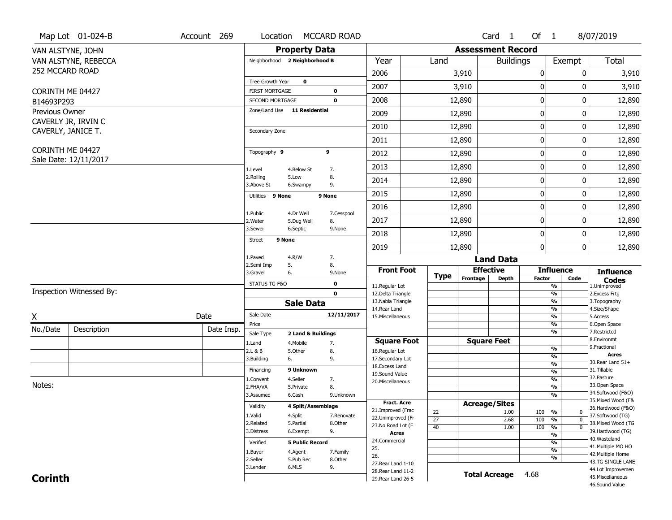|                                | Map Lot 01-024-B         | Account 269 | Location                                        |                         | <b>MCCARD ROAD</b>         |                                          |                 |                          | Card <sub>1</sub> | Of 1          |                                | 8/07/2019                              |
|--------------------------------|--------------------------|-------------|-------------------------------------------------|-------------------------|----------------------------|------------------------------------------|-----------------|--------------------------|-------------------|---------------|--------------------------------|----------------------------------------|
|                                | VAN ALSTYNE, JOHN        |             |                                                 | <b>Property Data</b>    |                            |                                          |                 | <b>Assessment Record</b> |                   |               |                                |                                        |
|                                | VAN ALSTYNE, REBECCA     |             | Neighborhood 2 Neighborhood B                   |                         |                            | Year                                     | Land            |                          | <b>Buildings</b>  |               | Exempt                         | <b>Total</b>                           |
| 252 MCCARD ROAD                |                          |             |                                                 |                         |                            | 2006                                     |                 | 3,910                    |                   | 0             | 0                              | 3,910                                  |
|                                |                          |             | Tree Growth Year                                | $\mathbf 0$             |                            | 2007                                     |                 | 3,910                    |                   | $\bf{0}$      | 0                              | 3,910                                  |
| CORINTH ME 04427<br>B14693P293 |                          |             | <b>FIRST MORTGAGE</b><br><b>SECOND MORTGAGE</b> |                         | $\mathbf 0$<br>$\mathbf 0$ | 2008                                     |                 | 12,890                   |                   | 0             | 0                              | 12,890                                 |
| Previous Owner                 |                          |             | Zone/Land Use 11 Residential                    |                         |                            | 2009                                     |                 | 12,890                   |                   | $\mathbf 0$   | 0                              | 12,890                                 |
|                                | CAVERLY JR, IRVIN C      |             |                                                 |                         |                            |                                          |                 |                          |                   |               |                                |                                        |
| CAVERLY, JANICE T.             |                          |             | Secondary Zone                                  |                         |                            | 2010                                     |                 | 12,890                   |                   | $\mathbf 0$   | 0                              | 12,890                                 |
|                                |                          |             |                                                 |                         |                            | 2011                                     |                 | 12,890                   |                   | $\mathbf 0$   | 0                              | 12,890                                 |
| CORINTH ME 04427               | Sale Date: 12/11/2017    |             | Topography 9                                    |                         | 9                          | 2012                                     |                 | 12,890                   |                   | $\mathbf 0$   | 0                              | 12,890                                 |
|                                |                          |             | 1.Level                                         | 4.Below St              | 7.                         | 2013                                     |                 | 12,890                   |                   | $\mathbf 0$   | 0                              | 12,890                                 |
|                                |                          |             | 2.Rolling<br>3.Above St                         | 5.Low<br>6.Swampy       | 8.<br>9.                   | 2014                                     |                 | 12,890                   |                   | 0             | 0                              | 12,890                                 |
|                                |                          |             | Utilities 9 None                                |                         | 9 None                     | 2015                                     |                 | 12,890                   |                   | $\bf{0}$      | 0                              | 12,890                                 |
|                                |                          |             |                                                 |                         |                            | 2016                                     |                 | 12,890                   |                   | $\pmb{0}$     | 0                              | 12,890                                 |
|                                |                          |             | 1.Public<br>2.Water                             | 4.Dr Well<br>5.Dug Well | 7.Cesspool<br>8.           | 2017                                     |                 | 12,890                   |                   | $\mathbf 0$   | 0                              | 12,890                                 |
|                                |                          |             | 3.Sewer                                         | 6.Septic                | 9.None                     | 2018                                     |                 | 12,890                   |                   | $\mathbf 0$   | 0                              | 12,890                                 |
|                                |                          |             | 9 None<br><b>Street</b>                         |                         |                            | 2019                                     |                 | 12,890                   |                   | $\mathbf 0$   | 0                              | 12,890                                 |
|                                |                          |             | 1.Paved                                         | 4.R/W                   | 7.                         |                                          |                 |                          | <b>Land Data</b>  |               |                                |                                        |
|                                |                          |             | 2.Semi Imp<br>3.Gravel                          | 5.<br>6.                | 8.<br>9.None               | <b>Front Foot</b>                        |                 | <b>Effective</b>         |                   |               | <b>Influence</b>               | <b>Influence</b>                       |
|                                |                          |             | STATUS TG-F&O                                   |                         | $\mathbf 0$                | 11.Regular Lot                           | <b>Type</b>     | Frontage                 | <b>Depth</b>      | <b>Factor</b> | Code<br>%                      | <b>Codes</b><br>1.Unimproved           |
|                                | Inspection Witnessed By: |             |                                                 |                         | $\mathbf 0$                | 12.Delta Triangle                        |                 |                          |                   |               | %                              | 2. Excess Frtg                         |
|                                |                          |             |                                                 | <b>Sale Data</b>        |                            | 13. Nabla Triangle                       |                 |                          |                   |               | %                              | 3. Topography                          |
| Χ                              |                          | Date        | Sale Date                                       |                         | 12/11/2017                 | 14. Rear Land<br>15. Miscellaneous       |                 |                          |                   |               | %<br>%                         | 4.Size/Shape<br>5.Access               |
| No./Date                       | Description              | Date Insp.  | Price                                           |                         |                            |                                          |                 |                          |                   |               | %                              | 6.Open Space                           |
|                                |                          |             | Sale Type                                       | 2 Land & Buildings      |                            |                                          |                 |                          |                   |               | %                              | 7.Restricted<br>8.Environmt            |
|                                |                          |             | 1.Land                                          | 4. Mobile<br>5.Other    | 7.                         | <b>Square Foot</b>                       |                 | <b>Square Feet</b>       |                   |               | %                              | 9. Fractional                          |
|                                |                          |             | 2.L & B<br>3.Building                           | 6.                      | 8.<br>9.                   | 16.Regular Lot<br>17.Secondary Lot       |                 |                          |                   |               | %                              | <b>Acres</b>                           |
|                                |                          |             |                                                 |                         |                            | 18.Excess Land                           |                 |                          |                   |               | $\frac{9}{6}$                  | 30. Rear Land 51+                      |
|                                |                          |             | Financing                                       | 9 Unknown               |                            | 19.Sound Value                           |                 |                          |                   |               | $\frac{9}{6}$                  | 31.Tillable<br>32.Pasture              |
| Notes:                         |                          |             | 1.Convent<br>2.FHA/VA                           | 4.Seller<br>5.Private   | 7.<br>8.                   | 20.Miscellaneous                         |                 |                          |                   |               | $\frac{9}{6}$<br>$\frac{9}{6}$ | 33.Open Space                          |
|                                |                          |             | 3.Assumed                                       | 6.Cash                  | 9.Unknown                  |                                          |                 |                          |                   |               | $\frac{9}{6}$                  | 34.Softwood (F&O)                      |
|                                |                          |             |                                                 |                         |                            | <b>Fract. Acre</b>                       |                 | <b>Acreage/Sites</b>     |                   |               |                                | 35. Mixed Wood (F&                     |
|                                |                          |             | Validity                                        | 4 Split/Assemblage      |                            | 21.Improved (Frac                        | 22              |                          | 1.00              | 100           | %<br>$\mathbf 0$               | 36.Hardwood (F&O)                      |
|                                |                          |             | 1.Valid                                         | 4.Split                 | 7.Renovate                 | 22.Unimproved (Fr                        | $\overline{27}$ |                          | 2.68              | 100           | $\frac{9}{6}$<br>$\mathbf 0$   | 37.Softwood (TG)                       |
|                                |                          |             | 2.Related                                       | 5.Partial               | 8.Other                    | 23.No Road Lot (F                        | 40              |                          | 1.00              | 100           | $\frac{9}{6}$<br>$\mathbf 0$   | 38. Mixed Wood (TG                     |
|                                |                          |             | 3.Distress                                      | 6.Exempt                | 9.                         | Acres                                    |                 |                          |                   |               | $\frac{9}{6}$                  | 39.Hardwood (TG)                       |
|                                |                          |             | Verified                                        | <b>5 Public Record</b>  |                            | 24.Commercial                            |                 |                          |                   |               | %                              | 40. Wasteland<br>41. Multiple MO HO    |
|                                |                          |             | 1.Buyer                                         | 4.Agent                 | 7.Family                   | 25.                                      |                 |                          |                   |               | $\frac{9}{6}$                  | 42. Multiple Home                      |
|                                |                          |             |                                                 |                         |                            |                                          |                 |                          |                   |               |                                |                                        |
|                                |                          |             | 2.Seller                                        | 5.Pub Rec               | 8.Other                    | 26.                                      |                 |                          |                   |               | %                              |                                        |
|                                |                          |             | 3.Lender                                        | 6.MLS                   | 9.                         | 27. Rear Land 1-10                       |                 |                          |                   |               |                                | 43.TG SINGLE LANE                      |
| <b>Corinth</b>                 |                          |             |                                                 |                         |                            | 28. Rear Land 11-2<br>29. Rear Land 26-5 |                 | <b>Total Acreage</b>     |                   | 4.68          |                                | 44.Lot Improvemen<br>45. Miscellaneous |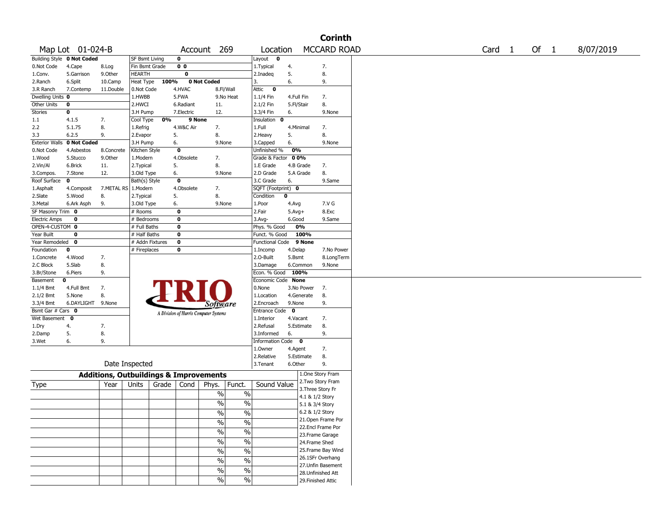|                       |                            |                                                   |                 |       |                |                                       |                          |                      |            |                    | <b>Corinth</b>     |                   |      |           |
|-----------------------|----------------------------|---------------------------------------------------|-----------------|-------|----------------|---------------------------------------|--------------------------|----------------------|------------|--------------------|--------------------|-------------------|------|-----------|
|                       | Map Lot 01-024-B           |                                                   |                 |       |                | Account 269                           |                          | Location             |            |                    | <b>MCCARD ROAD</b> | Card <sub>1</sub> | Of 1 | 8/07/2019 |
|                       | Building Style 0 Not Coded |                                                   | SF Bsmt Living  |       | 0              |                                       |                          | Layout<br>0          |            |                    |                    |                   |      |           |
| 0.Not Code            | 4.Cape                     | 8.Log                                             | Fin Bsmt Grade  |       | 0 <sub>0</sub> |                                       |                          | 1. Typical           | 4.         |                    | 7.                 |                   |      |           |
| 1.Conv.               | 5.Garrison                 | 9.0ther                                           | <b>HEARTH</b>   |       | 0              |                                       |                          | 2.Inadeq             | 5.         |                    | 8.                 |                   |      |           |
| 2.Ranch               | 6.Split                    | 10.Camp                                           | Heat Type       | 100%  |                | 0 Not Coded                           |                          | 3.                   | 6.         |                    | 9.                 |                   |      |           |
| 3.R Ranch             | 7.Contemp                  | 11.Double                                         | 0.Not Code      |       | 4.HVAC         | 8.Fl/Wall                             |                          | Attic<br>$\mathbf 0$ |            |                    |                    |                   |      |           |
| Dwelling Units 0      |                            |                                                   | 1.HWBB          |       | 5.FWA          |                                       | 9.No Heat                | 1.1/4 Fin            | 4.Full Fin |                    | 7.                 |                   |      |           |
| <b>Other Units</b>    | 0                          |                                                   | 2.HWCI          |       | 6.Radiant      | 11.                                   |                          | 2.1/2 Fin            | 5.Fl/Stair |                    | 8.                 |                   |      |           |
| Stories               | 0                          |                                                   | 3.H Pump        |       | 7.Electric     | 12.                                   |                          | 3.3/4 Fin            | 6.         |                    | 9.None             |                   |      |           |
| 1.1                   | 4.1.5                      | 7.                                                | Cool Type       | 0%    | 9 None         |                                       |                          | Insulation<br>0      |            |                    |                    |                   |      |           |
| 2.2                   | 5.1.75                     | 8.                                                | 1.Refrig        |       | 4.W&C Air      | 7.                                    |                          | 1.Full               | 4.Minimal  |                    | 7.                 |                   |      |           |
| 3.3                   | 6.2.5                      | 9.                                                | 2.Evapor        |       | 5.             | 8.                                    |                          | 2. Heavy             | 5.         |                    | 8.                 |                   |      |           |
| <b>Exterior Walls</b> | 0 Not Coded                |                                                   | 3.H Pump        |       | 6.             | 9.None                                |                          | 3.Capped             | 6.         |                    | 9.None             |                   |      |           |
| 0.Not Code            | 4.Asbestos                 | 8.Concrete                                        | Kitchen Style   |       | 0              |                                       |                          | Unfinished %         | 0%         |                    |                    |                   |      |           |
| 1.Wood                | 5.Stucco                   | 9.0ther                                           | 1.Modern        |       | 4.Obsolete     | 7.                                    |                          | Grade & Factor       | 0 0%       |                    |                    |                   |      |           |
| 2.Vin/Al              | 6.Brick                    | 11.                                               | 2. Typical      |       | 5.             | 8.                                    |                          | 1.E Grade            | 4.B Grade  |                    | 7.                 |                   |      |           |
| 3.Compos.             | 7.Stone                    | 12.                                               | 3.Old Type      |       | 6.             | 9.None                                |                          | 2.D Grade            | 5.A Grade  |                    | 8.                 |                   |      |           |
| Roof Surface          | 0                          |                                                   | Bath(s) Style   |       | 0              |                                       |                          | 3.C Grade            | 6.         |                    | 9.Same             |                   |      |           |
| 1.Asphalt             | 4.Composit                 | 7.METAL RS   1.Modern                             |                 |       | 4.Obsolete     | 7.                                    |                          | SQFT (Footprint) 0   |            |                    |                    |                   |      |           |
| 2.Slate               | 5.Wood                     | 8.                                                | 2. Typical      |       | 5.             | 8.                                    |                          | Condition            | 0          |                    |                    |                   |      |           |
| 3. Metal              | 6.Ark Asph                 | 9.                                                | 3.Old Type      |       | 6.             | 9.None                                |                          | 1.Poor               | 4.Avg      |                    | 7.V G              |                   |      |           |
| SF Masonry Trim 0     |                            |                                                   | # Rooms         |       | 0              |                                       |                          | 2.Fair               | $5.Avg+$   |                    | 8.Exc              |                   |      |           |
| <b>Electric Amps</b>  | 0                          |                                                   | # Bedrooms      |       | 0              |                                       |                          | 3.Avg-               | 6.Good     |                    | 9.Same             |                   |      |           |
| OPEN-4-CUSTOM 0       |                            |                                                   | # Full Baths    |       | 0              |                                       |                          | Phys. % Good         | 0%         |                    |                    |                   |      |           |
| Year Built            | 0                          |                                                   | # Half Baths    |       | 0              |                                       |                          | Funct. % Good        |            | 100%               |                    |                   |      |           |
| Year Remodeled        | 0                          |                                                   | # Addn Fixtures |       | 0              |                                       |                          | Functional Code      |            | 9 None             |                    |                   |      |           |
| Foundation            | 0                          |                                                   | # Fireplaces    |       | 0              |                                       |                          | 1.Incomp             | 4.Delap    |                    | 7.No Power         |                   |      |           |
| 1.Concrete            | 4.Wood                     | 7.                                                |                 |       |                |                                       |                          | 2.O-Built            | 5.Bsmt     |                    | 8.LongTerm         |                   |      |           |
| 2.C Block             | 5.Slab                     | 8.                                                |                 |       |                |                                       |                          | 3.Damage             | 6.Common   |                    | 9.None             |                   |      |           |
| 3.Br/Stone            | 6.Piers                    | 9.                                                |                 |       |                |                                       |                          | Econ. % Good         | 100%       |                    |                    |                   |      |           |
| Basement              | 0                          |                                                   |                 |       |                |                                       |                          | Economic Code None   |            |                    |                    |                   |      |           |
| $1.1/4$ Bmt           | 4.Full Bmt                 | 7.                                                |                 |       | FRI            |                                       |                          | 0.None               | 3.No Power |                    | 7.                 |                   |      |           |
| $2.1/2$ Bmt           | 5.None                     | 8.                                                |                 |       |                |                                       |                          | 1.Location           | 4.Generate |                    | 8.                 |                   |      |           |
| 3.3/4 Bmt             | 6.DAYLIGHT                 | 9.None                                            |                 |       |                | Software                              |                          | 2.Encroach           | 9.None     |                    | 9.                 |                   |      |           |
| Bsmt Gar # Cars 0     |                            |                                                   |                 |       |                | A Division of Harris Computer Systems |                          | Entrance Code 0      |            |                    |                    |                   |      |           |
| Wet Basement          | 0                          |                                                   |                 |       |                |                                       |                          | 1.Interior           | 4.Vacant   |                    | 7.                 |                   |      |           |
| 1.Dry                 | 4.                         | 7.                                                |                 |       |                |                                       |                          | 2.Refusal            | 5.Estimate |                    | 8.                 |                   |      |           |
| 2.Damp                | 5.                         | 8.                                                |                 |       |                |                                       |                          | 3.Informed           | 6.         |                    | 9.                 |                   |      |           |
| 3.Wet                 | 6.                         | 9.                                                |                 |       |                |                                       |                          | Information Code 0   |            |                    |                    |                   |      |           |
|                       |                            |                                                   |                 |       |                |                                       |                          | 1.0wner              | 4.Agent    |                    | 7.                 |                   |      |           |
|                       |                            |                                                   |                 |       |                |                                       |                          | 2.Relative           | 5.Estimate |                    | 8.                 |                   |      |           |
|                       |                            |                                                   | Date Inspected  |       |                |                                       |                          | 3.Tenant             | 6.Other    |                    | 9.                 |                   |      |           |
|                       |                            | <b>Additions, Outbuildings &amp; Improvements</b> |                 |       |                |                                       |                          |                      |            |                    | 1.One Story Fram   |                   |      |           |
|                       |                            |                                                   |                 |       |                |                                       |                          |                      |            |                    | 2. Two Story Fram  |                   |      |           |
| Type                  |                            | Year                                              | Units           | Grade | Cond           | Phys.                                 | Funct.                   | Sound Value          |            | 3. Three Story Fr  |                    |                   |      |           |
|                       |                            |                                                   |                 |       |                | %                                     | $\%$                     |                      |            | 4.1 & 1/2 Story    |                    |                   |      |           |
|                       |                            |                                                   |                 |       |                | %                                     | %                        |                      |            | 5.1 & 3/4 Story    |                    |                   |      |           |
|                       |                            |                                                   |                 |       |                | $\%$                                  | $\frac{0}{0}$            |                      |            | 6.2 & 1/2 Story    |                    |                   |      |           |
|                       |                            |                                                   |                 |       |                |                                       |                          |                      |            |                    | 21.Open Frame Por  |                   |      |           |
|                       |                            |                                                   |                 |       |                | $\%$                                  | $\%$                     |                      |            |                    | 22.Encl Frame Por  |                   |      |           |
|                       |                            |                                                   |                 |       |                | $\%$                                  | $\overline{\frac{0}{6}}$ |                      |            |                    | 23. Frame Garage   |                   |      |           |
|                       |                            |                                                   |                 |       |                | $\%$                                  | $\sqrt{20}$              |                      |            | 24.Frame Shed      |                    |                   |      |           |
|                       |                            |                                                   |                 |       |                | $\%$                                  | $\overline{\frac{0}{6}}$ |                      |            |                    | 25.Frame Bay Wind  |                   |      |           |
|                       |                            |                                                   |                 |       |                |                                       |                          |                      |            |                    | 26.1SFr Overhang   |                   |      |           |
|                       |                            |                                                   |                 |       |                | $\%$                                  | $\frac{1}{2}$            |                      |            |                    | 27.Unfin Basement  |                   |      |           |
|                       |                            |                                                   |                 |       |                | $\%$                                  | $\overline{\frac{0}{6}}$ |                      |            |                    | 28.Unfinished Att  |                   |      |           |
|                       |                            |                                                   |                 |       |                | $\sqrt{6}$                            | $\frac{0}{6}$            |                      |            | 29. Finished Attic |                    |                   |      |           |
|                       |                            |                                                   |                 |       |                |                                       |                          |                      |            |                    |                    |                   |      |           |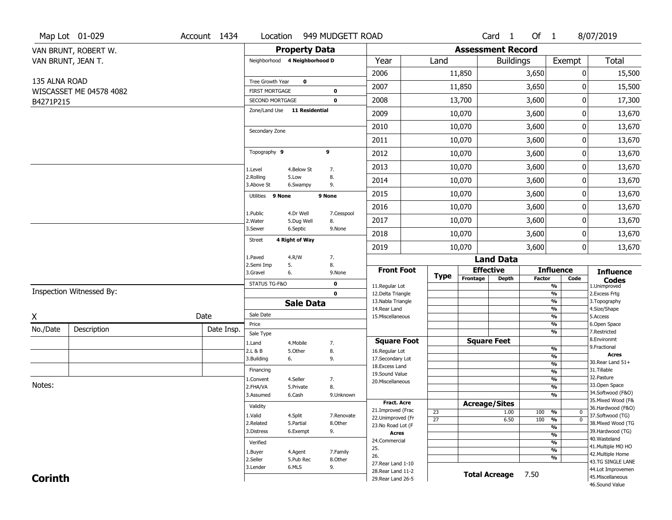|                | Map Lot 01-029           | Account 1434 | Location                                        |                         | 949 MUDGETT ROAD |                                          |                 |                          | Card <sub>1</sub>    | Of $1$        |                                 | 8/07/2019                              |
|----------------|--------------------------|--------------|-------------------------------------------------|-------------------------|------------------|------------------------------------------|-----------------|--------------------------|----------------------|---------------|---------------------------------|----------------------------------------|
|                | VAN BRUNT, ROBERT W.     |              |                                                 | <b>Property Data</b>    |                  |                                          |                 | <b>Assessment Record</b> |                      |               |                                 |                                        |
|                | VAN BRUNT, JEAN T.       |              | Neighborhood 4 Neighborhood D                   |                         |                  | Year                                     | Land            |                          | <b>Buildings</b>     |               | Exempt                          | <b>Total</b>                           |
|                |                          |              |                                                 |                         |                  | 2006                                     |                 | 11,850                   |                      | 3,650         | 0                               | 15,500                                 |
| 135 ALNA ROAD  |                          |              | Tree Growth Year                                | $\mathbf 0$             |                  | 2007                                     |                 | 11,850                   |                      | 3,650         | 0                               | 15,500                                 |
|                | WISCASSET ME 04578 4082  |              | <b>FIRST MORTGAGE</b>                           |                         | $\mathbf 0$      |                                          |                 |                          |                      |               |                                 |                                        |
| B4271P215      |                          |              | SECOND MORTGAGE<br>Zone/Land Use 11 Residential |                         | $\mathbf 0$      | 2008                                     |                 | 13,700                   |                      | 3,600         | 0                               | 17,300                                 |
|                |                          |              |                                                 |                         |                  | 2009                                     |                 | 10,070                   |                      | 3,600         | 0                               | 13,670                                 |
|                |                          |              | Secondary Zone                                  |                         |                  | 2010                                     |                 | 10,070                   |                      | 3,600         | 0                               | 13,670                                 |
|                |                          |              |                                                 |                         |                  | 2011                                     |                 | 10,070                   |                      | 3,600         | 0                               | 13,670                                 |
|                |                          |              | Topography 9                                    |                         | 9                | 2012                                     |                 | 10,070                   |                      | 3,600         | 0                               | 13,670                                 |
|                |                          |              | 1.Level                                         | 4.Below St              | 7.               | 2013                                     |                 | 10,070                   |                      | 3,600         | 0                               | 13,670                                 |
|                |                          |              | 2.Rolling<br>3.Above St                         | 5.Low<br>6.Swampy       | 8.<br>9.         | 2014                                     |                 | 10,070                   |                      | 3,600         | 0                               | 13,670                                 |
|                |                          |              | Utilities 9 None                                |                         | 9 None           | 2015                                     |                 | 10,070                   |                      | 3,600         | 0                               | 13,670                                 |
|                |                          |              |                                                 |                         |                  | 2016                                     |                 | 10,070                   |                      | 3,600         | 0                               | 13,670                                 |
|                |                          |              | 1.Public<br>2. Water                            | 4.Dr Well<br>5.Dug Well | 7.Cesspool<br>8. | 2017                                     |                 | 10,070                   |                      | 3,600         | 0                               | 13,670                                 |
|                |                          |              | 3.Sewer                                         | 6.Septic                | 9.None           | 2018                                     |                 | 10,070                   |                      | 3,600         | 0                               | 13,670                                 |
|                |                          |              | <b>Street</b>                                   | 4 Right of Way          |                  | 2019                                     |                 | 10,070                   |                      | 3,600         | 0                               | 13,670                                 |
|                |                          |              | 1.Paved                                         | 4.R/W                   | 7.               |                                          |                 |                          | <b>Land Data</b>     |               |                                 |                                        |
|                |                          |              | 2.Semi Imp<br>3.Gravel                          | 5.<br>6.                | 8.<br>9.None     | <b>Front Foot</b>                        |                 |                          | <b>Effective</b>     |               | <b>Influence</b>                | <b>Influence</b>                       |
|                |                          |              | STATUS TG-F&O                                   |                         | $\mathbf 0$      | 11.Regular Lot                           | <b>Type</b>     | Frontage                 | <b>Depth</b>         | <b>Factor</b> | Code<br>%                       | <b>Codes</b><br>1.Unimproved           |
|                | Inspection Witnessed By: |              |                                                 |                         | $\mathbf 0$      | 12.Delta Triangle                        |                 |                          |                      |               | $\frac{9}{6}$                   | 2.Excess Frtg                          |
|                |                          |              |                                                 | <b>Sale Data</b>        |                  | 13. Nabla Triangle<br>14. Rear Land      |                 |                          |                      |               | %<br>%                          | 3. Topography<br>4.Size/Shape          |
| Χ              |                          | Date         | Sale Date                                       |                         |                  | 15. Miscellaneous                        |                 |                          |                      |               | %                               | 5.Access                               |
| No./Date       | Description              | Date Insp.   | Price                                           |                         |                  |                                          |                 |                          |                      |               | %                               | 6.Open Space                           |
|                |                          |              | Sale Type                                       |                         |                  | <b>Square Foot</b>                       |                 |                          | <b>Square Feet</b>   |               | %                               | 7.Restricted<br>8.Environmt            |
|                |                          |              | 1.Land<br>2.L & B                               | 4. Mobile<br>5.Other    | 7.<br>8.         | 16.Regular Lot                           |                 |                          |                      |               | $\frac{9}{6}$                   | 9. Fractional                          |
|                |                          |              | 3.Building                                      | 6.                      | 9.               | 17.Secondary Lot                         |                 |                          |                      |               | %                               | <b>Acres</b>                           |
|                |                          |              | Financing                                       |                         |                  | 18.Excess Land                           |                 |                          |                      |               | $\frac{9}{6}$                   | 30.Rear Land 51+<br>31.Tillable        |
|                |                          |              | 1.Convent                                       | 4.Seller                | 7.               | 19.Sound Value                           |                 |                          |                      |               | $\frac{9}{6}$<br>$\frac{9}{6}$  | 32. Pasture                            |
| Notes:         |                          |              | 2.FHA/VA                                        | 5.Private               | 8.               | 20.Miscellaneous                         |                 |                          |                      |               | $\frac{9}{6}$                   | 33.Open Space                          |
|                |                          |              | 3.Assumed                                       | 6.Cash                  | 9.Unknown        |                                          |                 |                          |                      |               | %                               | 34.Softwood (F&O)                      |
|                |                          |              | Validity                                        |                         |                  | <b>Fract. Acre</b>                       |                 |                          | <b>Acreage/Sites</b> |               |                                 | 35. Mixed Wood (F&                     |
|                |                          |              | 1.Valid                                         | 4.Split                 | 7.Renovate       | 21.Improved (Frac                        | 23              |                          | 1.00                 | 100           | %<br>$\bf{0}$                   | 36.Hardwood (F&O)<br>37.Softwood (TG)  |
|                |                          |              | 2.Related                                       | 5.Partial               | 8.Other          | 22.Unimproved (Fr                        | $\overline{27}$ |                          | 6.50                 | 100           | $\overline{0}$<br>$\frac{9}{6}$ | 38. Mixed Wood (TG                     |
|                |                          |              | 3.Distress                                      | 6.Exempt                | 9.               | 23. No Road Lot (F<br><b>Acres</b>       |                 |                          |                      |               | %                               | 39.Hardwood (TG)                       |
|                |                          |              | Verified                                        |                         |                  | 24.Commercial                            |                 |                          |                      |               | $\frac{9}{6}$<br>%              | 40. Wasteland                          |
|                |                          |              | 1.Buyer                                         | 4.Agent                 | 7.Family         | 25.                                      |                 |                          |                      |               | $\frac{9}{6}$                   | 41. Multiple MO HO                     |
|                |                          |              | 2.Seller                                        | 5.Pub Rec               | 8.Other          | 26.                                      |                 |                          |                      |               | %                               | 42. Multiple Home                      |
|                |                          |              | 3.Lender                                        | 6.MLS                   | 9.               | 27. Rear Land 1-10                       |                 |                          |                      |               |                                 | 43.TG SINGLE LANE<br>44.Lot Improvemen |
| <b>Corinth</b> |                          |              |                                                 |                         |                  | 28. Rear Land 11-2<br>29. Rear Land 26-5 |                 |                          | <b>Total Acreage</b> | 7.50          |                                 | 45. Miscellaneous                      |
|                |                          |              |                                                 |                         |                  |                                          |                 |                          |                      |               |                                 | 46.Sound Value                         |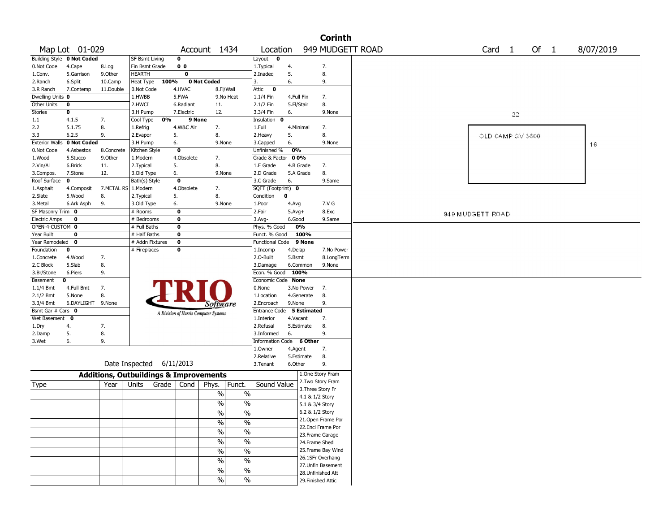|                      |                            |                                                   |                 |       |                |                                       |                          |                           |            |                    | <b>Corinth</b>    |                                                            |
|----------------------|----------------------------|---------------------------------------------------|-----------------|-------|----------------|---------------------------------------|--------------------------|---------------------------|------------|--------------------|-------------------|------------------------------------------------------------|
|                      | Map Lot 01-029             |                                                   |                 |       |                | Account 1434                          |                          | Location                  |            |                    |                   | 949 MUDGETT ROAD<br>Of 1<br>Card <sub>1</sub><br>8/07/2019 |
|                      | Building Style 0 Not Coded |                                                   | SF Bsmt Living  |       | $\mathbf 0$    |                                       |                          | Layout <b>0</b>           |            |                    |                   |                                                            |
| 0.Not Code           | 4.Cape                     | 8.Log                                             | Fin Bsmt Grade  |       | 0 <sub>0</sub> |                                       |                          | 1. Typical                | 4.         |                    | 7.                |                                                            |
| 1.Conv.              | 5.Garrison                 | 9.0ther                                           | HEARTH          |       | 0              |                                       |                          | 2.Inadeg                  | 5.         |                    | 8.                |                                                            |
| 2.Ranch              | 6.Split                    | 10.Camp                                           | Heat Type       | 100%  |                | 0 Not Coded                           |                          | 3.                        | 6.         |                    | 9.                |                                                            |
| 3.R Ranch            | 7.Contemp                  | 11.Double                                         | 0.Not Code      |       | 4.HVAC         | 8.Fl/Wall                             |                          | Attic<br>$\bullet$        |            |                    |                   |                                                            |
| Dwelling Units 0     |                            |                                                   | 1.HWBB          |       | 5.FWA          | 9.No Heat                             |                          | 1.1/4 Fin                 | 4.Full Fin |                    | 7.                |                                                            |
| Other Units          | 0                          |                                                   | 2.HWCI          |       | 6.Radiant      | 11.                                   |                          | 2.1/2 Fin                 | 5.Fl/Stair |                    | 8.                |                                                            |
| Stories              | 0                          |                                                   | 3.H Pump        |       | 7.Electric     | 12.                                   |                          | 3.3/4 Fin                 | 6.         |                    | 9.None            | 22                                                         |
| 1.1                  | 4.1.5                      | 7.                                                | Cool Type       | 0%    | 9 None         |                                       |                          | Insulation 0              |            |                    |                   |                                                            |
| 2.2                  | 5.1.75                     | 8.                                                | 1.Refrig        |       | 4.W&C Air      | 7.                                    |                          | 1.Full                    | 4.Minimal  |                    | 7.                |                                                            |
| 3.3                  | 6.2.5                      | 9.                                                | 2.Evapor        |       | 5.             | 8.                                    |                          | 2.Heavy                   | 5.         |                    | 8.                | OLD CAMP SV 3600                                           |
|                      | Exterior Walls 0 Not Coded |                                                   | 3.H Pump        |       | 6.             | 9.None                                |                          | 3.Capped                  | 6.         |                    | 9.None            | 16                                                         |
| 0.Not Code           | 4.Asbestos                 | 8.Concrete                                        | Kitchen Style   |       | $\mathbf 0$    |                                       |                          | Unfinished %              | 0%         |                    |                   |                                                            |
| 1.Wood               | 5.Stucco                   | 9.Other                                           | 1.Modern        |       | 4.Obsolete     | 7.                                    |                          | Grade & Factor 00%        |            |                    |                   |                                                            |
| 2.Vin/Al             | 6.Brick                    | 11.                                               | 2. Typical      |       | 5.             | 8.                                    |                          | 1.E Grade                 | 4.B Grade  |                    | 7.                |                                                            |
| 3.Compos.            | 7.Stone                    | 12.                                               | 3.Old Type      |       | 6.             | 9.None                                |                          | 2.D Grade                 | 5.A Grade  |                    | 8.                |                                                            |
| Roof Surface         | 0                          |                                                   | Bath(s) Style   |       | $\mathbf 0$    |                                       |                          | 3.C Grade                 | 6.         |                    | 9.Same            |                                                            |
| 1.Asphalt            | 4.Composit                 | 7.METAL RS 1.Modern                               |                 |       | 4.Obsolete     | 7.                                    |                          | SQFT (Footprint) 0        |            |                    |                   |                                                            |
| 2.Slate              | 5.Wood                     | 8.                                                | 2. Typical      |       | 5.             | 8.                                    |                          | Condition                 | $\bf{0}$   |                    |                   |                                                            |
| 3. Metal             | 6.Ark Asph                 | 9.                                                | 3.Old Type      |       | 6.             | 9.None                                |                          | 1.Poor                    | 4.Avg      |                    | 7.V G             |                                                            |
| SF Masonry Trim 0    |                            |                                                   | # Rooms         |       | 0              |                                       |                          | 2.Fair                    | $5.Avg+$   |                    | 8.Exc             | 949 MUDGETT ROAD                                           |
| <b>Electric Amps</b> | 0                          |                                                   | # Bedrooms      |       | $\bf{0}$       |                                       |                          | $3.$ Avg-                 | 6.Good     |                    | 9.Same            |                                                            |
| OPEN-4-CUSTOM 0      |                            |                                                   | # Full Baths    |       | $\mathbf 0$    |                                       |                          | Phys. % Good              | 0%         |                    |                   |                                                            |
| Year Built           | 0                          |                                                   | # Half Baths    |       | $\bf{0}$       |                                       |                          | Funct. % Good             |            | 100%               |                   |                                                            |
| Year Remodeled 0     |                            |                                                   | # Addn Fixtures |       | $\mathbf 0$    |                                       |                          | Functional Code 9 None    |            |                    |                   |                                                            |
| Foundation           | 0                          |                                                   | # Fireplaces    |       | 0              |                                       |                          | 1.Incomp                  | 4.Delap    |                    | 7.No Power        |                                                            |
| 1.Concrete           | 4.Wood                     | 7.                                                |                 |       |                |                                       |                          | 2.0-Built                 | 5.Bsmt     |                    | 8.LongTerm        |                                                            |
| 2.C Block            | 5.Slab                     | 8.                                                |                 |       |                |                                       |                          | 3.Damage                  | 6.Common   |                    | 9.None            |                                                            |
| 3.Br/Stone           | 6.Piers                    | 9.                                                |                 |       |                |                                       |                          | Econ. % Good 100%         |            |                    |                   |                                                            |
| Basement             | 0                          |                                                   |                 |       |                |                                       |                          | Economic Code None        |            |                    |                   |                                                            |
| $1.1/4$ Bmt          | 4.Full Bmt                 | 7.                                                |                 |       |                |                                       |                          | 0.None                    | 3.No Power |                    | 7.                |                                                            |
| 2.1/2 Bmt            | 5.None                     | 8.                                                |                 |       |                |                                       |                          | 1.Location                | 4.Generate |                    | 8.                |                                                            |
| 3.3/4 Bmt            | 6.DAYLIGHT                 | 9.None                                            |                 |       |                | Software                              |                          | 2.Encroach                | 9.None     |                    | 9.                |                                                            |
| Bsmt Gar # Cars 0    |                            |                                                   |                 |       |                | A Division of Harris Computer Systems |                          | Entrance Code 5 Estimated |            |                    |                   |                                                            |
| Wet Basement         | $\mathbf 0$                |                                                   |                 |       |                |                                       |                          | 1.Interior                | 4.Vacant   |                    | 7.                |                                                            |
| 1.Dry                | 4.                         | 7.                                                |                 |       |                |                                       |                          | 2.Refusal                 | 5.Estimate |                    | 8.                |                                                            |
| 2.Damp               | 5.                         | 8.                                                |                 |       |                |                                       |                          | 3.Informed                | 6.         |                    | 9.                |                                                            |
| 3.Wet                | 6.                         | 9.                                                |                 |       |                |                                       |                          | Information Code 6 Other  |            |                    |                   |                                                            |
|                      |                            |                                                   |                 |       |                |                                       |                          | 1.Owner                   | 4.Agent    |                    | 7.                |                                                            |
|                      |                            |                                                   |                 |       |                |                                       |                          | 2.Relative                | 5.Estimate |                    | 8.                |                                                            |
|                      |                            | Date Inspected 6/11/2013                          |                 |       |                |                                       |                          | 3.Tenant                  | 6.Other    |                    | 9.                |                                                            |
|                      |                            | <b>Additions, Outbuildings &amp; Improvements</b> |                 |       |                |                                       |                          |                           |            | 1.One Story Fram   |                   |                                                            |
| Type                 |                            | Year                                              | Units           | Grade | Cond           | Phys.                                 | Funct.                   | Sound Value               |            |                    | 2. Two Story Fram |                                                            |
|                      |                            |                                                   |                 |       |                | $\%$                                  | $\%$                     |                           |            | 3. Three Story Fr  |                   |                                                            |
|                      |                            |                                                   |                 |       |                |                                       |                          |                           |            | 4.1 & 1/2 Story    |                   |                                                            |
|                      |                            |                                                   |                 |       |                | $\%$                                  | $\%$                     |                           |            | 5.1 & 3/4 Story    |                   |                                                            |
|                      |                            |                                                   |                 |       |                | $\frac{0}{0}$                         | $\frac{0}{0}$            |                           |            | 6.2 & 1/2 Story    |                   |                                                            |
|                      |                            |                                                   |                 |       |                | %                                     | $\%$                     |                           |            |                    | 21.Open Frame Por |                                                            |
|                      |                            |                                                   |                 |       |                | $\sqrt{6}$                            | $\overline{\frac{0}{6}}$ |                           |            |                    | 22.Encl Frame Por |                                                            |
|                      |                            |                                                   |                 |       |                |                                       |                          |                           |            | 23. Frame Garage   |                   |                                                            |
|                      |                            |                                                   |                 |       |                | $\sqrt{6}$                            | $\overline{\frac{0}{6}}$ |                           |            | 24.Frame Shed      |                   |                                                            |
|                      |                            |                                                   |                 |       |                | $\sqrt{6}$                            | $\overline{\frac{0}{6}}$ |                           |            |                    | 25.Frame Bay Wind |                                                            |
|                      |                            |                                                   |                 |       |                | $\sqrt{6}$                            | $\overline{\frac{0}{6}}$ |                           |            |                    | 26.1SFr Overhang  |                                                            |
|                      |                            |                                                   |                 |       |                | $\frac{0}{0}$                         | $\%$                     |                           |            |                    | 27.Unfin Basement |                                                            |
|                      |                            |                                                   |                 |       |                |                                       |                          |                           |            | 28.Unfinished Att  |                   |                                                            |
|                      |                            |                                                   |                 |       |                | %                                     | $\%$                     |                           |            | 29. Finished Attic |                   |                                                            |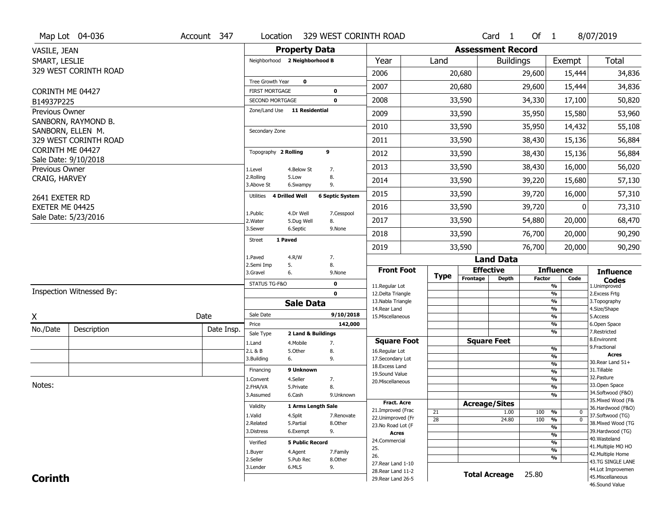|                  | Map Lot 04-036                           | Account 347 | Location                            | 329 WEST CORINTH ROAD             |                        |                                          |                 |          | Card <sub>1</sub>        | Of 1          |                                | 8/07/2019                              |
|------------------|------------------------------------------|-------------|-------------------------------------|-----------------------------------|------------------------|------------------------------------------|-----------------|----------|--------------------------|---------------|--------------------------------|----------------------------------------|
| VASILE, JEAN     |                                          |             |                                     | <b>Property Data</b>              |                        |                                          |                 |          | <b>Assessment Record</b> |               |                                |                                        |
| SMART, LESLIE    |                                          |             |                                     | Neighborhood 2 Neighborhood B     |                        | Year                                     | Land            |          | <b>Buildings</b>         |               | Exempt                         | Total                                  |
|                  | 329 WEST CORINTH ROAD                    |             |                                     |                                   |                        | 2006                                     |                 | 20,680   |                          | 29,600        | 15,444                         | 34,836                                 |
|                  |                                          |             | Tree Growth Year                    | $\mathbf 0$                       |                        |                                          |                 |          |                          |               |                                |                                        |
| CORINTH ME 04427 |                                          |             | <b>FIRST MORTGAGE</b>               | 0                                 |                        | 2007                                     |                 | 20,680   |                          | 29,600        | 15,444                         | 34,836                                 |
| B14937P225       |                                          |             | SECOND MORTGAGE                     | $\mathbf 0$                       |                        | 2008                                     |                 | 33,590   |                          | 34,330        | 17,100                         | 50,820                                 |
| Previous Owner   |                                          |             | Zone/Land Use                       | 11 Residential                    |                        | 2009                                     |                 | 33,590   |                          | 35,950        | 15,580                         | 53,960                                 |
|                  | SANBORN, RAYMOND B.<br>SANBORN, ELLEN M. |             | Secondary Zone                      |                                   |                        | 2010                                     |                 | 33,590   |                          | 35,950        | 14,432                         | 55,108                                 |
|                  | 329 WEST CORINTH ROAD                    |             |                                     |                                   |                        | 2011                                     |                 | 33,590   |                          | 38,430        | 15,136                         | 56,884                                 |
| CORINTH ME 04427 |                                          |             | Topography 2 Rolling                | 9                                 |                        | 2012                                     |                 | 33,590   |                          | 38,430        | 15,136                         | 56,884                                 |
|                  | Sale Date: 9/10/2018                     |             |                                     |                                   |                        |                                          |                 |          |                          |               |                                |                                        |
| Previous Owner   |                                          |             | 1.Level<br>2.Rolling                | 4.Below St<br>7.<br>5.Low<br>8.   |                        | 2013                                     |                 | 33,590   |                          | 38,430        | 16,000                         | 56,020                                 |
| CRAIG, HARVEY    |                                          |             | 3.Above St                          | 9.<br>6.Swampy                    |                        | 2014                                     |                 | 33,590   |                          | 39,220        | 15,680                         | 57,130                                 |
| 2641 EXETER RD   |                                          |             | <b>4 Drilled Well</b><br>Utilities  |                                   | <b>6 Septic System</b> | 2015                                     |                 | 33,590   |                          | 39,720        | 16,000                         | 57,310                                 |
| EXETER ME 04425  |                                          |             | 1.Public                            | 4.Dr Well                         | 7.Cesspool             | 2016                                     |                 | 33,590   |                          | 39,720        | ŋ                              | 73,310                                 |
|                  | Sale Date: 5/23/2016                     |             | 2.Water                             | 5.Dug Well<br>8.                  |                        | 2017                                     |                 | 33,590   |                          | 54,880        | 20,000                         | 68,470                                 |
|                  |                                          |             | 3.Sewer<br><b>Street</b><br>1 Paved | 6.Septic                          | 9.None                 | 2018                                     |                 | 33,590   |                          | 76,700        | 20,000                         | 90,290                                 |
|                  |                                          |             |                                     |                                   |                        | 2019                                     |                 | 33,590   |                          | 76,700        | 20,000                         | 90,290                                 |
|                  |                                          |             | 1.Paved                             | 4.R/W<br>7.                       |                        |                                          |                 |          | <b>Land Data</b>         |               |                                |                                        |
|                  |                                          |             |                                     |                                   |                        |                                          |                 |          |                          |               |                                |                                        |
|                  |                                          |             | 2.Semi Imp<br>3.Gravel              | 5.<br>8.<br>6.                    | 9.None                 | <b>Front Foot</b>                        |                 |          | <b>Effective</b>         |               | <b>Influence</b>               | <b>Influence</b>                       |
|                  |                                          |             | STATUS TG-F&O                       | 0                                 |                        |                                          | <b>Type</b>     | Frontage | <b>Depth</b>             | <b>Factor</b> | Code                           | <b>Codes</b>                           |
|                  | Inspection Witnessed By:                 |             |                                     | $\mathbf 0$                       |                        | 11.Regular Lot<br>12.Delta Triangle      |                 |          |                          |               | $\frac{9}{6}$<br>$\frac{9}{6}$ | 1.Unimproved<br>2.Excess Frtg          |
|                  |                                          |             |                                     | <b>Sale Data</b>                  |                        | 13. Nabla Triangle                       |                 |          |                          |               | $\frac{9}{6}$                  | 3. Topography                          |
|                  |                                          |             | Sale Date                           |                                   | 9/10/2018              | 14. Rear Land<br>15. Miscellaneous       |                 |          |                          |               | $\frac{9}{6}$<br>$\frac{9}{6}$ | 4.Size/Shape<br>5.Access               |
| X                |                                          | Date        | Price                               |                                   | 142,000                |                                          |                 |          |                          |               | $\frac{9}{6}$                  | 6.Open Space                           |
| No./Date         | Description                              | Date Insp.  | Sale Type                           | 2 Land & Buildings                |                        |                                          |                 |          |                          |               | $\frac{9}{6}$                  | 7.Restricted                           |
|                  |                                          |             | 1.Land                              | 7.<br>4. Mobile                   |                        | <b>Square Foot</b>                       |                 |          | <b>Square Feet</b>       |               |                                | 8.Environmt<br>9. Fractional           |
|                  |                                          |             | 2.L & B<br>3.Building               | 5.Other<br>8.<br>9.               |                        | 16.Regular Lot<br>17.Secondary Lot       |                 |          |                          |               | %<br>%                         | Acres                                  |
|                  |                                          |             |                                     | 6.                                |                        | 18.Excess Land                           |                 |          |                          |               | %                              | 30. Rear Land 51+                      |
|                  |                                          |             | Financing                           | 9 Unknown                         |                        | 19.Sound Value                           |                 |          |                          |               | %                              | 31.Tillable<br>32.Pasture              |
| Notes:           |                                          |             | 1.Convent<br>2.FHA/VA               | 4.Seller<br>7.<br>8.<br>5.Private |                        | 20.Miscellaneous                         |                 |          |                          |               | %<br>$\frac{9}{6}$             | 33.Open Space                          |
|                  |                                          |             | 3.Assumed                           | 6.Cash                            | 9.Unknown              |                                          |                 |          |                          |               | %                              | 34.Softwood (F&O)                      |
|                  |                                          |             |                                     |                                   |                        | <b>Fract. Acre</b>                       |                 |          | <b>Acreage/Sites</b>     |               |                                | 35. Mixed Wood (F&                     |
|                  |                                          |             | Validity                            | 1 Arms Length Sale                |                        | 21.Improved (Frac                        | 21              |          | 1.00                     | 100           | %<br>0                         | 36.Hardwood (F&O)                      |
|                  |                                          |             | 1.Valid<br>2.Related                | 4.Split<br>5.Partial              | 7.Renovate<br>8.Other  | 22.Unimproved (Fr                        | $\overline{28}$ |          | 24.80                    | 100           | %<br>$\mathbf{0}$              | 37.Softwood (TG)<br>38. Mixed Wood (TG |
|                  |                                          |             | 3.Distress                          | 9.<br>6.Exempt                    |                        | 23.No Road Lot (F<br><b>Acres</b>        |                 |          |                          |               | %                              | 39.Hardwood (TG)                       |
|                  |                                          |             |                                     | <b>5 Public Record</b>            |                        | 24.Commercial                            |                 |          |                          |               | $\frac{9}{6}$                  | 40. Wasteland                          |
|                  |                                          |             | Verified                            |                                   |                        | 25.                                      |                 |          |                          |               | $\frac{9}{6}$<br>$\frac{9}{6}$ | 41. Multiple MO HO                     |
|                  |                                          |             | 1.Buyer<br>2.Seller                 | 4.Agent<br>5.Pub Rec              | 7.Family<br>8.Other    | 26.                                      |                 |          |                          |               | %                              | 42. Multiple Home                      |
|                  |                                          |             | 3.Lender                            | 6.MLS<br>9.                       |                        | 27. Rear Land 1-10                       |                 |          |                          |               |                                | 43.TG SINGLE LANE                      |
| <b>Corinth</b>   |                                          |             |                                     |                                   |                        | 28. Rear Land 11-2<br>29. Rear Land 26-5 |                 |          | <b>Total Acreage</b>     | 25.80         |                                | 44.Lot Improvemen<br>45. Miscellaneous |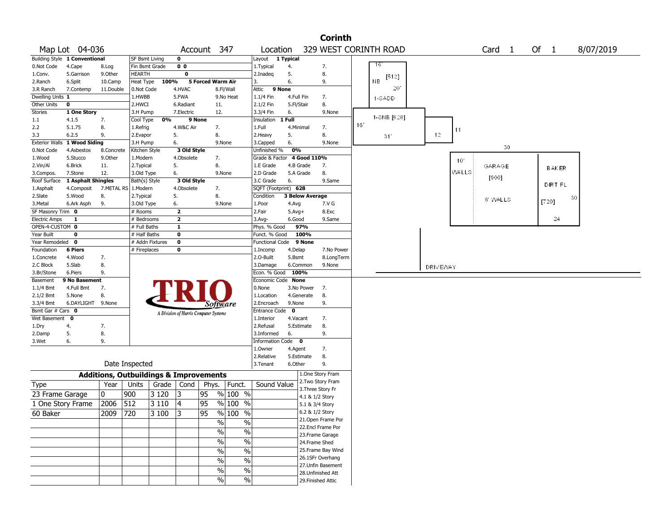|                       |                               |            |                                                   |                 |                |                                       |               |                            |              |                        | <b>Corinth</b>        |     |           |              |                 |       |                   |    |       |              |           |  |
|-----------------------|-------------------------------|------------|---------------------------------------------------|-----------------|----------------|---------------------------------------|---------------|----------------------------|--------------|------------------------|-----------------------|-----|-----------|--------------|-----------------|-------|-------------------|----|-------|--------------|-----------|--|
|                       | Map Lot 04-036                |            |                                                   |                 |                | Account 347                           |               | Location                   |              |                        | 329 WEST CORINTH ROAD |     |           |              |                 |       | Card <sub>1</sub> |    | Of 1  |              | 8/07/2019 |  |
|                       | Building Style 1 Conventional |            | SF Bsmt Living                                    |                 | 0              |                                       |               | Layout 1 Typical           |              |                        |                       |     |           |              |                 |       |                   |    |       |              |           |  |
| 0.Not Code            | 4.Cape                        | 8.Log      | Fin Bsmt Grade                                    |                 | 0 <sub>0</sub> |                                       |               | 1. Typical                 | 4.           |                        | 7.                    |     | -16       |              |                 |       |                   |    |       |              |           |  |
| 1.Conv.               | 5.Garrison                    | 9.0ther    | <b>HEARTH</b>                                     |                 | 0              |                                       |               | 2.Inadeq                   | 5.           |                        | 8.                    |     |           | [512]        |                 |       |                   |    |       |              |           |  |
| 2.Ranch               | 6.Split                       | 10.Camp    | Heat Type                                         | 100%            |                | 5 Forced Warm Air                     |               | 3.                         | 6.           |                        | 9.                    |     | <b>NB</b> |              |                 |       |                   |    |       |              |           |  |
| 3.R Ranch             | 7.Contemp                     | 11.Double  | 0.Not Code                                        |                 | 4.HVAC         |                                       | 8.Fl/Wall     | 9 None<br>Attic            |              |                        |                       |     |           | 20           |                 |       |                   |    |       |              |           |  |
| Dwelling Units 1      |                               |            | 1.HWBB                                            |                 | 5.FWA          |                                       | 9.No Heat     | 1.1/4 Fin                  |              | 4.Full Fin             | 7.                    |     |           | 1-SADD       |                 |       |                   |    |       |              |           |  |
| Other Units           | $\mathbf 0$                   |            | 2.HWCI                                            |                 | 6.Radiant      | 11.                                   |               | 2.1/2 Fin                  | 5.Fl/Stair   |                        | 8.                    |     |           |              |                 |       |                   |    |       |              |           |  |
| Stories               | 1 One Story                   |            | 3.H Pump                                          |                 | 7.Electric     | 12.                                   |               | 3.3/4 Fin                  | 6.           |                        | 9.None                |     |           |              |                 |       |                   |    |       |              |           |  |
| 1.1                   | 4.1.5                         | 7.         | Cool Type                                         | 0%              | 9 None         |                                       |               | Insulation                 | 1 Full       |                        |                       |     |           | 1-SNB [6.28] |                 |       |                   |    |       |              |           |  |
| 2.2                   | 5.1.75                        | 8.         | 1.Refrig                                          |                 | 4.W&C Air      | 7.                                    |               | 1.Full                     |              | 4.Minimal              | 7.                    | 16' |           |              |                 | 11    |                   |    |       |              |           |  |
| 3.3                   | 6.2.5                         | 9.         | 2.Evapor                                          |                 | 5.             | 8.                                    |               | 2.Heavy                    | 5.           |                        | 8.                    |     |           | 31'          | 12              |       |                   |    |       |              |           |  |
| <b>Exterior Walls</b> | 1 Wood Siding                 |            | 3.H Pump                                          |                 | 6.             |                                       | 9.None        | 3.Capped                   | 6.           |                        | 9.None                |     |           |              |                 |       |                   |    |       |              |           |  |
| 0.Not Code            | 4.Asbestos                    | 8.Concrete | Kitchen Style                                     |                 | 3 Old Style    |                                       |               | Unfinished %               | 0%           |                        |                       |     |           |              |                 |       |                   | 30 |       |              |           |  |
| 1.Wood                | 5.Stucco                      | 9.0ther    | 1.Modern                                          |                 | 4.Obsolete     | 7.                                    |               | Grade & Factor 4 Good 110% |              |                        |                       |     |           |              |                 | 10"   |                   |    |       |              |           |  |
| 2.Vin/Al              | 6.Brick                       | 11.        | 2.Typical                                         |                 | 5.             | 8.                                    |               | 1.E Grade                  |              | 4.B Grade              | 7.                    |     |           |              |                 |       | GARAGE            |    |       | <b>BAKER</b> |           |  |
| 3.Compos.             | 7.Stone                       | 12.        | 3.Old Type                                        |                 | 6.             |                                       | 9.None        | 2.D Grade                  |              | 5.A Grade              | 8.                    |     |           |              |                 | WALLS |                   |    |       |              |           |  |
| Roof Surface          | 1 Asphalt Shingles            |            | Bath(s) Style                                     |                 | 3 Old Style    |                                       |               | 3.C Grade                  | 6.           |                        | 9.Same                |     |           |              |                 |       | [900]             |    |       |              |           |  |
| 1.Asphalt             | 4.Composit                    | 7.METAL RS | 1.Modern                                          |                 | 4.Obsolete     | 7.                                    |               | SQFT (Footprint) 628       |              |                        |                       |     |           |              |                 |       |                   |    |       | DIRT FL      |           |  |
| 2.Slate               | 5.Wood                        | 8.         | 2.Typical                                         |                 | 5.             | 8.                                    |               | Condition                  |              | <b>3 Below Average</b> |                       |     |           |              |                 |       |                   |    |       | 30           |           |  |
| 3.Metal               | 6.Ark Asph                    | 9.         | 3.Old Type                                        |                 | 6.             |                                       | 9.None        | 1.Poor                     | 4.Avg        |                        | 7.V G                 |     |           |              |                 |       | 6 WALLS           |    | [720] |              |           |  |
| SF Masonry Trim 0     |                               |            | # Rooms                                           |                 | $\overline{2}$ |                                       |               | 2.Fair                     | $5.Avg+$     |                        | 8.Exc                 |     |           |              |                 |       |                   |    |       |              |           |  |
| <b>Electric Amps</b>  | 1                             |            | # Bedrooms                                        |                 | $\mathbf{z}$   |                                       |               | $3.$ Avg-                  | 6.Good       |                        | 9.Same                |     |           |              |                 |       |                   |    |       | $^{24}$      |           |  |
| OPEN-4-CUSTOM 0       |                               |            | # Full Baths                                      |                 | $\mathbf{1}$   |                                       |               | Phys. % Good               |              | 97%                    |                       |     |           |              |                 |       |                   |    |       |              |           |  |
| Year Built            | 0                             |            | # Half Baths                                      |                 | 0              |                                       |               | Funct. % Good              |              | 100%                   |                       |     |           |              |                 |       |                   |    |       |              |           |  |
| Year Remodeled        | 0                             |            |                                                   | # Addn Fixtures | 0              |                                       |               | <b>Functional Code</b>     |              | 9 None                 |                       |     |           |              |                 |       |                   |    |       |              |           |  |
| Foundation            | <b>6 Piers</b>                |            | # Fireplaces                                      |                 | 0              |                                       |               | 1.Incomp                   | 4.Delap      |                        | 7.No Power            |     |           |              |                 |       |                   |    |       |              |           |  |
| 1.Concrete            | 4.Wood                        | 7.         |                                                   |                 |                |                                       |               | 2.0-Built                  | 5.Bsmt       |                        | 8.LongTerm            |     |           |              |                 |       |                   |    |       |              |           |  |
| 2.C Block             | 5.Slab                        | 8.         |                                                   |                 |                |                                       |               | 3.Damage                   |              | 6.Common               | 9.None                |     |           |              | <b>DRIVEWAY</b> |       |                   |    |       |              |           |  |
| 3.Br/Stone            | 6.Piers                       | 9.         |                                                   |                 |                |                                       |               | Econ. % Good               |              | 100%                   |                       |     |           |              |                 |       |                   |    |       |              |           |  |
| Basement              | 9 No Basement                 |            |                                                   |                 |                |                                       |               | Economic Code None         |              |                        |                       |     |           |              |                 |       |                   |    |       |              |           |  |
| 1.1/4 Bmt             | 4.Full Bmt                    | 7.         |                                                   |                 |                |                                       |               | 0.None                     |              | 3.No Power             | 7.                    |     |           |              |                 |       |                   |    |       |              |           |  |
| 2.1/2 Bmt             | 5.None                        | 8.         |                                                   |                 |                |                                       |               | 1.Location                 |              | 4.Generate             | 8.                    |     |           |              |                 |       |                   |    |       |              |           |  |
| 3.3/4 Bmt             | 6.DAYLIGHT 9.None             |            |                                                   |                 |                | Software                              |               | 2.Encroach                 | 9.None       |                        | 9.                    |     |           |              |                 |       |                   |    |       |              |           |  |
| Bsmt Gar # Cars 0     |                               |            |                                                   |                 |                | A Division of Harris Computer Systems |               | <b>Entrance Code</b>       | $\mathbf{o}$ |                        |                       |     |           |              |                 |       |                   |    |       |              |           |  |
| Wet Basement          | 0                             |            |                                                   |                 |                |                                       |               | 1.Interior                 | 4.Vacant     |                        | 7.                    |     |           |              |                 |       |                   |    |       |              |           |  |
| 1.Dry                 | 4.                            | 7.         |                                                   |                 |                |                                       |               | 2.Refusal                  |              | 5.Estimate             | 8.                    |     |           |              |                 |       |                   |    |       |              |           |  |
| 2.Damp                | 5.                            | 8.         |                                                   |                 |                |                                       |               | 3.Informed                 | 6.           |                        | 9.                    |     |           |              |                 |       |                   |    |       |              |           |  |
| 3.Wet                 | 6.                            | 9.         |                                                   |                 |                |                                       |               | Information Code 0         |              |                        |                       |     |           |              |                 |       |                   |    |       |              |           |  |
|                       |                               |            |                                                   |                 |                |                                       |               | 1.0wner                    | 4.Agent      |                        | 7.                    |     |           |              |                 |       |                   |    |       |              |           |  |
|                       |                               |            |                                                   |                 |                |                                       |               | 2.Relative                 |              | 5.Estimate             | 8.                    |     |           |              |                 |       |                   |    |       |              |           |  |
|                       |                               |            | Date Inspected                                    |                 |                |                                       |               | 3.Tenant                   | 6.Other      |                        | 9.                    |     |           |              |                 |       |                   |    |       |              |           |  |
|                       |                               |            | <b>Additions, Outbuildings &amp; Improvements</b> |                 |                |                                       |               |                            |              |                        | 1.One Story Fram      |     |           |              |                 |       |                   |    |       |              |           |  |
| Type                  |                               | Year       | Units                                             | Grade   Cond    |                | Phys.                                 | Funct.        | Sound Value                |              |                        | 2.Two Story Fram      |     |           |              |                 |       |                   |    |       |              |           |  |
| 23 Frame Garage       |                               | 0          | 900                                               | 3 1 2 0         | 13             | 95                                    | % 100 %       |                            |              |                        | 3. Three Story Fr     |     |           |              |                 |       |                   |    |       |              |           |  |
|                       |                               |            |                                                   |                 |                |                                       |               |                            |              |                        | 4.1 & 1/2 Story       |     |           |              |                 |       |                   |    |       |              |           |  |
| 1 One Story Frame     |                               | 2006       | 512                                               | 3 1 1 0         | 4              | 95                                    | % 100 %       |                            |              | 5.1 & 3/4 Story        |                       |     |           |              |                 |       |                   |    |       |              |           |  |
| 60 Baker              |                               | 2009       | 720                                               | 3 100           | 3              | $\overline{95}$                       | % 100 %       |                            |              | 6.2 & 1/2 Story        |                       |     |           |              |                 |       |                   |    |       |              |           |  |
|                       |                               |            |                                                   |                 |                | %                                     | $\frac{0}{0}$ |                            |              |                        | 21.Open Frame Por     |     |           |              |                 |       |                   |    |       |              |           |  |
|                       |                               |            |                                                   |                 |                | $\frac{0}{6}$                         | $\frac{0}{6}$ |                            |              |                        | 22.Encl Frame Por     |     |           |              |                 |       |                   |    |       |              |           |  |
|                       |                               |            |                                                   |                 |                |                                       |               |                            |              |                        | 23.Frame Garage       |     |           |              |                 |       |                   |    |       |              |           |  |
|                       |                               |            |                                                   |                 |                | $\overline{\frac{0}{0}}$              | $\frac{0}{6}$ |                            |              | 24.Frame Shed          |                       |     |           |              |                 |       |                   |    |       |              |           |  |
|                       |                               |            |                                                   |                 |                | $\frac{1}{2}$                         | $\frac{0}{6}$ |                            |              |                        | 25. Frame Bay Wind    |     |           |              |                 |       |                   |    |       |              |           |  |
|                       |                               |            |                                                   |                 |                | $\frac{0}{0}$                         | $\frac{1}{2}$ |                            |              |                        | 26.1SFr Overhang      |     |           |              |                 |       |                   |    |       |              |           |  |
|                       |                               |            |                                                   |                 |                |                                       |               |                            |              |                        | 27. Unfin Basement    |     |           |              |                 |       |                   |    |       |              |           |  |
|                       |                               |            |                                                   |                 |                | $\%$                                  | $\frac{1}{2}$ |                            |              |                        | 28. Unfinished Att    |     |           |              |                 |       |                   |    |       |              |           |  |
|                       |                               |            |                                                   |                 |                | $\%$                                  | $\%$          |                            |              |                        | 29.Finished Attic     |     |           |              |                 |       |                   |    |       |              |           |  |
|                       |                               |            |                                                   |                 |                |                                       |               |                            |              |                        |                       |     |           |              |                 |       |                   |    |       |              |           |  |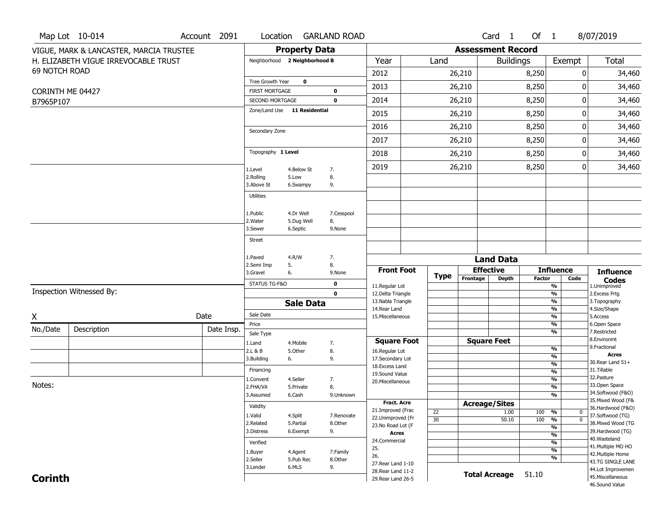|                      | Map Lot 10-014                          | Account 2091 | Location                                        |                      | <b>GARLAND ROAD</b> |                                          |                 |                          | Card <sub>1</sub>    | Of 1          |                                           | 8/07/2019                                       |
|----------------------|-----------------------------------------|--------------|-------------------------------------------------|----------------------|---------------------|------------------------------------------|-----------------|--------------------------|----------------------|---------------|-------------------------------------------|-------------------------------------------------|
|                      | VIGUE, MARK & LANCASTER, MARCIA TRUSTEE |              |                                                 | <b>Property Data</b> |                     |                                          |                 | <b>Assessment Record</b> |                      |               |                                           |                                                 |
|                      | H. ELIZABETH VIGUE IRREVOCABLE TRUST    |              | Neighborhood 2 Neighborhood B                   |                      |                     | Year                                     | Land            |                          | <b>Buildings</b>     |               | Exempt                                    | Total                                           |
| <b>69 NOTCH ROAD</b> |                                         |              |                                                 |                      |                     | 2012                                     |                 | 26,210                   |                      | 8,250         |                                           | 0<br>34,460                                     |
|                      |                                         |              | Tree Growth Year                                | 0                    |                     | 2013                                     |                 | 26,210                   |                      | 8,250         |                                           | 34,460<br>0                                     |
|                      | CORINTH ME 04427                        |              | <b>FIRST MORTGAGE</b>                           |                      | 0                   |                                          |                 |                          |                      |               |                                           |                                                 |
| B7965P107            |                                         |              | SECOND MORTGAGE<br>Zone/Land Use 11 Residential |                      | $\mathbf 0$         | 2014                                     |                 | 26,210                   |                      | 8,250         |                                           | 0<br>34,460                                     |
|                      |                                         |              |                                                 |                      |                     | 2015                                     |                 | 26,210                   |                      | 8,250         |                                           | 34,460<br>0                                     |
|                      |                                         |              | Secondary Zone                                  |                      |                     | 2016                                     |                 | 26,210                   |                      | 8,250         |                                           | 34,460<br>0                                     |
|                      |                                         |              |                                                 |                      |                     | 2017                                     |                 | 26,210                   |                      | 8,250         |                                           | 34,460<br>0                                     |
|                      |                                         |              | Topography 1 Level                              |                      |                     | 2018                                     |                 | 26,210                   |                      | 8,250         |                                           | 0<br>34,460                                     |
|                      |                                         |              | 1.Level                                         | 4.Below St           | 7.                  | 2019                                     |                 | 26,210                   |                      | 8,250         |                                           | 0<br>34,460                                     |
|                      |                                         |              | 2.Rolling<br>3.Above St                         | 5.Low<br>6.Swampy    | 8.<br>9.            |                                          |                 |                          |                      |               |                                           |                                                 |
|                      |                                         |              | <b>Utilities</b>                                |                      |                     |                                          |                 |                          |                      |               |                                           |                                                 |
|                      |                                         |              | 1.Public                                        | 4.Dr Well            | 7.Cesspool          |                                          |                 |                          |                      |               |                                           |                                                 |
|                      |                                         |              | 2. Water                                        | 5.Dug Well           | 8.                  |                                          |                 |                          |                      |               |                                           |                                                 |
|                      |                                         |              | 3.Sewer                                         | 6.Septic             | 9.None              |                                          |                 |                          |                      |               |                                           |                                                 |
|                      |                                         |              | Street                                          |                      |                     |                                          |                 |                          |                      |               |                                           |                                                 |
|                      |                                         |              | 1.Paved                                         | 4.R/W                | 7.                  |                                          |                 |                          | <b>Land Data</b>     |               |                                           |                                                 |
|                      |                                         |              | 2.Semi Imp<br>3.Gravel                          | 5.<br>6.             | 8.<br>9.None        | <b>Front Foot</b>                        |                 | <b>Effective</b>         |                      |               | <b>Influence</b>                          | <b>Influence</b>                                |
|                      |                                         |              |                                                 |                      |                     |                                          | <b>Type</b>     | Frontage                 | Depth                | <b>Factor</b> |                                           | Code<br><b>Codes</b>                            |
|                      | Inspection Witnessed By:                |              | STATUS TG-F&O                                   |                      | 0<br>$\mathbf{0}$   | 11.Regular Lot<br>12.Delta Triangle      |                 |                          |                      |               | $\frac{9}{6}$<br>$\overline{\frac{9}{6}}$ | 1.Unimproved<br>2. Excess Frtg                  |
|                      |                                         |              |                                                 | <b>Sale Data</b>     |                     | 13. Nabla Triangle                       |                 |                          |                      |               | %                                         | 3. Topography                                   |
| Χ                    |                                         | Date         | Sale Date                                       |                      |                     | 14. Rear Land<br>15. Miscellaneous       |                 |                          |                      |               | $\frac{9}{6}$<br>%                        | 4.Size/Shape<br>5.Access                        |
|                      |                                         |              | Price                                           |                      |                     |                                          |                 |                          |                      |               | %                                         | 6.Open Space                                    |
| No./Date             | Description                             | Date Insp.   | Sale Type                                       |                      |                     |                                          |                 |                          |                      |               | %                                         | 7.Restricted<br>8.Environmt                     |
|                      |                                         |              | 1.Land                                          | 4. Mobile            | 7.                  | <b>Square Foot</b>                       |                 |                          | <b>Square Feet</b>   |               | %                                         | 9. Fractional                                   |
|                      |                                         |              | 2.L & B<br>3.Building                           | 5.Other<br>6.        | 8.<br>9.            | 16.Regular Lot<br>17.Secondary Lot       |                 |                          |                      |               | %                                         | <b>Acres</b>                                    |
|                      |                                         |              | Financing                                       |                      |                     | 18.Excess Land                           |                 |                          |                      |               | $\frac{9}{6}$                             | 30. Rear Land 51+<br>31.Tillable                |
|                      |                                         |              | 1.Convent                                       | 4.Seller             | 7.                  | 19.Sound Value                           |                 |                          |                      |               | $\frac{9}{6}$<br>$\frac{9}{6}$            | 32.Pasture                                      |
| Notes:               |                                         |              | 2.FHA/VA                                        | 5.Private            | 8.                  | 20.Miscellaneous                         |                 |                          |                      |               | %                                         | 33.Open Space                                   |
|                      |                                         |              | 3.Assumed                                       | 6.Cash               | 9.Unknown           |                                          |                 |                          |                      |               | $\overline{\frac{9}{6}}$                  | 34.Softwood (F&O)                               |
|                      |                                         |              | Validity                                        |                      |                     | <b>Fract. Acre</b>                       |                 | <b>Acreage/Sites</b>     |                      |               |                                           | 35. Mixed Wood (F&<br>36.Hardwood (F&O)         |
|                      |                                         |              | 1.Valid                                         | 4.Split              | 7.Renovate          | 21.Improved (Frac<br>22.Unimproved (Fr   | 22              |                          | 1.00                 | 100           | %                                         | 0<br>37.Softwood (TG)                           |
|                      |                                         |              | 2.Related                                       | 5.Partial            | 8.Other             | 23.No Road Lot (F                        | $\overline{30}$ |                          | 50.10                | 100           | $\frac{9}{6}$<br>$\frac{9}{6}$            | $\overline{\mathfrak{o}}$<br>38. Mixed Wood (TG |
|                      |                                         |              | 3.Distress                                      | 6.Exempt             | 9.                  | <b>Acres</b>                             |                 |                          |                      |               | $\overline{\frac{9}{6}}$                  | 39.Hardwood (TG)                                |
|                      |                                         |              | Verified                                        |                      |                     | 24.Commercial                            |                 |                          |                      |               | $\overline{\frac{9}{6}}$                  | 40. Wasteland<br>41. Multiple MO HO             |
|                      |                                         |              | 1.Buyer                                         | 4.Agent              | 7.Family            | 25.                                      |                 |                          |                      |               | $\overline{\frac{9}{6}}$                  | 42. Multiple Home                               |
|                      |                                         |              | 2.Seller                                        | 5.Pub Rec            | 8.Other             | 26.                                      |                 |                          |                      |               | $\overline{\frac{9}{6}}$                  |                                                 |
|                      |                                         |              |                                                 |                      |                     |                                          |                 |                          |                      |               |                                           | 43.TG SINGLE LANE                               |
|                      |                                         |              | 3.Lender                                        | 6.MLS                | 9.                  | 27. Rear Land 1-10<br>28. Rear Land 11-2 |                 |                          |                      |               |                                           | 44.Lot Improvemen                               |
| <b>Corinth</b>       |                                         |              |                                                 |                      |                     | 29. Rear Land 26-5                       |                 |                          | <b>Total Acreage</b> | 51.10         |                                           | 45. Miscellaneous<br>46.Sound Value             |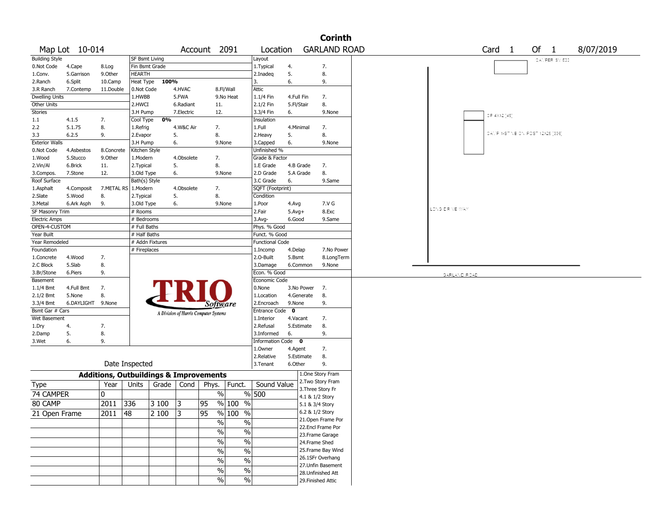|                                     |                      |                                                   |                           |       |            |                                       |                          |                               |          |            | <b>Corinth</b>                          |                                   |           |
|-------------------------------------|----------------------|---------------------------------------------------|---------------------------|-------|------------|---------------------------------------|--------------------------|-------------------------------|----------|------------|-----------------------------------------|-----------------------------------|-----------|
|                                     | Map Lot 10-014       |                                                   |                           |       |            | Account 2091                          |                          | Location                      |          |            | <b>GARLAND ROAD</b>                     | Of 1<br>Card <sub>1</sub>         | 8/07/2019 |
| <b>Building Style</b>               |                      |                                                   | <b>SF Bsmt Living</b>     |       |            |                                       |                          | Layout                        |          |            |                                         | CATPER SV 500                     |           |
| 0.Not Code                          | 4.Cape               | 8.Log                                             | Fin Bsmt Grade            |       |            |                                       |                          | 1. Typical                    | 4.       |            | 7.                                      |                                   |           |
| 1.Conv.                             | 5.Garrison           | 9.0ther                                           | <b>HEARTH</b>             |       |            |                                       |                          | 2.Inadeg                      | 5.       |            | 8.                                      |                                   |           |
| 2.Ranch                             | 6.Split              | 10.Camp                                           | Heat Type                 | 100%  |            |                                       |                          | 3.                            | 6.       |            | 9.                                      |                                   |           |
| 3.R Ranch                           | 7.Contemp            | 11.Double                                         | 0.Not Code                |       | 4.HVAC     |                                       | 8.Fl/Wall                | Attic                         |          |            |                                         |                                   |           |
| <b>Dwelling Units</b>               |                      |                                                   | 1.HWBB                    |       | 5.FWA      |                                       | 9.No Heat                | 1.1/4 Fin                     |          | 4.Full Fin | 7.                                      |                                   |           |
| Other Units                         |                      |                                                   | 2.HWCI                    |       | 6.Radiant  | 11.                                   |                          | 2.1/2 Fin                     |          | 5.Fl/Stair | 8.                                      |                                   |           |
| Stories                             |                      |                                                   | 3.H Pump                  |       | 7.Electric | 12.                                   |                          | 3.3/4 Fin                     | 6.       |            | 9.None                                  | OP 4X12 [48]                      |           |
| 1.1                                 | 4.1.5                | 7.                                                | Cool Type                 | 0%    |            |                                       |                          | Insulation                    |          |            |                                         |                                   |           |
| 2.2                                 | 5.1.75               | 8.                                                | 1.Refrig                  |       | 4.W&C Air  | 7.                                    |                          | 1.Full                        |          | 4.Minimal  | 7.                                      | CATIP 1-STINBION POST 12X26 13361 |           |
| 3.3                                 | 6.2.5                | 9.                                                | 2.Evapor                  |       | 5.         | 8.                                    |                          | 2. Heavy                      | 5.       |            | 8.                                      |                                   |           |
| <b>Exterior Walls</b><br>0.Not Code | 4.Asbestos           | 8.Concrete                                        | 3.H Pump<br>Kitchen Style |       | 6.         | 9.None                                |                          | 3.Capped<br>Unfinished %      | 6.       |            | 9.None                                  |                                   |           |
| 1.Wood                              | 5.Stucco             | 9.0ther                                           | 1.Modern                  |       | 4.Obsolete | 7.                                    |                          | Grade & Factor                |          |            |                                         |                                   |           |
| 2.Vin/Al                            | 6.Brick              | 11.                                               | 2. Typical                |       | 5.         | 8.                                    |                          | 1.E Grade                     |          | 4.B Grade  | 7.                                      |                                   |           |
| 3.Compos.                           | 7.Stone              | 12.                                               | 3.Old Type                |       | 6.         | 9.None                                |                          | 2.D Grade                     |          | 5.A Grade  | 8.                                      |                                   |           |
| Roof Surface                        |                      |                                                   | Bath(s) Style             |       |            |                                       |                          | 3.C Grade                     | 6.       |            | 9.Same                                  |                                   |           |
| 1.Asphalt                           | 4.Composit           | 7.METAL RS 1.Modern                               |                           |       | 4.Obsolete | 7.                                    |                          | SQFT (Footprint)              |          |            |                                         |                                   |           |
| 2.Slate                             | 5.Wood               | 8.                                                | 2. Typical                |       | 5.         | 8.                                    |                          | Condition                     |          |            |                                         |                                   |           |
| 3. Metal                            | 6.Ark Asph           | 9.                                                | 3.Old Type                |       | 6.         | 9.None                                |                          | 1.Poor                        | 4.Avg    |            | 7.V G                                   |                                   |           |
| SF Masonry Trim                     |                      |                                                   | # Rooms                   |       |            |                                       |                          | 2.Fair                        | $5.Avg+$ |            | 8.Exc                                   | LONG DRIVE WAY                    |           |
| <b>Electric Amps</b>                |                      |                                                   | # Bedrooms                |       |            |                                       |                          | $3.$ Avg-                     | 6.Good   |            | 9.Same                                  |                                   |           |
| OPEN-4-CUSTOM                       |                      |                                                   | # Full Baths              |       |            |                                       |                          | Phys. % Good                  |          |            |                                         |                                   |           |
| Year Built                          |                      |                                                   | # Half Baths              |       |            |                                       |                          | Funct. % Good                 |          |            |                                         |                                   |           |
| Year Remodeled                      |                      |                                                   | # Addn Fixtures           |       |            |                                       |                          | Functional Code               |          |            |                                         |                                   |           |
| Foundation                          |                      |                                                   | # Fireplaces              |       |            |                                       |                          | 1.Incomp                      | 4.Delap  |            | 7.No Power                              |                                   |           |
| 1.Concrete                          | 4.Wood               | 7.                                                |                           |       |            |                                       |                          | 2.O-Built                     | 5.Bsmt   |            | 8.LongTerm                              |                                   |           |
| 2.C Block                           | 5.Slab               | 8.                                                |                           |       |            |                                       |                          | 3.Damage                      |          | 6.Common   | 9.None                                  |                                   |           |
| 3.Br/Stone                          | 6.Piers              | 9.                                                |                           |       |            |                                       |                          | Econ. % Good                  |          |            |                                         | GARLAND ROAD                      |           |
| Basement                            |                      |                                                   |                           |       |            |                                       |                          | Economic Code                 |          |            |                                         |                                   |           |
| $1.1/4$ Bmt                         | 4.Full Bmt           | 7.                                                |                           |       |            |                                       |                          | 0.None                        |          | 3.No Power | 7.                                      |                                   |           |
| $2.1/2$ Bmt                         | 5.None<br>6.DAYLIGHT | 8.<br>9.None                                      |                           |       |            |                                       |                          | 1.Location                    |          | 4.Generate | 8.<br>9.                                |                                   |           |
| 3.3/4 Bmt<br>Bsmt Gar # Cars        |                      |                                                   |                           |       |            | <i>Software</i>                       |                          | 2.Encroach<br>Entrance Code 0 | 9.None   |            |                                         |                                   |           |
| Wet Basement                        |                      |                                                   |                           |       |            | A Division of Harris Computer Systems |                          | 1.Interior                    |          | 4.Vacant   | 7.                                      |                                   |           |
| 1.Dry                               | 4.                   | 7.                                                |                           |       |            |                                       |                          | 2.Refusal                     |          | 5.Estimate | 8.                                      |                                   |           |
| 2.Damp                              | 5.                   | 8.                                                |                           |       |            |                                       |                          | 3.Informed                    | 6.       |            | 9.                                      |                                   |           |
| 3.Wet                               | 6.                   | 9.                                                |                           |       |            |                                       |                          | Information Code 0            |          |            |                                         |                                   |           |
|                                     |                      |                                                   |                           |       |            |                                       |                          | 1.0wner                       | 4.Agent  |            | 7.                                      |                                   |           |
|                                     |                      |                                                   |                           |       |            |                                       |                          | 2.Relative                    |          | 5.Estimate | 8.                                      |                                   |           |
|                                     |                      |                                                   | Date Inspected            |       |            |                                       |                          | 3. Tenant                     | 6.Other  |            | 9.                                      |                                   |           |
|                                     |                      | <b>Additions, Outbuildings &amp; Improvements</b> |                           |       |            |                                       |                          |                               |          |            | 1.One Story Fram                        |                                   |           |
| Type                                |                      | Year                                              | Units                     | Grade | Cond       | Phys.                                 | Funct.                   | Sound Value                   |          |            | 2. Two Story Fram                       |                                   |           |
| 74 CAMPER                           |                      | 0                                                 |                           |       |            | $\%$                                  |                          | % 500                         |          |            | 3. Three Story Fr                       |                                   |           |
|                                     |                      |                                                   | 336                       | 3 100 |            |                                       |                          |                               |          |            | 4.1 & 1/2 Story                         |                                   |           |
| 80 CAMP                             |                      | 2011                                              |                           |       | 13         | 95                                    | % 100 %                  |                               |          |            | 5.1 & 3/4 Story                         |                                   |           |
| 21 Open Frame                       |                      | $2011$  48                                        |                           | 2 100 | 3          | 95                                    | % 100 %                  |                               |          |            | 6.2 & 1/2 Story                         |                                   |           |
|                                     |                      |                                                   |                           |       |            | $\sqrt{6}$                            | $\%$                     |                               |          |            | 21. Open Frame Por<br>22.Encl Frame Por |                                   |           |
|                                     |                      |                                                   |                           |       |            | $\sqrt{20}$                           | $\frac{0}{6}$            |                               |          |            | 23.Frame Garage                         |                                   |           |
|                                     |                      |                                                   |                           |       |            | $\frac{9}{6}$                         | $\frac{0}{6}$            |                               |          |            | 24.Frame Shed                           |                                   |           |
|                                     |                      |                                                   |                           |       |            | $\frac{9}{6}$                         | $\overline{\frac{0}{0}}$ |                               |          |            | 25. Frame Bay Wind                      |                                   |           |
|                                     |                      |                                                   |                           |       |            |                                       |                          |                               |          |            | 26.1SFr Overhang                        |                                   |           |
|                                     |                      |                                                   |                           |       |            | $\sqrt{6}$                            | $\overline{\frac{0}{0}}$ |                               |          |            | 27.Unfin Basement                       |                                   |           |
|                                     |                      |                                                   |                           |       |            | $\sqrt{6}$                            | $\%$                     |                               |          |            | 28.Unfinished Att                       |                                   |           |
|                                     |                      |                                                   |                           |       |            | $\frac{9}{6}$                         | $\%$                     |                               |          |            | 29. Finished Attic                      |                                   |           |
|                                     |                      |                                                   |                           |       |            |                                       |                          |                               |          |            |                                         |                                   |           |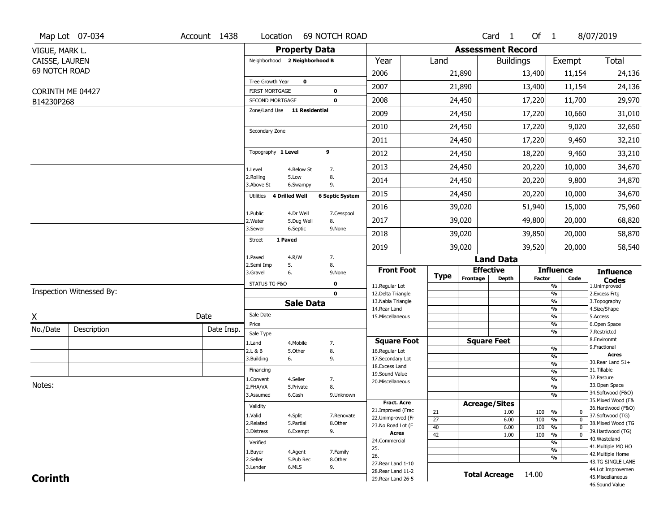|                  | Map Lot 07-034           | Account 1438 |                                          |                         | Location 69 NOTCH ROAD |                                    |                       |                          | Card <sub>1</sub> | Of $1$        |                                                      | 8/07/2019                           |
|------------------|--------------------------|--------------|------------------------------------------|-------------------------|------------------------|------------------------------------|-----------------------|--------------------------|-------------------|---------------|------------------------------------------------------|-------------------------------------|
| VIGUE, MARK L.   |                          |              |                                          | <b>Property Data</b>    |                        |                                    |                       | <b>Assessment Record</b> |                   |               |                                                      |                                     |
| CAISSE, LAUREN   |                          |              | Neighborhood 2 Neighborhood B            |                         |                        | Year                               | Land                  |                          | <b>Buildings</b>  |               | Exempt                                               | Total                               |
| 69 NOTCH ROAD    |                          |              |                                          |                         |                        | 2006                               |                       | 21,890                   |                   | 13,400        | 11,154                                               | 24,136                              |
|                  |                          |              | <b>Tree Growth Year</b>                  | $\bf o$                 |                        | 2007                               |                       | 21,890                   |                   | 13,400        | 11,154                                               | 24,136                              |
| CORINTH ME 04427 |                          |              | <b>FIRST MORTGAGE</b><br>SECOND MORTGAGE |                         | 0<br>$\mathbf 0$       | 2008                               |                       | 24,450                   |                   | 17,220        | 11,700                                               | 29,970                              |
| B14230P268       |                          |              | Zone/Land Use 11 Residential             |                         |                        |                                    |                       |                          |                   |               |                                                      |                                     |
|                  |                          |              |                                          |                         |                        | 2009                               |                       | 24,450                   |                   | 17,220        | 10,660                                               | 31,010                              |
|                  |                          |              | Secondary Zone                           |                         |                        | 2010                               |                       | 24,450                   |                   | 17,220        | 9,020                                                | 32,650                              |
|                  |                          |              |                                          |                         |                        | 2011                               |                       | 24,450                   |                   | 17,220        | 9,460                                                | 32,210                              |
|                  |                          |              | Topography 1 Level                       |                         | 9                      | 2012                               |                       | 24,450                   |                   | 18,220        | 9,460                                                | 33,210                              |
|                  |                          |              | 1.Level                                  | 4.Below St              | 7.                     | 2013                               |                       | 24,450                   |                   | 20,220        | 10,000                                               | 34,670                              |
|                  |                          |              | 2.Rolling<br>3.Above St                  | 5.Low<br>6.Swampy       | 8.<br>9.               | 2014                               |                       | 24,450                   |                   | 20,220        | 9,800                                                | 34,870                              |
|                  |                          |              | Utilities 4 Drilled Well                 |                         | <b>6 Septic System</b> | 2015                               |                       | 24,450                   |                   | 20,220        | 10,000                                               | 34,670                              |
|                  |                          |              |                                          |                         |                        | 2016                               |                       | 39,020                   |                   | 51,940        | 15,000                                               | 75,960                              |
|                  |                          |              | 1.Public<br>2. Water                     | 4.Dr Well<br>5.Dug Well | 7.Cesspool<br>8.       | 2017                               |                       | 39,020                   |                   | 49,800        | 20,000                                               | 68,820                              |
|                  |                          |              | 3.Sewer                                  | 6.Septic                | 9.None                 | 2018                               |                       | 39,020                   |                   | 39,850        | 20,000                                               | 58,870                              |
|                  |                          |              | 1 Paved<br><b>Street</b>                 |                         |                        | 2019                               |                       | 39,020                   |                   | 39,520        | 20,000                                               | 58,540                              |
|                  |                          |              | 1.Paved                                  | 4.R/W                   | 7.                     |                                    |                       |                          | <b>Land Data</b>  |               |                                                      |                                     |
|                  |                          |              | 2.Semi Imp<br>5.<br>3.Gravel<br>6.       |                         | 8.<br>9.None           | <b>Front Foot</b>                  |                       | <b>Effective</b>         |                   |               | <b>Influence</b>                                     | <b>Influence</b>                    |
|                  |                          |              | STATUS TG-F&O                            |                         | 0                      | 11.Regular Lot                     | <b>Type</b>           | Frontage                 | Depth             | <b>Factor</b> | Code<br>%                                            | <b>Codes</b><br>1.Unimproved        |
|                  | Inspection Witnessed By: |              |                                          |                         | $\mathbf 0$            | 12.Delta Triangle                  |                       |                          |                   |               | $\frac{9}{6}$                                        | 2. Excess Frtg                      |
|                  |                          |              |                                          | <b>Sale Data</b>        |                        | 13. Nabla Triangle<br>14.Rear Land |                       |                          |                   |               | $\overline{\frac{9}{6}}$<br>$\frac{9}{6}$            | 3. Topography<br>4.Size/Shape       |
| X                |                          | Date         | Sale Date                                |                         |                        | 15. Miscellaneous                  |                       |                          |                   |               | $\overline{\frac{9}{6}}$                             | 5.Access                            |
| No./Date         | Description              | Date Insp.   | Price                                    |                         |                        |                                    |                       |                          |                   |               | %<br>%                                               | 6.Open Space<br>7.Restricted        |
|                  |                          |              | Sale Type<br>1.Land                      | 4.Mobile                | 7.                     | <b>Square Foot</b>                 |                       | <b>Square Feet</b>       |                   |               |                                                      | 8.Environmt                         |
|                  |                          |              | 2.L & B                                  | 5.Other                 | 8.                     | 16.Regular Lot                     |                       |                          |                   |               | %                                                    | 9. Fractional<br><b>Acres</b>       |
|                  |                          |              | 3.Building<br>6.                         |                         | 9.                     | 17.Secondary Lot<br>18.Excess Land |                       |                          |                   |               | %<br>%                                               | 30. Rear Land 51+                   |
|                  |                          |              | Financing                                |                         |                        | 19.Sound Value                     |                       |                          |                   |               | %                                                    | 31.Tillable                         |
|                  |                          |              | L.Convent                                | 4.Seller                | 7.                     | 20.Miscellaneous                   |                       |                          |                   |               | %                                                    | 32. Pasture                         |
| Notes:           |                          |              | 2.FHA/VA                                 | 5.Private               | 8.                     |                                    |                       |                          |                   |               | %                                                    | 33.Open Space<br>34.Softwood (F&O)  |
|                  |                          |              | 3.Assumed                                | 6.Cash                  | 9.Unknown              | Fract. Acre                        |                       |                          |                   |               | %                                                    | 35. Mixed Wood (F&                  |
|                  |                          |              | Validity                                 |                         |                        | 21.Improved (Frac                  |                       | <b>Acreage/Sites</b>     |                   |               |                                                      | 36.Hardwood (F&O)                   |
|                  |                          |              | 1.Valid                                  | 4.Split                 | 7.Renovate             | 22.Unimproved (Fr                  | 21<br>$\overline{27}$ |                          | 1.00<br>6.00      | 100<br>100    | %<br>0<br>$\overline{\mathfrak{o}}$<br>$\frac{9}{6}$ | 37.Softwood (TG)                    |
|                  |                          |              | 2.Related                                | 5.Partial               | 8.Other                | 23.No Road Lot (F                  | 40                    |                          | 6.00              | 100           | $\frac{9}{6}$<br>$\overline{0}$                      | 38. Mixed Wood (TG                  |
|                  |                          |              | 3.Distress                               | 6.Exempt                | 9.                     | <b>Acres</b>                       | $\overline{42}$       |                          | 1.00              | 100           | $\overline{\mathfrak{o}}$<br>$\frac{9}{6}$           | 39.Hardwood (TG)                    |
|                  |                          |              | Verified                                 |                         |                        | 24.Commercial                      |                       |                          |                   |               | %                                                    | 40. Wasteland<br>41. Multiple MO HO |
|                  |                          |              | 1.Buyer                                  | 4.Agent                 | 7.Family               | 25.<br>26.                         |                       |                          |                   |               | $\overline{\frac{9}{6}}$                             | 42. Multiple Home                   |
|                  |                          |              | 2.Seller                                 | 5.Pub Rec               | 8.Other                | 27. Rear Land 1-10                 |                       |                          |                   |               | %                                                    | 43.TG SINGLE LANE                   |
| <b>Corinth</b>   |                          |              | 3.Lender                                 | 6.MLS                   | 9.                     |                                    |                       |                          |                   |               |                                                      | 44.Lot Improvemen                   |
|                  |                          |              |                                          |                         |                        | 28. Rear Land 11-2                 |                       | <b>Total Acreage</b>     |                   | 14.00         |                                                      | 45. Miscellaneous                   |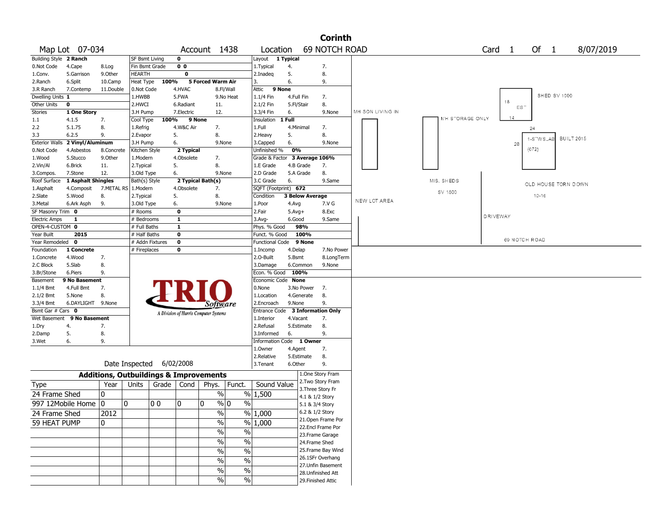|                        |                    |                                                   |                 |       |                |                                       |                          |                               |                        | <b>Corinth</b>                     |                  |                        |                   |                                |
|------------------------|--------------------|---------------------------------------------------|-----------------|-------|----------------|---------------------------------------|--------------------------|-------------------------------|------------------------|------------------------------------|------------------|------------------------|-------------------|--------------------------------|
|                        | Map Lot 07-034     |                                                   |                 |       |                | Account 1438                          |                          | Location                      |                        | <b>69 NOTCH ROAD</b>               |                  |                        | Card <sub>1</sub> | Of 1<br>8/07/2019              |
| Building Style 2 Ranch |                    |                                                   | SF Bsmt Living  |       | $\mathbf 0$    |                                       |                          | Layout 1 Typical              |                        |                                    |                  |                        |                   |                                |
| 0.Not Code             | 4.Cape             | 8.Log                                             | Fin Bsmt Grade  |       | 0 <sub>0</sub> |                                       |                          | 1.Typical                     | 4.                     | 7.                                 |                  |                        |                   |                                |
| 1.Conv.                | 5.Garrison         | 9.0ther                                           | HEARTH          |       | 0              |                                       |                          | 2.Inadeg                      | 5.                     | 8.                                 |                  |                        |                   |                                |
| 2.Ranch                | 6.Split            | 10.Camp                                           | Heat Type       | 100%  |                | 5 Forced Warm Air                     |                          | 3.                            | 6.                     | 9.                                 |                  |                        |                   |                                |
| 3.R Ranch              | 7.Contemp          | 11.Double                                         | 0.Not Code      |       | 4.HVAC         |                                       | 8.Fl/Wall                | Attic<br>9 None               |                        |                                    |                  |                        |                   |                                |
| Dwelling Units 1       |                    |                                                   | 1.HWBB          |       | 5.FWA          |                                       | 9.No Heat                | 1.1/4 Fin                     | 4.Full Fin             | 7.                                 |                  |                        |                   | SHED SV 1000                   |
| Other Units            | 0                  |                                                   | 2.HWCI          |       | 6.Radiant      | 11.                                   |                          | 2.1/2 Fin                     | 5.Fl/Stair             | 8.                                 |                  |                        | 18<br>$ES^-$      |                                |
| <b>Stories</b>         | 1 One Story        |                                                   | 3.H Pump        |       | 7.Electric     | 12.                                   |                          | 3.3/4 Fin                     | 6.                     | 9.None                             | MH SON LIVING IN |                        |                   |                                |
| 1.1                    | 4.1.5              | 7.                                                | Cool Type       | 100%  | 9 None         |                                       |                          | Insulation                    | 1 Full                 |                                    |                  | <b>MH STORAGE ONLY</b> | 14                |                                |
| 2.2                    | 5.1.75             | 8.                                                | 1.Refrig        |       | 4.W&C Air      | 7.                                    |                          | 1.Full                        | 4.Minimal              | 7.                                 |                  |                        |                   | 24                             |
| 3.3                    | 6.2.5              | 9.                                                | 2.Evapor        |       | 5.             | 8.                                    |                          | 2.Heavy                       | 5.                     | 8.                                 |                  |                        |                   |                                |
| <b>Exterior Walls</b>  | 2 Vinyl/Aluminum   |                                                   | 3.H Pump        |       | 6.             |                                       | 9.None                   | 3.Capped                      | 6.                     | 9.None                             |                  |                        | 28                | <b>BUILT 2015</b><br>1-STWS_AB |
| 0.Not Code             | 4.Asbestos         | 8.Concrete                                        | Kitchen Style   |       | 2 Typical      |                                       |                          | Unfinished %                  | 0%                     |                                    |                  |                        |                   | (672)                          |
| 1.Wood                 | 5.Stucco           | 9.Other                                           | 1.Modern        |       | 4.Obsolete     | 7.                                    |                          | Grade & Factor 3 Average 106% |                        |                                    |                  |                        |                   |                                |
| 2.Vin/Al               | 6.Brick            | 11.                                               | 2. Typical      |       | 5.             | 8.                                    |                          | 1.E Grade                     | 4.B Grade              | 7.                                 |                  |                        |                   |                                |
| 3.Compos.              | 7.Stone            | 12.                                               | 3.Old Type      |       | 6.             |                                       | 9.None                   | 2.D Grade                     | 5.A Grade              | 8.                                 |                  |                        |                   |                                |
| Roof Surface           | 1 Asphalt Shingles |                                                   | Bath(s) Style   |       |                | 2 Typical Bath(s)                     |                          | 3.C Grade                     | 6.                     | 9.Same                             |                  | MIS. SHEDS             |                   |                                |
| 1.Asphalt              | 4.Composit         | 7.METAL RS   1.Modern                             |                 |       | 4.Obsolete     | 7.                                    |                          | SQFT (Footprint) 672          |                        |                                    |                  |                        |                   | OLD HOUSE TORN DOWN            |
| 2.Slate                | 5.Wood             | 8.                                                | 2. Typical      |       | 5.             | 8.                                    |                          | Condition                     | <b>3 Below Average</b> |                                    |                  | SV 1500                |                   | $10 - 16$                      |
| 3.Metal                | 6.Ark Asph         | 9.                                                | 3.Old Type      |       | 6.             |                                       | 9.None                   | 1.Poor                        | 4.Avg                  | 7.V G                              | NEW LOT AREA     |                        |                   |                                |
| SF Masonry Trim 0      |                    |                                                   | # Rooms         |       | $\mathbf 0$    |                                       |                          | 2.Fair                        | $5.Avg+$               | 8.Exc                              |                  |                        |                   |                                |
| <b>Electric Amps</b>   | 1                  |                                                   | # Bedrooms      |       | 1              |                                       |                          | $3.$ Avg-                     | 6.Good                 | 9.Same                             |                  |                        | DRIVEWAY          |                                |
| OPEN-4-CUSTOM 0        |                    |                                                   | # Full Baths    |       | 1              |                                       |                          | Phys. % Good                  | 98%                    |                                    |                  |                        |                   |                                |
| Year Built             | 2015               |                                                   | $#$ Half Baths  |       | $\bf{0}$       |                                       |                          | Funct. % Good                 | 100%                   |                                    |                  |                        |                   |                                |
| Year Remodeled         | 0                  |                                                   | # Addn Fixtures |       | $\bf{0}$       |                                       |                          | <b>Functional Code</b>        | 9 None                 |                                    |                  |                        | 69 NOTCH ROAD     |                                |
| Foundation             | 1 Concrete         |                                                   | # Fireplaces    |       | $\bf{0}$       |                                       |                          | 1.Incomp                      | 4.Delap                | 7.No Power                         |                  |                        |                   |                                |
| 1.Concrete             | 4.Wood             | 7.                                                |                 |       |                |                                       |                          | 2.0-Built                     | 5.Bsmt                 | 8.LongTerm                         |                  |                        |                   |                                |
| 2.C Block              | 5.Slab             | 8.                                                |                 |       |                |                                       |                          | 3.Damage                      | 6.Common               | 9.None                             |                  |                        |                   |                                |
| 3.Br/Stone             | 6.Piers            | 9.                                                |                 |       |                |                                       |                          | Econ. % Good                  | 100%                   |                                    |                  |                        |                   |                                |
| Basement               | 9 No Basement      |                                                   |                 |       |                |                                       |                          | Economic Code None            |                        |                                    |                  |                        |                   |                                |
| 1.1/4 Bmt              | 4.Full Bmt         | 7.                                                |                 |       |                |                                       |                          | 0.None                        | 3.No Power             | 7.                                 |                  |                        |                   |                                |
| 2.1/2 Bmt              | 5.None             | 8.                                                |                 |       |                |                                       |                          | 1.Location                    | 4.Generate             | 8.                                 |                  |                        |                   |                                |
| 3.3/4 Bmt              | 6.DAYLIGHT 9.None  |                                                   |                 |       |                | Software                              |                          | 2.Encroach                    | 9.None                 | 9.                                 |                  |                        |                   |                                |
| Bsmt Gar # Cars 0      |                    |                                                   |                 |       |                |                                       |                          | <b>Entrance Code</b>          |                        | <b>3 Information Only</b>          |                  |                        |                   |                                |
| Wet Basement           | 9 No Basement      |                                                   |                 |       |                | A Division of Harris Computer Systems |                          | 1.Interior                    | 4.Vacant               | 7.                                 |                  |                        |                   |                                |
| 1.Dry                  | 4.                 | 7.                                                |                 |       |                |                                       |                          | 2.Refusal                     | 5.Estimate             | 8.                                 |                  |                        |                   |                                |
| 2.Damp                 | 5.                 | 8.                                                |                 |       |                |                                       |                          | 3.Informed                    | 6.                     | 9.                                 |                  |                        |                   |                                |
| 3.Wet                  | 6.                 | 9.                                                |                 |       |                |                                       |                          | Information Code 1 Owner      |                        |                                    |                  |                        |                   |                                |
|                        |                    |                                                   |                 |       |                |                                       |                          | 1.0wner                       | 4.Agent                | 7.                                 |                  |                        |                   |                                |
|                        |                    |                                                   |                 |       |                |                                       |                          | 2.Relative                    | 5.Estimate             | 8.                                 |                  |                        |                   |                                |
|                        |                    | Date Inspected 6/02/2008                          |                 |       |                |                                       |                          | 3.Tenant                      | 6.Other                | 9.                                 |                  |                        |                   |                                |
|                        |                    | <b>Additions, Outbuildings &amp; Improvements</b> |                 |       |                |                                       |                          |                               |                        | 1.One Story Fram                   |                  |                        |                   |                                |
| <b>Type</b>            |                    | Year                                              | Units           | Grade | Cond           | Phys.                                 | Funct.                   | Sound Value                   |                        | 2. Two Story Fram                  |                  |                        |                   |                                |
| 24 Frame Shed          |                    | 0                                                 |                 |       |                | $\%$                                  |                          | % 1,500                       |                        | 3. Three Story Fr                  |                  |                        |                   |                                |
|                        |                    |                                                   |                 |       |                |                                       |                          |                               |                        | 4.1 & 1/2 Story                    |                  |                        |                   |                                |
|                        | 997 12Mobile Home  | 10<br>10                                          |                 | l 0 0 | 0              | 0                                     | % 0<br>$\%$              |                               |                        | 5.1 & 3/4 Story                    |                  |                        |                   |                                |
| 24 Frame Shed          |                    | 2012                                              |                 |       |                | $\%$                                  |                          | % 1,000                       |                        | 6.2 & 1/2 Story                    |                  |                        |                   |                                |
| 59 HEAT PUMP           |                    | 0                                                 |                 |       |                | $\sqrt{6}$                            |                          | $\frac{9}{6}$ 1,000           |                        | 21. Open Frame Por                 |                  |                        |                   |                                |
|                        |                    |                                                   |                 |       |                | %                                     | $\%$                     |                               |                        | 22.Encl Frame Por                  |                  |                        |                   |                                |
|                        |                    |                                                   |                 |       |                | $\frac{0}{0}$                         | $\%$                     |                               |                        | 23. Frame Garage                   |                  |                        |                   |                                |
|                        |                    |                                                   |                 |       |                |                                       |                          |                               |                        | 24.Frame Shed<br>25.Frame Bay Wind |                  |                        |                   |                                |
|                        |                    |                                                   |                 |       |                | $\%$                                  | $\overline{\frac{0}{6}}$ |                               |                        | 26.1SFr Overhang                   |                  |                        |                   |                                |
|                        |                    |                                                   |                 |       |                | $\%$                                  | $\%$                     |                               |                        | 27.Unfin Basement                  |                  |                        |                   |                                |
|                        |                    |                                                   |                 |       |                | $\%$                                  | $\%$                     |                               |                        | 28.Unfinished Att                  |                  |                        |                   |                                |
|                        |                    |                                                   |                 |       |                | $\frac{0}{0}$                         | $\%$                     |                               |                        | 29. Finished Attic                 |                  |                        |                   |                                |
|                        |                    |                                                   |                 |       |                |                                       |                          |                               |                        |                                    |                  |                        |                   |                                |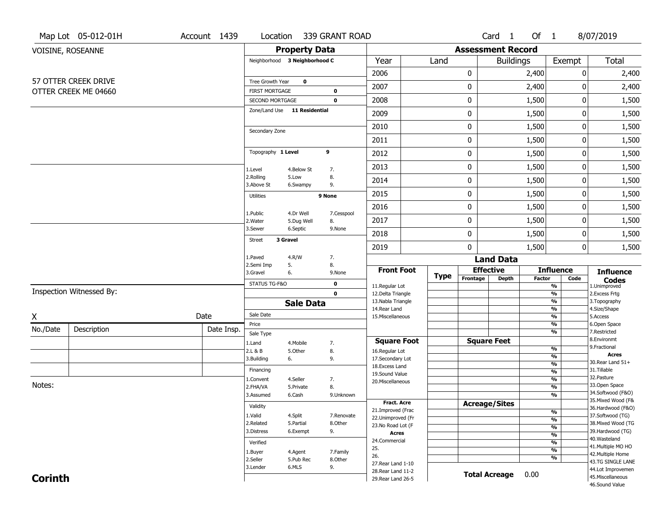|                | Map Lot 05-012-01H       | Account 1439 | Location                                 |                       | 339 GRANT ROAD        |                                          |             |                          | Card <sub>1</sub>         | Of $1$        |                                           | 8/07/2019                              |
|----------------|--------------------------|--------------|------------------------------------------|-----------------------|-----------------------|------------------------------------------|-------------|--------------------------|---------------------------|---------------|-------------------------------------------|----------------------------------------|
|                | VOISINE, ROSEANNE        |              |                                          | <b>Property Data</b>  |                       |                                          |             | <b>Assessment Record</b> |                           |               |                                           |                                        |
|                |                          |              | Neighborhood 3 Neighborhood C            |                       |                       | Year                                     | Land        |                          | <b>Buildings</b>          |               | Exempt                                    | Total                                  |
|                |                          |              |                                          |                       |                       | 2006                                     |             | 0                        |                           | 2,400         | 0                                         | 2,400                                  |
|                | 57 OTTER CREEK DRIVE     |              | Tree Growth Year                         | $\mathbf 0$           |                       | 2007                                     |             | 0                        |                           | 2,400         | 0                                         | 2,400                                  |
|                | OTTER CREEK ME 04660     |              | <b>FIRST MORTGAGE</b><br>SECOND MORTGAGE |                       | 0<br>$\mathbf 0$      | 2008                                     |             | 0                        |                           | 1,500         | 0                                         | 1,500                                  |
|                |                          |              | Zone/Land Use 11 Residential             |                       |                       | 2009                                     |             | 0                        |                           | 1,500         | 0                                         | 1,500                                  |
|                |                          |              |                                          |                       |                       | 2010                                     |             | 0                        |                           | 1,500         | 0                                         | 1,500                                  |
|                |                          |              | Secondary Zone                           |                       |                       | 2011                                     |             | 0                        |                           | 1,500         | 0                                         | 1,500                                  |
|                |                          |              | Topography 1 Level                       |                       | 9                     | 2012                                     |             | 0                        |                           | 1,500         | 0                                         | 1,500                                  |
|                |                          |              | 1.Level                                  | 4.Below St            | 7.                    | 2013                                     |             | 0                        |                           | 1,500         | 0                                         | 1,500                                  |
|                |                          |              | 2.Rolling<br>3.Above St                  | 5.Low<br>6.Swampy     | 8.<br>9.              | 2014                                     |             | 0                        |                           | 1,500         | 0                                         | 1,500                                  |
|                |                          |              | <b>Utilities</b>                         |                       | 9 None                | 2015                                     |             | 0                        |                           | 1,500         | 0                                         | 1,500                                  |
|                |                          |              | 1.Public                                 | 4.Dr Well             | 7.Cesspool            | 2016                                     |             | 0                        |                           | 1,500         | 0                                         | 1,500                                  |
|                |                          |              | 2. Water                                 | 5.Dug Well            | 8.                    | 2017                                     |             | 0                        |                           | 1,500         | 0                                         | 1,500                                  |
|                |                          |              | 3.Sewer<br>3 Gravel<br><b>Street</b>     | 6.Septic              | 9.None                | 2018                                     |             | 0                        |                           | 1,500         | 0                                         | 1,500                                  |
|                |                          |              |                                          |                       |                       | 2019                                     |             | 0                        |                           | 1,500         | 0                                         | 1,500                                  |
|                |                          |              | 1.Paved<br>2.Semi Imp<br>5.              | 4.R/W                 | 7.<br>8.              |                                          |             |                          | <b>Land Data</b>          |               |                                           |                                        |
|                |                          |              | 3.Gravel<br>6.                           |                       | 9.None                | <b>Front Foot</b>                        | <b>Type</b> | Frontage                 | <b>Effective</b><br>Depth | <b>Factor</b> | <b>Influence</b><br>Code                  | <b>Influence</b>                       |
|                | Inspection Witnessed By: |              | STATUS TG-F&O                            |                       | $\mathbf 0$           | 11.Regular Lot                           |             |                          |                           |               | $\overline{\frac{9}{6}}$                  | <b>Codes</b><br>1.Unimproved           |
|                |                          |              |                                          |                       | $\mathbf 0$           | 12.Delta Triangle<br>13. Nabla Triangle  |             |                          |                           |               | $\frac{9}{6}$<br>$\overline{\frac{9}{6}}$ | 2.Excess Frtg<br>3. Topography         |
|                |                          |              | Sale Date                                | <b>Sale Data</b>      |                       | 14. Rear Land                            |             |                          |                           |               | $\frac{9}{6}$                             | 4.Size/Shape                           |
| X              |                          | Date         | Price                                    |                       |                       | 15. Miscellaneous                        |             |                          |                           |               | $\overline{\frac{9}{6}}$<br>%             | 5.Access<br>6.Open Space               |
| No./Date       | Description              | Date Insp.   | Sale Type                                |                       |                       |                                          |             |                          |                           |               | %                                         | 7.Restricted                           |
|                |                          |              | 1.Land                                   | 4. Mobile             | 7.                    | <b>Square Foot</b>                       |             |                          | <b>Square Feet</b>        |               |                                           | 8.Environmt<br>9. Fractional           |
|                |                          |              | 2.L & B<br>3.Building<br>6.              | 5.Other               | 8.<br>9.              | 16.Regular Lot<br>17.Secondary Lot       |             |                          |                           |               | $\frac{9}{6}$<br>%                        | <b>Acres</b>                           |
|                |                          |              |                                          |                       |                       | 18.Excess Land                           |             |                          |                           |               | $\frac{9}{6}$                             | 30. Rear Land 51+                      |
|                |                          |              | Financing                                |                       |                       | 19.Sound Value                           |             |                          |                           |               | $\frac{9}{6}$                             | 31.Tillable<br>32. Pasture             |
| Notes:         |                          |              | 1.Convent<br>2.FHA/VA                    | 4.Seller<br>5.Private | 7.<br>8.              | 20.Miscellaneous                         |             |                          |                           |               | $\frac{9}{6}$<br>$\frac{9}{6}$            | 33.Open Space                          |
|                |                          |              | 3.Assumed                                | 6.Cash                | 9.Unknown             |                                          |             |                          |                           |               | %                                         | 34.Softwood (F&O)                      |
|                |                          |              | Validity                                 |                       |                       | <b>Fract. Acre</b>                       |             |                          | <b>Acreage/Sites</b>      |               |                                           | 35. Mixed Wood (F&                     |
|                |                          |              |                                          |                       |                       | 21.Improved (Frac                        |             |                          |                           |               | %                                         | 36.Hardwood (F&O)<br>37.Softwood (TG)  |
|                |                          |              | 1.Valid<br>2.Related                     | 4.Split<br>5.Partial  | 7.Renovate<br>8.Other | 22.Unimproved (Fr                        |             |                          |                           |               | $\frac{9}{6}$                             | 38. Mixed Wood (TG                     |
|                |                          |              | 3.Distress                               | 6.Exempt              | 9.                    | 23.No Road Lot (F<br><b>Acres</b>        |             |                          |                           |               | $\frac{9}{6}$                             | 39.Hardwood (TG)                       |
|                |                          |              | Verified                                 |                       |                       | 24.Commercial                            |             |                          |                           |               | $\frac{9}{6}$<br>$\frac{9}{6}$            | 40. Wasteland                          |
|                |                          |              |                                          |                       |                       |                                          |             |                          |                           |               |                                           | 41. Multiple MO HO                     |
|                |                          |              |                                          |                       |                       | 25.                                      |             |                          |                           |               |                                           |                                        |
|                |                          |              | 1.Buyer                                  | 4.Agent               | 7.Family              | 26.                                      |             |                          |                           |               | $\frac{9}{6}$<br>%                        | 42. Multiple Home                      |
|                |                          |              | 2.Seller                                 | 5.Pub Rec             | 8.Other               | 27. Rear Land 1-10                       |             |                          |                           |               |                                           | 43.TG SINGLE LANE                      |
| <b>Corinth</b> |                          |              | 3.Lender                                 | 6.MLS                 | 9.                    | 28. Rear Land 11-2<br>29. Rear Land 26-5 |             |                          | <b>Total Acreage</b>      | 0.00          |                                           | 44.Lot Improvemen<br>45. Miscellaneous |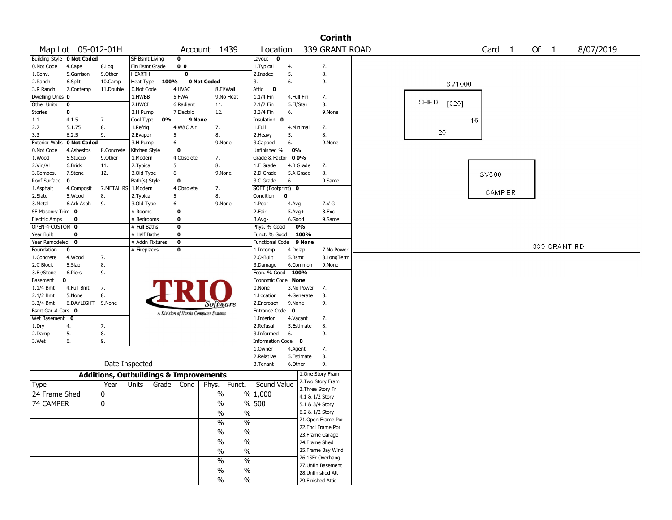|                       |                            |                                                   |                 |       |                |                                       |                          |                        |              |                    | <b>Corinth</b> |      |         |    |                   |  |              |           |  |
|-----------------------|----------------------------|---------------------------------------------------|-----------------|-------|----------------|---------------------------------------|--------------------------|------------------------|--------------|--------------------|----------------|------|---------|----|-------------------|--|--------------|-----------|--|
|                       | Map Lot 05-012-01H         |                                                   |                 |       |                | Account 1439                          |                          | Location               |              | 339 GRANT ROAD     |                |      |         |    | Card <sub>1</sub> |  | Of 1         | 8/07/2019 |  |
|                       | Building Style 0 Not Coded |                                                   | SF Bsmt Living  |       | $\mathbf 0$    |                                       |                          | Layout<br>0            |              |                    |                |      |         |    |                   |  |              |           |  |
| 0.Not Code            | 4.Cape                     | 8.Log                                             | Fin Bsmt Grade  |       | 0 <sub>0</sub> |                                       |                          | 1. Typical             | 4.           | 7.                 |                |      |         |    |                   |  |              |           |  |
| 1.Conv.               | 5.Garrison                 | 9.Other                                           | HEARTH          |       | 0              |                                       |                          | 2.Inadeq               | 5.           | 8.                 |                |      |         |    |                   |  |              |           |  |
| 2.Ranch               | 6.Split                    | 10.Camp                                           | Heat Type       | 100%  |                | 0 Not Coded                           |                          | 3.                     | 6.           | 9.                 |                |      | SV1000  |    |                   |  |              |           |  |
| 3.R Ranch             | 7.Contemp                  | 11.Double                                         | 0.Not Code      |       | 4.HVAC         |                                       | 8.Fl/Wall                | Attic<br>$\mathbf 0$   |              |                    |                |      |         |    |                   |  |              |           |  |
| Dwelling Units 0      |                            |                                                   | 1.HWBB          |       | 5.FWA          |                                       | 9.No Heat                | 1.1/4 Fin              | 4.Full Fin   | 7.                 |                |      |         |    |                   |  |              |           |  |
| Other Units           | 0                          |                                                   | 2.HWCI          |       | 6.Radiant      | 11.                                   |                          | 2.1/2 Fin              | 5.Fl/Stair   | 8.                 |                | SHED | $[320]$ |    |                   |  |              |           |  |
| Stories               | 0                          |                                                   | 3.H Pump        |       | 7.Electric     | 12.                                   |                          | 3.3/4 Fin              | 6.           |                    | 9.None         |      |         |    |                   |  |              |           |  |
| 1.1                   | 4.1.5                      | 7.                                                | Cool Type       | 0%    | 9 None         |                                       |                          | Insulation<br>0        |              |                    |                |      |         | 16 |                   |  |              |           |  |
| 2.2                   | 5.1.75                     | 8.                                                | 1.Refrig        |       | 4.W&C Air      | 7.                                    |                          | 1.Full                 | 4.Minimal    | 7.                 |                |      |         |    |                   |  |              |           |  |
| 3.3                   | 6.2.5                      | 9.                                                | 2.Evapor        |       | 5.             | 8.                                    |                          | 2.Heavy                | 5.           | 8.                 |                |      | 20      |    |                   |  |              |           |  |
| <b>Exterior Walls</b> | 0 Not Coded                |                                                   | 3.H Pump        |       | 6.             | 9.None                                |                          | 3.Capped               | 6.           |                    | 9.None         |      |         |    |                   |  |              |           |  |
| 0.Not Code            | 4.Asbestos                 | 8.Concrete                                        | Kitchen Style   |       | $\mathbf 0$    |                                       |                          | Unfinished %           | 0%           |                    |                |      |         |    |                   |  |              |           |  |
| 1.Wood                | 5.Stucco                   | 9.0ther                                           | 1.Modern        |       | 4.Obsolete     | 7.                                    |                          | Grade & Factor 00%     |              |                    |                |      |         |    |                   |  |              |           |  |
| 2.Vin/Al              | 6.Brick                    | 11.                                               | 2. Typical      |       | 5.             | 8.                                    |                          | 1.E Grade              | 4.B Grade    | 7.                 |                |      |         |    |                   |  |              |           |  |
| 3.Compos.             | 7.Stone                    | 12.                                               | 3.Old Type      |       | 6.             | 9.None                                |                          | 2.D Grade              | 5.A Grade    | 8.                 |                |      |         |    | SV500             |  |              |           |  |
| Roof Surface          | 0                          |                                                   | Bath(s) Style   |       | $\mathbf 0$    |                                       |                          | 3.C Grade              | 6.           |                    | 9.Same         |      |         |    |                   |  |              |           |  |
| 1.Asphalt             | 4.Composit                 | 7.METAL RS 1.Modern                               |                 |       | 4.Obsolete     | 7.                                    |                          | SQFT (Footprint) 0     |              |                    |                |      |         |    |                   |  |              |           |  |
| 2.Slate               | 5.Wood                     | 8.                                                | 2. Typical      |       | 5.             | 8.                                    |                          | Condition              | 0            |                    |                |      |         |    | CAMPER            |  |              |           |  |
| 3.Metal               | 6.Ark Asph                 | 9.                                                | 3.Old Type      |       | 6.             | 9.None                                |                          | 1.Poor                 | 4.Avg        | 7.V G              |                |      |         |    |                   |  |              |           |  |
| SF Masonry Trim 0     |                            |                                                   | # Rooms         |       | $\mathbf 0$    |                                       |                          | 2.Fair                 | $5.$ Avg $+$ | 8.Exc              |                |      |         |    |                   |  |              |           |  |
| <b>Electric Amps</b>  | 0                          |                                                   | # Bedrooms      |       | $\bf{0}$       |                                       |                          | $3.$ Avg-              | 6.Good       |                    | 9.Same         |      |         |    |                   |  |              |           |  |
| OPEN-4-CUSTOM 0       |                            |                                                   | # Full Baths    |       | $\bf{0}$       |                                       |                          | Phys. % Good           | 0%           |                    |                |      |         |    |                   |  |              |           |  |
| Year Built            | 0                          |                                                   | # Half Baths    |       | $\bf{0}$       |                                       |                          | Funct. % Good          | 100%         |                    |                |      |         |    |                   |  |              |           |  |
| Year Remodeled        | 0                          |                                                   | # Addn Fixtures |       | $\bf{0}$       |                                       |                          | <b>Functional Code</b> |              | 9 None             |                |      |         |    |                   |  |              |           |  |
| Foundation            | $\mathbf 0$                |                                                   | # Fireplaces    |       | $\bf{0}$       |                                       |                          | 1.Incomp               | 4.Delap      |                    | 7.No Power     |      |         |    |                   |  | 339 GRANT RD |           |  |
| 1.Concrete            | 4.Wood                     | 7.                                                |                 |       |                |                                       |                          | 2.0-Built              | 5.Bsmt       |                    | 8.LongTerm     |      |         |    |                   |  |              |           |  |
| 2.C Block             | 5.Slab                     | 8.                                                |                 |       |                |                                       |                          | 3.Damage               | 6.Common     |                    | 9.None         |      |         |    |                   |  |              |           |  |
| 3.Br/Stone            | 6.Piers                    | 9.                                                |                 |       |                |                                       |                          | Econ. % Good           | 100%         |                    |                |      |         |    |                   |  |              |           |  |
| Basement              | 0                          |                                                   |                 |       |                |                                       |                          | Economic Code None     |              |                    |                |      |         |    |                   |  |              |           |  |
| 1.1/4 Bmt             | 4.Full Bmt                 | 7.                                                |                 |       |                |                                       |                          | 0.None                 | 3.No Power   | 7.                 |                |      |         |    |                   |  |              |           |  |
| 2.1/2 Bmt             | 5.None                     | 8.                                                |                 |       |                |                                       |                          | 1.Location             | 4.Generate   | 8.                 |                |      |         |    |                   |  |              |           |  |
| 3.3/4 Bmt             | 6.DAYLIGHT                 | 9.None                                            |                 |       |                |                                       |                          | 2.Encroach             | 9.None       | 9.                 |                |      |         |    |                   |  |              |           |  |
| Bsmt Gar # Cars 0     |                            |                                                   |                 |       |                | Software                              |                          | <b>Entrance Code</b>   | $\mathbf 0$  |                    |                |      |         |    |                   |  |              |           |  |
| Wet Basement          | 0                          |                                                   |                 |       |                | A Division of Harris Computer Systems |                          | 1.Interior             | 4.Vacant     | 7.                 |                |      |         |    |                   |  |              |           |  |
| 1.Dry                 | 4.                         | 7.                                                |                 |       |                |                                       |                          | 2.Refusal              | 5.Estimate   | 8.                 |                |      |         |    |                   |  |              |           |  |
| 2.Damp                | 5.                         | 8.                                                |                 |       |                |                                       |                          | 3.Informed             | 6.           | 9.                 |                |      |         |    |                   |  |              |           |  |
| 3.Wet                 | 6.                         | 9.                                                |                 |       |                |                                       |                          | Information Code 0     |              |                    |                |      |         |    |                   |  |              |           |  |
|                       |                            |                                                   |                 |       |                |                                       |                          | 1.Owner                | 4.Agent      | 7.                 |                |      |         |    |                   |  |              |           |  |
|                       |                            |                                                   |                 |       |                |                                       |                          | 2.Relative             | 5.Estimate   | 8.                 |                |      |         |    |                   |  |              |           |  |
|                       |                            | Date Inspected                                    |                 |       |                |                                       |                          | 3. Tenant              | 6.Other      | 9.                 |                |      |         |    |                   |  |              |           |  |
|                       |                            |                                                   |                 |       |                |                                       |                          |                        |              |                    |                |      |         |    |                   |  |              |           |  |
|                       |                            | <b>Additions, Outbuildings &amp; Improvements</b> |                 |       |                |                                       |                          |                        |              | 1.One Story Fram   |                |      |         |    |                   |  |              |           |  |
| Type                  |                            | Year                                              | Units           | Grade | Cond           | Phys.                                 | Funct.                   | Sound Value            |              | 2. Two Story Fram  |                |      |         |    |                   |  |              |           |  |
| 24 Frame Shed         |                            | 0                                                 |                 |       |                | %                                     |                          | % 1,000                |              | 3. Three Story Fr  |                |      |         |    |                   |  |              |           |  |
|                       |                            |                                                   |                 |       |                |                                       |                          |                        |              | 4.1 & 1/2 Story    |                |      |         |    |                   |  |              |           |  |
| 74 CAMPER             |                            | $\mathbf 0$                                       |                 |       |                | $\%$                                  |                          | % 500                  |              | 5.1 & 3/4 Story    |                |      |         |    |                   |  |              |           |  |
|                       |                            |                                                   |                 |       |                | $\sqrt{6}$                            | $\%$                     |                        |              | 6.2 & 1/2 Story    |                |      |         |    |                   |  |              |           |  |
|                       |                            |                                                   |                 |       |                | $\sqrt{6}$                            | $\overline{\frac{0}{0}}$ |                        |              | 21.Open Frame Por  |                |      |         |    |                   |  |              |           |  |
|                       |                            |                                                   |                 |       |                |                                       | $\overline{\frac{0}{0}}$ |                        |              | 22.Encl Frame Por  |                |      |         |    |                   |  |              |           |  |
|                       |                            |                                                   |                 |       |                | $\sqrt{9/6}$                          |                          |                        |              | 23. Frame Garage   |                |      |         |    |                   |  |              |           |  |
|                       |                            |                                                   |                 |       |                | $\sqrt{96}$                           | $\overline{\frac{0}{0}}$ |                        |              | 24.Frame Shed      |                |      |         |    |                   |  |              |           |  |
|                       |                            |                                                   |                 |       |                | $\sqrt{96}$                           | $\frac{0}{6}$            |                        |              | 25. Frame Bay Wind |                |      |         |    |                   |  |              |           |  |
|                       |                            |                                                   |                 |       |                | $\sqrt{96}$                           | $\overline{\frac{0}{0}}$ |                        |              | 26.1SFr Overhang   |                |      |         |    |                   |  |              |           |  |
|                       |                            |                                                   |                 |       |                |                                       |                          |                        |              | 27.Unfin Basement  |                |      |         |    |                   |  |              |           |  |
|                       |                            |                                                   |                 |       |                | $\sqrt{6}$                            | $\overline{\frac{0}{0}}$ |                        |              | 28.Unfinished Att  |                |      |         |    |                   |  |              |           |  |
|                       |                            |                                                   |                 |       |                | $\sqrt{96}$                           | $\sqrt{6}$               |                        |              | 29. Finished Attic |                |      |         |    |                   |  |              |           |  |
|                       |                            |                                                   |                 |       |                |                                       |                          |                        |              |                    |                |      |         |    |                   |  |              |           |  |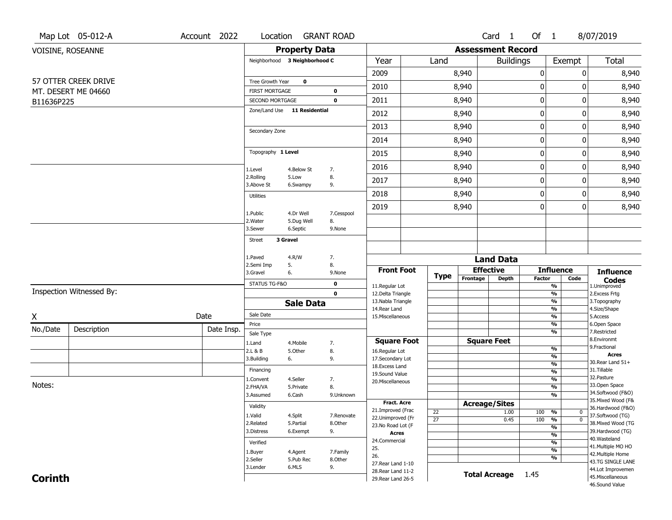|                | Map Lot 05-012-A         | Account 2022 | Location                                        |                               | <b>GRANT ROAD</b>          |                                         |                       |          | Card 1                   | Of 1             |                                 | 8/07/2019                               |
|----------------|--------------------------|--------------|-------------------------------------------------|-------------------------------|----------------------------|-----------------------------------------|-----------------------|----------|--------------------------|------------------|---------------------------------|-----------------------------------------|
|                | VOISINE, ROSEANNE        |              |                                                 | <b>Property Data</b>          |                            |                                         |                       |          | <b>Assessment Record</b> |                  |                                 |                                         |
|                |                          |              |                                                 | Neighborhood 3 Neighborhood C |                            | Year                                    | Land                  |          | <b>Buildings</b>         |                  | Exempt                          | Total                                   |
|                |                          |              |                                                 |                               |                            | 2009                                    |                       | 8,940    |                          | $\pmb{0}$        | 0                               | 8,940                                   |
|                | 57 OTTER CREEK DRIVE     |              | Tree Growth Year                                | $\mathbf 0$                   |                            | 2010                                    |                       | 8,940    |                          | $\mathbf 0$      | 0                               | 8,940                                   |
| B11636P225     | MT. DESERT ME 04660      |              | <b>FIRST MORTGAGE</b><br><b>SECOND MORTGAGE</b> |                               | $\mathbf 0$<br>$\mathbf 0$ | 2011                                    |                       | 8,940    |                          | $\boldsymbol{0}$ | 0                               | 8,940                                   |
|                |                          |              |                                                 | Zone/Land Use 11 Residential  |                            | 2012                                    |                       | 8,940    |                          | $\boldsymbol{0}$ | 0                               | 8,940                                   |
|                |                          |              |                                                 |                               |                            | 2013                                    |                       |          |                          | $\boldsymbol{0}$ | 0                               | 8,940                                   |
|                |                          |              | Secondary Zone                                  |                               |                            |                                         |                       | 8,940    |                          |                  |                                 |                                         |
|                |                          |              |                                                 |                               |                            | 2014                                    |                       | 8,940    |                          | $\mathbf 0$      | 0                               | 8,940                                   |
|                |                          |              | Topography 1 Level                              |                               |                            | 2015                                    |                       | 8,940    |                          | $\boldsymbol{0}$ | 0                               | 8,940                                   |
|                |                          |              | 1.Level                                         | 4.Below St                    | 7.                         | 2016                                    |                       | 8,940    |                          | $\mathbf 0$      | 0                               | 8,940                                   |
|                |                          |              | 2.Rolling<br>3.Above St                         | 5.Low<br>6.Swampy             | 8.<br>9.                   | 2017                                    |                       | 8,940    |                          | $\boldsymbol{0}$ | 0                               | 8,940                                   |
|                |                          |              | <b>Utilities</b>                                |                               |                            | 2018                                    |                       | 8,940    |                          | $\mathbf 0$      | 0                               | 8,940                                   |
|                |                          |              |                                                 |                               |                            | 2019                                    |                       | 8,940    |                          | 0                | 0                               | 8,940                                   |
|                |                          |              | 1.Public<br>2. Water                            | 4.Dr Well<br>5.Dug Well       | 7.Cesspool<br>8.           |                                         |                       |          |                          |                  |                                 |                                         |
|                |                          |              | 3.Sewer                                         | 6.Septic                      | 9.None                     |                                         |                       |          |                          |                  |                                 |                                         |
|                |                          |              | Street                                          | 3 Gravel                      |                            |                                         |                       |          |                          |                  |                                 |                                         |
|                |                          |              | 1.Paved                                         | 4.R/W                         | 7.                         |                                         |                       |          | <b>Land Data</b>         |                  |                                 |                                         |
|                |                          |              | 2.Semi Imp<br>3.Gravel                          | 5.<br>6.                      | 8.<br>9.None               | <b>Front Foot</b>                       |                       |          | <b>Effective</b>         |                  | <b>Influence</b>                | <b>Influence</b>                        |
|                |                          |              | STATUS TG-F&O                                   |                               | 0                          |                                         | <b>Type</b>           | Frontage | <b>Depth</b>             | <b>Factor</b>    | Code                            | <b>Codes</b>                            |
|                | Inspection Witnessed By: |              |                                                 |                               | $\mathbf 0$                | 11.Regular Lot<br>12.Delta Triangle     |                       |          |                          |                  | %<br>$\frac{9}{6}$              | 1.Unimproved<br>2.Excess Frtg           |
|                |                          |              |                                                 | <b>Sale Data</b>              |                            | 13. Nabla Triangle                      |                       |          |                          |                  | %                               | 3. Topography                           |
| Χ              |                          | Date         | Sale Date                                       |                               |                            | 14. Rear Land<br>15. Miscellaneous      |                       |          |                          |                  | %<br>%                          | 4.Size/Shape<br>5.Access                |
| No./Date       | Description              | Date Insp.   | Price                                           |                               |                            |                                         |                       |          |                          |                  | %                               | 6.Open Space                            |
|                |                          |              | Sale Type                                       |                               |                            | <b>Square Foot</b>                      |                       |          | <b>Square Feet</b>       |                  | %                               | 7.Restricted<br>8.Environmt             |
|                |                          |              | 1.Land<br>2.L & B                               | 4. Mobile<br>5.Other          | 7.<br>8.                   | 16.Regular Lot                          |                       |          |                          |                  | %                               | 9. Fractional                           |
|                |                          |              | 3.Building                                      | 6.                            | 9.                         | 17.Secondary Lot                        |                       |          |                          |                  | $\overline{\frac{9}{6}}$        | <b>Acres</b><br>30. Rear Land 51+       |
|                |                          |              | Financing                                       |                               |                            | 18.Excess Land                          |                       |          |                          |                  | $\frac{9}{6}$<br>$\frac{9}{6}$  | 31.Tillable                             |
|                |                          |              | 1.Convent                                       | 4.Seller                      | 7.                         | 19.Sound Value<br>20.Miscellaneous      |                       |          |                          |                  | $\overline{\frac{9}{6}}$        | 32. Pasture                             |
| Notes:         |                          |              | 2.FHA/VA                                        | 5.Private                     | 8.                         |                                         |                       |          |                          |                  | $\overline{\frac{9}{6}}$        | 33.Open Space                           |
|                |                          |              | 3.Assumed                                       | 6.Cash                        | 9.Unknown                  |                                         |                       |          |                          |                  | $\overline{\frac{9}{6}}$        | 34.Softwood (F&O)<br>35. Mixed Wood (F& |
|                |                          |              | Validity                                        |                               |                            | <b>Fract. Acre</b><br>21.Improved (Frac |                       |          | <b>Acreage/Sites</b>     |                  |                                 | 36.Hardwood (F&O)                       |
|                |                          |              | 1.Valid                                         | 4.Split                       | 7.Renovate                 | 22.Unimproved (Fr                       | 22<br>$\overline{27}$ |          | 1.00                     | 100              | %<br>$\bf{0}$<br>$\overline{0}$ | 37.Softwood (TG)                        |
|                |                          |              | 2.Related                                       | 5.Partial                     | 8.Other                    | 23. No Road Lot (F                      |                       |          | 0.45                     | 100              | %<br>%                          | 38. Mixed Wood (TG                      |
|                |                          |              | 3.Distress                                      | 6.Exempt                      | 9.                         | <b>Acres</b>                            |                       |          |                          |                  | %                               | 39.Hardwood (TG)                        |
|                |                          |              | Verified                                        |                               |                            | 24.Commercial                           |                       |          |                          |                  | %                               | 40. Wasteland<br>41. Multiple MO HO     |
|                |                          |              | 1.Buyer                                         | 4.Agent                       | 7.Family                   | 25.<br>26.                              |                       |          |                          |                  | %                               | 42. Multiple Home                       |
|                |                          |              | 2.Seller                                        | 5.Pub Rec                     | 8.Other                    | 27. Rear Land 1-10                      |                       |          |                          |                  | %                               | 43.TG SINGLE LANE                       |
|                |                          |              | 3.Lender                                        | 6.MLS                         | 9.                         | 28. Rear Land 11-2                      |                       |          | <b>Total Acreage</b>     | 1.45             |                                 | 44.Lot Improvemen                       |
| <b>Corinth</b> |                          |              |                                                 |                               |                            | 29. Rear Land 26-5                      |                       |          |                          |                  |                                 | 45. Miscellaneous<br>46.Sound Value     |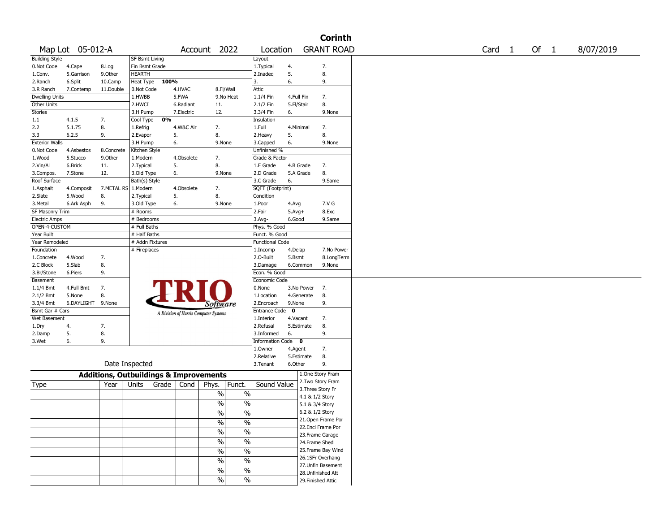|                       |                  |                                                   |                 |       |            |                                       |                          |                        |          |            | <b>Corinth</b>     |                   |        |           |
|-----------------------|------------------|---------------------------------------------------|-----------------|-------|------------|---------------------------------------|--------------------------|------------------------|----------|------------|--------------------|-------------------|--------|-----------|
|                       | Map Lot 05-012-A |                                                   |                 |       |            | Account 2022                          |                          | Location               |          |            | <b>GRANT ROAD</b>  | Card <sub>1</sub> | Of $1$ | 8/07/2019 |
| <b>Building Style</b> |                  |                                                   | SF Bsmt Living  |       |            |                                       |                          | Layout                 |          |            |                    |                   |        |           |
| 0.Not Code            | 4.Cape           | 8.Log                                             | Fin Bsmt Grade  |       |            |                                       |                          | 1. Typical             | 4.       |            | 7.                 |                   |        |           |
| 1.Conv.               | 5.Garrison       | 9.Other                                           | <b>HEARTH</b>   |       |            |                                       |                          | 2.Inadeq               | 5.       |            | 8.                 |                   |        |           |
| 2.Ranch               | 6.Split          | 10.Camp                                           | Heat Type       | 100%  |            |                                       |                          | 3.                     | 6.       |            | 9.                 |                   |        |           |
| 3.R Ranch             | 7.Contemp        | 11.Double                                         | 0.Not Code      |       | 4.HVAC     | 8.Fl/Wall                             |                          | Attic                  |          |            |                    |                   |        |           |
| <b>Dwelling Units</b> |                  |                                                   | 1.HWBB          |       | 5.FWA      |                                       | 9.No Heat                | 1.1/4 Fin              |          | 4.Full Fin | 7.                 |                   |        |           |
| Other Units           |                  |                                                   | 2.HWCI          |       | 6.Radiant  | 11.                                   |                          | 2.1/2 Fin              |          | 5.Fl/Stair | 8.                 |                   |        |           |
| Stories               |                  |                                                   | 3.H Pump        |       | 7.Electric | 12.                                   |                          | 3.3/4 Fin              | 6.       |            | 9.None             |                   |        |           |
| 1.1                   | 4.1.5            | 7.                                                | Cool Type       | 0%    |            |                                       |                          | Insulation             |          |            |                    |                   |        |           |
| 2.2                   | 5.1.75           | 8.                                                | 1.Refrig        |       | 4.W&C Air  | 7.                                    |                          | 1.Full                 |          | 4.Minimal  | 7.                 |                   |        |           |
| 3.3                   | 6.2.5            | 9.                                                | 2.Evapor        |       | 5.         | 8.                                    |                          | 2. Heavy               | 5.       |            | 8.                 |                   |        |           |
| <b>Exterior Walls</b> |                  |                                                   | 3.H Pump        |       | 6.         | 9.None                                |                          | 3.Capped               | 6.       |            | 9.None             |                   |        |           |
| 0.Not Code            | 4.Asbestos       | 8.Concrete                                        | Kitchen Style   |       |            |                                       |                          | Unfinished %           |          |            |                    |                   |        |           |
| 1.Wood                | 5.Stucco         | 9.0ther                                           | 1.Modern        |       | 4.Obsolete | 7.                                    |                          | Grade & Factor         |          |            |                    |                   |        |           |
| 2.Vin/Al              | 6.Brick          | 11.                                               | 2. Typical      |       | 5.         | 8.                                    |                          | 1.E Grade              |          | 4.B Grade  | 7.                 |                   |        |           |
| 3.Compos.             | 7.Stone          | 12.                                               | 3.Old Type      |       | 6.         | 9.None                                |                          | 2.D Grade              |          | 5.A Grade  | 8.                 |                   |        |           |
| Roof Surface          |                  |                                                   | Bath(s) Style   |       |            |                                       |                          | 3.C Grade              | 6.       |            | 9.Same             |                   |        |           |
| 1.Asphalt             | 4.Composit       | 7.METAL RS   1.Modern                             |                 |       | 4.Obsolete | 7.                                    |                          | SQFT (Footprint)       |          |            |                    |                   |        |           |
| 2.Slate               | 5.Wood           | 8.                                                | 2. Typical      |       | 5.         | 8.                                    |                          | Condition              |          |            |                    |                   |        |           |
| 3.Metal               | 6.Ark Asph       | 9.                                                | 3.Old Type      |       | 6.         | 9.None                                |                          | 1.Poor                 | 4.Avg    |            | 7.V G              |                   |        |           |
| SF Masonry Trim       |                  |                                                   | # Rooms         |       |            |                                       |                          | 2.Fair                 | $5.Avg+$ |            | 8.Exc              |                   |        |           |
| <b>Electric Amps</b>  |                  |                                                   | # Bedrooms      |       |            |                                       |                          | $3.$ Avg-              | 6.Good   |            | 9.Same             |                   |        |           |
| OPEN-4-CUSTOM         |                  |                                                   | # Full Baths    |       |            |                                       |                          | Phys. % Good           |          |            |                    |                   |        |           |
| Year Built            |                  |                                                   | # Half Baths    |       |            |                                       |                          | Funct. % Good          |          |            |                    |                   |        |           |
| Year Remodeled        |                  |                                                   | # Addn Fixtures |       |            |                                       |                          | <b>Functional Code</b> |          |            |                    |                   |        |           |
| Foundation            |                  |                                                   | # Fireplaces    |       |            |                                       |                          | 1.Incomp               | 4.Delap  |            | 7.No Power         |                   |        |           |
| 1.Concrete            | 4.Wood           | 7.                                                |                 |       |            |                                       |                          | 2.0-Built              | 5.Bsmt   |            | 8.LongTerm         |                   |        |           |
| 2.C Block             | 5.Slab           | 8.                                                |                 |       |            |                                       |                          | 3.Damage               |          | 6.Common   | 9.None             |                   |        |           |
| 3.Br/Stone            | 6.Piers          | 9.                                                |                 |       |            |                                       |                          | Econ. % Good           |          |            |                    |                   |        |           |
| Basement              |                  |                                                   |                 |       |            |                                       |                          | Economic Code          |          |            |                    |                   |        |           |
| $1.1/4$ Bmt           | 4.Full Bmt       | 7.                                                |                 |       |            |                                       |                          | 0.None                 |          | 3.No Power | 7.                 |                   |        |           |
| 2.1/2 Bmt             | 5.None           | 8.                                                |                 |       |            |                                       |                          | 1.Location             |          | 4.Generate | 8.                 |                   |        |           |
| 3.3/4 Bmt             | 6.DAYLIGHT       | 9.None                                            |                 |       |            | Software                              |                          | 2.Encroach             | 9.None   |            | 9.                 |                   |        |           |
| Bsmt Gar # Cars       |                  |                                                   |                 |       |            | A Division of Harris Computer Systems |                          | Entrance Code 0        |          |            |                    |                   |        |           |
| Wet Basement          |                  |                                                   |                 |       |            |                                       |                          | 1.Interior             |          | 4.Vacant   | 7.                 |                   |        |           |
| 1.Dry                 | 4.               | 7.                                                |                 |       |            |                                       |                          | 2.Refusal              |          | 5.Estimate | 8.                 |                   |        |           |
| 2.Damp                | 5.               | 8.                                                |                 |       |            |                                       |                          | 3.Informed             | 6.       |            | 9.                 |                   |        |           |
| 3.Wet                 | 6.               | 9.                                                |                 |       |            |                                       |                          | Information Code 0     |          |            |                    |                   |        |           |
|                       |                  |                                                   |                 |       |            |                                       |                          | 1.0wner                | 4.Agent  |            | 7.                 |                   |        |           |
|                       |                  |                                                   |                 |       |            |                                       |                          | 2.Relative             |          | 5.Estimate | 8.                 |                   |        |           |
|                       |                  | Date Inspected                                    |                 |       |            |                                       |                          | 3. Tenant              | 6.Other  |            | 9.                 |                   |        |           |
|                       |                  | <b>Additions, Outbuildings &amp; Improvements</b> |                 |       |            |                                       |                          |                        |          |            | 1.One Story Fram   |                   |        |           |
|                       |                  |                                                   |                 |       |            |                                       |                          |                        |          |            | 2.Two Story Fram   |                   |        |           |
| Type                  |                  | Year                                              | Units           | Grade | Cond       | Phys.                                 | Funct.                   | Sound Value            |          |            | 3. Three Story Fr  |                   |        |           |
|                       |                  |                                                   |                 |       |            | $\%$                                  | $\%$                     |                        |          |            | 4.1 & 1/2 Story    |                   |        |           |
|                       |                  |                                                   |                 |       |            | $\%$                                  | $\%$                     |                        |          |            | 5.1 & 3/4 Story    |                   |        |           |
|                       |                  |                                                   |                 |       |            | $\%$                                  | %                        |                        |          |            | 6.2 & 1/2 Story    |                   |        |           |
|                       |                  |                                                   |                 |       |            |                                       |                          |                        |          |            | 21.Open Frame Por  |                   |        |           |
|                       |                  |                                                   |                 |       |            | $\frac{0}{6}$                         | $\sqrt{20}$              |                        |          |            | 22.Encl Frame Por  |                   |        |           |
|                       |                  |                                                   |                 |       |            | $\sqrt{6}$                            | $\overline{\frac{0}{0}}$ |                        |          |            | 23. Frame Garage   |                   |        |           |
|                       |                  |                                                   |                 |       |            | $\sqrt{6}$                            | $\overline{\frac{0}{0}}$ |                        |          |            | 24.Frame Shed      |                   |        |           |
|                       |                  |                                                   |                 |       |            |                                       |                          |                        |          |            | 25. Frame Bay Wind |                   |        |           |
|                       |                  |                                                   |                 |       |            | $\frac{0}{6}$                         | $\frac{0}{6}$            |                        |          |            | 26.1SFr Overhang   |                   |        |           |
|                       |                  |                                                   |                 |       |            | $\frac{1}{2}$                         | $\overline{\frac{0}{0}}$ |                        |          |            |                    |                   |        |           |
|                       |                  |                                                   |                 |       |            | %                                     | $\overline{\frac{0}{0}}$ |                        |          |            | 27.Unfin Basement  |                   |        |           |
|                       |                  |                                                   |                 |       |            | $\frac{9}{6}$                         | $\sqrt{6}$               |                        |          |            | 28. Unfinished Att |                   |        |           |
|                       |                  |                                                   |                 |       |            |                                       |                          |                        |          |            | 29. Finished Attic |                   |        |           |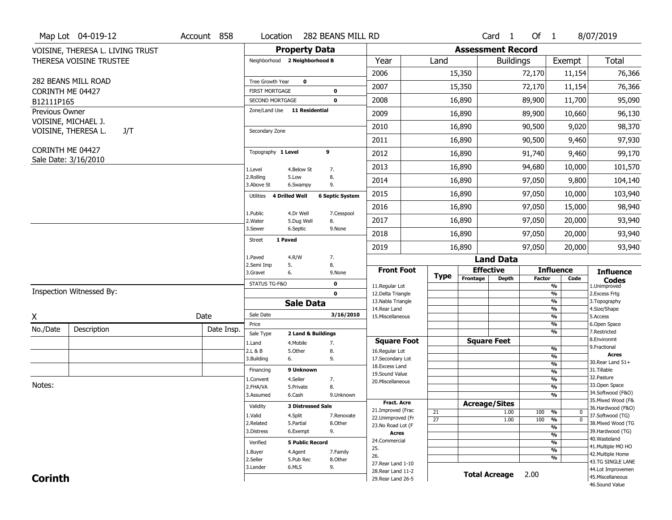| <b>Property Data</b><br><b>Assessment Record</b><br>VOISINE, THERESA L. LIVING TRUST<br><b>Total</b><br>THERESA VOISINE TRUSTEE<br>Neighborhood 2 Neighborhood B<br>Year<br>Land<br>Exempt<br><b>Buildings</b><br>2006<br>15,350<br>72,170<br>11,154<br>76,366<br>282 BEANS MILL ROAD<br>$\mathbf 0$<br>Tree Growth Year<br>2007<br>76,366<br>15,350<br>72,170<br>11,154<br><b>FIRST MORTGAGE</b><br>CORINTH ME 04427<br>0<br>16,890<br>89,900<br>11,700<br>95,090<br>2008<br>$\mathbf 0$<br>SECOND MORTGAGE<br>B12111P165<br>Zone/Land Use 11 Residential<br>Previous Owner<br>2009<br>16,890<br>89,900<br>96,130<br>10,660<br>VOISINE, MICHAEL J.<br>2010<br>90,500<br>9,020<br>98,370<br>16,890<br>VOISINE, THERESA L.<br>J/T<br>Secondary Zone<br>16,890<br>90,500<br>97,930<br>2011<br>9,460<br>CORINTH ME 04427<br>9<br>Topography 1 Level<br>99,170<br>2012<br>16,890<br>91,740<br>9,460<br>Sale Date: 3/16/2010<br>2013<br>16,890<br>94,680<br>10,000<br>101,570<br>1.Level<br>4.Below St<br>7.<br>8.<br>2.Rolling<br>5.Low<br>2014<br>16,890<br>97,050<br>9,800 |
|--------------------------------------------------------------------------------------------------------------------------------------------------------------------------------------------------------------------------------------------------------------------------------------------------------------------------------------------------------------------------------------------------------------------------------------------------------------------------------------------------------------------------------------------------------------------------------------------------------------------------------------------------------------------------------------------------------------------------------------------------------------------------------------------------------------------------------------------------------------------------------------------------------------------------------------------------------------------------------------------------------------------------------------------------------------------------|
|                                                                                                                                                                                                                                                                                                                                                                                                                                                                                                                                                                                                                                                                                                                                                                                                                                                                                                                                                                                                                                                                          |
|                                                                                                                                                                                                                                                                                                                                                                                                                                                                                                                                                                                                                                                                                                                                                                                                                                                                                                                                                                                                                                                                          |
|                                                                                                                                                                                                                                                                                                                                                                                                                                                                                                                                                                                                                                                                                                                                                                                                                                                                                                                                                                                                                                                                          |
|                                                                                                                                                                                                                                                                                                                                                                                                                                                                                                                                                                                                                                                                                                                                                                                                                                                                                                                                                                                                                                                                          |
|                                                                                                                                                                                                                                                                                                                                                                                                                                                                                                                                                                                                                                                                                                                                                                                                                                                                                                                                                                                                                                                                          |
|                                                                                                                                                                                                                                                                                                                                                                                                                                                                                                                                                                                                                                                                                                                                                                                                                                                                                                                                                                                                                                                                          |
|                                                                                                                                                                                                                                                                                                                                                                                                                                                                                                                                                                                                                                                                                                                                                                                                                                                                                                                                                                                                                                                                          |
|                                                                                                                                                                                                                                                                                                                                                                                                                                                                                                                                                                                                                                                                                                                                                                                                                                                                                                                                                                                                                                                                          |
|                                                                                                                                                                                                                                                                                                                                                                                                                                                                                                                                                                                                                                                                                                                                                                                                                                                                                                                                                                                                                                                                          |
|                                                                                                                                                                                                                                                                                                                                                                                                                                                                                                                                                                                                                                                                                                                                                                                                                                                                                                                                                                                                                                                                          |
|                                                                                                                                                                                                                                                                                                                                                                                                                                                                                                                                                                                                                                                                                                                                                                                                                                                                                                                                                                                                                                                                          |
| 104,140<br>3.Above St<br>9.<br>6.Swampy                                                                                                                                                                                                                                                                                                                                                                                                                                                                                                                                                                                                                                                                                                                                                                                                                                                                                                                                                                                                                                  |
| 2015<br>97,050<br>103,940<br>16,890<br>10,000<br>4 Drilled Well<br><b>6 Septic System</b><br>Utilities                                                                                                                                                                                                                                                                                                                                                                                                                                                                                                                                                                                                                                                                                                                                                                                                                                                                                                                                                                   |
| 2016<br>16,890<br>97,050<br>98,940<br>15,000                                                                                                                                                                                                                                                                                                                                                                                                                                                                                                                                                                                                                                                                                                                                                                                                                                                                                                                                                                                                                             |
| 1.Public<br>4.Dr Well<br>7.Cesspool<br>2017<br>16,890<br>97,050<br>20,000<br>93,940<br>2. Water<br>8.<br>5.Dug Well                                                                                                                                                                                                                                                                                                                                                                                                                                                                                                                                                                                                                                                                                                                                                                                                                                                                                                                                                      |
| 3.Sewer<br>6.Septic<br>9.None<br>93,940<br>2018<br>16,890<br>97,050<br>20,000                                                                                                                                                                                                                                                                                                                                                                                                                                                                                                                                                                                                                                                                                                                                                                                                                                                                                                                                                                                            |
| 1 Paved<br>Street<br>16,890<br>97,050<br>2019<br>20,000<br>93,940                                                                                                                                                                                                                                                                                                                                                                                                                                                                                                                                                                                                                                                                                                                                                                                                                                                                                                                                                                                                        |
| 1.Paved<br>4.R/W<br>7.<br><b>Land Data</b>                                                                                                                                                                                                                                                                                                                                                                                                                                                                                                                                                                                                                                                                                                                                                                                                                                                                                                                                                                                                                               |
| 2.Semi Imp<br>8.<br>5.<br><b>Front Foot</b><br><b>Effective</b><br><b>Influence</b><br><b>Influence</b><br>3.Gravel<br>6.<br>9.None                                                                                                                                                                                                                                                                                                                                                                                                                                                                                                                                                                                                                                                                                                                                                                                                                                                                                                                                      |
| <b>Type</b><br>Frontage<br><b>Depth</b><br><b>Factor</b><br>Code<br><b>Codes</b><br>STATUS TG-F&O<br>$\mathbf 0$                                                                                                                                                                                                                                                                                                                                                                                                                                                                                                                                                                                                                                                                                                                                                                                                                                                                                                                                                         |
| 11.Regular Lot<br>%<br>1.Unimproved<br>Inspection Witnessed By:<br>$\mathbf 0$<br>12.Delta Triangle<br>%<br>2. Excess Frtg                                                                                                                                                                                                                                                                                                                                                                                                                                                                                                                                                                                                                                                                                                                                                                                                                                                                                                                                               |
| 13. Nabla Triangle<br>%<br>3. Topography<br><b>Sale Data</b>                                                                                                                                                                                                                                                                                                                                                                                                                                                                                                                                                                                                                                                                                                                                                                                                                                                                                                                                                                                                             |
| 14. Rear Land<br>%<br>4.Size/Shape<br>Sale Date<br>3/16/2010<br>Date<br>15. Miscellaneous<br>%<br>5.Access                                                                                                                                                                                                                                                                                                                                                                                                                                                                                                                                                                                                                                                                                                                                                                                                                                                                                                                                                               |
| X<br>Price<br>%<br>6.Open Space                                                                                                                                                                                                                                                                                                                                                                                                                                                                                                                                                                                                                                                                                                                                                                                                                                                                                                                                                                                                                                          |
| No./Date<br>Description<br>Date Insp.<br>%<br>7.Restricted<br>Sale Type<br>2 Land & Buildings                                                                                                                                                                                                                                                                                                                                                                                                                                                                                                                                                                                                                                                                                                                                                                                                                                                                                                                                                                            |
| 8.Environmt<br><b>Square Feet</b><br><b>Square Foot</b><br>7.<br>1.Land<br>4. Mobile<br>9. Fractional                                                                                                                                                                                                                                                                                                                                                                                                                                                                                                                                                                                                                                                                                                                                                                                                                                                                                                                                                                    |
| %<br>2.L & B<br>5.Other<br>8.<br>16.Regular Lot<br><b>Acres</b><br>%                                                                                                                                                                                                                                                                                                                                                                                                                                                                                                                                                                                                                                                                                                                                                                                                                                                                                                                                                                                                     |
| 3.Building<br>9.<br>17.Secondary Lot<br>6.<br>30. Rear Land 51+<br>$\frac{9}{6}$<br>18. Excess Land                                                                                                                                                                                                                                                                                                                                                                                                                                                                                                                                                                                                                                                                                                                                                                                                                                                                                                                                                                      |
| 9 Unknown<br>31.Tillable<br>Financing<br>$\frac{9}{6}$<br>19.Sound Value                                                                                                                                                                                                                                                                                                                                                                                                                                                                                                                                                                                                                                                                                                                                                                                                                                                                                                                                                                                                 |
| 32.Pasture<br>$\frac{9}{6}$<br>4.Seller<br>1.Convent<br>7.<br>20.Miscellaneous<br>Notes:<br>33.Open Space                                                                                                                                                                                                                                                                                                                                                                                                                                                                                                                                                                                                                                                                                                                                                                                                                                                                                                                                                                |
| $\overline{\frac{9}{6}}$<br>2.FHA/VA<br>8.<br>5.Private<br>34.Softwood (F&O)                                                                                                                                                                                                                                                                                                                                                                                                                                                                                                                                                                                                                                                                                                                                                                                                                                                                                                                                                                                             |
| $\overline{\frac{9}{6}}$<br>3.Assumed<br>6.Cash<br>9.Unknown<br>35. Mixed Wood (F&<br><b>Fract. Acre</b>                                                                                                                                                                                                                                                                                                                                                                                                                                                                                                                                                                                                                                                                                                                                                                                                                                                                                                                                                                 |
| <b>Acreage/Sites</b><br>Validity<br><b>3 Distressed Sale</b><br>36.Hardwood (F&O)<br>21.Improved (Frac<br>21<br>1.00<br>100<br>%<br>$\mathbf 0$                                                                                                                                                                                                                                                                                                                                                                                                                                                                                                                                                                                                                                                                                                                                                                                                                                                                                                                          |
| 37.Softwood (TG)<br>1.Valid<br>4.Split<br>7.Renovate<br>22.Unimproved (Fr<br>$\overline{27}$<br>100<br>1.00<br>%<br>$\mathbf 0$                                                                                                                                                                                                                                                                                                                                                                                                                                                                                                                                                                                                                                                                                                                                                                                                                                                                                                                                          |
| 38. Mixed Wood (TG<br>2.Related<br>5.Partial<br>8.Other<br>23.No Road Lot (F<br>%                                                                                                                                                                                                                                                                                                                                                                                                                                                                                                                                                                                                                                                                                                                                                                                                                                                                                                                                                                                        |
| 9.<br>39.Hardwood (TG)<br>3.Distress<br>6.Exempt<br><b>Acres</b><br>%                                                                                                                                                                                                                                                                                                                                                                                                                                                                                                                                                                                                                                                                                                                                                                                                                                                                                                                                                                                                    |
| 40. Wasteland<br>24.Commercial<br><b>5 Public Record</b><br>%<br>Verified<br>41. Multiple MO HO                                                                                                                                                                                                                                                                                                                                                                                                                                                                                                                                                                                                                                                                                                                                                                                                                                                                                                                                                                          |
| 25.<br>$\frac{9}{6}$<br>4.Agent<br>7.Family<br>1.Buyer<br>42. Multiple Home<br>26.                                                                                                                                                                                                                                                                                                                                                                                                                                                                                                                                                                                                                                                                                                                                                                                                                                                                                                                                                                                       |
| %<br>2.Seller<br>5.Pub Rec<br>8.Other<br>43.TG SINGLE LANE<br>27. Rear Land 1-10                                                                                                                                                                                                                                                                                                                                                                                                                                                                                                                                                                                                                                                                                                                                                                                                                                                                                                                                                                                         |
| 6.MLS<br>9.<br>3.Lender                                                                                                                                                                                                                                                                                                                                                                                                                                                                                                                                                                                                                                                                                                                                                                                                                                                                                                                                                                                                                                                  |
| 44.Lot Improvemen<br>28. Rear Land 11-2<br><b>Total Acreage</b><br>2.00<br><b>Corinth</b><br>45. Miscellaneous                                                                                                                                                                                                                                                                                                                                                                                                                                                                                                                                                                                                                                                                                                                                                                                                                                                                                                                                                           |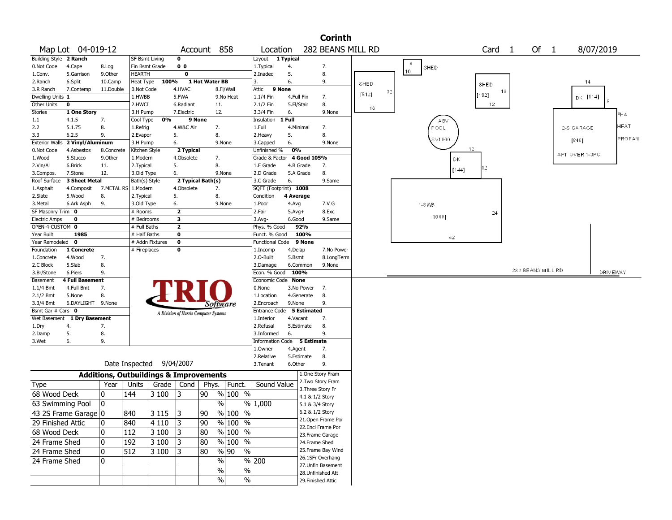|                              |                             |                                                   |                       |                          |                                       |                   |                     |               |                             |                    |             | <b>Corinth</b>                          |       |    |                     |       |                   |    |                   |            |                |                 |
|------------------------------|-----------------------------|---------------------------------------------------|-----------------------|--------------------------|---------------------------------------|-------------------|---------------------|---------------|-----------------------------|--------------------|-------------|-----------------------------------------|-------|----|---------------------|-------|-------------------|----|-------------------|------------|----------------|-----------------|
|                              | Map Lot 04-019-12           |                                                   |                       |                          |                                       | Account 858       |                     |               | Location                    |                    |             | 282 BEANS MILL RD                       |       |    |                     |       | Card <sub>1</sub> |    | Of 1              |            | 8/07/2019      |                 |
| Building Style 2 Ranch       |                             |                                                   | SF Bsmt Living        |                          | $\mathbf 0$                           |                   |                     |               | Layout                      | 1 Typical          |             |                                         |       |    |                     |       |                   |    |                   |            |                |                 |
| 0.Not Code                   | 4.Cape                      | 8.Log                                             | Fin Bsmt Grade        |                          | 0 <sub>0</sub>                        |                   |                     |               | 1. Typical                  | 4.                 |             | 7.                                      |       |    | $^{\rm 3}$<br>SHED. |       |                   |    |                   |            |                |                 |
| 1.Conv.                      | 5.Garrison                  | 9.0ther                                           | <b>HEARTH</b>         |                          | $\bf{0}$                              |                   |                     |               | 2.Inadeg                    | 5.                 |             | 8.                                      |       |    | 10 <sub>1</sub>     |       |                   |    |                   |            |                |                 |
| 2.Ranch                      | 6.Split                     | 10.Camp                                           | Heat Type             | 100%                     |                                       | 1 Hot Water BB    |                     |               | 3.                          | 6.                 |             | 9.                                      | SHED  |    |                     |       | SHED              |    |                   |            | 14             |                 |
| 3.R Ranch                    | 7.Contemp                   | 11.Double                                         | 0.Not Code            |                          | 4.HVAC                                |                   | 8.Fl/Wall           |               | 9 None<br>Attic             |                    |             |                                         |       | 32 |                     |       |                   | 16 |                   |            |                |                 |
| Dwelling Units 1             |                             |                                                   | 1.HWBB                |                          | 5.FWA                                 |                   | 9.No Heat           |               | 1.1/4 Fin                   | 4.Full Fin         |             | 7.                                      | [512] |    |                     |       | [192]             |    |                   |            | DK [114]       |                 |
| Other Units                  | $\mathbf 0$                 |                                                   | 2.HWCI                |                          | 6.Radiant                             |                   | 11.                 |               | 2.1/2 Fin                   | 5.Fl/Stair         |             | 8.                                      | 16    |    |                     |       | $12 \,$           |    |                   |            |                |                 |
| Stories                      | 1 One Story                 |                                                   | 3.H Pump              |                          | 7.Electric                            |                   | 12.                 |               | 3.3/4 Fin                   | 6.                 |             | 9.None                                  |       |    |                     |       |                   |    |                   |            |                | <b>FHA</b>      |
| $1.1\,$                      | 4.1.5                       | 7.                                                | Cool Type             | 0%                       |                                       | 9 None            |                     |               | Insulation                  | 1 Full             |             |                                         |       |    | ABV                 |       |                   |    |                   |            |                |                 |
| 2.2                          | 5.1.75                      | 8.                                                | 1.Refrig              |                          | 4.W&C Air                             | 7.                |                     |               | 1.Full                      | 4.Minimal          |             | 7.                                      |       |    | POOL                |       |                   |    |                   | 2-S GARAGE |                | <b>HEAT</b>     |
| 3.3                          | 6.2.5                       | 9.                                                | 2.Evapor              |                          | 5.                                    | 8.                |                     |               | 2.Heavy                     | 5.                 |             | 8.                                      |       |    | SV1000              |       |                   |    |                   | [840]      |                | PROPAN          |
| <b>Exterior Walls</b>        | 2 Vinyl/Aluminum            |                                                   | 3.H Pump              |                          | 6.                                    |                   | 9.None              |               | 3.Capped                    | 6.                 |             | 9.None                                  |       |    |                     | 12    |                   |    |                   |            |                |                 |
| 0.Not Code                   | 4.Asbestos                  | 8.Concrete                                        | Kitchen Style         |                          | 2 Typical                             |                   |                     |               | Unfinished %                | 0%                 |             |                                         |       |    |                     |       |                   |    |                   |            | APT OVER 1-3PC |                 |
| 1.Wood                       | 5.Stucco                    | 9.0ther                                           | 1.Modern              |                          | 4.Obsolete                            | 7.                |                     |               | Grade & Factor              |                    | 4 Good 105% |                                         |       |    |                     | DK    |                   |    |                   |            |                |                 |
| 2.Vin/Al                     | 6.Brick                     | 11.                                               | 2. Typical            |                          | 5.                                    | 8.                |                     |               | 1.E Grade                   |                    | 4.B Grade   | 7.                                      |       |    |                     | [144] | 12                |    |                   |            |                |                 |
| 3.Compos.                    | 7.Stone                     | 12.                                               | 3.Old Type            |                          | 6.                                    |                   | 9.None              |               | 2.D Grade                   |                    | 5.A Grade   | 8.                                      |       |    |                     |       |                   |    |                   |            |                |                 |
| Roof Surface                 | 3 Sheet Metal               |                                                   | Bath(s) Style         |                          |                                       | 2 Typical Bath(s) |                     |               | 3.C Grade                   | 6.                 |             | 9.Same                                  |       |    |                     |       |                   |    |                   |            |                |                 |
| 1.Asphalt                    | 4.Composit                  | 7.METAL RS                                        | 1.Modern              |                          | 4.Obsolete                            | 7.                |                     |               | SQFT (Footprint) 1008       |                    |             |                                         |       |    |                     |       |                   |    |                   |            |                |                 |
| 2.Slate                      | 5.Wood                      | 8.                                                | 2. Typical            |                          | 5.                                    | 8.                |                     |               | Condition                   | 4 Average          |             |                                         |       |    |                     |       |                   |    |                   |            |                |                 |
| 3.Metal<br>SF Masonry Trim 0 | 6.Ark Asph                  | 9.                                                | 3.Old Type<br># Rooms |                          | 6.<br>$\mathbf{2}$                    |                   | 9.None              |               | 1.Poor<br>2.Fair            | 4.Avg              |             | 7.V G<br>8.Exc                          |       |    | 1-SWB               |       |                   |    |                   |            |                |                 |
| <b>Electric Amps</b>         | 0                           |                                                   | # Bedrooms            |                          | 3                                     |                   |                     |               | 3.Avg-                      | $5.Avg+$<br>6.Good |             | 9.Same                                  |       |    | 1008]               |       | 24                |    |                   |            |                |                 |
| OPEN-4-CUSTOM 0              |                             |                                                   | # Full Baths          |                          | $\mathbf{2}$                          |                   |                     |               | Phys. % Good                |                    | 92%         |                                         |       |    |                     |       |                   |    |                   |            |                |                 |
| Year Built                   | 1985                        |                                                   | # Half Baths          |                          | $\mathbf 0$                           |                   |                     |               | Funct. % Good               |                    | 100%        |                                         |       |    |                     |       |                   |    |                   |            |                |                 |
| Year Remodeled 0             |                             |                                                   | # Addn Fixtures       |                          | $\mathbf 0$                           |                   |                     |               | <b>Functional Code</b>      |                    | 9 None      |                                         |       |    |                     | 42    |                   |    |                   |            |                |                 |
| Foundation                   | 1 Concrete                  |                                                   | # Fireplaces          |                          | 0                                     |                   |                     |               | 1.Incomp                    | 4.Delap            |             | 7.No Power                              |       |    |                     |       |                   |    |                   |            |                |                 |
| 1.Concrete                   | 4.Wood                      | 7.                                                |                       |                          |                                       |                   |                     |               | 2.0-Built                   | 5.Bsmt             |             | 8.LongTerm                              |       |    |                     |       |                   |    |                   |            |                |                 |
| 2.C Block                    | 5.Slab                      | 8.                                                |                       |                          |                                       |                   |                     |               | 3.Damage                    |                    | 6.Common    | 9.None                                  |       |    |                     |       |                   |    |                   |            |                |                 |
| 3.Br/Stone                   | 6.Piers                     | 9.                                                |                       |                          |                                       |                   |                     |               | Econ. % Good                | 100%               |             |                                         |       |    |                     |       |                   |    | 282 BEANS MILL RD |            |                | <b>DRIVEWAY</b> |
| Basement                     | 4 Full Basement             |                                                   |                       |                          |                                       |                   |                     |               | Economic Code None          |                    |             |                                         |       |    |                     |       |                   |    |                   |            |                |                 |
| 1.1/4 Bmt                    | 4.Full Bmt                  | 7.                                                |                       |                          |                                       |                   |                     |               | 0.None                      |                    | 3.No Power  | 7.                                      |       |    |                     |       |                   |    |                   |            |                |                 |
| $2.1/2$ Bmt                  | 5.None                      | 8.                                                |                       |                          |                                       |                   |                     |               | 1.Location                  |                    | 4.Generate  | 8.                                      |       |    |                     |       |                   |    |                   |            |                |                 |
| 3.3/4 Bmt                    | 6.DAYLIGHT 9.None           |                                                   |                       |                          |                                       |                   | Software            |               | 2.Encroach                  | 9.None             |             | 9.                                      |       |    |                     |       |                   |    |                   |            |                |                 |
| Bsmt Gar # Cars 0            |                             |                                                   |                       |                          | A Division of Harris Computer Systems |                   |                     |               | Entrance Code 5 Estimated   |                    |             |                                         |       |    |                     |       |                   |    |                   |            |                |                 |
|                              | Wet Basement 1 Dry Basement |                                                   |                       |                          |                                       |                   |                     |               | 1.Interior                  | 4.Vacant           |             | 7.                                      |       |    |                     |       |                   |    |                   |            |                |                 |
| 1.Dry                        | 4.                          | 7.                                                |                       |                          |                                       |                   |                     |               | 2.Refusal                   |                    | 5.Estimate  | 8.                                      |       |    |                     |       |                   |    |                   |            |                |                 |
| 2.Damp                       | 5.                          | 8.                                                |                       |                          |                                       |                   |                     |               | 3.Informed                  | 6.                 |             | 9.                                      |       |    |                     |       |                   |    |                   |            |                |                 |
| 3.Wet                        | 6.                          | 9.                                                |                       |                          |                                       |                   |                     |               | Information Code 5 Estimate |                    |             |                                         |       |    |                     |       |                   |    |                   |            |                |                 |
|                              |                             |                                                   |                       |                          |                                       |                   |                     |               | 1.0wner                     | 4.Agent            |             | 7.                                      |       |    |                     |       |                   |    |                   |            |                |                 |
|                              |                             |                                                   |                       |                          |                                       |                   |                     |               | 2.Relative                  |                    | 5.Estimate  | 8.                                      |       |    |                     |       |                   |    |                   |            |                |                 |
|                              |                             |                                                   |                       | Date Inspected 9/04/2007 |                                       |                   |                     |               | 3.Tenant                    | 6.Other            |             | 9.                                      |       |    |                     |       |                   |    |                   |            |                |                 |
|                              |                             | <b>Additions, Outbuildings &amp; Improvements</b> |                       |                          |                                       |                   |                     |               |                             |                    |             | 1.One Story Fram                        |       |    |                     |       |                   |    |                   |            |                |                 |
| <b>Type</b>                  |                             | Year                                              | Units                 | Grade                    | Cond                                  | Phys.             | Funct.              |               | Sound Value                 |                    |             | 2. Two Story Fram                       |       |    |                     |       |                   |    |                   |            |                |                 |
| 68 Wood Deck                 |                             | 0                                                 |                       |                          |                                       |                   | % 100 %             |               |                             |                    |             | 3. Three Story Fr                       |       |    |                     |       |                   |    |                   |            |                |                 |
|                              |                             |                                                   | 144                   | 3 100                    | 13                                    | 90                |                     |               |                             |                    |             | 4.1 & 1/2 Story                         |       |    |                     |       |                   |    |                   |            |                |                 |
| 63 Swimming Pool             |                             | 0                                                 |                       |                          |                                       |                   | %                   |               | % 1,000                     |                    |             | 5.1 & 3/4 Story                         |       |    |                     |       |                   |    |                   |            |                |                 |
|                              | 43 2S Frame Garage   0      |                                                   | 840                   | 3115                     | $\sqrt{3}$                            | $\overline{90}$   | $\frac{9}{6}$ 100 % |               |                             |                    |             | 6.2 & 1/2 Story                         |       |    |                     |       |                   |    |                   |            |                |                 |
| 29 Finished Attic            |                             | 0                                                 | 840                   | 4 1 1 0                  | 3                                     | 90                | % 100 %             |               |                             |                    |             | 21. Open Frame Por                      |       |    |                     |       |                   |    |                   |            |                |                 |
| 68 Wood Deck                 |                             | 0                                                 | 112                   | 3100                     | 3                                     | 80                | $%100$ %            |               |                             |                    |             | 22.Encl Frame Por                       |       |    |                     |       |                   |    |                   |            |                |                 |
|                              |                             |                                                   |                       |                          |                                       |                   |                     |               |                             |                    |             | 23. Frame Garage                        |       |    |                     |       |                   |    |                   |            |                |                 |
| 24 Frame Shed                |                             | 0                                                 | 192                   | 3 100                    | 13                                    | 80                | % 100 %             |               |                             |                    |             | 24.Frame Shed                           |       |    |                     |       |                   |    |                   |            |                |                 |
| 24 Frame Shed                |                             | 10                                                | 512                   | 3100                     | 13                                    | 80                | % 90                | $\frac{0}{0}$ |                             |                    |             | 25. Frame Bay Wind                      |       |    |                     |       |                   |    |                   |            |                |                 |
| 24 Frame Shed                |                             | 0                                                 |                       |                          |                                       |                   | $\frac{0}{0}$       |               | % 200                       |                    |             | 26.1SFr Overhang                        |       |    |                     |       |                   |    |                   |            |                |                 |
|                              |                             |                                                   |                       |                          |                                       |                   | $\frac{0}{0}$       | $\%$          |                             |                    |             | 27.Unfin Basement<br>28. Unfinished Att |       |    |                     |       |                   |    |                   |            |                |                 |
|                              |                             |                                                   |                       |                          |                                       |                   | $\%$                | $\%$          |                             |                    |             | 29. Finished Attic                      |       |    |                     |       |                   |    |                   |            |                |                 |
|                              |                             |                                                   |                       |                          |                                       |                   |                     |               |                             |                    |             |                                         |       |    |                     |       |                   |    |                   |            |                |                 |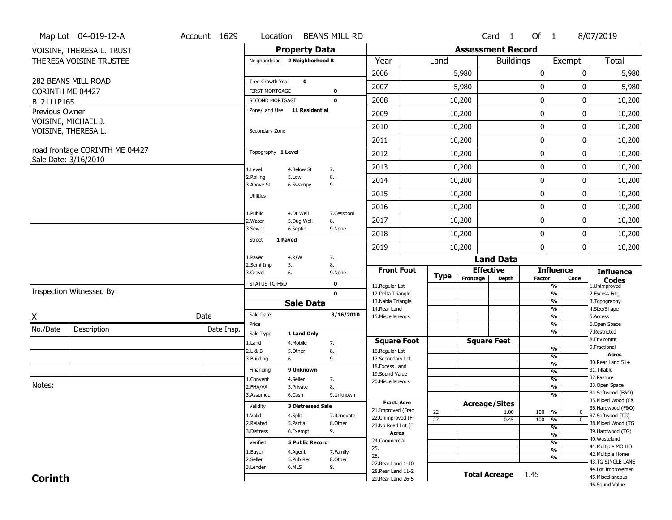|                | Map Lot 04-019-12-A                                    | Account 1629                         | Location                      |                          | <b>BEANS MILL RD</b>         |                                     |             |                       |                                     | Card <sub>1</sub> | Of 1               |                                   | 8/07/2019                          |
|----------------|--------------------------------------------------------|--------------------------------------|-------------------------------|--------------------------|------------------------------|-------------------------------------|-------------|-----------------------|-------------------------------------|-------------------|--------------------|-----------------------------------|------------------------------------|
|                | VOISINE, THERESA L. TRUST                              |                                      |                               | <b>Property Data</b>     |                              |                                     |             |                       | <b>Assessment Record</b>            |                   |                    |                                   |                                    |
|                | THERESA VOISINE TRUSTEE                                |                                      | Neighborhood 2 Neighborhood B |                          |                              | Year                                |             | Land                  |                                     | <b>Buildings</b>  |                    | Exempt                            | Total                              |
|                |                                                        |                                      |                               |                          |                              | 2006                                |             |                       | 5,980                               |                   | 0                  | 0                                 | 5,980                              |
|                | 282 BEANS MILL ROAD                                    |                                      | Tree Growth Year              | $\mathbf 0$              |                              | 2007                                |             |                       | 5,980                               |                   | 0                  | 0                                 | 5,980                              |
|                | CORINTH ME 04427                                       |                                      | <b>FIRST MORTGAGE</b>         |                          | 0                            |                                     |             |                       |                                     |                   |                    |                                   |                                    |
| B12111P165     |                                                        |                                      | <b>SECOND MORTGAGE</b>        |                          | $\mathbf 0$                  | 2008                                |             |                       | 10,200                              |                   | 0                  | $\mathbf 0$                       | 10,200                             |
| Previous Owner | VOISINE, MICHAEL J.                                    |                                      | Zone/Land Use 11 Residential  |                          |                              | 2009                                |             |                       | 10,200                              |                   | 0                  | 0                                 | 10,200                             |
|                | VOISINE, THERESA L.                                    |                                      | Secondary Zone                |                          |                              | 2010                                |             |                       | 10,200                              |                   | 0                  | 0                                 | 10,200                             |
|                |                                                        |                                      |                               |                          |                              | 2011                                |             |                       | 10,200                              |                   | 0                  | 0                                 | 10,200                             |
|                | road frontage CORINTH ME 04427<br>Sale Date: 3/16/2010 |                                      | Topography 1 Level            |                          |                              | 2012                                |             |                       | 10,200                              |                   | 0                  | 0                                 | 10,200                             |
|                |                                                        |                                      | 1.Level                       | 4.Below St               | 7.                           | 2013                                |             |                       | 10,200                              |                   | 0                  | 0                                 | 10,200                             |
|                |                                                        |                                      | 2.Rolling<br>3.Above St       | 5.Low<br>6.Swampy        | 8.<br>9.                     | 2014                                |             |                       | 10,200                              |                   | 0                  | 0                                 | 10,200                             |
|                |                                                        |                                      | Utilities                     |                          |                              | 2015                                |             |                       | 10,200                              |                   | 0                  | 0                                 | 10,200                             |
|                |                                                        |                                      | 1.Public                      | 4.Dr Well                | 7.Cesspool                   | 2016                                |             |                       | 10,200                              |                   | 0                  | 0                                 | 10,200                             |
|                |                                                        |                                      | 2. Water                      | 5.Dug Well               | 8.                           | 2017                                |             |                       | 10,200                              |                   | 0                  | 0                                 | 10,200                             |
|                |                                                        | 3.Sewer                              | 6.Septic                      | 9.None                   | 2018                         |                                     |             | 10,200                |                                     | 0                 | 0                  | 10,200                            |                                    |
|                |                                                        |                                      | Street                        | 1 Paved                  |                              | 2019                                |             |                       | 10,200                              |                   | $\mathbf{0}$       | $\mathbf{0}$                      | 10,200                             |
|                |                                                        | 1.Paved<br>4.R/W<br>2.Semi Imp<br>5. |                               | 7.                       |                              |                                     |             |                       | <b>Land Data</b>                    |                   |                    |                                   |                                    |
|                |                                                        | 3.Gravel                             | 6.                            | 8.<br>9.None             | <b>Front Foot</b>            |                                     | <b>Type</b> | <b>Effective</b>      |                                     |                   | <b>Influence</b>   | <b>Influence</b>                  |                                    |
|                |                                                        |                                      |                               |                          | STATUS TG-F&O<br>$\mathbf 0$ |                                     |             |                       | Frontage                            | <b>Depth</b>      | <b>Factor</b>      | Code<br>$\frac{9}{6}$             | <b>Codes</b><br>1.Unimproved       |
|                | Inspection Witnessed By:                               |                                      |                               |                          | $\mathbf{0}$                 | 11.Regular Lot<br>12.Delta Triangle |             |                       | $\frac{9}{6}$                       | 2. Excess Frtg    |                    |                                   |                                    |
|                |                                                        |                                      |                               | <b>Sale Data</b>         |                              | 13. Nabla Triangle<br>14. Rear Land |             |                       |                                     |                   |                    | $\frac{9}{6}$<br>$\frac{9}{6}$    | 3. Topography<br>4.Size/Shape      |
| X              |                                                        | Date                                 | Sale Date                     |                          | 3/16/2010                    | 15. Miscellaneous                   |             |                       |                                     |                   |                    | $\frac{9}{6}$                     | 5.Access                           |
| No./Date       | Description                                            | Date Insp.                           | Price                         |                          |                              |                                     |             |                       |                                     |                   |                    | %<br>%                            | 6.Open Space<br>7.Restricted       |
|                |                                                        |                                      | Sale Type<br>1.Land           | 1 Land Only<br>4. Mobile | 7.                           | <b>Square Foot</b>                  |             |                       | <b>Square Feet</b>                  |                   |                    |                                   | 8.Environmt                        |
|                |                                                        |                                      | 2.L & B                       | 5.Other                  | 8.                           | 16.Regular Lot                      |             |                       |                                     |                   |                    | $\frac{9}{6}$                     | 9. Fractional                      |
|                |                                                        |                                      | 3.Building                    | 6.                       | 9.                           | 17.Secondary Lot                    |             |                       |                                     |                   |                    | $\frac{9}{6}$<br>$\frac{9}{6}$    | <b>Acres</b><br>30. Rear Land 51+  |
|                |                                                        |                                      | Financing                     | 9 Unknown                |                              | 18.Excess Land<br>19.Sound Value    |             |                       |                                     |                   |                    | $\frac{9}{6}$                     | 31.Tillable                        |
|                |                                                        |                                      | 1.Convent                     | 4.Seller                 | 7.                           | 20.Miscellaneous                    |             |                       |                                     |                   |                    | $\frac{9}{6}$                     | 32.Pasture                         |
| Notes:         |                                                        |                                      | 2.FHA/VA<br>3.Assumed         | 5.Private                | 8.                           |                                     |             |                       |                                     |                   |                    | $\frac{9}{6}$                     | 33.Open Space<br>34.Softwood (F&O) |
|                |                                                        |                                      |                               | 6.Cash                   | 9.Unknown                    | <b>Fract. Acre</b>                  |             |                       |                                     |                   |                    | $\frac{9}{6}$                     | 35. Mixed Wood (F&                 |
|                |                                                        |                                      |                               | <b>3 Distressed Sale</b> |                              | 21.Improved (Frac                   |             |                       | <b>Acreage/Sites</b>                |                   |                    |                                   | 36.Hardwood (F&O)                  |
|                |                                                        |                                      |                               | 4.Split                  | 7.Renovate                   | 22.Unimproved (Fr                   |             | 22<br>$\overline{27}$ |                                     | 1.00<br>0.45      | 100<br>100         | %<br>0<br>$\overline{0}$<br>%     | 37.Softwood (TG)                   |
|                | 2.Related                                              | 5.Partial                            | 8.Other                       | 23.No Road Lot (F        |                              |                                     |             |                       |                                     | $\frac{9}{6}$     | 38. Mixed Wood (TG |                                   |                                    |
|                |                                                        | 3.Distress                           | 6.Exempt                      | 9.                       | <b>Acres</b>                 |                                     |             |                       |                                     |                   | $\frac{9}{6}$      | 39.Hardwood (TG)<br>40. Wasteland |                                    |
|                | Verified                                               | <b>5 Public Record</b>               |                               | 24.Commercial            |                              |                                     |             |                       |                                     | $\frac{9}{6}$     | 41. Multiple MO HO |                                   |                                    |
|                |                                                        | 1.Buyer                              | 4.Agent                       | 7.Family                 | 25.<br>26.                   |                                     |             |                       |                                     |                   | $\frac{9}{6}$      | 42. Multiple Home                 |                                    |
|                |                                                        |                                      | 2.Seller                      | 5.Pub Rec                | 8.Other                      | 27. Rear Land 1-10                  |             |                       |                                     |                   |                    | $\frac{9}{6}$                     | 43.TG SINGLE LANE                  |
|                |                                                        |                                      | 3.Lender                      | 6.MLS                    | 9.                           | 28. Rear Land 11-2                  |             |                       |                                     |                   | 1.45               |                                   | 44.Lot Improvemen                  |
| <b>Corinth</b> | <b>Total Acreage</b><br>29. Rear Land 26-5             |                                      |                               |                          |                              |                                     |             |                       | 45. Miscellaneous<br>46.Sound Value |                   |                    |                                   |                                    |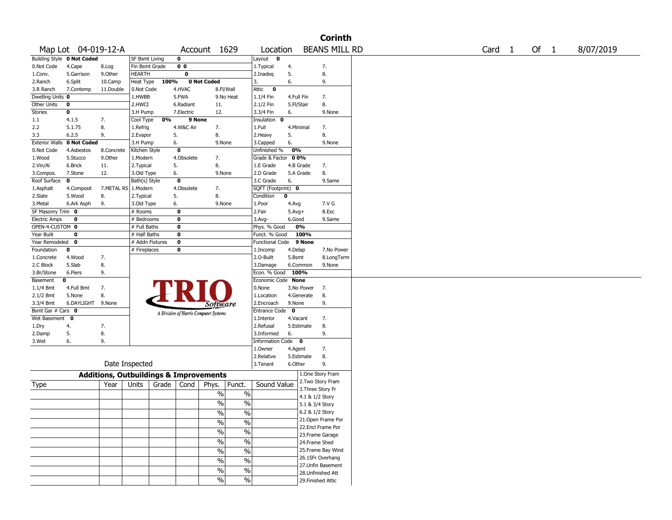| <b>Corinth</b>               |                                   |                       |                                                   |                                       |                                  |                          |                       |                                         |  |        |  |      |           |
|------------------------------|-----------------------------------|-----------------------|---------------------------------------------------|---------------------------------------|----------------------------------|--------------------------|-----------------------|-----------------------------------------|--|--------|--|------|-----------|
|                              | Map Lot 04-019-12-A               |                       |                                                   |                                       | Account 1629                     | Location                 |                       | <b>BEANS MILL RD</b>                    |  | Card 1 |  | Of 1 | 8/07/2019 |
|                              | <b>Building Style 0 Not Coded</b> |                       | <b>SF Bsmt Living</b>                             | 0                                     |                                  | Layout<br>$\mathbf 0$    |                       |                                         |  |        |  |      |           |
| 0.Not Code                   | 4.Cape                            | 8.Log                 | Fin Bsmt Grade                                    | 0 <sub>0</sub>                        |                                  | 1. Typical               | 4.                    | 7.                                      |  |        |  |      |           |
| 1.Conv.                      | 5.Garrison                        | 9.0ther               | HEARTH                                            | $\mathbf 0$                           |                                  | 2.Inadeq                 | 5.                    | 8.                                      |  |        |  |      |           |
| 2.Ranch                      | 6.Split                           | 10.Camp               | Heat Type<br>100%                                 |                                       | 0 Not Coded                      | 3.                       | 6.                    | 9.                                      |  |        |  |      |           |
| 3.R Ranch                    | 7.Contemp                         | 11.Double             | 0.Not Code                                        | 4.HVAC                                | 8.Fl/Wall                        | Attic<br>0               |                       |                                         |  |        |  |      |           |
| Dwelling Units 0             |                                   |                       | 1.HWBB                                            | 5.FWA                                 | 9.No Heat                        | 1.1/4 Fin                | 4.Full Fin            | 7.                                      |  |        |  |      |           |
| Other Units                  | $\bf{0}$                          |                       | 2.HWCI                                            | 6.Radiant                             | 11.                              | 2.1/2 Fin                | 5.Fl/Stair            | 8.                                      |  |        |  |      |           |
| <b>Stories</b>               | $\bf o$                           |                       | 3.H Pump                                          | 7.Electric                            | 12.                              | 3.3/4 Fin                | 6.                    | 9.None                                  |  |        |  |      |           |
| 1.1                          | 4.1.5                             | 7.                    | 0%<br>Cool Type                                   | 9 None                                |                                  | Insulation<br>0          |                       |                                         |  |        |  |      |           |
| 2.2                          | 5.1.75                            | 8.                    | 1.Refrig                                          | 4.W&C Air                             | 7.                               | 1.Full                   | 4.Minimal             | 7.                                      |  |        |  |      |           |
| 3.3<br><b>Exterior Walls</b> | 6.2.5                             | 9.                    | 2.Evapor                                          | 5.                                    | 8.                               | 2.Heavy                  | 5.                    | 8.                                      |  |        |  |      |           |
|                              | 0 Not Coded                       |                       | 3.H Pump                                          | 6.<br>$\mathbf 0$                     | 9.None                           | 3.Capped<br>Unfinished % | 6.<br>0%              | 9.None                                  |  |        |  |      |           |
| 0.Not Code                   | 4.Asbestos                        | 8.Concrete<br>9.Other | Kitchen Style                                     | 4.Obsolete                            | 7.                               | Grade & Factor           | 00%                   |                                         |  |        |  |      |           |
| 1.Wood                       | 5.Stucco<br>6.Brick               | 11.                   | 1.Modern                                          | 5.                                    | 8.                               | 1.E Grade                | 4.B Grade             | 7.                                      |  |        |  |      |           |
| 2.Vin/Al<br>3.Compos.        | 7.Stone                           | 12.                   | 2. Typical<br>3.Old Type                          | 6.                                    | 9.None                           | 2.D Grade                | 5.A Grade             | 8.                                      |  |        |  |      |           |
| Roof Surface                 | 0                                 |                       | Bath(s) Style                                     | $\mathbf 0$                           |                                  | 3.C Grade                | 6.                    | 9.Same                                  |  |        |  |      |           |
| 1.Asphalt                    | 4.Composit                        | 7.METAL RS   1.Modern |                                                   | 4.Obsolete                            | 7.                               | SQFT (Footprint) 0       |                       |                                         |  |        |  |      |           |
| 2.Slate                      | 5.Wood                            | 8.                    | 2. Typical                                        | 5.                                    | 8.                               | Condition                | 0                     |                                         |  |        |  |      |           |
| 3.Metal                      | 6.Ark Asph                        | 9.                    | 3.Old Type                                        | 6.                                    | 9.None                           | 1.Poor                   | 4.Avg                 | 7.V G                                   |  |        |  |      |           |
| SF Masonry Trim              | 0                                 |                       | $#$ Rooms                                         | $\mathbf 0$                           |                                  | 2.Fair                   | $5.$ Avg $+$          | 8.Exc                                   |  |        |  |      |           |
| <b>Electric Amps</b>         | 0                                 |                       | # Bedrooms                                        | 0                                     |                                  | $3.$ Avg-                | 6.Good                | 9.Same                                  |  |        |  |      |           |
| OPEN-4-CUSTOM 0              |                                   |                       | # Full Baths                                      | $\overline{\mathbf{0}}$               |                                  | Phys. % Good             | 0%                    |                                         |  |        |  |      |           |
| Year Built                   | 0                                 |                       | # Half Baths                                      | 0                                     |                                  | Funct. % Good            |                       | 100%                                    |  |        |  |      |           |
| Year Remodeled               | 0                                 |                       | # Addn Fixtures                                   | $\overline{\mathbf{0}}$               |                                  | Functional Code          |                       | 9 None                                  |  |        |  |      |           |
| Foundation                   | 0                                 |                       | # Fireplaces                                      | 0                                     |                                  | 1.Incomp                 | 4.Delap               | 7.No Power                              |  |        |  |      |           |
| 1.Concrete                   | 4.Wood                            | 7.                    |                                                   |                                       |                                  | 2.0-Built                | 5.Bsmt                | 8.LongTerm                              |  |        |  |      |           |
| 2.C Block                    | 5.Slab                            | 8.                    |                                                   |                                       |                                  | 3.Damage                 | 6.Common              | 9.None                                  |  |        |  |      |           |
| 3.Br/Stone                   | 6.Piers                           | 9.                    |                                                   |                                       |                                  | Econ. % Good             | 100%                  |                                         |  |        |  |      |           |
| Basement                     | 0                                 |                       |                                                   |                                       |                                  | Economic Code None       |                       |                                         |  |        |  |      |           |
| $1.1/4$ Bmt                  | 4.Full Bmt                        | 7.                    |                                                   |                                       |                                  | 0.None                   | 3.No Power            | 7.                                      |  |        |  |      |           |
| 2.1/2 Bmt                    | 5.None                            | 8.                    |                                                   |                                       |                                  | 1.Location               | 4.Generate            | 8.                                      |  |        |  |      |           |
| 3.3/4 Bmt                    | 6.DAYLIGHT 9.None                 |                       |                                                   |                                       | <i>Software</i>                  | 2.Encroach               | 9.None                | 9.                                      |  |        |  |      |           |
| Bsmt Gar # Cars 0            |                                   |                       |                                                   | A Division of Harris Computer Systems |                                  | <b>Entrance Code</b>     | 0                     |                                         |  |        |  |      |           |
| Wet Basement                 | 0                                 |                       |                                                   |                                       |                                  | 1.Interior               | 4.Vacant              | 7.                                      |  |        |  |      |           |
| 1.Dry                        | 4.                                | 7.                    |                                                   |                                       |                                  | 2.Refusal                | 5.Estimate            | 8.                                      |  |        |  |      |           |
| 2.Damp                       | 5.                                | 8.                    |                                                   |                                       |                                  | 3.Informed               | 6.                    | 9.                                      |  |        |  |      |           |
| 3.Wet                        | 6.                                | 9.                    |                                                   |                                       |                                  | Information Code 0       |                       |                                         |  |        |  |      |           |
|                              |                                   |                       |                                                   |                                       |                                  | 1.0wner<br>2.Relative    | 4.Agent<br>5.Estimate | 7.                                      |  |        |  |      |           |
|                              | Date Inspected                    |                       |                                                   |                                       |                                  |                          |                       | 8.<br>9.                                |  |        |  |      |           |
|                              |                                   |                       |                                                   |                                       |                                  | 3.Tenant                 | 6.Other               |                                         |  |        |  |      |           |
|                              |                                   |                       | <b>Additions, Outbuildings &amp; Improvements</b> |                                       |                                  |                          |                       | 1.One Story Fram                        |  |        |  |      |           |
| Type                         |                                   | Year                  | Grade<br>Units                                    | Cond                                  | Funct.<br>Phys.                  | Sound Value              |                       | 2. Two Story Fram                       |  |        |  |      |           |
|                              |                                   |                       |                                                   |                                       | %<br>$\%$                        |                          |                       | 3. Three Story Fr                       |  |        |  |      |           |
|                              |                                   |                       |                                                   |                                       | $\%$<br>$\%$                     |                          |                       | 4.1 & 1/2 Story                         |  |        |  |      |           |
|                              |                                   |                       |                                                   |                                       |                                  |                          |                       | 5.1 & 3/4 Story                         |  |        |  |      |           |
|                              |                                   |                       |                                                   |                                       | $\frac{0}{6}$<br>$\overline{\%}$ |                          |                       | 6.2 & 1/2 Story                         |  |        |  |      |           |
|                              |                                   |                       |                                                   |                                       | $\%$<br>$\%$                     |                          |                       | 21. Open Frame Por<br>22.Encl Frame Por |  |        |  |      |           |
|                              |                                   |                       |                                                   |                                       | $\frac{0}{6}$<br>$\%$            |                          |                       | 23. Frame Garage                        |  |        |  |      |           |
|                              |                                   |                       |                                                   |                                       | $\frac{0}{6}$<br>$\%$            |                          |                       | 24.Frame Shed                           |  |        |  |      |           |
|                              |                                   |                       |                                                   |                                       |                                  |                          |                       | 25. Frame Bay Wind                      |  |        |  |      |           |
|                              |                                   |                       |                                                   |                                       | $\frac{0}{6}$<br>$\%$            |                          |                       | 26.1SFr Overhang                        |  |        |  |      |           |
|                              |                                   |                       |                                                   |                                       | $\frac{1}{2}$<br>$\%$            |                          |                       | 27.Unfin Basement                       |  |        |  |      |           |
|                              |                                   |                       |                                                   |                                       | $\%$<br>$\%$                     |                          |                       | 28. Unfinished Att                      |  |        |  |      |           |
|                              |                                   |                       |                                                   |                                       | $\%$<br>$\frac{0}{0}$            |                          |                       | 29. Finished Attic                      |  |        |  |      |           |
|                              |                                   |                       |                                                   |                                       |                                  |                          |                       |                                         |  |        |  |      |           |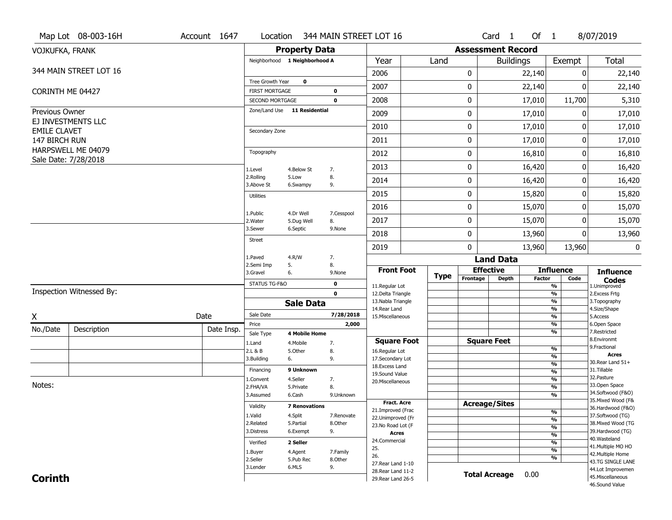|                     | Map Lot 08-003-16H       | Account 1647                                                                                 | Location                                        |                        | 344 MAIN STREET LOT 16 |                                         |        |                          | $Card \t1$           | Of $1$        |                                           | 8/07/2019                               |  |  |
|---------------------|--------------------------|----------------------------------------------------------------------------------------------|-------------------------------------------------|------------------------|------------------------|-----------------------------------------|--------|--------------------------|----------------------|---------------|-------------------------------------------|-----------------------------------------|--|--|
| VOJKUFKA, FRANK     |                          |                                                                                              |                                                 | <b>Property Data</b>   |                        |                                         |        | <b>Assessment Record</b> |                      |               |                                           |                                         |  |  |
|                     |                          |                                                                                              | Neighborhood 1 Neighborhood A                   |                        |                        | Year                                    | Land   |                          | <b>Buildings</b>     |               | Exempt                                    | <b>Total</b>                            |  |  |
|                     | 344 MAIN STREET LOT 16   |                                                                                              |                                                 |                        |                        | 2006                                    |        | 0                        |                      | 22,140        | 0                                         | 22,140                                  |  |  |
|                     |                          |                                                                                              | Tree Growth Year                                | $\mathbf 0$            |                        | 2007                                    |        | 0                        |                      | 22,140        | 0                                         | 22,140                                  |  |  |
|                     | CORINTH ME 04427         |                                                                                              | <b>FIRST MORTGAGE</b>                           |                        | 0                      |                                         |        |                          |                      |               | 11,700                                    |                                         |  |  |
|                     |                          |                                                                                              | SECOND MORTGAGE<br>Zone/Land Use 11 Residential |                        | $\mathbf 0$            | 2008                                    |        | 0                        |                      | 17,010        |                                           | 5,310                                   |  |  |
| Previous Owner      | EJ INVESTMENTS LLC       |                                                                                              |                                                 |                        |                        | 2009                                    |        | 0                        |                      | 17,010        | 0                                         | 17,010                                  |  |  |
| <b>EMILE CLAVET</b> |                          |                                                                                              | Secondary Zone                                  |                        |                        | 2010                                    |        | 0                        |                      | 17,010        | 0                                         | 17,010                                  |  |  |
| 147 BIRCH RUN       |                          |                                                                                              |                                                 |                        |                        | 2011                                    |        | 0                        |                      | 17,010        | 0                                         | 17,010                                  |  |  |
|                     | HARPSWELL ME 04079       |                                                                                              | Topography                                      |                        |                        | 2012                                    |        | 0                        |                      | 16,810        | 0                                         | 16,810                                  |  |  |
|                     | Sale Date: 7/28/2018     |                                                                                              | 1.Level                                         | 4.Below St             | 7.<br>8.<br>9.         | 2013                                    |        | 0                        |                      | 16,420        | 0                                         | 16,420                                  |  |  |
|                     |                          |                                                                                              | 2.Rolling                                       | 5.Low                  |                        | 2014                                    |        | 0                        |                      | 16,420        | 0                                         | 16,420                                  |  |  |
|                     |                          |                                                                                              | 3.Above St                                      | 6.Swampy               |                        | 2015                                    |        | 0                        |                      | 15,820        | 0                                         | 15,820                                  |  |  |
|                     |                          |                                                                                              | <b>Utilities</b>                                |                        | 7.Cesspool             | 2016                                    |        | 0                        |                      | 15,070        | 0                                         | 15,070                                  |  |  |
|                     |                          |                                                                                              | 1.Public                                        | 4.Dr Well              |                        |                                         |        |                          |                      |               |                                           |                                         |  |  |
|                     |                          |                                                                                              | 2. Water<br>3.Sewer                             | 5.Dug Well<br>6.Septic | 8.<br>9.None           | 2017                                    |        | 0                        |                      | 15,070        | 0                                         | 15,070                                  |  |  |
|                     |                          |                                                                                              | <b>Street</b>                                   |                        |                        | 2018                                    |        | 0                        |                      | 13,960        | 0                                         | 13,960                                  |  |  |
|                     |                          |                                                                                              |                                                 |                        |                        | 2019                                    |        | 0                        |                      | 13,960        | 13,960                                    | 0                                       |  |  |
|                     |                          |                                                                                              | 1.Paved<br>2.Semi Imp                           | 4.R/W<br>5.            | 7.<br>8.               |                                         |        |                          | <b>Land Data</b>     |               |                                           |                                         |  |  |
|                     |                          | <b>Front Foot</b><br><b>Effective</b><br>3.Gravel<br>6.<br>9.None<br><b>Type</b><br>Frontage |                                                 |                        |                        |                                         | Factor | <b>Influence</b><br>Code | <b>Influence</b>     |               |                                           |                                         |  |  |
|                     |                          |                                                                                              | STATUS TG-F&O                                   |                        | 0                      | 11.Regular Lot                          |        |                          | <b>Depth</b>         |               | %                                         | <b>Codes</b><br>1.Unimproved            |  |  |
|                     | Inspection Witnessed By: |                                                                                              |                                                 |                        | $\mathbf 0$            | 12.Delta Triangle<br>13. Nabla Triangle |        | $\overline{\frac{9}{6}}$ |                      |               |                                           |                                         |  |  |
|                     |                          |                                                                                              |                                                 | <b>Sale Data</b>       |                        | 14.Rear Land                            |        |                          |                      |               | %<br>%                                    | 3. Topography<br>4.Size/Shape           |  |  |
| X                   |                          | Date                                                                                         | Sale Date                                       |                        | 7/28/2018              | 15. Miscellaneous                       |        |                          |                      |               | %                                         | 5.Access                                |  |  |
| No./Date            | Description              | Date Insp.                                                                                   | Price<br>Sale Type                              | <b>4 Mobile Home</b>   | 2,000                  |                                         |        |                          |                      |               | %<br>%                                    | 6.Open Space<br>7.Restricted            |  |  |
|                     |                          |                                                                                              | 1.Land                                          | 4. Mobile              | 7.                     | <b>Square Foot</b>                      |        |                          | <b>Square Feet</b>   |               |                                           | 8.Environmt                             |  |  |
|                     |                          |                                                                                              | 2.L & B                                         | 5.0ther                | 8.                     | 16.Regular Lot                          |        |                          |                      |               | $\frac{9}{6}$                             | 9. Fractional<br><b>Acres</b>           |  |  |
|                     |                          |                                                                                              | 3.Building                                      | 6.                     | 9.                     | 17.Secondary Lot<br>18. Excess Land     |        |                          |                      |               | $\overline{\frac{9}{6}}$<br>$\frac{9}{6}$ | 30. Rear Land 51+                       |  |  |
|                     |                          |                                                                                              | Financing                                       | 9 Unknown              |                        | 19.Sound Value                          |        |                          |                      |               | $\frac{9}{6}$                             | 31.Tillable                             |  |  |
|                     |                          |                                                                                              | 1.Convent                                       | 4.Seller               | 7.                     | 20.Miscellaneous                        |        |                          |                      |               | $\frac{9}{6}$                             | 32.Pasture                              |  |  |
| Notes:              |                          |                                                                                              | 2.FHA/VA                                        | 5.Private              | 8.                     |                                         |        |                          |                      |               | $\overline{\frac{9}{6}}$                  | 33.Open Space<br>34.Softwood (F&O)      |  |  |
|                     |                          |                                                                                              | 3.Assumed                                       | 6.Cash                 | 9.Unknown              | <b>Fract, Acre</b>                      |        |                          |                      |               | %                                         | 35. Mixed Wood (F&                      |  |  |
|                     |                          |                                                                                              | Validity                                        | <b>7 Renovations</b>   |                        | 21.Improved (Frac                       |        |                          | <b>Acreage/Sites</b> |               |                                           | 36.Hardwood (F&O)                       |  |  |
|                     |                          |                                                                                              | 1.Valid                                         | 4.Split                | 7.Renovate             | 22.Unimproved (Fr                       |        |                          |                      |               | %<br>$\frac{9}{6}$                        | 37.Softwood (TG)                        |  |  |
|                     |                          |                                                                                              | 2.Related                                       | 5.Partial              | 8.Other                | 23.No Road Lot (F                       |        |                          |                      |               | $\frac{9}{6}$                             | 38. Mixed Wood (TG                      |  |  |
|                     |                          | 3.Distress                                                                                   | 6.Exempt                                        | 9.                     | <b>Acres</b>           |                                         |        |                          |                      | $\frac{9}{6}$ | 39.Hardwood (TG)                          |                                         |  |  |
|                     |                          |                                                                                              | Verified<br>2 Seller                            |                        |                        | 24.Commercial                           |        |                          |                      |               | %                                         | 40. Wasteland                           |  |  |
|                     |                          |                                                                                              | 1.Buyer                                         | 4.Agent                | 7.Family               | 25.                                     |        |                          |                      |               | $\frac{9}{6}$                             | 41. Multiple MO HO<br>42. Multiple Home |  |  |
|                     |                          |                                                                                              | 2.Seller                                        | 5.Pub Rec              | 8.Other                | 26.                                     |        |                          |                      |               | %                                         | 43.TG SINGLE LANE                       |  |  |
|                     |                          |                                                                                              | 3.Lender                                        |                        | 9.                     | 27. Rear Land 1-10<br>6.MLS             |        |                          |                      |               |                                           |                                         |  |  |
|                     |                          |                                                                                              |                                                 |                        |                        | 28. Rear Land 11-2                      |        |                          |                      |               |                                           |                                         |  |  |
| <b>Corinth</b>      |                          |                                                                                              |                                                 |                        |                        | 29. Rear Land 26-5                      |        |                          | <b>Total Acreage</b> | 0.00          |                                           | 45. Miscellaneous<br>46.Sound Value     |  |  |